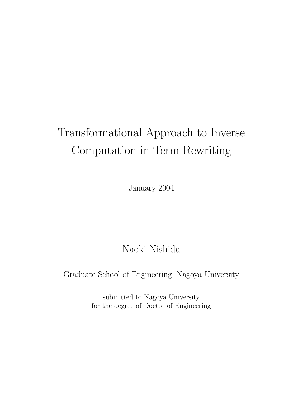# Transformational Approach to Inverse Computation in Term Rewriting

January 2004

### Naoki Nishida

Graduate School of Engineering, Nagoya University

submitted to Nagoya University for the degree of Doctor of Engineering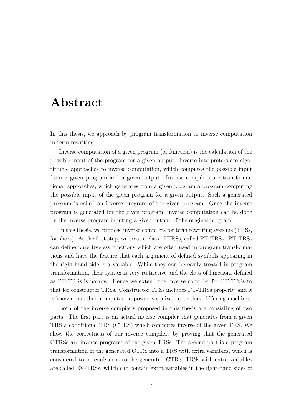### Abstract

In this thesis, we approach by program transformation to inverse computation in term rewriting.

Inverse computation of a given program (or function) is the calculation of the possible input of the program for a given output. Inverse interpreters are algorithmic approaches to inverse computation, which computes the possible input from a given program and a given output. Inverse compilers are transformational approaches, which generates from a given program a program computing the possible input of the given program for a given output. Such a generated program is called an inverse program of the given program. Once the inverse program is generated for the given program, inverse computation can be done by the inverse program inputing a given output of the original program.

In this thesis, we propose inverse compilers for term rewriting systems (TRSs, for short). As the first step, we treat a class of TRSs, called PT-TRSs. PT-TRSs can define pure treeless functions which are often used in program transformations and have the feature that each argument of defined symbols appearing in the right-hand side is a variable. While they can be easily treated in program transformation, their syntax is very restrictive and the class of functions defined as PT-TRSs is narrow. Hence we extend the inverse compiler for PT-TRSs to that for constructor TRSs. Constructor TRSs includes PT-TRSs properly, and it is known that their computation power is equivalent to that of Turing machines.

Both of the inverse compilers proposed in this thesis are consisting of two parts. The first part is an actual inverse compiler that generates from a given TRS a conditional TRS (CTRS) which computes inverse of the given TRS. We show the correctness of our inverse compilers by proving that the generated CTRSs are inverse programs of the given TRSs. The second part is a program transformation of the generated CTRS into a TRS with extra variables, which is considered to be equivalent to the generated CTRS. TRSs with extra variables are called EV-TRSs, which can contain extra variables in the right-hand sides of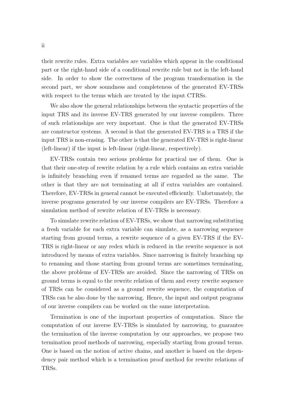their rewrite rules. Extra variables are variables which appear in the conditional part or the right-hand side of a conditional rewrite rule but not in the left-hand side. In order to show the correctness of the program transformation in the second part, we show soundness and completeness of the generated EV-TRSs with respect to the terms which are treated by the input CTRSs.

We also show the general relationships between the syntactic properties of the input TRS and its inverse EV-TRS generated by our inverse compilers. Three of such relationships are very important. One is that the generated EV-TRSs are constructor systems. A second is that the generated EV-TRS is a TRS if the input TRS is non-erasing. The other is that the generated EV-TRS is right-linear (left-linear) if the input is left-linear (right-linear, respectively).

EV-TRSs contain two serious problems for practical use of them. One is that their one-step of rewrite relation by a rule which contains an extra variable is infinitely branching even if renamed terms are regarded as the same. The other is that they are not terminating at all if extra variables are contained. Therefore, EV-TRSs in general cannot be executed efficiently. Unfortunately, the inverse programs generated by our inverse compilers are EV-TRSs. Therefore a simulation method of rewrite relation of EV-TRSs is necessary.

To simulate rewrite relation of EV-TRSs, we show that narrowing substituting a fresh variable for each extra variable can simulate, as a narrowing sequence starting from ground terms, a rewrite sequence of a given EV-TRS if the EV-TRS is right-linear or any redex which is reduced in the rewrite sequence is not introduced by means of extra variables. Since narrowing is finitely branching up to renaming and those starting from ground terms are sometimes terminating, the above problems of EV-TRSs are avoided. Since the narrowing of TRSs on ground terms is equal to the rewrite relation of them and every rewrite sequence of TRSs can be considered as a ground rewrite sequence, the computation of TRSs can be also done by the narrowing. Hence, the input and output programs of our inverse compilers can be worked on the same interpretation.

Termination is one of the important properties of computation. Since the computation of our inverse EV-TRSs is simulated by narrowing, to guarantee the termination of the inverse computation by our approaches, we propose two termination proof methods of narrowing, especially starting from ground terms. One is based on the notion of active chains, and another is based on the dependency pair method which is a termination proof method for rewrite relations of TRSs.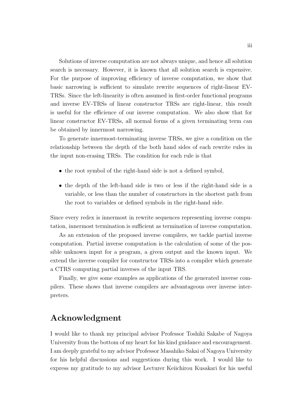Solutions of inverse computation are not always unique, and hence all solution search is necessary. However, it is known that all solution search is expensive. For the purpose of improving efficiency of inverse computation, we show that basic narrowing is sufficient to simulate rewrite sequences of right-linear EV-TRSs. Since the left-linearity is often assumed in first-order functional programs and inverse EV-TRSs of linear constructor TRSs are right-linear, this result is useful for the efficience of our inverse computation. We also show that for linear constructor EV-TRSs, all normal forms of a given terminating term can be obtained by innermost narrowing.

To generate innermost-terminating inverse TRSs, we give a condition on the relationship between the depth of the both hand sides of each rewrite rules in the input non-erasing TRSs. The condition for each rule is that

- the root symbol of the right-hand side is not a defined symbol,
- the depth of the left-hand side is two or less if the right-hand side is a variable, or less than the number of constructors in the shortest path from the root to variables or defined symbols in the right-hand side.

Since every redex is innermost in rewrite sequences representing inverse computation, innermost termination is sufficient as termination of inverse computation.

As an extension of the proposed inverse compilers, we tackle partial inverse computation. Partial inverse computation is the calculation of some of the possible unknown input for a program, a given output and the known input. We extend the inverse compiler for constructor TRSs into a compiler which generate a CTRS computing partial inverses of the input TRS.

Finally, we give some examples as applications of the generated inverse compilers. These shows that inverse compilers are advantageous over inverse interpreters.

### Acknowledgment

I would like to thank my principal advisor Professor Toshiki Sakabe of Nagoya University from the bottom of my heart for his kind guidance and encouragement. I am deeply grateful to my advisor Professor Masahiko Sakai of Nagoya University for his helpful discussions and suggestions during this work. I would like to express my gratitude to my advisor Lecturer Keiichirou Kusakari for his useful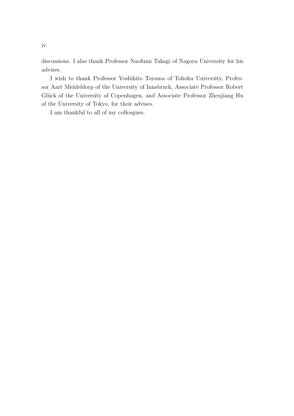discussions. I also thank Professor Naofumi Takagi of Nagoya University for his advises.

I wish to thank Professor Yoshihito Toyama of Tohoku University, Professor Aart Middeldorp of the University of Innsbruck, Associate Professor Robert Glück of the University of Copenhagen, and Associate Professor Zhenjiang Hu of the University of Tokyo, for their advises.

I am thankful to all of my colleagues.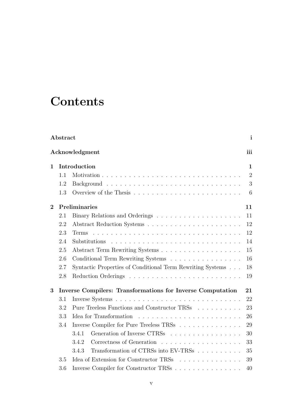## **Contents**

| Abstract<br>$\mathbf{i}$ |                     |                                                                   |                |  |  |  |
|--------------------------|---------------------|-------------------------------------------------------------------|----------------|--|--|--|
|                          |                     | Acknowledgment                                                    | iii            |  |  |  |
| $\mathbf{1}$             |                     | Introduction                                                      | $\mathbf{1}$   |  |  |  |
|                          | 1.1                 |                                                                   | $\overline{2}$ |  |  |  |
|                          | 1.2                 |                                                                   | 3              |  |  |  |
|                          | 1.3                 |                                                                   | 6              |  |  |  |
| $\boldsymbol{2}$         | Preliminaries<br>11 |                                                                   |                |  |  |  |
|                          | 2.1                 |                                                                   | 11             |  |  |  |
|                          | 2.2                 |                                                                   | 12             |  |  |  |
|                          | 2.3                 | Terms'                                                            | 12             |  |  |  |
|                          | 2.4                 |                                                                   | 14             |  |  |  |
|                          | 2.5                 |                                                                   | 15             |  |  |  |
|                          | 2.6                 | Conditional Term Rewriting Systems                                | 16             |  |  |  |
|                          | 2.7                 | Syntactic Properties of Conditional Term Rewriting Systems        | 18             |  |  |  |
|                          | 2.8                 |                                                                   | 19             |  |  |  |
| 3                        |                     | <b>Inverse Compilers: Transformations for Inverse Computation</b> | 21             |  |  |  |
|                          | 3.1                 |                                                                   | 22             |  |  |  |
|                          | 3.2                 | Pure Treeless Functions and Constructor TRSs                      | 23             |  |  |  |
|                          | 3.3                 | Idea for Transformation                                           | 26             |  |  |  |
|                          | 3.4                 | Inverse Compiler for Pure Treeless TRSs                           | 29             |  |  |  |
|                          |                     | Generation of Inverse CTRSs<br>3.4.1                              | 30             |  |  |  |
|                          |                     | Correctness of Generation<br>3.4.2                                | 33             |  |  |  |
|                          |                     | Transformation of CTRSs into EV-TRSs<br>3.4.3                     | 35             |  |  |  |
|                          | 3.5                 | Idea of Extension for Constructor TRSs                            | 39             |  |  |  |
|                          | 3.6                 | Inverse Compiler for Constructor TRSs                             | 40             |  |  |  |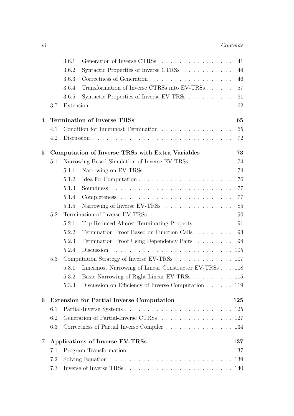|                         |                                          | 3.6.1                                                                                    | Generation of Inverse CTRSs                                               | 41  |  |  |  |  |
|-------------------------|------------------------------------------|------------------------------------------------------------------------------------------|---------------------------------------------------------------------------|-----|--|--|--|--|
|                         |                                          | 3.6.2                                                                                    | Syntactic Properties of Inverse CTRSs                                     | 44  |  |  |  |  |
|                         |                                          | 3.6.3                                                                                    |                                                                           | 46  |  |  |  |  |
|                         |                                          | 3.6.4                                                                                    | Transformation of Inverse CTRSs into EV-TRSs                              | 57  |  |  |  |  |
|                         |                                          | 3.6.5                                                                                    | Syntactic Properties of Inverse EV-TRSs                                   | 61  |  |  |  |  |
|                         | 3.7                                      |                                                                                          |                                                                           | 62  |  |  |  |  |
| $\overline{4}$          | <b>Termination of Inverse TRSs</b><br>65 |                                                                                          |                                                                           |     |  |  |  |  |
|                         | 4.1                                      |                                                                                          | Condition for Innermost Termination                                       | 65  |  |  |  |  |
|                         | 4.2                                      |                                                                                          |                                                                           | 72  |  |  |  |  |
| $\bf{5}$                |                                          |                                                                                          | Computation of Inverse TRSs with Extra Variables                          | 73  |  |  |  |  |
|                         | 5.1                                      |                                                                                          | Narrowing-Based Simulation of Inverse EV-TRSs                             | 74  |  |  |  |  |
|                         |                                          | 5.1.1                                                                                    |                                                                           | 74  |  |  |  |  |
|                         |                                          | 5.1.2                                                                                    |                                                                           | 76  |  |  |  |  |
|                         |                                          | 5.1.3                                                                                    |                                                                           | 77  |  |  |  |  |
|                         |                                          | 5.1.4                                                                                    |                                                                           | 77  |  |  |  |  |
|                         |                                          | 5.1.5                                                                                    | Narrowing of Inverse EV-TRSs                                              | 85  |  |  |  |  |
|                         | 5.2                                      |                                                                                          |                                                                           | 90  |  |  |  |  |
|                         |                                          | 5.2.1                                                                                    | Top Reduced Almost Terminating Property                                   | 91  |  |  |  |  |
|                         |                                          | 5.2.2                                                                                    | Termination Proof Based on Function Calls                                 | 93  |  |  |  |  |
|                         |                                          | 5.2.3                                                                                    | Termination Proof Using Dependency Pairs                                  | 94  |  |  |  |  |
|                         |                                          | 5.2.4                                                                                    |                                                                           |     |  |  |  |  |
|                         | 5.3                                      |                                                                                          | Computation Strategy of Inverse EV-TRSs 107                               |     |  |  |  |  |
|                         |                                          | 5.3.1                                                                                    | Innermost Narrowing of Linear Constructor EV-TRSs 108                     |     |  |  |  |  |
|                         |                                          | 5.3.2                                                                                    | Basic Narrowing of Right-Linear EV-TRSs $\ldots \ldots \ldots \ldots 115$ |     |  |  |  |  |
|                         |                                          | 5.3.3                                                                                    | Discussion on Efficiency of Inverse Computation $\ldots \ldots$ 119       |     |  |  |  |  |
| 6                       |                                          |                                                                                          | <b>Extension for Partial Inverse Computation</b>                          | 125 |  |  |  |  |
|                         | 6.1                                      |                                                                                          |                                                                           |     |  |  |  |  |
|                         | 6.2                                      |                                                                                          | Generation of Partial-Inverse CTRSs 127                                   |     |  |  |  |  |
|                         | 6.3                                      |                                                                                          | Correctness of Partial Inverse Compiler 134                               |     |  |  |  |  |
| $\overline{\mathbf{7}}$ |                                          |                                                                                          | Applications of Inverse EV-TRSs                                           | 137 |  |  |  |  |
|                         | 7.1                                      |                                                                                          |                                                                           |     |  |  |  |  |
|                         | 7.2                                      | Solving Equation $\ldots \ldots \ldots \ldots \ldots \ldots \ldots \ldots \ldots \ldots$ |                                                                           |     |  |  |  |  |
|                         | 7.3                                      |                                                                                          |                                                                           |     |  |  |  |  |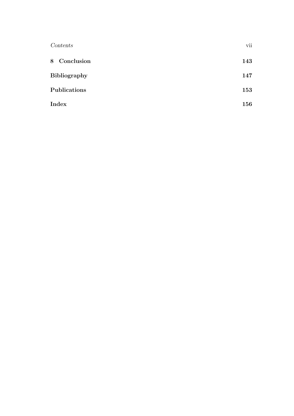| Contents            |     |
|---------------------|-----|
| 8 Conclusion        | 143 |
| <b>Bibliography</b> | 147 |
| Publications        | 153 |
| Index               | 156 |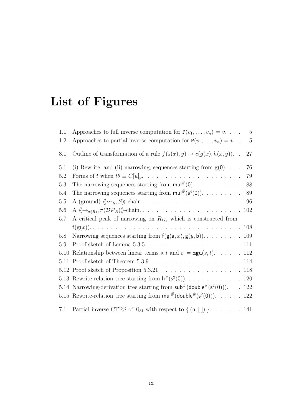# List of Figures

| 1.1     | Approaches to full inverse computation for $P(v_1, \ldots, v_n) = v$<br>$\overline{5}$               |
|---------|------------------------------------------------------------------------------------------------------|
| 1.2     | Approaches to partial inverse computation for $P(v_1, \ldots, v_n) = v$ .<br>$\overline{5}$          |
| 3.1     | Outline of transformation of a rule $f(s(x), y) \to c(g(x), h(x, y))$ .<br>27                        |
| 5.1     | (i) Rewrite, and (ii) narrowing, sequences starting from $g(0)$<br>76                                |
| $5.2\,$ | 79                                                                                                   |
| 5.3     | The narrowing sequences starting from $\mathsf{mul}^{\#}(0)$ .<br>88                                 |
| 5.4     | The narrowing sequences starting from $\mathsf{mul}^{\#}(\mathsf{s}^4(0))$ .<br>89                   |
| $5.5\,$ | 96                                                                                                   |
| 5.6     | 102                                                                                                  |
| 5.7     | A critical peak of narrowing on $R_{17}$ , which is constructed from                                 |
|         |                                                                                                      |
| 5.8     | Narrowing sequences starting from $f(g(a, x), g(y, b))$ 109                                          |
| 5.9     | Proof sketch of Lemma $5.3.5.$ $\dots$ $\dots$ $\dots$ $\dots$ $\dots$ $\dots$ $\dots$ $111$         |
| 5.10    | Relationship between linear terms s, t and $\sigma = \text{mgu}(s, t)$ . 112                         |
|         |                                                                                                      |
|         |                                                                                                      |
|         |                                                                                                      |
|         | 5.14 Narrowing-derivation tree starting from $\mathsf{sub}^{\#}(\mathsf{double}^{\#}(s^2(0)))$ . 122 |
|         | 5.15 Rewrite-relation tree starting from $\text{mul}^{\#}(\text{double}^{\#}(s^2(0)))$ . 122         |
| 7.1     | Partial inverse CTRS of $R_{31}$ with respect to $\{(n, [\ ]\})\}$ . 141                             |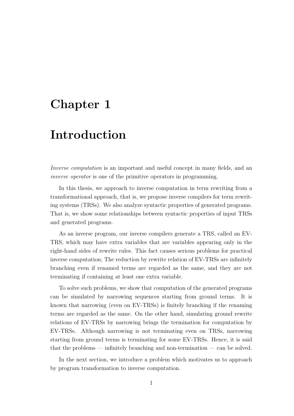### Chapter 1

## Introduction

Inverse computation is an important and useful concept in many fields, and an inverse operator is one of the primitive operators in programming.

In this thesis, we approach to inverse computation in term rewriting from a transformational approach, that is, we propose inverse compilers for term rewriting systems (TRSs). We also analyze syntactic properties of generated programs. That is, we show some relationships between syntactic properties of input TRSs and generated programs.

As an inverse program, our inverse compilers generate a TRS, called an EV-TRS, which may have extra variables that are variables appearing only in the right-hand sides of rewrite rules. This fact causes serious problems for practical inverse computation; The reduction by rewrite relation of EV-TRSs are infinitely branching even if renamed terms are regarded as the same, and they are not terminating if containing at least one extra variable.

To solve such problems, we show that computation of the generated programs can be simulated by narrowing sequences starting from ground terms. It is known that narrowing (even on EV-TRSs) is finitely branching if the renaming terms are regarded as the same. On the other hand, simulating ground rewrite relations of EV-TRSs by narrowing brings the termination for computation by EV-TRSs. Although narrowing is not terminating even on TRSs, narrowing starting from ground terms is terminating for some EV-TRSs. Hence, it is said that the problems — infinitely branching and non-termination — can be solved.

In the next section, we introduce a problem which motivates us to approach by program transformation to inverse computation.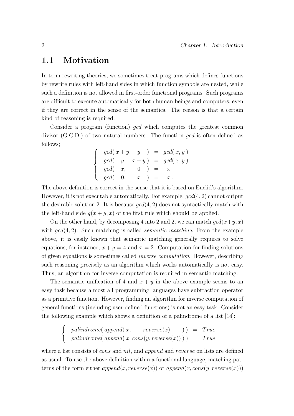#### 1.1 Motivation

In term rewriting theories, we sometimes treat programs which defines functions by rewrite rules with left-hand sides in which function symbols are nested, while such a definition is not allowed in first-order functional programs. Such programs are difficult to execute automatically for both human beings and computers, even if they are correct in the sense of the semantics. The reason is that a certain kind of reasoning is required.

Consider a program (function) *gcd* which computes the greatest common divisor (G.C.D.) of two natural numbers. The function gcd is often defined as follows;

$$
\begin{cases}\n\gcd(x+y, y) = \gcd(x, y) \\
\gcd(y, x+y) = \gcd(x, y) \\
\gcd(x, 0) = x \\
\gcd(0, x) = x.\n\end{cases}
$$

The above definition is correct in the sense that it is based on Euclid's algorithm. However, it is not executable automatically. For example,  $gcd(4, 2)$  cannot output the desirable solution 2. It is because  $gcd(4, 2)$  does not syntactically match with the left-hand side  $q(x + y, x)$  of the first rule which should be applied.

On the other hand, by decomposing 4 into 2 and 2, we can match  $gcd(x+y, x)$ with  $gcd(4, 2)$ . Such matching is called *semantic matching*. From the example above, it is easily known that semantic matching generally requires to solve equations, for instance,  $x + y = 4$  and  $x = 2$ . Computation for finding solutions of given equations is sometimes called inverse computation. However, describing such reasoning precisely as an algorithm which works automatically is not easy. Thus, an algorithm for inverse computation is required in semantic matching.

The semantic unification of 4 and  $x + y$  in the above example seems to an easy task because almost all programming languages have subtraction operator as a primitive function. However, finding an algorithm for inverse computation of general functions (including user-defined functions) is not an easy task. Consider the following example which shows a definition of a palindrome of a list [14]:

$$
\begin{cases}\n\text{palindrome}(\text{append}(x, \text{reverse}(x) ) = \text{True} \\
\text{palindrome}(\text{append}(x, \text{cons}(y, \text{reverse}(x)) )) = \text{True}\n\end{cases}
$$

where a list consists of *cons* and *nil*, and *append* and *reverse* on lists are defined as usual. To use the above definition within a functional language, matching patterns of the form either  $append(x, reverse(x))$  or  $append(x,cons(y, reverse(x)))$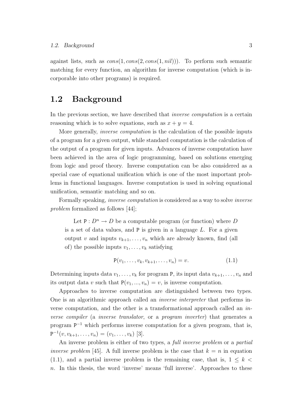against lists, such as  $cons(1, cons(2, cons(1, nil)))$ . To perform such semantic matching for every function, an algorithm for inverse computation (which is incorporable into other programs) is required.

#### 1.2 Background

In the previous section, we have described that *inverse computation* is a certain reasoning which is to solve equations, such as  $x + y = 4$ .

More generally, inverse computation is the calculation of the possible inputs of a program for a given output, while standard computation is the calculation of the output of a program for given inputs. Advances of inverse computation have been achieved in the area of logic programming, based on solutions emerging from logic and proof theory. Inverse computation can be also considered as a special case of equational unification which is one of the most important problems in functional languages. Inverse computation is used in solving equational unification, semantic matching and so on.

Formally speaking, inverse computation is considered as a way to solve inverse problem formalized as follows [44];

Let  $P: D^n \to D$  be a computable program (or function) where D is a set of data values, and  $P$  is given in a language  $L$ . For a given output v and inputs  $v_{k+1}, \ldots, v_n$  which are already known, find (all of) the possible inputs  $v_1, \ldots, v_k$  satisfying

$$
P(v_1, \ldots, v_k, v_{k+1}, \ldots, v_n) = v.
$$
 (1.1)

Determining inputs data  $v_1, \ldots, v_k$  for program P, its input data  $v_{k+1}, \ldots, v_n$  and its output data v such that  $P(v_1, ..., v_n) = v$ , is inverse computation.

Approaches to inverse computation are distinguished between two types. One is an algorithmic approach called an inverse interpreter that performs inverse computation, and the other is a transformational approach called an inverse compiler (a inverse translator, or a program inverter) that generates a program  $P^{-1}$  which performs inverse computation for a given program, that is,  $P^{-1}(v, v_{k+1}, \ldots, v_n) = (v_1, \ldots, v_k)$  [3].

An inverse problem is either of two types, a full inverse problem or a partial *inverse problem* [45]. A full inverse problem is the case that  $k = n$  in equation  $(1.1)$ , and a partial inverse problem is the remaining case, that is,  $1 \leq k \leq$ n. In this thesis, the word 'inverse' means 'full inverse'. Approaches to these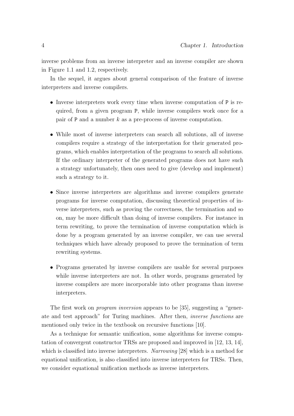inverse problems from an inverse interpreter and an inverse compiler are shown in Figure 1.1 and 1.2, respectively.

In the sequel, it argues about general comparison of the feature of inverse interpreters and inverse compilers.

- Inverse interpreters work every time when inverse computation of P is required, from a given program P, while inverse compilers work once for a pair of P and a number  $k$  as a pre-process of inverse computation.
- While most of inverse interpreters can search all solutions, all of inverse compilers require a strategy of the interpretation for their generated programs, which enables interpretation of the programs to search all solutions. If the ordinary interpreter of the generated programs does not have such a strategy unfortunately, then ones need to give (develop and implement) such a strategy to it.
- Since inverse interpreters are algorithms and inverse compilers generate programs for inverse computation, discussing theoretical properties of inverse interpreters, such as proving the correctness, the termination and so on, may be more difficult than doing of inverse compilers. For instance in term rewriting, to prove the termination of inverse computation which is done by a program generated by an inverse compiler, we can use several techniques which have already proposed to prove the termination of term rewriting systems.
- Programs generated by inverse compilers are usable for several purposes while inverse interpreters are not. In other words, programs generated by inverse compilers are more incorporable into other programs than inverse interpreters.

The first work on *program inversion* appears to be [35], suggesting a "generate and test approach" for Turing machines. After then, inverse functions are mentioned only twice in the textbook on recursive functions [10].

As a technique for semantic unification, some algorithms for inverse computation of convergent constructor TRSs are proposed and improved in [12, 13, 14], which is classified into inverse interpreters. Narrowing [28] which is a method for equational unification, is also classified into inverse interpreters for TRSs. Then, we consider equational unification methods as inverse interpreters.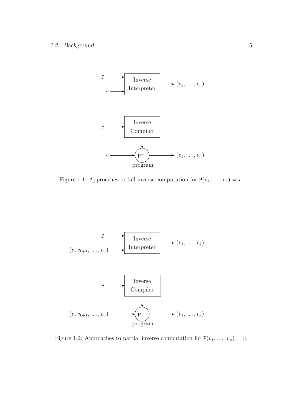#### 1.2. Background 5



Figure 1.1: Approaches to full inverse computation for  $P(v_1, \ldots, v_n) = v$ .



Figure 1.2: Approaches to partial inverse computation for  $P(v_1, \ldots, v_n) = v$ .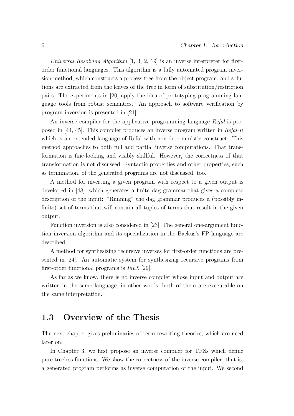Universal Resolving Algorithm  $[1, 3, 2, 19]$  is an inverse interpreter for firstorder functional languages. This algorithm is a fully automated program inversion method, which constructs a process tree from the object program, and solutions are extracted from the leaves of the tree in form of substitution/restriction pairs. The experiments in [20] apply the idea of prototyping programming language tools from robust semantics. An approach to software verification by program inversion is presented in [21].

An inverse compiler for the applicative programming language Refal is proposed in [44, 45]. This compiler produces an inverse program written in Refal-R which is an extended language of Refal with non-deterministic construct. This method approaches to both full and partial inverse computations. That transformation is fine-looking and visibly skillful. However, the correctness of that transformation is not discussed. Syntactic properties and other properties, such as termination, of the generated programs are not discussed, too.

A method for inverting a given program with respect to a given output is developed in [48], which generates a finite dag grammar that gives a complete description of the input: "Running" the dag grammar produces a (possibly infinite) set of terms that will contain all tuples of terms that result in the given output.

Function inversion is also considered in [23]; The general one-argument function inversion algorithm and its specialization in the Backus's FP language are described.

A method for synthesizing recursive inverses for first-order functions are presented in [24]. An automatic system for synthesizing recursive programs from first-order functional programs is  $InvX$  [29].

As far as we know, there is no inverse compiler whose input and output are written in the same language, in other words, both of them are executable on the same interpretation.

### 1.3 Overview of the Thesis

The next chapter gives preliminaries of term rewriting theories, which are need later on.

In Chapter 3, we first propose an inverse compiler for TRSs which define pure treeless functions. We show the correctness of the inverse compiler, that is, a generated program performs as inverse computation of the input. We second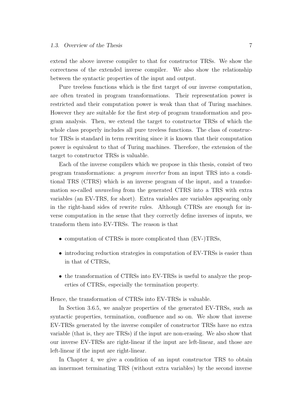extend the above inverse compiler to that for constructor TRSs. We show the correctness of the extended inverse compiler. We also show the relationship between the syntactic properties of the input and output.

Pure treeless functions which is the first target of our inverse computation, are often treated in program transformations. Their representation power is restricted and their computation power is weak than that of Turing machines. However they are suitable for the first step of program transformation and program analysis. Then, we extend the target to constructor TRSs of which the whole class properly includes all pure treeless functions. The class of constructor TRSs is standard in term rewriting since it is known that their computation power is equivalent to that of Turing machines. Therefore, the extension of the target to constructor TRSs is valuable.

Each of the inverse compilers which we propose in this thesis, consist of two program transformations: a program inverter from an input TRS into a conditional TRS (CTRS) which is an inverse program of the input, and a transformation so-called unraveling from the generated CTRS into a TRS with extra variables (an EV-TRS, for short). Extra variables are variables appearing only in the right-hand sides of rewrite rules. Although CTRSs are enough for inverse computation in the sense that they correctly define inverses of inputs, we transform them into EV-TRSs. The reason is that

- computation of CTRSs is more complicated than (EV-)TRSs,
- introducing reduction strategies in computation of EV-TRSs is easier than in that of CTRSs,
- the transformation of CTRSs into EV-TRSs is useful to analyze the properties of CTRSs, especially the termination property.

Hence, the transformation of CTRSs into EV-TRSs is valuable.

In Section 3.6.5, we analyze properties of the generated EV-TRSs, such as syntactic properties, termination, confluence and so on. We show that inverse EV-TRSs generated by the inverse compiler of constructor TRSs have no extra variable (that is, they are TRSs) if the input are non-erasing. We also show that our inverse EV-TRSs are right-linear if the input are left-linear, and those are left-linear if the input are right-linear.

In Chapter 4, we give a condition of an input constructor TRS to obtain an innermost terminating TRS (without extra variables) by the second inverse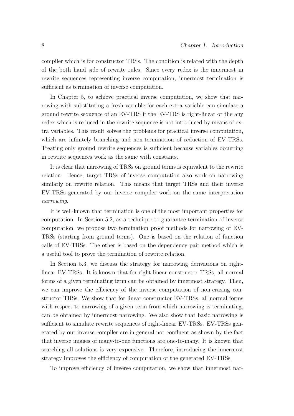compiler which is for constructor TRSs. The condition is related with the depth of the both hand side of rewrite rules. Since every redex is the innermost in rewrite sequences representing inverse computation, innermost termination is sufficient as termination of inverse computation.

In Chapter 5, to achieve practical inverse computation, we show that narrowing with substituting a fresh variable for each extra variable can simulate a ground rewrite sequence of an EV-TRS if the EV-TRS is right-linear or the any redex which is reduced in the rewrite sequence is not introduced by means of extra variables. This result solves the problems for practical inverse computation, which are infinitely branching and non-termination of reduction of EV-TRSs. Treating only ground rewrite sequences is sufficient because variables occurring in rewrite sequences work as the same with constants.

It is clear that narrowing of TRSs on ground terms is equivalent to the rewrite relation. Hence, target TRSs of inverse computation also work on narrowing similarly on rewrite relation. This means that target TRSs and their inverse EV-TRSs generated by our inverse compiler work on the same interpretation narrowing.

It is well-known that termination is one of the most important properties for computation. In Section 5.2, as a technique to guarantee termination of inverse computation, we propose two termination proof methods for narrowing of EV-TRSs (starting from ground terms). One is based on the relation of function calls of EV-TRSs. The other is based on the dependency pair method which is a useful tool to prove the termination of rewrite relation.

In Section 5.3, we discuss the strategy for narrowing derivations on rightlinear EV-TRSs. It is known that for right-linear constructor TRSs, all normal forms of a given terminating term can be obtained by innermost strategy. Then, we can improve the efficiency of the inverse computation of non-erasing constructor TRSs. We show that for linear constructor EV-TRSs, all normal forms with respect to narrowing of a given term from which narrowing is terminating, can be obtained by innermost narrowing. We also show that basic narrowing is sufficient to simulate rewrite sequences of right-linear EV-TRSs. EV-TRSs generated by our inverse compiler are in general not confluent as shown by the fact that inverse images of many-to-one functions are one-to-many. It is known that searching all solutions is very expensive. Therefore, introducing the innermost strategy improves the efficiency of computation of the generated EV-TRSs.

To improve efficiency of inverse computation, we show that innermost nar-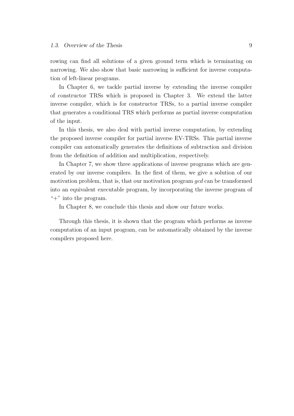rowing can find all solutions of a given ground term which is terminating on narrowing. We also show that basic narrowing is sufficient for inverse computation of left-linear programs.

In Chapter 6, we tackle partial inverse by extending the inverse compiler of constructor TRSs which is proposed in Chapter 3. We extend the latter inverse compiler, which is for constructor TRSs, to a partial inverse compiler that generates a conditional TRS which performs as partial inverse computation of the input.

In this thesis, we also deal with partial inverse computation, by extending the proposed inverse compiler for partial inverse EV-TRSs. This partial inverse compiler can automatically generates the definitions of subtraction and division from the definition of addition and multiplication, respectively.

In Chapter 7, we show three applications of inverse programs which are generated by our inverse compilers. In the first of them, we give a solution of our motivation problem, that is, that our motivation program gcd can be transformed into an equivalent executable program, by incorporating the inverse program of " $+$ " into the program.

In Chapter 8, we conclude this thesis and show our future works.

Through this thesis, it is shown that the program which performs as inverse computation of an input program, can be automatically obtained by the inverse compilers proposed here.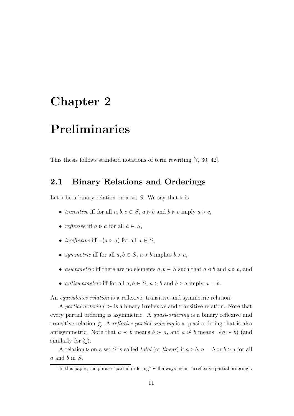### Chapter 2

## Preliminaries

This thesis follows standard notations of term rewriting [7, 30, 42].

#### 2.1 Binary Relations and Orderings

Let  $\triangleright$  be a binary relation on a set S. We say that  $\triangleright$  is

- transitive iff for all  $a, b, c \in S$ ,  $a \triangleright b$  and  $b \triangleright c$  imply  $a \triangleright c$ ,
- reflexive iff  $a \triangleright a$  for all  $a \in S$ ,
- *irreflexive* if  $\neg(a \triangleright a)$  for all  $a \in S$ ,
- symmetric iff for all  $a, b \in S$ ,  $a \triangleright b$  implies  $b \triangleright a$ ,
- asymmetric iff there are no elements  $a, b \in S$  such that  $a \triangleleft b$  and  $a \triangleright b$ , and
- antisymmetric iff for all  $a, b \in S$ ,  $a \triangleright b$  and  $b \triangleright a$  imply  $a = b$ .

An equivalence relation is a reflexive, transitive and symmetric relation.

A partial ordering  $\rightarrow$  is a binary irreflexive and transitive relation. Note that every partial ordering is asymmetric. A quasi-ordering is a binary reflexive and transitive relation  $\succsim$ . A reflexive partial ordering is a quasi-ordering that is also antisymmetric. Note that  $a \prec b$  means  $b \succ a$ , and  $a \not\prec b$  means  $\neg(a \succ b)$  (and similarly for  $\succsim$ ).

A relation  $\triangleright$  on a set S is called *total* (or *linear*) if  $a \triangleright b$ ,  $a = b$  or  $b \triangleright a$  for all  $a$  and  $b$  in  $S$ .

<sup>&</sup>lt;sup>1</sup>In this paper, the phrase "partial ordering" will always mean "irreflexive partial ordering".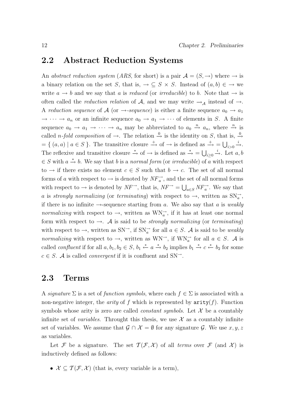#### 2.2 Abstract Reduction Systems

An abstract reduction system (ARS, for short) is a pair  $\mathcal{A} = (S, \rightarrow)$  where  $\rightarrow$  is a binary relation on the set S, that is,  $\rightarrow \subseteq S \times S$ . Instead of  $(a, b) \in \rightarrow$  we write  $a \rightarrow b$  and we say that a is reduced (or irreducible) to b. Note that  $\rightarrow$  is often called the *reduction relation* of A, and we may write  $\rightarrow_A$  instead of  $\rightarrow$ . A reduction sequence of A (or  $\rightarrow$ -sequence) is either a finite sequence  $a_0 \rightarrow a_1$  $\rightarrow \cdots \rightarrow a_n$  or an infinite sequence  $a_0 \rightarrow a_1 \rightarrow \cdots$  of elements in S. A finite sequence  $a_0 \to a_1 \to \cdots \to a_n$  may be abbreviated to  $a_0 \stackrel{n}{\to} a_n$ , where  $\stackrel{n}{\to}$  is called *n-fold composition* of  $\rightarrow$ . The relation  $\stackrel{0}{\rightarrow}$  is the identity on S, that is,  $\stackrel{0}{\rightarrow}$  $= \{ (a, a) | a \in S \}$ . The transitive closure  $\stackrel{+}{\to}$  of  $\to$  is defined as  $\stackrel{+}{\to} = \bigcup_{i>0} \stackrel{i}{\to}$ . The reflexive and transitive closure  $\stackrel{*}{\to}$  of  $\to$  is defined as  $\stackrel{*}{\to} = \bigcup_{i\geq 0} \stackrel{i}{\to}$ . Let  $a, b$  $\in S$  with  $a \stackrel{*}{\rightarrow} b$ . We say that b is a normal form (or irreducible) of a with respect to  $\rightarrow$  if there exists no element  $c \in S$  such that  $b \rightarrow c$ . The set of all normal forms of a with respect to  $\rightarrow$  is denoted by  $\overrightarrow{NF}_{a}^{\rightarrow}$ , and the set of all normal forms with respect to  $\to$  is denoted by  $NF^{\to}$ , that is,  $NF^{\to} = \bigcup_{a \in S} NF_a^{\to}$ . We say that a is strongly normalizing (or terminating) with respect to  $\rightarrow$ , written as  $SN_{a}^{\rightarrow}$ , if there is no infinite  $\rightarrow$ -sequence starting from a. We also say that a is weakly normalizing with respect to  $\rightarrow$ , written as  $WN_{a}^{\rightarrow}$ , if it has at least one normal form with respect to  $\rightarrow$ . A is said to be *strongly normalizing* (or *terminating*) with respect to  $\rightarrow$ , written as SN<sup> $\rightarrow$ </sup>, if SN<sub>a</sub><sup> $\rightarrow$ </sup> for all  $a \in S$ . A is said to be *weakly* normalizing with respect to  $\rightarrow$ , written as WN<sup> $\rightarrow$ </sup>, if WN<sub>a</sub><sup> $\rightarrow$ </sup> for all  $a \in S$ . A is called *confluent* if for all  $a, b_1, b_2 \in S$ ,  $b_1 \stackrel{*}{\leftarrow} a \stackrel{*}{\rightarrow} b_2$  implies  $b_1 \stackrel{*}{\rightarrow} c \stackrel{*}{\leftarrow} b_2$  for some  $c \in S$ . A is called *convergent* if it is confluent and SN<sup>-1</sup>.

#### 2.3 Terms

A signature  $\Sigma$  is a set of function symbols, where each  $f \in \Sigma$  is associated with a non-negative integer, the *arity* of f which is represented by  $\arity(f)$ . Function symbols whose arity is zero are called *constant symbols*. Let  $X$  be a countably infinite set of *variables*. Throught this thesis, we use  $\mathcal X$  as a countably infinite set of variables. We assume that  $\mathcal{G} \cap \mathcal{X} = \emptyset$  for any signature  $\mathcal{G}$ . We use  $x, y, z$ as variables.

Let F be a signature. The set  $\mathcal{T}(\mathcal{F}, \mathcal{X})$  of all terms over F (and X) is inductively defined as follows:

•  $\mathcal{X} \subseteq \mathcal{T}(\mathcal{F}, \mathcal{X})$  (that is, every variable is a term),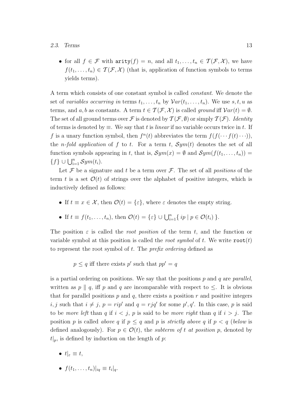#### 2.3. Terms 13

• for all  $f \in \mathcal{F}$  with  $\text{arity}(f) = n$ , and all  $t_1, \ldots, t_n \in \mathcal{T}(\mathcal{F}, \mathcal{X})$ , we have  $f(t_1,\ldots,t_n) \in \mathcal{T}(\mathcal{F},\mathcal{X})$  (that is, application of function symbols to terms yields terms).

A term which consists of one constant symbol is called constant. We denote the set of variables occurring in terms  $t_1, \ldots, t_n$  by  $Var(t_1, \ldots, t_n)$ . We use  $s, t, u$  as terms, and a, b as constants. A term  $t \in \mathcal{T}(\mathcal{F}, \mathcal{X})$  is called ground iff  $Var(t) = \emptyset$ . The set of all ground terms over F is denoted by  $\mathcal{T}(\mathcal{F}, \emptyset)$  or simply  $\mathcal{T}(\mathcal{F})$ . Identity of terms is denoted by  $\equiv$ . We say that t is *linear* if no variable occurs twice in t. If f is a unary function symbol, then  $f^{n}(t)$  abbreviates the term  $f(f(\cdots f(t)\cdots)),$ the *n-fold application* of f to t. For a term t,  $Sym(t)$  denotes the set of all function symbols appearing in t, that is,  $Sym(x) = \emptyset$  and  $Sym(f(t_1, \ldots, t_n)) =$  ${f} \cup \bigcup_{i=1}^n Sym(t_i).$ 

Let  $\mathcal F$  be a signature and t be a term over  $\mathcal F$ . The set of all *positions* of the term t is a set  $\mathcal{O}(t)$  of strings over the alphabet of positive integers, which is inductively defined as follows:

• If  $t \equiv x \in \mathcal{X}$ , then  $\mathcal{O}(t) = {\varepsilon}$ , where  $\varepsilon$  denotes the empty string.

• If 
$$
t \equiv f(t_1, \ldots, t_n)
$$
, then  $\mathcal{O}(t) = \{\varepsilon\} \cup \bigcup_{i=1}^n \{ip \mid p \in \mathcal{O}(t_i)\}$ .

The position  $\varepsilon$  is called the *root position* of the term t, and the function or variable symbol at this position is called the *root symbol* of t. We write  $\text{root}(t)$ to represent the root symbol of  $t$ . The *prefix ordering* defined as

 $p \leq q$  iff there exists p' such that  $pp' = q$ 

is a partial ordering on positions. We say that the positions  $p$  and  $q$  are parallel, written as p || q, iff p and q are incomparable with respect to  $\leq$ . It is obvious that for parallel positions  $p$  and  $q$ , there exists a position  $r$  and positive integers i, j such that  $i \neq j$ ,  $p = rip'$  and  $q = rjq'$  for some  $p', q'$ . In this case, p is said to be *more left* than q if  $i < j$ , p is said to be *more right* than q if  $i > j$ . The position p is called above q if  $p \leq q$  and p is strictly above q if  $p < q$  (below is defined analogously). For  $p \in \mathcal{O}(t)$ , the *subterm of t at position p*, denoted by  $t|_p$ , is defined by induction on the length of p:

- $t|_{\varepsilon} \equiv t$ ,
- $f(t_1,\ldots,t_n)|_{iq} \equiv t_i|_q$ .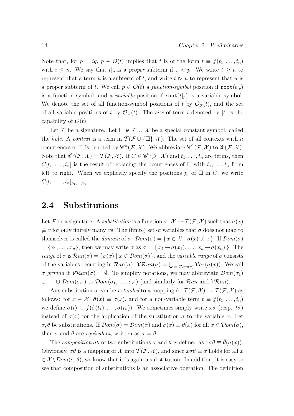Note that, for  $p = iq$ ,  $p \in \mathcal{O}(t)$  implies that t is of the form  $t \equiv f(t_1, \ldots, t_n)$ with  $i \leq n$ . We say that  $t|_p$  is a proper subterm if  $\varepsilon < p$ . We write  $t \geq u$  to represent that a term u is a subterm of t, and write  $t \geq u$  to represent that u is a proper subterm of t. We call  $p \in \mathcal{O}(t)$  a function-symbol position if  $\text{root}(t|_p)$ is a function symbol, and a *variable* position if  $\text{root}(t|p)$  is a variable symbol. We denote the set of all function-symbol positions of t by  $\mathcal{O}_{\mathcal{F}}(t)$ , and the set of all variable positions of t by  $\mathcal{O}_{\mathcal{X}}(t)$ . The size of term t denoted by |t| is the capability of  $\mathcal{O}(t)$ .

Let F be a signature. Let  $\Box \notin \mathcal{F} \cup \mathcal{X}$  be a special constant symbol, called the hole. A context is a term in  $\mathcal{T}(\mathcal{F}\cup\{\Box\},\mathcal{X})$ . The set of all contexts with n occurrences of  $\Box$  is denoted by  $\mathscr{C}^n(\mathcal{F},\mathcal{X})$ . We abbreviate  $\mathscr{C}^1(\mathcal{F},\mathcal{X})$  to  $\mathscr{C}(\mathcal{F},\mathcal{X})$ . Note that  $\mathscr{C}^0(\mathcal{F},\mathcal{X})=\mathcal{T}(\mathcal{F},\mathcal{X})$ . If  $C\in\mathscr{C}^n(\mathcal{F},\mathcal{X})$  and  $t_1,\ldots,t_n$  are terms, then  $C[t_1, \ldots, t_n]$  is the result of replacing the occurrences of  $\Box$  with  $t_1, \ldots, t_n$  from left to right. When we explicitly specify the positions  $p_i$  of  $\Box$  in C, we write  $C[t_1,\ldots,t_n]_{p_1,\ldots,p_n}.$ 

#### 2.4 Substitutions

Let F be a signature. A substitution is a function  $\sigma: \mathcal{X} \to \mathcal{T}(\mathcal{F}, \mathcal{X})$  such that  $\sigma(x)$  $\neq x$  for only finitely many xs. The (finite) set of variables that  $\sigma$  does not map to themselves is called the *domain* of  $\sigma$ :  $\mathcal{D}om(\sigma) = \{x \in \mathcal{X} \mid \sigma(x) \not\equiv x\}$ . If  $\mathcal{D}om(\sigma)$  $=\{x_1,\ldots,x_n\},\$  then we may write  $\sigma$  as  $\sigma = \{x_1 \mapsto \sigma(x_1), \ldots, x_n \mapsto \sigma(x_n)\}.$  The range of  $\sigma$  is  $\mathcal{R}an(\sigma) = {\sigma(x) | x \in \mathcal{D}om(\sigma)},$  and the variable range of  $\sigma$  consists of the variables occurring in  $\mathcal{R}an(\sigma)$ :  $\mathcal{V}\mathcal{R}an(\sigma) = \bigcup_{x \in \mathcal{D}om(\sigma)} \mathcal{V}ar(\sigma(x))$ . We call σ ground if  $V\mathcal{R}an(\sigma) = \emptyset$ . To simplify notations, we may abbreviate  $\mathcal{D}om(\sigma_1)$  $\cup \cdots \cup \mathcal{D}om(\sigma_m)$  to  $\mathcal{D}om(\sigma_1, \ldots, \sigma_m)$  (and similarly for  $\mathcal{R}an$  and  $\mathcal{V}\mathcal{R}an$ ).

Any substitution  $\sigma$  can be *extended* to a mapping  $\hat{\sigma}$ :  $\mathcal{T}(\mathcal{F}, \mathcal{X}) \to \mathcal{T}(\mathcal{F}, \mathcal{X})$  as follows: for  $x \in \mathcal{X}$ ,  $\hat{\sigma}(x) \equiv \sigma(x)$ , and for a non-variable term  $t \equiv f(t_1, \ldots, t_n)$ we define  $\hat{\sigma}(t) \equiv f(\hat{\sigma}(t_1), \ldots, \hat{\sigma}(t_n)).$  We sometimes simply write  $x\sigma$  (resp.  $t\hat{\sigma}$ ) instead of  $\sigma(x)$  for the application of the substitution  $\sigma$  to the variable x. Let  $\sigma, \theta$  be substitutions. If  $\mathcal{D}om(\sigma) = \mathcal{D}om(\sigma)$  and  $\sigma(x) \equiv \theta(x)$  for all  $x \in \mathcal{D}om(\sigma)$ , then  $\sigma$  and  $\theta$  are *equivalent*, written as  $\sigma = \theta$ .

The composition  $\sigma\theta$  of two substitutions  $\sigma$  and  $\theta$  is defined as  $x\sigma\theta \equiv \hat{\theta}(\sigma(x))$ . Obviously,  $\sigma\theta$  is a mapping of X into  $\mathcal{T}(\mathcal{F},\mathcal{X})$ , and since  $x\sigma\theta \equiv x$  holds for all x  $\in \mathcal{X} \setminus \mathcal{D}om(\sigma, \theta)$ , we know that it is again a substitution. In addition, it is easy to see that composition of substitutions is an associative operation. The definition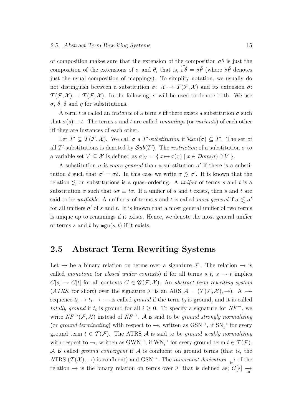of composition makes sure that the extension of the composition  $\sigma\theta$  is just the composition of the extensions of  $\sigma$  and  $\theta$ , that is,  $\widehat{\sigma\theta} = \widehat{\sigma}\widehat{\theta}$  (where  $\widehat{\sigma}\widehat{\theta}$  denotes just the usual composition of mappings). To simplify notation, we usually do not distinguish between a substitution  $\sigma: \mathcal{X} \to \mathcal{T}(\mathcal{F}, \mathcal{X})$  and its extension  $\hat{\sigma}$ :  $\mathcal{T}(\mathcal{F}, \mathcal{X}) \to \mathcal{T}(\mathcal{F}, \mathcal{X})$ . In the following,  $\sigma$  will be used to denote both. We use  $\sigma$ ,  $\theta$ ,  $\delta$  and  $\eta$  for substitutions.

A term t is called an *instance* of a term s iff there exists a substitution  $\sigma$  such that  $\sigma(s) \equiv t$ . The terms s and t are called *renamings* (or variants) of each other iff they are instances of each other.

Let  $T' \subseteq \mathcal{T}(\mathcal{F}, \mathcal{X})$ . We call  $\sigma$  a T'-substitution if  $\mathcal{R}an(\sigma) \subseteq T'$ . The set of all T'-substitutions is denoted by  $Sub(T')$ . The restriction of a substitution  $\sigma$  to a variable set  $V \subseteq \mathcal{X}$  is defined as  $\sigma|_V = \{x \mapsto \sigma(x) \mid x \in \mathcal{D}om(\sigma) \cap V\}.$ 

A substitution  $\sigma$  is *more general* than a substitution  $\sigma'$  if there is a substitution  $\delta$  such that  $\sigma' = \sigma \delta$ . In this case we write  $\sigma \lesssim \sigma'$ . It is known that the relation  $\lesssim$  on substitutions is a quasi-ordering. A unifier of terms s and t is a substitution  $\sigma$  such that  $s\sigma \equiv t\sigma$ . If a unifier of s and t exists, then s and t are said to be unifiable. A unifier  $\sigma$  of terms s and t is called most general if  $\sigma \lesssim \sigma'$ for all unifiers  $\sigma'$  of s and t. It is known that a most general unifier of two terms is unique up to renamings if it exists. Hence, we denote the most general unifier of terms s and t by  $mgu(s, t)$  if it exists.

#### 2.5 Abstract Term Rewriting Systems

Let  $\rightarrow$  be a binary relation on terms over a signature F. The relation  $\rightarrow$  is called monotone (or closed under contexts) if for all terms  $s, t, s \rightarrow t$  implies  $C[s] \to C[t]$  for all contexts  $C \in \mathscr{C}(\mathcal{F}, \mathcal{X})$ . An abstract term rewriting system (ATRS, for short) over the signature F is an ARS  $A = (T(\mathcal{F}, \mathcal{X}), \rightarrow)$ . A  $\rightarrow$ sequence  $t_0 \rightarrow t_1 \rightarrow \cdots$  is called ground if the term  $t_0$  is ground, and it is called totally ground if  $t_i$  is ground for all  $i \geq 0$ . To specify a signature for  $NF^{\rightarrow}$ , we write  $NF^{\rightarrow}(\mathcal{F}, \mathcal{X})$  instead of  $NF^{\rightarrow}$ . A is said to be ground strongly normalizing (or ground terminating) with respect to  $\rightarrow$ , written as GSN<sup> $\rightarrow$ </sup>, if SN<sub>t</sub><sup> $\rightarrow$ </sup> for every ground term  $t \in \mathcal{T}(\mathcal{F})$ . The ATRS A is said to be ground weakly normalizing with respect to  $\rightarrow$ , written as GWN<sup> $\rightarrow$ </sup>, if WN<sup> $\rightarrow$ </sup> for every ground term  $t \in \mathcal{T}(\mathcal{F})$ . A is called *ground convergent* if  $A$  is confluent on ground terms (that is, the ATRS  $(\mathcal{T}(\mathcal{X}), \to)$  is confluent) and GSN<sup>→</sup>. The *innermost derivation*  $\frac{\longrightarrow}{\text{in}}$  of the relation  $\rightarrow$  is the binary relation on terms over F that is defined as;  $C[s] \rightarrow$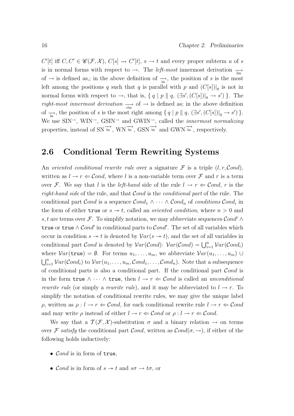$C'[t]$  iff  $C, C' \in \mathscr{C}(\mathcal{F}, \mathcal{X}), C[s] \to C'[t], s \to t$  and every proper subterm u of s is in normal forms with respect to  $\rightarrow$ . The *left-most* innermost derivation  $\rightarrow$ of  $\rightarrow$  is defined as,; in the above definition of  $\rightarrow$  in, the position of s is the most left among the positions q such that q is parallel with p and  $(C[s])|_q$  is not in normal forms with respect to  $\rightarrow$ , that is,  $\{ q \mid p \parallel q, (\exists s', (C[s])|_q \rightarrow s' ) \}$ . The right-most innermost derivation  $\rightarrow$  of  $\rightarrow$  is defined as; in the above definition of  $\rightarrow$ , the position of s is the most right among  $\{ q \mid p \parallel q, (\exists s', (C[s])|_q \rightarrow s' ) \}.$ We use  $\text{SIN}^{\rightarrow}$ ,  $\text{WIN}^{\rightarrow}$ ,  $\text{GSIN}^{\rightarrow}$  and  $\text{GWIN}^{\rightarrow}$ , called the *innermost normalizing* properties, instead of SN $\overrightarrow{in}$ , WN $\overrightarrow{in}$ , GSN $\overrightarrow{in}$  and GWN $\overrightarrow{in}$ , respectively.

#### 2.6 Conditional Term Rewriting Systems

An oriented conditional rewrite rule over a signature  $\mathcal F$  is a triple  $(l, r, \mathcal{C}ond)$ , written as  $l \to r \Leftarrow \mathcal{C}ond$ , where l is a non-variable term over  $\mathcal F$  and r is a term over F. We say that l is the left-hand side of the rule  $l \rightarrow r \Leftarrow Cond$ , r is the right-hand side of the rule, and that Cond is the conditional part of the rule. The conditional part  $Cond$  is a sequence  $Cond_1 \wedge \cdots \wedge Cond_n$  of conditions  $Cond_i$  in the form of either true or  $s \rightarrow t$ , called an *oriented condition*, where  $n > 0$  and s, t are terms over F. To simplify notation, we may abbreviate sequences  $\mathcal{C}$  ond'  $\wedge$ true or true  $\wedge \mathcal{C}ond'$  in conditional parts to  $\mathcal{C}ond'$ . The set of all variables which occur in condition  $s \to t$  is denoted by  $Var(s \to t)$ , and the set of all variables in conditional part *Cond* is denoted by  $Var(Cond)$ :  $Var(Cond) = \bigcup_{i=1}^{n} Var(Cond_i)$ where  $Var(\text{true}) = \emptyset$ . For terms  $u_1, \ldots, u_m$ , we abbreviate  $Var(u_1, \ldots, u_m) \cup$  $\bigcup_{i=1}^n \mathcal{V}ar(\mathcal{C}ond_i)$  to  $\mathcal{V}ar(u_1,\ldots,u_m,\mathcal{C}ond_1,\ldots,\mathcal{C}ond_n)$ . Note that a subsequence of conditional parts is also a conditional part. If the conditional part  $Cond$  is in the form true  $\wedge \cdots \wedge$  true, then  $l \rightarrow r \Leftarrow Cond$  is called an unconditional *rewrite rule* (or simply a *rewrite rule*), and it may be abbreviated to  $l \rightarrow r$ . To simplify the notation of conditional rewrite rules, we may give the unique label  $ρ$ , written as  $ρ: l \rightarrow r \Leftarrow Cond$ , for each conditional rewrite rule  $l \rightarrow r \Leftarrow Cond$ and may write  $\rho$  instead of either  $l \to r \Leftarrow \mathcal{C}$ *ond* or  $\rho: l \to r \Leftarrow \mathcal{C}$ *ond*.

We say that a  $\mathcal{T}(\mathcal{F}, \mathcal{X})$ -substitution  $\sigma$  and a binary relation  $\rightarrow$  on terms over F satisfy the conditional part Cond, written as  $Cond(\sigma, \rightarrow)$ , if either of the following holds inductively:

- Cond is in form of true,
- Cond is in form of  $s \to t$  and  $s\sigma \to t\sigma$ , or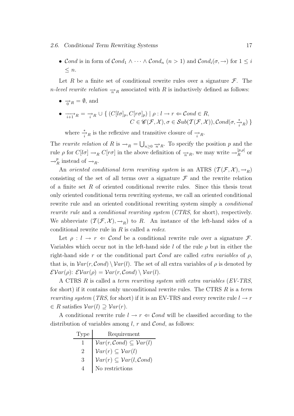#### 2.6. Conditional Term Rewriting Systems 17

• Cond is in form of  $\mathcal{C}ond_1 \wedge \cdots \wedge \mathcal{C}ond_n$   $(n > 1)$  and  $\mathcal{C}ond_i(\sigma, \rightarrow)$  for  $1 \leq i$  $\leq n$ .

Let R be a finite set of conditional rewrite rules over a signature  $\mathcal{F}$ . The *n-level rewrite relation*  $\rightarrow_R$  associated with R is inductively defined as follows:

- $\bullet \rightarrow_R = \emptyset$ , and
- $\bullet \quad \overrightarrow{\cdot}_{i+1}^{\cdot}{}_{R} = \rightarrow_{i}^{\cdot}{}_{R} \cup \{ (C[l\sigma]_{p}, C[r\sigma]_{p}) \mid \rho : l \rightarrow r \Leftarrow \mathcal{C}ond \in R,$  $C \in \mathscr{C}(\mathcal{F}, \mathcal{X}), \sigma \in Sub(\mathcal{T}(\mathcal{F}, \mathcal{X})), Cond(\sigma, \frac{*}{i}R)$

where  $\frac{*}{i}R$  is the reflexive and transitive closure of  $\frac{1}{i}R$ .

The rewrite relation of R is  $\rightarrow_R = \bigcup_{n\geq 0} \frac{1}{n}R$ . To specify the position p and the rule  $\rho$  for  $C[l\sigma] \to_R C[r\sigma]$  in the above definition of  $\overrightarrow{n}_R$ , we may write  $\to_R^{[p,\rho]}$  $R^{[p,\rho]}$  or  $\rightarrow_{F}^{p}$  $_{R}^{p}$  instead of  $\rightarrow_{R}$ .

An oriented conditional term rewriting system is an ATRS  $(\mathcal{T}(\mathcal{F}, \mathcal{X}), \rightarrow_R)$ consisting of the set of all terms over a signature  $\mathcal F$  and the rewrite relation of a finite set  $R$  of oriented conditional rewrite rules. Since this thesis treat only oriented conditional term rewriting systems, we call an oriented conditional rewrite rule and an oriented conditional rewriting system simply a conditional rewrite rule and a conditional rewriting system (CTRS, for short), respectively. We abbreviate  $(\mathcal{T}(\mathcal{F}, \mathcal{X}), \to_R)$  to R. An instance of the left-hand sides of a conditional rewrite rule in  $R$  is called a *redex*.

Let  $\rho: l \to r \Leftarrow \mathcal{C}ond$  be a conditional rewrite rule over a signature  $\mathcal{F}$ . Variables which occur not in the left-hand side l of the rule  $\rho$  but in either the right-hand side r or the conditional part Cond are called extra variables of  $\rho$ , that is, in  $Var(r, Cond) \setminus Var(l)$ . The set of all extra variables of  $\rho$  is denoted by  $\mathcal{E}Var(\rho)$ :  $\mathcal{E}Var(\rho) = Var(r, Cond) \setminus Var(l)$ .

A CTRS R is called a term rewriting system with extra variables (EV-TRS, for short) if it contains only unconditional rewrite rules. The CTRS R is a term rewriting system (TRS, for short) if it is an EV-TRS and every rewrite rule  $l \rightarrow r$  $\in R$  satisfies  $Var(l) \supset Var(r)$ .

A conditional rewrite rule  $l \to r \Leftarrow \mathcal{C}ond$  will be classified according to the distribution of variables among  $l, r$  and  $\mathcal{C}$ *ond*, as follows:

| Type                        | Requirement                                                                                     |
|-----------------------------|-------------------------------------------------------------------------------------------------|
|                             |                                                                                                 |
| $\mathcal{D}_{\mathcal{L}}$ |                                                                                                 |
| 3                           | $Var(r, Cond) \subseteq Var(l)$<br>$Var(r) \subseteq Var(l)$<br>$Var(r) \subseteq Var(l, Cond)$ |
|                             | $\rm No$ restrictions                                                                           |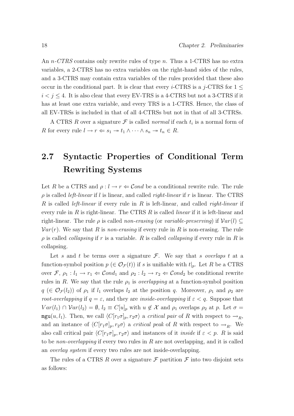An *n*-CTRS contains only rewrite rules of type *n*. Thus a 1-CTRS has no extra variables, a 2-CTRS has no extra variables on the right-hand sides of the rules, and a 3-CTRS may contain extra variables of the rules provided that these also occur in the conditional part. It is clear that every *i*-CTRS is a j-CTRS for  $1 \leq$  $i < j \leq 4$ . It is also clear that every EV-TRS is a 4-CTRS but not a 3-CTRS if it has at least one extra variable, and every TRS is a 1-CTRS. Hence, the class of all EV-TRSs is included in that of all 4-CTRSs but not in that of all 3-CTRSs.

A CTRS R over a signature  $\mathcal F$  is called normal if each  $t_i$  is a normal form of R for every rule  $l \to r \Leftarrow s_1 \to t_1 \land \cdots \land s_n \to t_n \in R$ .

### 2.7 Syntactic Properties of Conditional Term Rewriting Systems

Let R be a CTRS and  $\rho: l \to r \Leftrightarrow \mathcal{C} \text{and}$  be a conditional rewrite rule. The rule  $\rho$  is called *left-linear* if l is linear, and called *right-linear* if r is linear. The CTRS R is called *left-linear* if every rule in R is left-linear, and called *right-linear* if every rule in  $R$  is right-linear. The CTRS  $R$  is called *linear* if it is left-linear and right-linear. The rule  $\rho$  is called non-erasing (or variable-preserving) if  $Var(l) \subseteq$  $Var(r)$ . We say that R is non-erasing if every rule in R is non-erasing. The rule  $\rho$  is called *collapsing* if r is a variable. R is called *collapsing* if every rule in R is collapsing.

Let s and t be terms over a signature  $\mathcal{F}$ . We say that s overlaps t at a function-symbol position  $p \in \mathcal{O}_{\mathcal{F}}(t)$  if s is unifiable with  $t|_p$ . Let R be a CTRS over  $\mathcal{F}, \rho_1 : l_1 \to r_1 \Leftrightarrow \mathcal{C}ond_1$  and  $\rho_2 : l_2 \to r_2 \Leftrightarrow \mathcal{C}ond_2$  be conditional rewrite rules in R. We say that the rule  $\rho_1$  is *overlapping* at a function-symbol position  $q \in \mathcal{O}_{\mathcal{F}}(l_2)$  of  $\rho_1$  if  $l_1$  overlaps  $l_2$  at the position q. Moreover,  $\rho_1$  and  $\rho_2$  are *root-overlapping* if  $q = \varepsilon$ , and they are *inside-overlapping* if  $\varepsilon < q$ . Suppose that  $Var(l_1) \cap Var(l_2) = \emptyset$ ,  $l_2 \equiv C[u]_p$  with  $u \notin \mathcal{X}$  and  $\rho_1$  overlaps  $\rho_2$  at p. Let  $\sigma =$ mgu(u, l<sub>1</sub>). Then, we call  $\langle C[r_1\sigma]_p, r_2\sigma \rangle$  a *critical pair* of R with respect to  $\rightarrow_R$ , and an instance of  $\langle C[r_1\sigma]_p, r_2\sigma \rangle$  a *critical peak* of R with respect to  $\rightarrow_R$ . We also call critical pair  $\langle C[r_1\sigma]_p, r_2\sigma \rangle$  and instances of it *inside* if  $\varepsilon < p$ . R is said to be *non-overlapping* if every two rules in  $R$  are not overlapping, and it is called an overlay system if every two rules are not inside-overlapping.

The rules of a CTRS R over a signature  $\mathcal F$  partition  $\mathcal F$  into two disjoint sets as follows: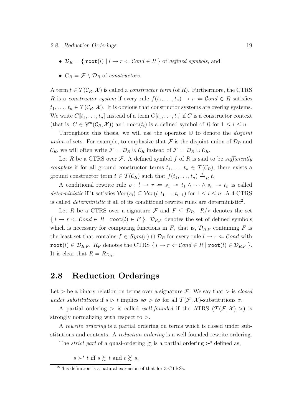- $\mathcal{D}_R = \{ \text{root}(l) \mid l \to r \in \mathcal{C} \text{ond} \in R \}$  of defined symbols, and
- $C_R = \mathcal{F} \setminus \mathcal{D}_R$  of constructors.

A term  $t \in \mathcal{T}(\mathcal{C}_R, \mathcal{X})$  is called a *constructor term* (of R). Furthermore, the CTRS R is a constructor system if every rule  $f(t_1, \ldots, t_n) \to r \Leftarrow \mathcal{C}ond \in R$  satisfies  $t_1, \ldots, t_n \in \mathcal{T}(\mathcal{C}_R, \mathcal{X})$ . It is obvious that constructor systems are overlay systems. We write  $C[\![t_1,\ldots,t_n]\!]$  instead of a term  $C[t_1,\ldots,t_n]$  if C is a constructor context (that is,  $C \in \mathcal{C}^n(\mathcal{C}_R, \mathcal{X})$ ) and **root**( $t_i$ ) is a defined symbol of R for  $1 \leq i \leq n$ .

Throughout this thesis, we will use the operator  $\forall$  to denote the *disjoint* union of sets. For example, to emphasize that  $\mathcal F$  is the disjoint union of  $\mathcal D_R$  and  $\mathcal{C}_R$ , we will often write  $\mathcal{F} = \mathcal{D}_R \oplus \mathcal{C}_R$  instead of  $\mathcal{F} = \mathcal{D}_R \cup \mathcal{C}_R$ .

Let R be a CTRS over  $\mathcal F$ . A defined symbol f of R is said to be sufficiently complete if for all ground constructor terms  $t_1, \ldots, t_n \in \mathcal{T}(\mathcal{C}_R)$ , there exists a ground constructor term  $t \in \mathcal{T}(\mathcal{C}_R)$  such that  $f(t_1, \ldots, t_n) \stackrel{*}{\rightarrow}_R t$ .

A conditional rewrite rule  $\rho: l \to r \Leftrightarrow s_1 \to t_1 \wedge \cdots \wedge s_n \to t_n$  is called deterministic if it satisfies  $Var(s_i) \subseteq Var(l, t_1, ..., t_{i-1})$  for  $1 \leq i \leq n$ . A 4-CTRS is called *deterministic* if all of its conditional rewrite rules are deterministic<sup>2</sup>.

Let R be a CTRS over a signature F and  $F \subseteq \mathcal{D}_R$ .  $R/F$  denotes the set  ${l \rightarrow r \Leftarrow \mathcal{C}ond \in R \mid \text{root}(l) \in F}.$   $\mathcal{D}_{R,F}$  denotes the set of defined symbols which is necessary for computing functions in  $F$ , that is,  $\mathcal{D}_{R,F}$  containing  $F$  is the least set that contains  $f \in Sym(r) \cap \mathcal{D}_R$  for every rule  $l \to r \Leftarrow \mathcal{C}ond$  with root(l)  $\in \mathcal{D}_{R,F}$ .  $R_F$  denotes the CTRS  $\{ l \rightarrow r \Leftarrow Cond \in R \mid \text{root}(l) \in \mathcal{D}_{R,F} \}.$ It is clear that  $R = R_{\mathcal{D}_R}$ .

### 2.8 Reduction Orderings

Let  $\triangleright$  be a binary relation on terms over a signature F. We say that  $\triangleright$  is *closed* under substitutions if  $s \triangleright t$  implies  $s\sigma \triangleright t\sigma$  for all  $\mathcal{T}(\mathcal{F}, \mathcal{X})$ -substitutions  $\sigma$ .

A partial ordering  $>$  is called well-founded if the ATRS  $(\mathcal{T}(\mathcal{F}, \mathcal{X}), >)$  is strongly normalizing with respect to >.

A rewrite ordering is a partial ordering on terms which is closed under substitutions and contexts. A reduction ordering is a well-founded rewrite ordering.

The *strict part* of a quasi-ordering  $\sum$  is a partial ordering  $\succ$ <sup>s</sup> defined as,

 $s \succ^s t$  iff  $s \succsim t$  and  $t \not\succeq s$ ,

<sup>2</sup>This definition is a natural extension of that for 3-CTRSs.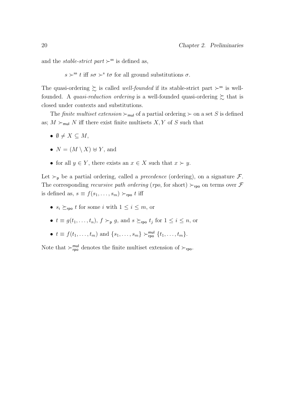and the *stable-strict* part  $\succ$ <sup>ss</sup> is defined as,

 $s \succ^{ss} t$  iff  $s\sigma \succ^{s} t\sigma$  for all ground substitutions  $\sigma$ .

The quasi-ordering  $\succsim$  is called *well-founded* if its stable-strict part  $\succ$ <sup>ss</sup> is wellfounded. A *quasi-reduction ordering* is a well-founded quasi-ordering  $\succeq$  that is closed under contexts and substitutions.

The *finite multiset extension*  $\succ_{\text{mul}}$  of a partial ordering  $\succ$  on a set S is defined as;  $M \succ_{\mathsf{mul}} N$  iff there exist finite multisets  $X, Y$  of S such that

- $\emptyset \neq X \subseteq M$ ,
- $N = (M \setminus X) \oplus Y$ , and
- for all  $y \in Y$ , there exists an  $x \in X$  such that  $x \succ y$ .

Let  $\succ_{\mathsf{p}}$  be a partial ordering, called a *precedence* (ordering), on a signature  $\mathcal{F}$ . The corresponding *recursive path ordering* (*rpo*, for short)  $\succ_{\text{rpo}}$  on terms over F is defined as,  $s \equiv f(s_1, \ldots, s_m) \succ_{\text{rpo}} t$  iff

- $s_i \succeq_{\text{rpo}} t$  for some i with  $1 \leq i \leq m$ , or
- $t \equiv g(t_1, \ldots, t_n)$ ,  $f \succ_{\mathsf{p}} g$ , and  $s \succeq_{\mathsf{rpo}} t_j$  for  $1 \leq i \leq n$ , or
- $t \equiv f(t_1, ..., t_m)$  and  $\{s_1, ..., s_m\} \succ_{\text{rpo}}^{\text{mul}} \{t_1, ..., t_m\}.$

Note that  $\succ_{\mathsf{rpo}}^{\mathsf{mul}}$  denotes the finite multiset extension of  $\succ_{\mathsf{rpo}}$ .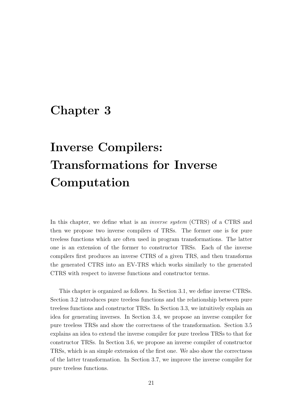### Chapter 3

# Inverse Compilers: Transformations for Inverse Computation

In this chapter, we define what is an *inverse system* (CTRS) of a CTRS and then we propose two inverse compilers of TRSs. The former one is for pure treeless functions which are often used in program transformations. The latter one is an extension of the former to constructor TRSs. Each of the inverse compilers first produces an inverse CTRS of a given TRS, and then transforms the generated CTRS into an EV-TRS which works similarly to the generated CTRS with respect to inverse functions and constructor terms.

This chapter is organized as follows. In Section 3.1, we define inverse CTRSs. Section 3.2 introduces pure treeless functions and the relationship between pure treeless functions and constructor TRSs. In Section 3.3, we intuitively explain an idea for generating inverses. In Section 3.4, we propose an inverse compiler for pure treeless TRSs and show the correctness of the transformation. Section 3.5 explains an idea to extend the inverse compiler for pure treeless TRSs to that for constructor TRSs. In Section 3.6, we propose an inverse compiler of constructor TRSs, which is an simple extension of the first one. We also show the correctness of the latter transformation. In Section 3.7, we improve the inverse compiler for pure treeless functions.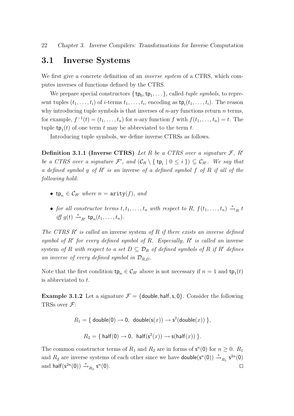#### 3.1 Inverse Systems

We first give a concrete definition of an *inverse system* of a CTRS, which computes inverses of functions defined by the CTRS.

We prepare special constructors  $\{\mathsf{tp}_0, \mathsf{tp}_1, \ldots\}$ , called *tuple symbols*, to represent tuples  $(t_1, \ldots, t_i)$  of *i*-terms  $t_1, \ldots, t_i$ , encoding as  $\mathsf{tp}_i(t_1, \ldots, t_i)$ . The reason why introducing tuple symbols is that inverses of  $n$ -ary functions return  $n$  terms, for example,  $f^{-1}(t) = (t_1, \ldots, t_n)$  for *n*-ary function f with  $f(t_1, \ldots, t_n) = t$ . The tuple  $\text{tp}_1(t)$  of one term t may be abbreviated to the term t.

Introducing tuple symbols, we define inverse CTRSs as follows.

**Definition 3.1.1 (Inverse CTRS)** Let R be a CTRS over a signature  $\mathcal{F}$ , R' be a CTRS over a signature  $\mathcal{F}'$ , and  $(\mathcal{C}_R \setminus \{\mathtt{tp}_i | 0 \leq i\}) \subseteq \mathcal{C}_{R'}$ . We say that a defined symbol g of  $R'$  is an inverse of a defined symbol f of  $R$  if all of the following hold:

- tp<sub>n</sub>  $\in \mathcal{C}_{R'}$  where  $n = \text{arity}(f)$ , and
- for all constructor terms  $t, t_1, \ldots, t_n$  with respect to R,  $f(t_1, \ldots, t_n) \stackrel{*}{\rightarrow}_R t$ iff  $g(t) \stackrel{*}{\rightarrow}_{R'} \text{tp}_n(t_1,\ldots,t_n)$ .

The CTRS  $R'$  is called an inverse system of  $R$  if there exists an inverse defined symbol of  $R'$  for every defined symbol of  $R$ . Especially,  $R'$  is called an inverse system of R with respect to a set  $D \subseteq \mathcal{D}_R$  of defined symbols of R if R' defines an inverse of every defined symbol in  $\mathcal{D}_{R,D}$ .

Note that the first condition  $\tt t p_n \t C_{R'}$  above is not necessary if  $n = 1$  and  $\tt t p_1(t)$ is abbreviated to t.

**Example 3.1.2** Let a signature  $\mathcal{F} = \{\text{double, half, s, 0}\}\$ . Consider the following TRSs over  $\mathcal{F}$ :

 $R_1 = \{ \text{ double}(0) \rightarrow 0, \text{ double}(\mathsf{s}(x)) \rightarrow \mathsf{s}^2(\textsf{double}(x)) \},$ 

$$
R_2 = \{ \text{ half}(0) \to 0, \text{ half}(s^2(x)) \to s(\text{half}(x)) \}.
$$

The common constructor terms of  $R_1$  and  $R_2$  are in forms of  $\mathsf{s}^n(0)$  for  $n \geq 0$ .  $R_1$ and  $R_2$  are inverse systems of each other since we have **double**( $\mathbf{s}^n(0)$ )  $\stackrel{*}{\rightarrow}_{R_1}$   $\mathbf{s}^{2n}(0)$ and half( $s^{2n}(0)$ )  $\stackrel{*}{\rightarrow}_{R_2} s^n$  $(0).$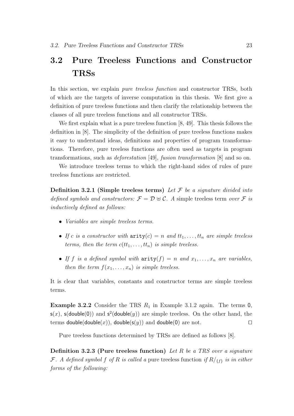### 3.2 Pure Treeless Functions and Constructor TRSs

In this section, we explain *pure treeless function* and constructor TRSs, both of which are the targets of inverse computation in this thesis. We first give a definition of pure treeless functions and then clarify the relationship between the classes of all pure treeless functions and all constructor TRSs.

We first explain what is a pure treeless function [8, 49]. This thesis follows the definition in [8]. The simplicity of the definition of pure treeless functions makes it easy to understand ideas, definitions and properties of program transformations. Therefore, pure treeless functions are often used as targets in program transformations, such as deforestation [49], fusion transformation [8] and so on.

We introduce treeless terms to which the right-hand sides of rules of pure treeless functions are restricted.

Definition 3.2.1 (Simple treeless terms) Let  $\mathcal F$  be a signature divided into defined symbols and constructors:  $\mathcal{F} = \mathcal{D} \oplus \mathcal{C}$ . A simple treeless term over  $\mathcal{F}$  is inductively defined as follows:

- Variables are simple treeless terms.
- If c is a constructor with  $\text{arity}(c) = n$  and  $tt_1, \ldots, tt_n$  are simple treeless terms, then the term  $c(tt_1, \ldots, tt_n)$  is simple treeless.
- If f is a defined symbol with  $\text{arity}(f) = n$  and  $x_1, \ldots, x_n$  are variables, then the term  $f(x_1, \ldots, x_n)$  is simple treeless.

It is clear that variables, constants and constructor terms are simple treeless terms.

**Example 3.2.2** Consider the TRS  $R_1$  in Example 3.1.2 again. The terms 0,  $s(x)$ ,  $s($ double $(0)$ ) and  $s^2$ (double $(y)$ ) are simple treeless. On the other hand, the terms double(double(x)), double(s(y)) and double(0) are not.

Pure treeless functions determined by TRSs are defined as follows [8].

**Definition 3.2.3 (Pure treeless function)** Let R be a TRS over a signature F. A defined symbol f of R is called a pure treeless function if  $R/\{f\}$  is in either forms of the following: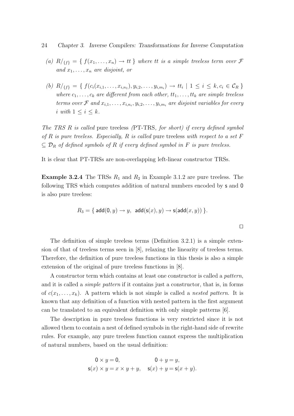- (a)  $R/\{f\} = \{f(x_1, \ldots, x_n) \to tt\}$  where tt is a simple treeless term over  $\mathcal F$ and  $x_1, \ldots, x_n$  are disjoint, or
- (b)  $R / \{f\} = \{ f(c_i(x_{i,1}, \ldots, x_{i,n_1}), y_{i,2}, \ldots, y_{i,m_i}) \rightarrow tt_i \mid 1 \leq i \leq k, c_i \in C_R \}$ where  $c_1, \ldots, c_k$  are different from each other,  $tt_1, \ldots, tt_k$  are simple treeless terms over  $\mathcal F$  and  $x_{i,1},\ldots,x_{i,n_i},y_{i,2},\ldots,y_{i,m_i}$  are disjoint variables for every i with  $1 \leq i \leq k$ .

The TRS R is called pure treeless (PT-TRS, for short) if every defined symbol of R is pure treeless. Especially, R is called pure treeless with respect to a set F  $\subseteq \mathcal{D}_R$  of defined symbols of R if every defined symbol in F is pure treeless.

It is clear that PT-TRSs are non-overlapping left-linear constructor TRSs.

**Example 3.2.4** The TRSs  $R_1$  and  $R_2$  in Example 3.1.2 are pure treeless. The following TRS which computes addition of natural numbers encoded by s and 0 is also pure treeless:

$$
R_3 = \{ \operatorname{add}(0,y) \to y, \, \operatorname{add}(\operatorname{s}(x),y) \to \operatorname{s}(\operatorname{add}(x,y)) \}.
$$

The definition of simple treeless terms (Definition 3.2.1) is a simple extension of that of treeless terms seen in [8], relaxing the linearity of treeless terms. Therefore, the definition of pure treeless functions in this thesis is also a simple extension of the original of pure treeless functions in [8].

A constructor term which contains at least one constructor is called a pattern, and it is called a simple pattern if it contains just a constructor, that is, in forms of  $c(x_1, \ldots, x_k)$ . A pattern which is not simple is called a nested pattern. It is known that any definition of a function with nested pattern in the first argument can be translated to an equivalent definition with only simple patterns [6].

The description in pure treeless functions is very restricted since it is not allowed them to contain a nest of defined symbols in the right-hand side of rewrite rules. For example, any pure treeless function cannot express the multiplication of natural numbers, based on the usual definition:

$$
0 \times y = 0,
$$
  
\n
$$
s(x) \times y = x \times y + y,
$$
  
\n
$$
s(x) + y = s(x + y).
$$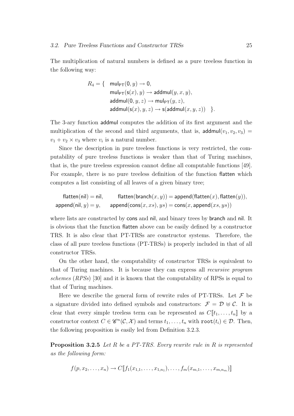The multiplication of natural numbers is defined as a pure treeless function in the following way:

$$
R_4 = \{ \begin{array}{c} \mathsf{mul}_{\mathsf{PT}}(0, y) \to 0, \\ \mathsf{mul}_{\mathsf{PT}}(\mathsf{s}(x), y) \to \mathsf{addmul}(y, x, y), \\ \mathsf{addmul}(0, y, z) \to \mathsf{mul}_{\mathsf{PT}}(y, z), \\ \mathsf{addmul}(\mathsf{s}(x), y, z) \to \mathsf{s}(\mathsf{addmul}(x, y, z)) \end{array} \}.
$$

The 3-ary function addmul computes the addition of its first argument and the multiplication of the second and third arguments, that is, addmul $(v_1, v_2, v_3)$  =  $v_1 + v_2 \times v_3$  where  $v_i$  is a natural number.

Since the description in pure treeless functions is very restricted, the computability of pure treeless functions is weaker than that of Turing machines, that is, the pure treeless expression cannot define all computable functions [49]. For example, there is no pure treeless definition of the function flatten which computes a list consisting of all leaves of a given binary tree;

$$
\begin{array}{ll}\text{flatten(nil)} = \text{nil}, & \text{flatten(branch}(x,y)) = \text{append}(\text{flatten}(x),\text{flatten}(y)),\\ \text{append}(\text{nil},y) = y, & \text{append}(\text{cons}(x,xs),ys) = \text{cons}(x,\text{append}(xs,ys))\end{array}
$$

where lists are constructed by cons and nil, and binary trees by branch and nil. It is obvious that the function flatten above can be easily defined by a constructor TRS. It is also clear that PT-TRSs are constructor systems. Therefore, the class of all pure treeless functions (PT-TRSs) is properly included in that of all constructor TRSs.

On the other hand, the computability of constructor TRSs is equivalent to that of Turing machines. It is because they can express all recursive program schemes  $(RPSs)$  [30] and it is known that the computability of RPSs is equal to that of Turing machines.

Here we describe the general form of rewrite rules of PT-TRSs. Let  $\mathcal F$  be a signature divided into defined symbols and constructors:  $\mathcal{F} = \mathcal{D} \oplus \mathcal{C}$ . It is clear that every simple treeless term can be represented as  $C[[t_1, \ldots, t_n]]$  by a constructor context  $C \in \mathscr{C}^n(\mathcal{C}, \mathcal{X})$  and terms  $t_1, \ldots, t_n$  with  $\text{root}(t_i) \in \mathcal{D}$ . Then, the following proposition is easily led from Definition 3.2.3.

Proposition 3.2.5 Let R be a PT-TRS. Every rewrite rule in R is represented as the following form:

$$
f(p, x_2, \ldots, x_n) \to C[\![f_1(x_{1,1}, \ldots, x_{1,n_1}), \ldots, f_m(x_{m,1}, \ldots, x_{m,n_m})]\!]
$$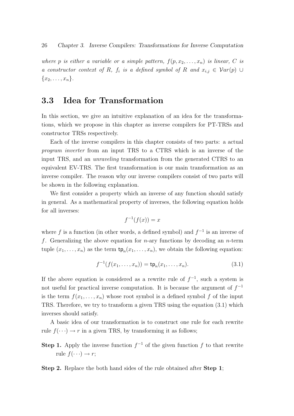where p is either a variable or a simple pattern,  $f(p, x_2, \ldots, x_n)$  is linear, C is a constructor context of R,  $f_i$  is a defined symbol of R and  $x_{i,j} \in Var(p) \cup$  ${x_2,\ldots,x_n}.$ 

# 3.3 Idea for Transformation

In this section, we give an intuitive explanation of an idea for the transformations, which we propose in this chapter as inverse compilers for PT-TRSs and constructor TRSs respectively.

Each of the inverse compilers in this chapter consists of two parts: a actual program inverter from an input TRS to a CTRS which is an inverse of the input TRS, and an unraveling transformation from the generated CTRS to an equivalent EV-TRS. The first transformation is our main transformation as an inverse compiler. The reason why our inverse compilers consist of two parts will be shown in the following explanation.

We first consider a property which an inverse of any function should satisfy in general. As a mathematical property of inverses, the following equation holds for all inverses:

$$
f^{-1}(f(x)) = x
$$

where f is a function (in other words, a defined symbol) and  $f^{-1}$  is an inverse of f. Generalizing the above equation for *n*-ary functions by decoding an *n*-term tuple  $(x_1, \ldots, x_n)$  as the term  $\mathsf{tp}_n(x_1, \ldots, x_n)$ , we obtain the following equation:

$$
f^{-1}(f(x_1, ..., x_n)) = \text{tp}_n(x_1, ..., x_n).
$$
 (3.1)

If the above equation is considered as a rewrite rule of  $f^{-1}$ , such a system is not useful for practical inverse computation. It is because the argument of  $f^{-1}$ is the term  $f(x_1, \ldots, x_n)$  whose root symbol is a defined symbol f of the input TRS. Therefore, we try to transform a given TRS using the equation (3.1) which inverses should satisfy.

A basic idea of our transformation is to construct one rule for each rewrite rule  $f(\cdot \cdot \cdot) \to r$  in a given TRS, by transforming it as follows;

**Step 1.** Apply the inverse function  $f^{-1}$  of the given function f to that rewrite rule  $f(\cdots) \to r$ ;

Step 2. Replace the both hand sides of the rule obtained after Step 1;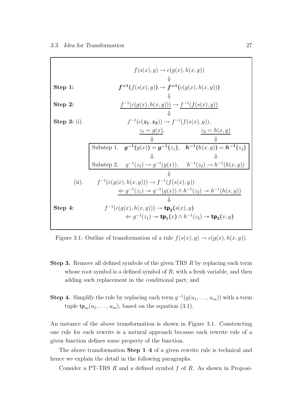|                | $f(s(x), y) \rightarrow c(q(x), h(x, y))$                                                                     |
|----------------|---------------------------------------------------------------------------------------------------------------|
| Step 1:        | $f^{-1}(f(s(x), y)) \to f^{-1}(c(g(x), h(x, y)))$                                                             |
| Step $2:$      | $f^{-1}(c(g(x),h(x,y))) \to f^{-1}(f(s(x),y))$                                                                |
| Step $3:$ (i). | $f^{-1}(c(\mathbf{z_1}, \mathbf{z_2})) \to f^{-1}(f(s(x), y)),$                                               |
|                | $z_1 = g(x),$<br>$z_2=h(x,y)$<br>Jl                                                                           |
|                | Substep 1. $g^{-1}(g(x)) = g^{-1}(z_1)$ , $h^{-1}(h(x,y)) = h^{-1}(z_2)$                                      |
|                | Jl                                                                                                            |
|                | Substep 2. $g^{-1}(z_1) \to g^{-1}(g(x))$ , $h^{-1}(z_2) \to h^{-1}(h(x,y))$                                  |
|                |                                                                                                               |
| (ii).          | $f^{-1}(c(g(x),h(x,y))) \to f^{-1}(f(s(x),y))$                                                                |
|                | $\Leftarrow g^{-1}(z_1) \twoheadrightarrow g^{-1}(g(x)) \wedge h^{-1}(z_2) \twoheadrightarrow h^{-1}(h(x,y))$ |
|                |                                                                                                               |
| Step 4:        | $f^{-1}(c(g(x),h(x,y))) \rightarrow \mathbf{tp}_{2}(s(x),y)$                                                  |
|                | $\Leftarrow q^{-1}(z_1) \rightarrow \text{tp}_1(x) \wedge h^{-1}(z_2) \rightarrow \text{tp}_2(x, y)$          |

Figure 3.1: Outline of transformation of a rule  $f(s(x), y) \rightarrow c(g(x), h(x, y))$ .

- Step 3. Remove all defined symbols of the given TRS R by replacing each term whose root symbol is a defined symbol of  $R$ , with a fresh variable, and then adding such replacement in the conditional part; and
- **Step 4.** Simplify the rule by replacing each term  $g^{-1}(g(u_1, \ldots, u_m))$  with a term tuple  $\mathsf{tp}_m(u_1, \ldots, u_m)$ , based on the equation (3.1).

An instance of the above transformation is shown in Figure 3.1. Constructing one rule for each rewrite is a natural approach because each rewrite rule of a given function defines some property of the function.

The above transformation Step 1–4 of a given rewrite rule is technical and hence we explain the detail in the following paragraphs.

Consider a PT-TRS  $R$  and a defined symbol  $f$  of  $R$ . As shown in Proposi-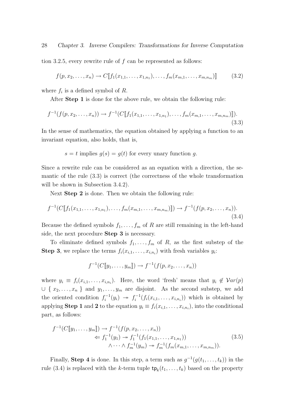tion 3.2.5, every rewrite rule of  $f$  can be represented as follows:

$$
f(p, x_2, \dots, x_n) \to C[\![f_1(x_{1,1}, \dots, x_{1,n_1}), \dots, f_m(x_{m,1}, \dots, x_{m,n_m})]\!] \tag{3.2}
$$

where  $f_i$  is a defined symbol of R.

After Step 1 is done for the above rule, we obtain the following rule:

$$
f^{-1}(f(p, x_2, \dots, x_n)) \to f^{-1}(C[\![f_1(x_{1,1}, \dots, x_{1,n_1}), \dots, f_m(x_{m,1}, \dots, x_{m,n_m})]\!]).
$$
\n(3.3)

In the sense of mathematics, the equation obtained by applying a function to an invariant equation, also holds, that is,

$$
s = t
$$
 implies  $g(s) = g(t)$  for every unary function g.

Since a rewrite rule can be considered as an equation with a direction, the semantic of the rule (3.3) is correct (the correctness of the whole transformation will be shown in Subsection 3.4.2).

Next Step 2 is done. Then we obtain the following rule:

$$
f^{-1}(C[\![f_1(x_{1,1},\ldots,x_{1,n_1}),\ldots,f_m(x_{m,1},\ldots,x_{m,n_m})]\!]) \to f^{-1}(f(p,x_2,\ldots,x_n)).
$$
\n(3.4)

Because the defined symbols  $f_1, \ldots, f_m$  of R are still remaining in the left-hand side, the next procedure Step 3 is necessary.

To eliminate defined symbols  $f_1, \ldots, f_m$  of R, as the first substep of the **Step 3**, we replace the terms  $f_i(x_{i,1},...,x_{i,n_i})$  with fresh variables  $y_i$ :

$$
f^{-1}(C[[y_1,\ldots,y_m]]) \to f^{-1}(f(p,x_2,\ldots,x_n))
$$

where  $y_i \equiv f_i(x_{i,1}, \ldots, x_{i,n_i})$ . Here, the word 'fresh' means that  $y_i \notin Var(p)$  $\cup \{x_2, \ldots, x_n\}$  and  $y_1, \ldots, y_m$  are disjoint. As the second substep, we add the oriented condition  $f_i^{-1}(y_i) \rightarrow f_i^{-1}(f_i(x_{i,1},\ldots,x_{i,n_i}))$  which is obtained by applying **Step 1** and 2 to the equation  $y_i \equiv f_i(x_{i,1}, \ldots, x_{i,n_i})$ , into the conditional part, as follows:

$$
f^{-1}(C[\![y_1, \ldots, y_m]\!]) \to f^{-1}(f(p, x_2, \ldots, x_n))
$$
  
\n
$$
\Leftarrow f_1^{-1}(y_1) \to f_1^{-1}(f_1(x_{1,1}, \ldots, x_{1,n_1}))
$$
  
\n
$$
\wedge \cdots \wedge f_m^{-1}(y_m) \to f_m^{-1}(f_m(x_{m,1}, \ldots, x_{m,n_m})).
$$
\n(3.5)

Finally, **Step 4** is done. In this step, a term such as  $g^{-1}(g(t_1, \ldots, t_k))$  in the rule (3.4) is replaced with the k-term tuple  $\mathsf{tp}_k(t_1,\ldots,t_k)$  based on the property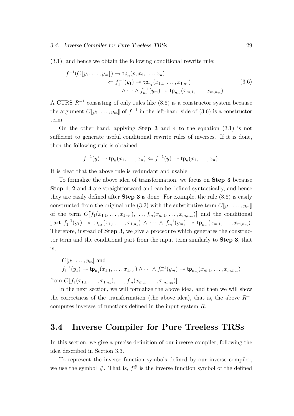(3.1), and hence we obtain the following conditional rewrite rule:

$$
f^{-1}(C[\![y_1, \ldots, y_m]\!]) \to \operatorname{tp}_n(p, x_2, \ldots, x_n)
$$
  
\n
$$
\Leftarrow f_1^{-1}(y_1) \twoheadrightarrow \operatorname{tp}_{n_1}(x_{1,1}, \ldots, x_{1,n_1})
$$
  
\n
$$
\wedge \cdots \wedge f_m^{-1}(y_m) \twoheadrightarrow \operatorname{tp}_{n_m}(x_{m,1}, \ldots, x_{m,n_m}).
$$
\n(3.6)

A CTRS  $R^{-1}$  consisting of only rules like (3.6) is a constructor system because the argument  $C[\![y_1,\ldots,y_m]\!]$  of  $f^{-1}$  in the left-hand side of (3.6) is a constructor term.

On the other hand, applying **Step 3** and 4 to the equation  $(3.1)$  is not sufficient to generate useful conditional rewrite rules of inverses. If it is done, then the following rule is obtained:

$$
f^{-1}(y) \to \mathsf{tp}_n(x_1,\ldots,x_n) \Leftarrow f^{-1}(y) \to \mathsf{tp}_n(x_1,\ldots,x_n).
$$

It is clear that the above rule is redundant and usable.

To formalize the above idea of transformation, we focus on Step 3 because Step 1, 2 and 4 are straightforward and can be defined syntactically, and hence they are easily defined after Step 3 is done. For example, the rule (3.6) is easily constructed from the original rule (3.2) with the substitutive term  $C[\![y_1, \ldots, y_m]\!]$ of the term  $C[\![f_1(x_{1,1},\ldots,x_{1,n_1}),\ldots,f_m(x_{m,1},\ldots,x_{m,n_m})]\!]$  and the conditional part  $f_1^{-1}(y_1) \to \text{tp}_{n_1}(x_{1,1},...,x_{1,n_1}) \land \cdots \land f_m^{-1}(y_m) \to \text{tp}_{n_m}(x_{m,1},...,x_{m,n_m}).$ Therefore, instead of Step 3, we give a procedure which generates the constructor term and the conditional part from the input term similarly to Step 3, that is,

$$
C[y_1, ..., y_m]
$$
 and  
 $f_1^{-1}(y_1) \to \text{tp}_{n_1}(x_{1,1}, ..., x_{1,n_1}) \wedge \cdots \wedge f_m^{-1}(y_m) \to \text{tp}_{n_m}(x_{m,1}, ..., x_{m,n_m})$ 

from  $C[$ [ $f_1(x_{1,1},...,x_{1,n_1}),...,f_m(x_{m,1},...,x_{m,n_m})$ ]].

In the next section, we will formalize the above idea, and then we will show the correctness of the transformation (the above idea), that is, the above  $R^{-1}$ computes inverses of functions defined in the input system R.

# 3.4 Inverse Compiler for Pure Treeless TRSs

In this section, we give a precise definition of our inverse compiler, following the idea described in Section 3.3.

To represent the inverse function symbols defined by our inverse compiler, we use the symbol  $#$ . That is,  $f^#$  is the inverse function symbol of the defined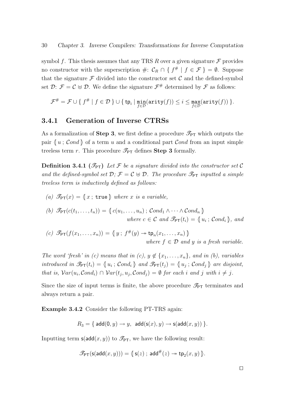symbol f. This thesis assumes that any TRS R over a given signature  $\mathcal F$  provides no constructor with the superscription  $\#: \mathcal{C}_R \cap \{ f^\# | f \in \mathcal{F} \} = \emptyset$ . Suppose that the signature  $\mathcal F$  divided into the constructor set  $\mathcal C$  and the defined-symbol set  $\mathcal{D}$ :  $\mathcal{F} = \mathcal{C} \oplus \mathcal{D}$ . We define the signature  $\mathcal{F}^{\#}$  determined by  $\mathcal{F}$  as follows:

$$
\mathcal{F}^{\#} = \mathcal{F} \cup \{ f^{\#} \mid f \in \mathcal{D} \ \} \cup \{ \ {\sf tp}_i \mid \min_{f \in \mathcal{D}} ({\sf arity}(f)) \leq i \leq \max_{f \in \mathcal{D}} ({\sf arity}(f)) \ \}.
$$

## 3.4.1 Generation of Inverse CTRSs

As a formalization of **Step 3**, we first define a procedure  $\mathcal{I}_{\text{PT}}$  which outputs the pair  $\langle u ; \mathcal{C} \text{ and } \rangle$  of a term u and a conditional part  $\mathcal{C} \text{ and from an input simple}$ treeless term r. This procedure  $\mathcal{I}_{\mathsf{PT}}$  defines **Step 3** formally.

**Definition 3.4.1** ( $\mathcal{I}_{\text{PT}}$ ) Let F be a signature divided into the constructor set C and the defined-symbol set  $\mathcal{D}; \mathcal{F} = \mathcal{C} \oplus \mathcal{D}$ . The procedure  $\mathcal{F}_{\text{PT}}$  inputted a simple treeless term is inductively defined as follows:

(a)  $\mathscr{T}_{\mathsf{PT}}(x) = \{x \, ; \, \mathsf{true} \}$  where x is a variable,

(b) 
$$
\mathcal{P}_{PT}(c(t_1,...,t_n)) = \{c(u_1,...,u_n); Cond_1 \wedge \cdots \wedge Cond_n\}
$$
  
where  $c \in C$  and  $\mathcal{P}_{PT}(t_i) = \{u_i; Cond_i\}$ , and

(c)  $\mathscr{P}_{\mathsf{PT}}(f(x_1,\ldots,x_n)) = \{y \, ; \, f^{\#}(y) \to \mathsf{tp}_n(x_1,\ldots,x_n) \}$ where  $f \in \mathcal{D}$  and y is a fresh variable.

The word 'fresh' in (c) means that in (c),  $y \notin \{x_1, \ldots, x_n\}$ , and in (b), variables introduced in  $\mathcal{F}_{\text{PT}}(t_i) = \{u_i; \text{Cond}_i\}$  and  $\mathcal{F}_{\text{PT}}(t_j) = \{u_j; \text{Cond}_j\}$  are disjoint, that is,  $Var(u_i, Cond_i) \cap Var(t_j, u_j, Cond_j) = \emptyset$  for each i and j with  $i \neq j$ .

Since the size of input terms is finite, the above procedure  $\mathcal{I}_{PT}$  terminates and always return a pair.

Example 3.4.2 Consider the following PT-TRS again:

$$
R_3 = \{ \operatorname{add}(0,y) \to y, \, \operatorname{add}(s(x),y) \to s(\operatorname{add}(x,y)) \}.
$$

Inputting term  $\mathsf{s}(\mathsf{add}(x,y))$  to  $\mathscr{T}_{\mathsf{PT}}$ , we have the following result:

$$
\mathscr{P}_{\mathsf{PT}}(\mathsf{s}(\mathsf{add}(x,y))) = \mathsf{G}\mathsf{s}(z) \; ; \; \mathsf{add}^{\#}(z) \twoheadrightarrow \mathsf{tp}_2(x,y) \; \mathsf{F}.
$$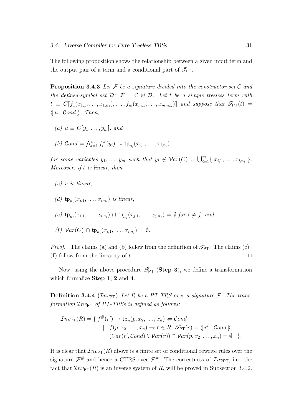The following proposition shows the relationship between a given input term and the output pair of a term and a conditional part of  $\mathcal{I}_{PT}$ .

**Proposition 3.4.3** Let  $\mathcal F$  be a signature divided into the constructor set  $\mathcal C$  and the defined-symbol set  $\mathcal{D}: \mathcal{F} = \mathcal{C} \oplus \mathcal{D}$ . Let t be a simple treeless term with  $t \equiv C[\![f_1(x_{1,1}, \ldots, x_{1,n_1}), \ldots, f_m(x_{m,1}, \ldots, x_{m,n_m})]\!]$  and suppose that  $\mathscr{T}_{\text{PT}}(t) =$  $\{ u ; \mathcal{C} \in \mathbb{R} \}$ . Then,

- (a)  $u \equiv C[y_1, \ldots, y_m],$  and
- (b)  $Cond = \bigwedge_{i=1}^{m} f_i^{\#}$  $\mathsf{t}_i^\#(y_i) \twoheadrightarrow \mathsf{tp}_{n_i}(x_{i,1},\ldots,x_{i,n_i})$

for some variables  $y_1, \ldots, y_m$  such that  $y_i \notin \mathcal{V}ar(C) \cup \bigcup_{i=1}^m \{x_{i,1}, \ldots, x_{i,n_i}\}.$ Moreover, if t is linear, then

(c) 
$$
u
$$
 is linear,

- (d)  $tp_{n_i}(x_{i,1},\ldots,x_{i,n_i})$  is linear,
- (e)  $\operatorname{\mathsf{tp}}_{n_i}(x_{i,1},\ldots,x_{i,n_i}) \cap \operatorname{\mathsf{tp}}_{n_j}(x_{j,1},\ldots,x_{j,n_j}) = \emptyset$  for  $i \neq j$ , and
- $(f) \; Var(C) \cap \mathsf{tp}_{n_i}(x_{i,1},\ldots,x_{i,n_i}) = \emptyset.$

*Proof.* The claims (a) and (b) follow from the definition of  $\mathcal{F}_{PT}$ . The claims (c)-(f) follow from the linearity of t.  $\square$ 

Now, using the above procedure  $\mathscr{I}_{\mathsf{PT}}$  (Step 3), we define a transformation which formalize Step 1, 2 and 4.

**Definition 3.4.4 (** $\mathcal{I}nv_{PT}$ **)** Let R be a PT-TRS over a signature F. The transformation  $\mathcal{I}nv_{\text{PT}}$  of PT-TRSs is defined as follows:

$$
\mathcal{I}nv_{\mathsf{PT}}(R) = \{ f^{\#}(r') \to \mathsf{tp}_n(p, x_2, \dots, x_n) \Leftarrow \mathcal{C} \text{ond} | f(p, x_2, \dots, x_n) \to r \in R, \mathscr{T}_{\mathsf{PT}}(r) = \{ r' ; \mathcal{C} \text{ond } \}, (\mathcal{V}ar(r', \mathcal{C} \text{ond}) \setminus \mathcal{V}ar(r)) \cap \mathcal{V}ar(p, x_2, \dots, x_n) = \emptyset \}.
$$

It is clear that  $\mathcal{I}nv_{\text{PT}}(R)$  above is a finite set of conditional rewrite rules over the signature  $\mathcal{F}^{\#}$  and hence a CTRS over  $\mathcal{F}^{\#}$ . The correctness of  $\mathcal{I}nv_{\text{PT}}$ , i.e., the fact that  $\mathcal{I}nv_{\text{PT}}(R)$  is an inverse system of R, will be proved in Subsection 3.4.2.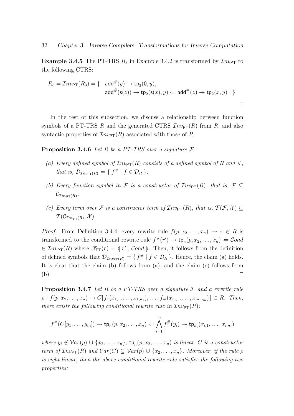**Example 3.4.5** The PT-TRS  $R_3$  in Example 3.4.2 is transformed by  $\mathcal{I}nv_{\text{PT}}$  to the following CTRS:

$$
R_5 = \mathcal{I} n v_{\text{PT}}(R_3) = \{ \text{ add}^{\#}(y) \to \text{tp}_2(0, y),
$$
  
 
$$
\text{add}^{\#}(\textbf{s}(z)) \to \text{tp}_2(\textbf{s}(x), y) \Leftarrow \text{add}^{\#}(z) \to \text{tp}_2(x, y) \}.
$$

In the rest of this subsection, we discuss a relationship between function symbols of a PT-TRS R and the generated CTRS  $\mathcal{I}nv_{\text{PT}}(R)$  from R, and also syntactic properties of  $\mathcal{I}nv_{\text{PT}}(R)$  associated with those of R.

**Proposition 3.4.6** Let R be a PT-TRS over a signature  $\mathcal{F}$ .

- (a) Every defined symbol of  $\mathcal{I}nv_{\text{PT}}(R)$  consists of a defined symbol of R and  $\#$ , that is,  $\mathcal{D}_{\mathcal{I}nv_{\text{PT}}(R)} = \{ f^{\#} | f \in \mathcal{D}_R \}.$
- (b) Every function symbol in F is a constructor of  $\mathcal{I}nv_{\mathsf{PT}}(R)$ , that is,  $\mathcal{F} \subseteq$  $\mathcal{C}_{\mathcal{I}nv_{\mathsf{PT}}(R)}.$
- (c) Every term over F is a constructor term of  $\mathcal{I}nv_{\text{PT}}(R)$ , that is,  $\mathcal{T}(\mathcal{F},\mathcal{X}) \subseteq$  $\mathcal{T}(\mathcal{C}_{\mathcal{I}nv_{\mathsf{PT}}(R)},\mathcal{X}).$

*Proof.* From Definition 3.4.4, every rewrite rule  $f(p, x_2, \ldots, x_n) \rightarrow r \in R$  is transformed to the conditional rewrite rule  $f^{\#}(r') \to \text{tp}_n(p, x_2, \ldots, x_n) \Leftarrow \text{Cond}$  $\in \mathcal{I}nv_{\text{PT}}(R)$  where  $\mathcal{I}_{\text{PT}}(r) = \{r' \, ; \, \mathcal{C}ond \}$ . Then, it follows from the definition of defined symbols that  $\mathcal{D}_{\mathcal{I}nv_{\text{PT}}(R)} = \{ f^* | f \in \mathcal{D}_R \}$ . Hence, the claim (a) holds. It is clear that the claim (b) follows from (a), and the claim (c) follows from  $\Box$  utilize the contract of the contract of the contract of the contract of the contract of the contract of the contract of the contract of the contract of the contract of the contract of the contract of the contract of

**Proposition 3.4.7** Let R be a PT-TRS over a signature  $\mathcal F$  and a rewrite rule  $\rho: f(p, x_2, \ldots, x_n) \to C[\![f_1(x_{1,1}, \ldots, x_{1,n_1}), \ldots, f_m(x_{m,1}, \ldots, x_{m,n_m})]\!] \in R$ . Then, there exists the following conditional rewrite rule in  $\mathcal{I}nv_{\text{PT}}(R)$ :

$$
f^{\#}(C[y_1,\ldots,y_m]) \to \mathsf{tp}_n(p,x_2,\ldots,x_n) \Leftarrow \bigwedge_{i=1}^m f_i^{\#}(y_i) \to \mathsf{tp}_{n_i}(x_{i,1},\ldots,x_{i,n_i})
$$

where  $y_i \notin Var(p) \cup \{x_2, \ldots, x_n\}$ ,  $tp_n(p, x_2, \ldots, x_n)$  is linear, C is a constructor term of  $\mathcal{I}nv_{\text{PT}}(R)$  and  $\mathcal{V}ar(C) \subseteq \mathcal{V}ar(p) \cup \{x_2, \ldots, x_n\}$ . Moreover, if the rule  $\rho$ is right-linear, then the above conditional rewrite rule satisfies the following two properties: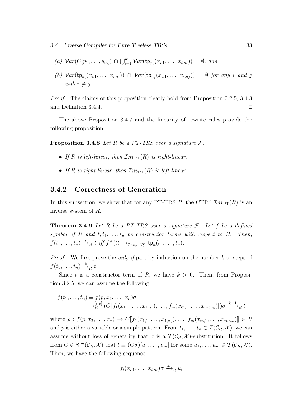- 3.4. Inverse Compiler for Pure Treeless TRSs 33
	- (a)  $Var(C[y_1, \ldots, y_m]) \cap \bigcup_{i=1}^m Var(\text{tp}_{n_i}(x_{i,1}, \ldots, x_{i,n_i})) = \emptyset$ , and
	- (b)  $Var(\text{tp}_{n_i}(x_{i,1},\ldots,x_{i,n_i})) \cap Var(\text{tp}_{n_j}(x_{j,1},\ldots,x_{j,n_j})) = \emptyset$  for any i and j with  $i \neq j$ .

Proof. The claims of this proposition clearly hold from Proposition 3.2.5, 3.4.3 and Definition 3.4.4.  $\Box$ 

The above Proposition 3.4.7 and the linearity of rewrite rules provide the following proposition.

**Proposition 3.4.8** Let R be a PT-TRS over a signature  $\mathcal{F}$ .

- If R is left-linear, then  $\mathcal{I}nv_{\text{PT}}(R)$  is right-linear.
- If R is right-linear, then  $\mathcal{I}nv_{\text{PT}}(R)$  is left-linear.

## 3.4.2 Correctness of Generation

In this subsection, we show that for any PT-TRS R, the CTRS  $\mathcal{I}nv_{\text{PT}}(R)$  is an inverse system of R.

**Theorem 3.4.9** Let R be a PT-TRS over a signature  $\mathcal{F}$ . Let f be a defined symbol of R and  $t, t_1, \ldots, t_n$  be constructor terms with respect to R. Then,  $f(t_1,\ldots,t_n) \stackrel{*}{\rightarrow}_R t \text{ iff } f^{\#}(t) \rightarrow_{\mathcal{I}n v_{\text{PT}}(R)} \text{tp}_n(t_1,\ldots,t_n).$ 

*Proof.* We first prove the *only-if* part by induction on the number k of steps of  $f(t_1,\ldots,t_n) \stackrel{k}{\rightarrow}_R t.$ 

Since t is a constructor term of R, we have  $k > 0$ . Then, from Proposition 3.2.5, we can assume the following:

$$
f(t_1,...,t_n) \equiv f(p, x_2,...,x_n)\sigma
$$
  
\n
$$
\rightarrow_R^{[\varepsilon,\rho]} (C[\![f_1(x_{1,1},...,x_{1,n_1}),...,f_m(x_{m,1},...,x_{m,n_m})]\!])\sigma \xrightarrow{k-1} R t
$$

where  $\rho: f(p, x_2, \ldots, x_n) \to C[\![f_1(x_{1,1}, \ldots, x_{1,n_1}), \ldots, f_m(x_{m,1}, \ldots, x_{m,n_m})]\!] \in R$ and p is either a variable or a simple pattern. From  $t_1, \ldots, t_n \in \mathcal{T}(\mathcal{C}_R, \mathcal{X})$ , we can assume without loss of generality that  $\sigma$  is a  $\mathcal{T}(\mathcal{C}_R, \mathcal{X})$ -substitution. It follows from  $C \in \mathscr{C}^m(\mathcal{C}_R, \mathcal{X})$  that  $t \equiv (C\sigma)[u_1, \ldots, u_m]$  for some  $u_1, \ldots, u_m \in \mathcal{T}(\mathcal{C}_R, \mathcal{X})$ . Then, we have the following sequence:

$$
f_i(x_{i,1},\ldots,x_{i,n_i})\sigma \stackrel{k_i}{\longrightarrow}_R u_i
$$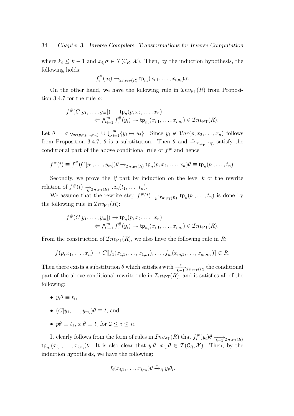where  $k_i \leq k-1$  and  $x_{i_j} \sigma \in \mathcal{T}(\mathcal{C}_R, \mathcal{X})$ . Then, by the induction hypothesis, the following holds:

$$
f_i^{\#}(u_i) \rightarrow_{\mathcal{I}nv_{\mathsf{PT}}(R)} \mathsf{tp}_{n_i}(x_{i,1},\ldots,x_{i,n_i})\sigma.
$$

On the other hand, we have the following rule in  $\mathcal{I}nv_{\text{PT}}(R)$  from Proposition 3.4.7 for the rule  $\rho$ :

$$
f^{\#}(C[y_1,\ldots,y_m]) \to \operatorname{tp}_n(p,x_2,\ldots,x_n)
$$
  
\n
$$
\Leftarrow \bigwedge_{i=1}^m f_i^{\#}(y_i) \to \operatorname{tp}_{n_i}(x_{i,1},\ldots,x_{i,n_i}) \in \mathcal{I}nv_{\text{PT}}(R).
$$

Let  $\theta = \sigma|_{Var(p,x_2,...,x_n)} \cup \bigcup_{i=1}^m \{y_i \mapsto u_i\}$ . Since  $y_i \notin Var(p,x_2,...,x_n)$  follows from Proposition 3.4.7,  $\theta$  is a substitution. Then  $\theta$  and  $\stackrel{*}{\to}_{\mathcal{I}nv_{\mathsf{PT}}(R)}$  satisfy the conditional part of the above conditional rule of  $f^{\#}$  and hence

$$
f^{\#}(t) \equiv f^{\#}(C[y_1,\ldots,y_m])\theta \rightarrow_{\mathcal{I}nv_{\mathsf{PT}}(R)} \mathsf{tp}_n(p,x_2,\ldots,x_n)\theta \equiv \mathsf{tp}_n(t_1,\ldots,t_n).
$$

Secondly, we prove the *if* part by induction on the level  $k$  of the rewrite relation of  $f^{\#}(t) \longrightarrow_{\mathcal{I}nv_{\text{PT}}(R)} \text{tp}_n(t_1,\ldots,t_n)$ .

We assume that the rewrite step  $f^{\#}(t) \xrightarrow[k] \mathcal{I}_{\mathit{nv}_{\mathsf{PT}}(R)} \mathsf{tp}_n(t_1,\ldots,t_n)$  is done by the following rule in  $\mathcal{I}nv_{\text{PT}}(R)$ :

$$
f^{\#}(C[y_1,\ldots,y_m]) \to \operatorname{tp}_n(p,x_2,\ldots,x_n)
$$
  
\n
$$
\Leftarrow \bigwedge_{i=1}^m f_i^{\#}(y_i) \to \operatorname{tp}_{n_i}(x_{i,1},\ldots,x_{i,n_i}) \in \mathcal{I}nv_{\text{PT}}(R).
$$

From the construction of  $\mathcal{I}nv_{\text{PT}}(R)$ , we also have the following rule in R:

$$
f(p, x_1, ..., x_n) \to C[\![f_1(x_{1,1}, ..., x_{1,n_1}), ..., f_m(x_{m,1}, ..., x_{m,n_m})\!]\in R.
$$

Then there exists a substitution  $\theta$  which satisfies with  $\frac{*}{k-1} \tau_{nv_{\text{PT}}(R)}$  the conditional part of the above conditional rewrite rule in  $\mathcal{I}nv_{\text{PT}}(R)$ , and it satisfies all of the following:

- $y_i \theta \equiv t_i$ ,
- $(C[y_1, \ldots, y_m])\theta \equiv t$ , and
- $p\theta \equiv t_1, x_i\theta \equiv t_i$  for  $2 \leq i \leq n$ .

It clearly follows from the form of rules in  $\mathcal{I}nv_{\mathsf{PT}}(R)$  that  $f_i^{\#}$  $\sum_{i}^{m} (y_i) \theta \longrightarrow_{k-1} \mathcal{I}_{n v_{\text{PT}}(R)}$  $\tt t p_{n_i}(x_{i,1},\ldots,x_{i,n_i})\theta$ . It is also clear that  $y_i\theta$ ,  $x_{i,j}\theta \in \mathcal{T}(\mathcal{C}_R,\mathcal{X})$ . Then, by the induction hypothesis, we have the following:

$$
f_i(x_{i,1},\ldots,x_{i,n_i})\theta \stackrel{*}{\rightarrow}_R y_i\theta_i.
$$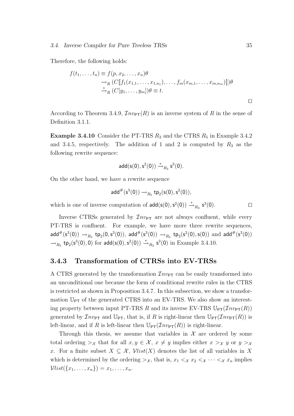Therefore, the following holds:

$$
f(t_1,\ldots,t_n) \equiv f(p,x_2,\ldots,x_n)\theta
$$
  
\n
$$
\rightarrow_R (C[\![f_1(x_{1,1},\ldots,x_{1,n_1}),\ldots,f_m(x_{m,1},\ldots,x_{m,n_m})]\!])\theta
$$
  
\n
$$
\stackrel{*}{\rightarrow}_R (C[\![y_1,\ldots,y_m])\theta \equiv t.
$$

According to Theorem 3.4.9,  $\mathcal{I}nv_{PT}(R)$  is an inverse system of R in the sense of Definition 3.1.1.

**Example 3.4.10** Consider the PT-TRS  $R_3$  and the CTRS  $R_5$  in Example 3.4.2 and 3.4.5, respectively. The addition of 1 and 2 is computed by  $R_3$  as the following rewrite sequence:

$$
\mathsf{add}(\mathsf{s}(0),\mathsf{s}^2(0)) \stackrel{*}{\rightarrow}_{R_3} \mathsf{s}^3(0).
$$

On the other hand, we have a rewrite sequence

$$
\mathsf{add}^{\#}(\mathsf{s}^3(0)) \mathop{\rightarrow}\nolimits_{R_5} \mathsf{tp}_2(\mathsf{s}(0),\mathsf{s}^2(0)),
$$

which is one of inverse computation of  $\text{add}(\mathsf{s}(0), \mathsf{s}^2(0)) \stackrel{*}{\rightarrow}_{R_3} \mathsf{s}^3(0)$ .

Inverse CTRSs generated by  $\mathcal{I}nv_{\text{PT}}$  are not always confluent, while every PT-TRS is confluent. For example, we have more three rewrite sequences,  $\mathsf{add}^{\#}(s^3(0)) \to_{R_5} \mathsf{tp}_2(0, s^3(0)), \ \mathsf{add}^{\#}(s^3(0)) \to_{R_5} \mathsf{tp}_2(s^2(0), s(0)) \ \text{and} \ \mathsf{add}^{\#}(s^3(0))$  $\rightarrow_{R_5}$  tp<sub>2</sub>(s<sup>3</sup>(0), 0) for add(s(0), s<sup>2</sup>(0))  $\stackrel{*}{\rightarrow}_{R_3}$  s<sup>3</sup>(0) in Example 3.4.10.

#### 3.4.3 Transformation of CTRSs into EV-TRSs

A CTRS generated by the transformation  $\mathcal{I}nv_{PT}$  can be easily transformed into an unconditional one because the form of conditional rewrite rules in the CTRS is restricted as shown in Proposition 3.4.7. In this subsection, we show a transformation  $\mathbb{U}_{PT}$  of the generated CTRS into an EV-TRS. We also show an interesting property between input PT-TRS R and its inverse EV-TRS  $\mathbb{U}_{PT}(\mathcal{I}nv_{PT}(R))$ generated by  $\mathcal{I}nv_{PT}$  and  $\mathbb{U}_{PT}$ , that is, if R is right-linear then  $\mathbb{U}_{PT}(\mathcal{I}nv_{PT}(R))$  is left-linear, and if R is left-linear then  $\mathbb{U}_{\text{PT}}(Inv_{\text{PT}}(R))$  is right-linear.

Through this thesis, we assume that variables in  $\mathcal X$  are ordered by some total ordering  $\gt_{\mathcal{X}}$  that for all  $x, y \in \mathcal{X}, x \neq y$  implies either  $x \gt_{\mathcal{X}} y$  or  $y \gt_{\mathcal{X}}$ x. For a finite subset  $X \subseteq \mathcal{X}$ ,  $\mathcal{V}list(X)$  denotes the list of all variables in X which is determined by the ordering  $>\chi$ , that is,  $x_1 < \chi x_2 < \chi \cdots < \chi x_n$  implies  $Vlist({x_1, ..., x_n}) = x_1, ..., x_n$ .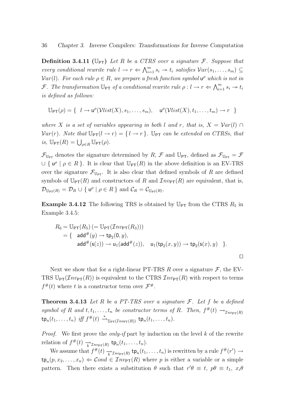**Definition 3.4.11** ( $\mathbb{U}_{PT}$ ) Let R be a CTRS over a signature F. Suppose that every conditional rewrite rule  $l \to r \Leftarrow \bigwedge_{i=1}^{m} s_i \to t_i$  satisfies  $Var(s_1, \ldots, s_m) \subseteq$  $Var(l)$ . For each rule  $\rho \in R$ , we prepare a fresh function symbol  $\mathsf{u}^{\rho}$  which is not in F. The transformation  $\mathbb{U}_{PT}$  of a conditional rewrite rule  $\rho: l \to r \Leftarrow \bigwedge_{i=1}^{m} s_i \twoheadrightarrow t_i$ is defined as follows:

$$
\mathbb{U}_{\text{PT}}(\rho) = \{ \ l \to u^{\rho}(\mathcal{V}list(X), s_1, \ldots, s_m), \quad u^{\rho}(\mathcal{V}list(X), t_1, \ldots, t_m) \to r \ \}
$$

where X is a set of variables appearing in both l and r, that is,  $X = Var(l) \cap$  $Var(r)$ . Note that  $\mathbb{U}_{PT}(l \to r) = \{l \to r\}$ .  $\mathbb{U}_{PT}$  can be extended on CTRSs, that is,  $\mathbb{U}_{\mathsf{PT}}(R) = \bigcup_{\rho \in R} \mathbb{U}_{\mathsf{PT}}(\rho).$ 

 $\mathcal{F}_{\mathbb{U}_{PT}}$  denotes the signature determined by  $R, \mathcal{F}$  and  $\mathbb{U}_{PT}$ , defined as  $\mathcal{F}_{\mathbb{U}_{PT}} = \mathcal{F}$  $\cup \{ \mathsf{u}^{\rho} \mid \rho \in R \}$ . It is clear that  $\mathbb{U}_{\text{PT}}(R)$  in the above definition is an EV-TRS over the signature  $\mathcal{F}_{\mathbb{U}_{PT}}$ . It is also clear that defined symbols of R are defined symbols of  $\mathbb{U}_{\text{PT}}(R)$  and constructors of R and  $\mathcal{I}nv_{\text{PT}}(R)$  are equivalent, that is,  $\mathcal{D}_{\mathbb{U}_{\text{PT}}(R)} = \mathcal{D}_R \cup \{ \mathsf{u}^\rho \mid \rho \in R \}$  and  $\mathcal{C}_R = \mathcal{C}_{\mathbb{U}_{\text{PT}}(R)}$ .

**Example 3.4.12** The following TRS is obtained by  $\mathbb{U}_{\text{PT}}$  from the CTRS  $R_5$  in Example 3.4.5:

$$
R_6 = \mathbb{U}_{\text{PT}}(R_5) (= \mathbb{U}_{\text{PT}}(\mathcal{I}_{n v_{\text{PT}}}(R_3)))
$$
  
= {  $\text{add}^{\#}(y) \rightarrow \text{tp}_2(0, y),$   
 $\text{add}^{\#}(\text{s}(z)) \rightarrow \text{u}_1(\text{add}^{\#}(z)), \quad \text{u}_1(\text{tp}_2(x, y)) \rightarrow \text{tp}_2(\text{s}(x), y) ) .$ 

 $\Box$ 

Next we show that for a right-linear PT-TRS R over a signature  $\mathcal{F}$ , the EV-TRS  $\mathbb{U}_{\text{PT}}(Inv_{\text{PT}}(R))$  is equivalent to the CTRS  $Inv_{\text{PT}}(R)$  with respect to terms  $f^{\#}(t)$  where t is a constructor term over  $\mathcal{F}^{\#}$ .

**Theorem 3.4.13** Let R be a PT-TRS over a signature  $\mathcal{F}$ . Let f be a defined symbol of R and  $t, t_1, \ldots, t_n$  be constructor terms of R. Then,  $f^{\#}(t) \rightarrow_{\mathcal{I}nv_{\text{PT}}(R)}$  $\tt t p_n(t_1,\ldots,t_n) \text{ iff } f^{\#}(t) \xrightarrow{\ast} \mathbb{U}_{\text{PT}}(\mathcal{I}_{n\text{VPT}}(R))} \text{ t} p_n(t_1,\ldots,t_n).$ 

*Proof.* We first prove the *only-if* part by induction on the level  $k$  of the rewrite relation of  $f^{\#}(t) \longrightarrow_{\mathcal{I}nv_{\text{PT}}(R)} \text{tp}_n(t_1,\ldots,t_n)$ .

We assume that  $f^{\#}(t) \xrightarrow[k]{}_{\mathcal{I}nv_{\mathsf{PT}}(R)} \mathsf{tp}_n(t_1,\ldots,t_n)$  is rewritten by a rule  $f^{\#}(r') \to$  $\tt{tp}_n(p, x_2, \ldots, x_n) \Leftarrow \mathcal{C}ond \in \mathcal{I}nv_{\text{PT}}(R)$  where p is either a variable or a simple pattern. Then there exists a substitution  $\theta$  such that  $r' \theta \equiv t$ ,  $p\theta \equiv t_1$ ,  $x_i\theta$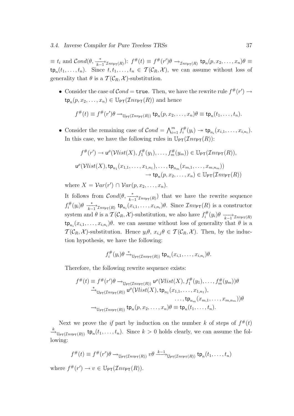$\equiv t_i \text{ and } Cond(\theta, \frac{*}{k-1} \tau_{n\nu_{\text{PT}}(R)}) \colon f^{\#}(t) \equiv f^{\#}(r')\theta \to_{\mathcal{I}_{n\nu_{\text{PT}}(R)}} \text{tp}_n(p, x_2, \ldots, x_n)\theta \equiv$  $\tt{tp}_n(t_1,\ldots,t_n)$ . Since  $t,t_1,\ldots,t_n \in \mathcal{T}(\mathcal{C}_R,\mathcal{X})$ , we can assume without loss of generality that  $\theta$  is a  $\mathcal{T}(\mathcal{C}_R, \mathcal{X})$ -substitution.

• Consider the case of  $Cond = \text{true}$ . Then, we have the rewrite rule  $f^{\#}(r') \rightarrow$  $\tt{tp}_n(p, x_2, \ldots, x_n) \in \mathbb{U}_{\text{PT}}(\mathcal{I}_{\text{nv}_{\text{PT}}}(R))$  and hence

$$
f^{\#}(t) \equiv f^{\#}(r')\theta \rightarrow_{\mathbb{U}_{\mathsf{PT}}(\mathcal{I}nv_{\mathsf{PT}}(R))} \mathsf{tp}_n(p,x_2,\ldots,x_n)\theta \equiv \mathsf{tp}_n(t_1,\ldots,t_n).
$$

• Consider the remaining case of  $Cond = \bigwedge_{i=1}^{m} f_i^{\#}$  $\mathsf{t}_i^{\#}(y_i) \to \mathsf{tp}_{n_i}(x_{i,1},\ldots,x_{i,n_i}).$ In this case, we have the following rules in  $\mathbb{U}_{PT}(\mathcal{I}_{n\nu_{PT}}(R))$ :

$$
f^{\#}(r') \to \mathsf{u}^{\rho}(\mathcal{V}list(X), f_1^{\#}(y_1), \dots, f_m^{\#}(y_m)) \in \mathbb{U}_{\mathsf{PT}}(\mathcal{I}nv_{\mathsf{PT}}(R)),
$$
  

$$
\mathsf{u}^{\rho}(\mathcal{V}list(X), \mathsf{tp}_{n_1}(x_{1,1}, \dots, x_{1,n_1}), \dots, \mathsf{tp}_{n_m}(x_{m,1}, \dots, x_{m,n_m}))
$$
  

$$
\to \mathsf{tp}_n(p, x_2, \dots, x_n) \in \mathbb{U}_{\mathsf{PT}}(\mathcal{I}nv_{\mathsf{PT}}(R))
$$

where  $X = Var(r') \cap Var(p, x_2, \ldots, x_n)$ .

It follows from  $Cond(\theta, \frac{*}{k-1} \tau_{n\nu_{\text{PT}}(R)})$  that we have the rewrite sequence  $f_i^{\#}$  $\mathcal{I}_{i}^{\#}(y_i)\theta \longrightarrow_{k-1}^{*} \mathcal{I}_{n\nu_{\text{PT}}(R)}$  tp<sub>n<sub>i</sub></sub> $(x_{i,1},\ldots,x_{i,n_i})\theta$ . Since  $\mathcal{I}_{n\nu_{\text{PT}}(R)}$  is a constructor system and  $\theta$  is a  $\mathcal{T}(\mathcal{C}_R, \mathcal{X})$ -substitution, we also have  $f_i^{\#}$  $\sum_{i}^{H}(y_i)\theta \longrightarrow_{k-1} \mathcal{I}_{n\nu p\tau(R)}$  $\tt t p_{n_i}(x_{i,1},\ldots,x_{i,n_i})\theta$ , we can assume without loss of generality that  $\theta$  is a  $\mathcal{T}(\mathcal{C}_R, \mathcal{X})$ -substitution. Hence  $y_i \theta, x_{i,j} \theta \in \mathcal{T}(\mathcal{C}_R, \mathcal{X})$ . Then, by the induction hypothesis, we have the following:

$$
f_i^{\#}(y_i)\theta \xrightarrow{\ast} \mathbb{U}_{\text{PT}}(\mathcal{I}_{n}v_{\text{PT}}(R))} \text{tp}_{n_i}(x_{i,1},\ldots,x_{i,n_i})\theta.
$$

Therefore, the following rewrite sequence exists:

$$
f^{\#}(t) \equiv f^{\#}(r')\theta \rightarrow_{\mathbb{U}_{\mathsf{PT}}(\mathcal{I}_{n\mathsf{V}_{\mathsf{PT}}(R))}} \mathsf{u}^{\rho}(\mathcal{V}list(X), f_1^{\#}(y_1), \dots, f_m^{\#}(y_m))\theta
$$
  
\n
$$
\xrightarrow{\ast}_{\mathbb{U}_{\mathsf{PT}}(\mathcal{I}_{n\mathsf{V}_{\mathsf{PT}}(R))}} \mathsf{u}^{\rho}(\mathcal{V}list(X), \mathsf{tp}_{n_1}(x_{1,1}, \dots, x_{1,n_1}), \dots, \mathsf{tp}_{n_m}(x_{m,1}, \dots, x_{m,n_m}))\theta
$$
  
\n
$$
\rightarrow_{\mathbb{U}_{\mathsf{PT}}(\mathcal{I}_{n\mathsf{V}_{\mathsf{PT}}(R))}} \mathsf{tp}_n(p, x_2, \dots, x_n)\theta \equiv \mathsf{tp}_n(t_1, \dots, t_n).
$$

Next we prove the *if* part by induction on the number k of steps of  $f^*(t)$  $\stackrel{k}{\longrightarrow}_{\mathbb{U}_{\mathsf{PT}}(\mathcal{I}_{n\mathcal{V}_{\mathsf{PT}}(R))}$  tp<sub>n</sub> $(t_1,\ldots,t_n)$ . Since  $k>0$  holds clearly, we can assume the following:

$$
f^{\#}(t) \equiv f^{\#}(r')\theta \rightarrow_{\mathbb{U}_{\mathsf{PT}}(\mathcal{I}nv_{\mathsf{PT}}(R))} v\theta \xrightarrow{k-1}_{\mathbb{U}_{\mathsf{PT}}(\mathcal{I}nv_{\mathsf{PT}}(R))} \mathsf{tp}_n(t_1,\ldots,t_n)
$$

where  $f^{\#}(r') \to v \in \mathbb{U}_{\text{PT}}(\mathcal{I}nv_{\text{PT}}(R)).$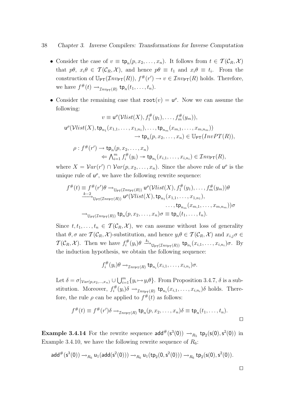- Consider the case of  $v \equiv \text{tp}_n(p, x_2, \ldots, x_n)$ . It follows from  $t \in \mathcal{T}(\mathcal{C}_R, \mathcal{X})$ that  $p\theta$ ,  $x_i\theta \in \mathcal{T}(\mathcal{C}_R, \mathcal{X})$ , and hence  $p\theta \equiv t_1$  and  $x_i\theta \equiv t_i$ . From the construction of  $\mathbb{U}_{\text{PT}}(Inv_{\text{PT}}(R)), f^*(r') \to v \in Inv_{\text{PT}}(R)$  holds. Therefore, we have  $f^{\#}(t) \rightarrow_{\mathcal{I}nv_{\mathsf{PT}}(R)} \mathsf{tp}_n(t_1,\ldots,t_n)$ .
- Consider the remaining case that  $\text{root}(v) = u^{\rho}$ . Now we can assume the following:

$$
v \equiv \mathsf{u}^{\rho}(\mathcal{V}list(X), f_1^{\#}(y_1), \dots, f_m^{\#}(y_m)),
$$
  

$$
\mathsf{u}^{\rho}(\mathcal{V}list(X), \mathsf{tp}_{n_1}(x_{1,1}, \dots, x_{1,n_1}), \dots, \mathsf{tp}_{n_m}(x_{m,1}, \dots, x_{m,n_m}))
$$

$$
\rightarrow \mathsf{tp}_n(p, x_2, \dots, x_n) \in \mathbb{U}_{\mathsf{PT}}(InvPT(R)),
$$

$$
\rho: f^{\#}(r') \to \text{tp}_n(p, x_2, \dots, x_n)
$$
  

$$
\Leftarrow \bigwedge_{i=1}^m f_i^{\#}(y_i) \to \text{tp}_{n_i}(x_{i,1}, \dots, x_{i,n_i}) \in \mathcal{I}nv_{\text{PT}}(R),
$$

where  $X = Var(r') \cap Var(p, x_2, ..., x_n)$ . Since the above rule of  $u^{\rho}$  is the unique rule of  $u^{\rho}$ , we have the following rewrite sequence:

$$
f^{\#}(t) \equiv f^{\#}(r')\theta \rightarrow_{\mathbb{U}_{\mathsf{PT}}(\mathcal{I}_{\mathsf{IVPT}}(R))} \mathsf{u}^{\rho}(\mathcal{V}list(X), f_1^{\#}(y_1), \dots, f_m^{\#}(y_m))\theta
$$
  
\n
$$
\xrightarrow{k-2} \mathbb{U}_{\mathsf{PT}(\mathcal{I}_{\mathsf{IVPT}}(R))} \mathsf{u}^{\rho}(\mathcal{V}list(X), \mathsf{tp}_{n_1}(x_{1,1}, \dots, x_{1,n_1}), \dots, \mathsf{tp}_{n_m}(x_{m,1}, \dots, x_{m,n_m}))\sigma
$$
  
\n
$$
\rightarrow_{\mathbb{U}_{\mathsf{PT}}(\mathcal{I}_{\mathsf{IVPT}}(R))} \mathsf{tp}_n(p, x_2, \dots, x_n)\sigma \equiv \mathsf{tp}_n(t_1, \dots, t_n).
$$

Since  $t, t_1, \ldots, t_n \in \mathcal{T}(\mathcal{C}_R, \mathcal{X})$ , we can assume without loss of generality that  $\theta, \sigma$  are  $\mathcal{T}(\mathcal{C}_R, \mathcal{X})$ -substitution, and hence  $y_i \theta \in \mathcal{T}(\mathcal{C}_R, \mathcal{X})$  and  $x_{i,j} \sigma \in$  $\mathcal{T}(\mathcal{C}_R, \mathcal{X})$ . Then we have  $f_i^{\#}$  $\mathfrak{p}_i^{\#}(y_i)\theta \stackrel{k_i}{\longrightarrow}_{\mathbb{U}_{\mathsf{PT}}(\mathcal{I}nv_{\mathsf{PT}}(R))} \mathsf{tp}_{n_i}(x_{i,1},\ldots,x_{i,n_i})\sigma.$  By the induction hypothesis, we obtain the following sequence:

$$
f_i^{\#}(y_i)\theta \rightarrow_{\mathcal{I}^{n_{\nu_{\mathsf{PT}}}}(R)} \mathsf{tp}_{n_i}(x_{i,1},\ldots,x_{i,n_i})\sigma.
$$

Let  $\delta = \sigma|_{Var(p,x_2,...,x_n)} \cup \bigcup_{i=1}^m \{y_i \mapsto y_i \theta\}$ . From Proposition 3.4.7,  $\delta$  is a substitution. Moreover,  $f_i^{\#}$  $\mathfrak{z}^{\#}(y_i)\delta \rightarrow_{\mathcal{I}^{n\nu_{\text{PT}}(R)}} \text{tp}_{n_i}(x_{i,1},\ldots,x_{i,n_i})\delta \text{ holds. There-}$ fore, the rule  $\rho$  can be applied to  $f^{\#}(t)$  as follows:

$$
f^{\#}(t) \equiv f^{\#}(r')\delta \rightarrow_{\mathcal{I}nv_{\text{PT}}(R)} \text{tp}_n(p,x_2,\ldots,x_n)\delta \equiv \text{tp}_n(t_1,\ldots,t_n).
$$

**Example 3.4.14** For the rewrite sequence  $add^{\#}(s^{3}(0)) \rightarrow_{R_{5}} tp_{2}(s(0), s^{2}(0))$  in Example 3.4.10, we have the following rewrite sequence of  $R_6$ :

$$
\mathsf{add}^{\#}(s^3(0)) \to_{R_6} \mathsf{u}_1(\mathsf{add}(s^2(0))) \to_{R_6} \mathsf{u}_1(\mathsf{tp}_2(0,s^2(0))) \to_{R_6} \mathsf{tp}_2(s(0),s^2(0)).
$$

 $\Box$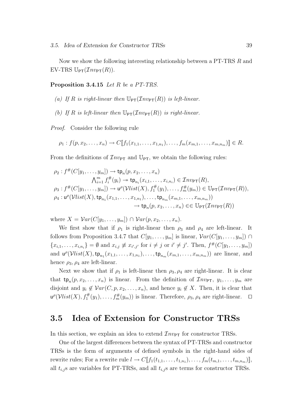Now we show the following interesting relationship between a PT-TRS R and EV-TRS  $\mathbb{U}_{\text{PT}}(\mathcal{I}nv_{\text{PT}}(R)).$ 

Proposition 3.4.15 Let R be a PT-TRS.

- (a) If R is right-linear then  $\mathbb{U}_{\text{PT}}(Inv_{\text{PT}}(R))$  is left-linear.
- (b) If R is left-linear then  $\mathbb{U}_{\text{PT}}(Inv_{\text{PT}}(R))$  is right-linear.

Proof. Consider the following rule

$$
\rho_1: f(p, x_2, \ldots, x_n) \to C[\![f_1(x_{1,1}, \ldots, x_{1,n_1}), \ldots, f_m(x_{m,1}, \ldots, x_{m,n_m})]\!] \in R.
$$

From the definitions of  $\mathcal{I}nv_{PT}$  and  $\mathbb{U}_{PT}$ , we obtain the following rules:

$$
\rho_2: f^{\#}(C[y_1,\ldots,y_m]) \to \operatorname{tp}_n(p,x_2,\ldots,x_n)
$$
\n
$$
\bigwedge_{i=1}^m f_i^{\#}(y_i) \to \operatorname{tp}_{n_i}(x_{i,1},\ldots,x_{i,n_i}) \in \mathcal{I}n v_{\text{PT}}(R),
$$
\n
$$
\rho_3: f^{\#}(C[y_1,\ldots,y_m]) \to u^{\rho}(\mathcal{V}list(X), f_1^{\#}(y_1),\ldots,f_m^{\#}(y_m)) \in \mathbb{U}_{\text{PT}}(\mathcal{I}n v_{\text{PT}}(R)),
$$
\n
$$
\rho_4: u^{\rho}(\mathcal{V}list(X), \operatorname{tp}_{n_1}(x_{1,1},\ldots,x_{1,n_1}),\ldots, \operatorname{tp}_{n_m}(x_{m,1},\ldots,x_{m,n_m}))
$$
\n
$$
\to \operatorname{tp}_n(p,x_2,\ldots,x_n) \in \mathbb{U}_{\text{PT}}(\mathcal{I}n v_{\text{PT}}(R))
$$

where  $X = Var(C[y_1, \ldots, y_m]) \cap Var(p, x_2, \ldots, x_n)$ .

We first show that if  $\rho_1$  is right-linear then  $\rho_3$  and  $\rho_4$  are left-linear. It follows from Proposition 3.4.7 that  $C[y_1, \ldots, y_m]$  is linear,  $Var(C[y_1, \ldots, y_m]) \cap$  $\{x_{i,1},\ldots,x_{i,n_i}\}=\emptyset$  and  $x_{i,j}\not\equiv x_{i',j'}$  for  $i\neq j$  or  $i'\neq j'$ . Then,  $f^{\#}(C[y_1,\ldots,y_m])$ and  $u^{\rho}(Vlist(X), \mathsf{tp}_{n_1}(x_{1,1}, \ldots, x_{1,n_1}), \ldots, \mathsf{tp}_{n_m}(x_{m,1}, \ldots, x_{m,n_m}))$  are linear, and hence  $\rho_3$ ,  $\rho_4$  are left-linear.

Next we show that if  $\rho_1$  is left-linear then  $\rho_3$ ,  $\rho_4$  are right-linear. It is clear that  $tp_n(p, x_2, \ldots, x_n)$  is linear. From the definition of  $\mathcal{I}nv_{\text{PT}}, y_1, \ldots, y_m$  are disjoint and  $y_i \notin Var(C, p, x_2, \ldots, x_n)$ , and hence  $y_i \notin X$ . Then, it is clear that  $\mathsf{u}^\rho(\mathcal{V}list(X), f_1^\#$  $f_1^{\#}(y_1), \ldots, f_m^{\#}(y_m))$  is linear. Therefore,  $\rho_3, \rho_4$  are right-linear.  $\Box$ 

# 3.5 Idea of Extension for Constructor TRSs

In this section, we explain an idea to extend  $\mathcal{I}nv_{\text{PT}}$  for constructor TRSs.

One of the largest differences between the syntax of PT-TRSs and constructor TRSs is the form of arguments of defined symbols in the right-hand sides of rewrite rules; For a rewrite rule  $l \to C[\![f_1(t_{1,1},\ldots,t_{1,n_1}),\ldots,f_m(t_{m,1},\ldots,t_{m,n_m})]\!]$ , all  $t_{i,j}$ s are variables for PT-TRSs, and all  $t_{i,j}$ s are terms for constructor TRSs.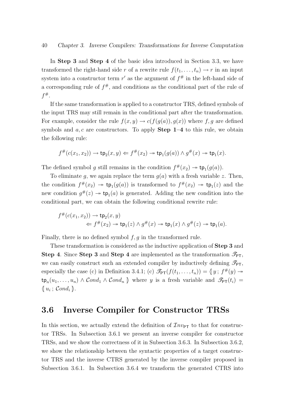In Step 3 and Step 4 of the basic idea introduced in Section 3.3, we have transformed the right-hand side r of a rewrite rule  $f(t_1, \ldots, t_n) \to r$  in an input system into a constructor term  $r'$  as the argument of  $f^{\#}$  in the left-hand side of a corresponding rule of  $f^{\#}$ , and conditions as the conditional part of the rule of  $f^\#.$ 

If the same transformation is applied to a constructor TRS, defined symbols of the input TRS may still remain in the conditional part after the transformation. For example, consider the rule  $f(x, y) \to c(f(g(a)), g(x))$  where f, g are defined symbols and  $a, c$  are constructors. To apply **Step 1–4** to this rule, we obtain the following rule:

$$
f^{\#}(c(x_1,x_2)) \to \mathsf{tp}_2(x,y) \Leftarrow f^{\#}(x_2) \to \mathsf{tp}_1(g(a)) \land g^{\#}(x) \to \mathsf{tp}_1(x).
$$

The defined symbol g still remains in the condition  $f^{\#}(x_2) \to \text{tp}_1(g(a))$ .

To eliminate g, we again replace the term  $g(a)$  with a fresh variable z. Then, the condition  $f^{\#}(x_2) \to \text{tp}_1(g(a))$  is transformed to  $f^{\#}(x_2) \to \text{tp}_1(z)$  and the new condition  $g^{\#}(z) \to \text{tp}_1(a)$  is generated. Adding the new condition into the conditional part, we can obtain the following conditional rewrite rule:

$$
f^{\#}(c(x_1,x_2)) \to \text{tp}_2(x,y)
$$
  

$$
\Leftarrow f^{\#}(x_2) \to \text{tp}_1(z) \land g^{\#}(x) \to \text{tp}_1(x) \land g^{\#}(z) \to \text{tp}_1(a).
$$

Finally, there is no defined symbol  $f, g$  in the transformed rule.

These transformation is considered as the inductive application of Step 3 and Step 4. Since Step 3 and Step 4 are implemented as the transformation  $\mathcal{I}_{\text{PT}}$ , we can easily construct such an extended compiler by inductively defining  $\mathcal{I}_{\text{PT}}$ , especially the case (c) in Definition 3.4.1; (c)  $\mathcal{I}_{PT}(f(t_1,\ldots,t_n)) = \{y; f^*(y) \rightarrow$  $\tt{tp}_n(u_1,\ldots,u_n) \wedge Cond_1 \wedge Cond_n$  where y is a fresh variable and  $\mathscr{F}_{PT}(t_i) =$  $\{u_i; \; \mathcal{C} \circ nd_i\}.$ 

# 3.6 Inverse Compiler for Constructor TRSs

In this section, we actually extend the definition of  $\mathcal{I}nv_{\text{PT}}$  to that for constructor TRSs. In Subsection 3.6.1 we present an inverse compiler for constructor TRSs, and we show the correctness of it in Subsection 3.6.3. In Subsection 3.6.2, we show the relationship between the syntactic properties of a target constructor TRS and the inverse CTRS generated by the inverse compiler proposed in Subsection 3.6.1. In Subsection 3.6.4 we transform the generated CTRS into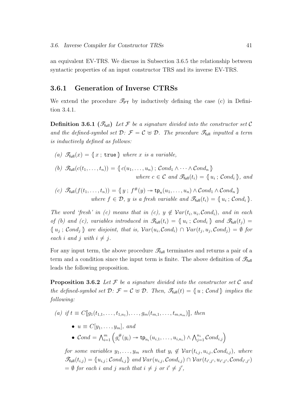an equivalent EV-TRS. We discuss in Subsection 3.6.5 the relationship between syntactic properties of an input constructor TRS and its inverse EV-TRS.

## 3.6.1 Generation of Inverse CTRSs

We extend the procedure  $\mathcal{I}_{PT}$  by inductively defining the case (c) in Definition 3.4.1.

**Definition 3.6.1** ( $\mathscr{T}_{\text{full}}$ ) Let F be a signature divided into the constructor set C and the defined-symbol set  $\mathcal{D}: \mathcal{F} = \mathcal{C} \oplus \mathcal{D}$ . The procedure  $\mathcal{F}_{\text{full}}$  inputted a term is inductively defined as follows:

- (a)  $\mathscr{T}_{\text{full}}(x) = \{x ; \text{true}\}\$  where x is a variable,
- (b)  $\mathscr{T}_{\text{full}}(c(t_1,\ldots,t_n)) = \{c(u_1,\ldots,u_n) ; \text{Cond}_1 \wedge \cdots \wedge \text{Cond}_n\}$ where  $c \in \mathcal{C}$  and  $\mathscr{F}_{\text{full}}(t_i) = \{u_i; \mathcal{C} \text{ond}_i\},$  and
- (c)  $\mathscr{F}_{\text{full}}(f(t_1,\ldots,t_n)) = \{y \, ; \, f^{\#}(y) \rightarrow \text{tp}_n(u_1,\ldots,u_n) \land \text{Cond}_1 \land \text{Cond}_n \}$ where  $f \in \mathcal{D}$ , y is a fresh variable and  $\mathscr{T}_{\text{full}}(t_i) = \{u_i : \text{Cond}_i\}.$

The word 'fresh' in (c) means that in (c),  $y \notin Var(t_i, u_i, Cond_i)$ , and in each of (b) and (c), variables introduced in  $\mathscr{T}_{\text{full}}(t_i) = \{u_i : \text{Cond}_i\}$  and  $\mathscr{T}_{\text{full}}(t_j) =$  $\{u_j; \; Cond_j\}$  are disjoint, that is,  $Var(u_i, Cond_i) \cap Var(t_j, u_j, Cond_j) = \emptyset$  for each i and j with  $i \neq j$ .

For any input term, the above procedure  $\mathscr{T}_{\text{full}}$  terminates and returns a pair of a term and a condition since the input term is finite. The above definition of  $\mathscr{T}_{\text{full}}$ leads the following proposition.

**Proposition 3.6.2** Let F be a signature divided into the constructor set C and the defined-symbol set  $\mathcal{D}$ :  $\mathcal{F} = C \oplus \mathcal{D}$ . Then,  $\mathscr{T}_{\text{full}}(t) = \{u$ ; Cond  $\}$  implies the following:

- (a) if  $t \equiv C[\![g_1(t_{1,1},\ldots,t_{1,n_1}),\ldots,g_m(t_{m,1},\ldots,t_{m,n_m})]\!]$ , then
	- $u \equiv C[y_1, \ldots, y_m],$  and
	- $Cond = \bigwedge_{i=1}^{m} \left(g_i^{\#}\right)$  $\pi_i^{\#}(y_i) \twoheadrightarrow \operatorname{\mathsf{tp}}_{n_i}(u_{i,1},\ldots,u_{i,n_i}) \wedge \bigwedge_{j=1}^{n_i} \mathcal{C}ond_{i,j}\Big)$

for some variables  $y_1, \ldots, y_m$  such that  $y_i \notin \mathcal{V}ar(t_{i,j}, u_{i,j}, \mathcal{C}ond_{i,j})$ , where  $\mathscr{T}_{\text{full}}(t_{i,j}) = \{u_{i,j} ; \mathcal{C}ond_{i,j}\}$  and  $\mathcal{V}ar(u_{i,j}, \mathcal{C}ond_{i,j}) \cap \mathcal{V}ar(t_{i',j'}, u_{i',j'}, \mathcal{C}ond_{i',j'})$  $= \emptyset$  for each i and j such that  $i \neq j$  or  $i' \neq j'$ ,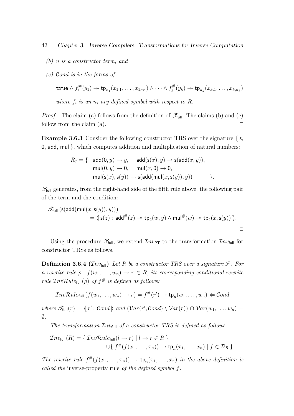- (b) u is a constructor term, and
- (c) Cond is in the forms of

true 
$$
\wedge f_1^{\#}(y_1) \rightarrow \text{tp}_{n_1}(x_{1,1},\ldots,x_{1,n_1}) \wedge \cdots \wedge f_k^{\#}(y_k) \rightarrow \text{tp}_{n_k}(x_{k,1},\ldots,x_{k,n_k})
$$
  
where  $f_i$  is an  $n_i$ -ary defined symbol with respect to R.

*Proof.* The claim (a) follows from the definition of  $\mathscr{T}_{full}$ . The claims (b) and (c) follow from the claim (a).  $\Box$ 

Example 3.6.3 Consider the following constructor TRS over the signature { s, 0, add, mul }, which computes addition and multiplication of natural numbers:

$$
R_7 = \{ \begin{array}{cl} \mathsf{add}(0,y) \to y, & \mathsf{add}(\mathsf{s}(x),y) \to \mathsf{s}(\mathsf{add}(x,y)), \\ \mathsf{mul}(0,y) \to 0, & \mathsf{mul}(x,0) \to 0, \\ \mathsf{mul}(\mathsf{s}(x),\mathsf{s}(y)) \to \mathsf{s}(\mathsf{add}(\mathsf{mul}(x,\mathsf{s}(y)),y)) \end{array} \}.
$$

 $\mathscr{T}_{\text{full}}$  generates, from the right-hand side of the fifth rule above, the following pair of the term and the condition:

$$
\mathscr{T}_{\text{full}}\left(\mathsf{s}(\mathsf{add}(\mathsf{mul}(x,\mathsf{s}(y)),y))\right) \\
= \langle\!\!\!\langle \mathsf{s}(z)\,;\,\mathsf{add}^{\#}(z)\to\mathsf{tp}_2(w,y)\wedge\mathsf{mul}^{\#}(w)\to\mathsf{tp}_2(x,\mathsf{s}(y))\,\rangle.\n\qquad \qquad \Box
$$

Using the procedure  $\mathcal{I}_{\text{full}}$ , we extend  $\mathcal{I}_{n\nu_{\text{PT}}}$  to the transformation  $\mathcal{I}_{n\nu_{\text{full}}}$  for constructor TRSs as follows.

**Definition 3.6.4** ( $\mathcal{I}nv_{\text{full}}$ ) Let R be a constructor TRS over a signature  $\mathcal{F}$ . For a rewrite rule  $\rho: f(w_1, \ldots, w_n) \to r \in R$ , its corresponding conditional rewrite rule  $\mathcal{I}nv\mathcal{R}ul$ e<sub>full</sub> $(\rho)$  of  $f^{\#}$  is defined as follows:

$$
\mathcal{I}nv\mathcal{R}ule_{\text{full}}(f(w_1,\ldots,w_n)\to r)=f^{\#}(r')\to \text{tp}_n(w_1,\ldots,w_n)\Leftarrow \mathcal{C}ond
$$

where  $\mathscr{T}_{\text{full}}(r) = \{r' ; \text{Cond}\}$  and  $(\text{Var}(r', \text{Cond}) \setminus \text{Var}(r)) \cap \text{Var}(w_1, \ldots, w_n) =$  $\emptyset$ .

The transformation  $\mathcal{I}nv_{\text{full}}$  of a constructor TRS is defined as follows:

$$
\mathcal{I}nv_{\text{full}}(R) = \{ \mathcal{I}nv\mathcal{R}ule_{\text{full}}(l \to r) \mid l \to r \in R \}
$$
  

$$
\cup \{ f^{\#}(f(x_1, \ldots, x_n)) \to \text{tp}_n(x_1, \ldots, x_n) \mid f \in \mathcal{D}_R \}.
$$

The rewrite rule  $f^{\#}(f(x_1,...,x_n)) \to \text{tp}_n(x_1,...,x_n)$  in the above definition is called the inverse-property rule of the defined symbol f.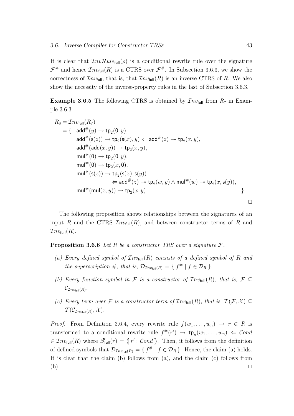It is clear that  $InvRule_{full}(\rho)$  is a conditional rewrite rule over the signature  $\mathcal{F}^{\#}$  and hence  $\mathcal{I}nv_{\text{full}}(R)$  is a CTRS over  $\mathcal{F}^{\#}$ . In Subsection 3.6.3, we show the correctness of  $\mathcal{I}nv_{\text{full}}$ , that is, that  $\mathcal{I}nv_{\text{full}}(R)$  is an inverse CTRS of R. We also show the necessity of the inverse-property rules in the last of Subsection 3.6.3.

**Example 3.6.5** The following CTRS is obtained by  $\mathcal{I}nv_{\text{full}}$  from  $R_7$  in Example 3.6.3:

$$
R_8 = \mathcal{I}nv_{\text{full}}(R_7)
$$
  
\n
$$
= \{ \quad \text{add}^{\#}(y) \rightarrow \text{tp}_2(0, y),
$$
  
\n
$$
\text{add}^{\#}(\text{s}(z)) \rightarrow \text{tp}_2(\text{s}(x), y) \Leftarrow \text{add}^{\#}(z) \rightarrow \text{tp}_2(x, y),
$$
  
\n
$$
\text{add}^{\#}(\text{add}(x, y)) \rightarrow \text{tp}_2(x, y),
$$
  
\n
$$
\text{mul}^{\#}(0) \rightarrow \text{tp}_2(0, y),
$$
  
\n
$$
\text{mul}^{\#}(0) \rightarrow \text{tp}_2(x, 0),
$$
  
\n
$$
\text{mul}^{\#}(\text{s}(z)) \rightarrow \text{tp}_2(\text{s}(x), \text{s}(y))
$$
  
\n
$$
\Leftarrow \text{add}^{\#}(z) \rightarrow \text{tp}_2(w, y) \land \text{mul}^{\#}(w) \rightarrow \text{tp}_2(x, \text{s}(y)),
$$
  
\n
$$
\text{mul}^{\#}(\text{mul}(x, y)) \rightarrow \text{tp}_2(x, y)
$$

The following proposition shows relationships between the signatures of an input R and the CTRS  $\mathcal{I}nv_{\text{full}}(R)$ , and between constructor terms of R and  $\mathcal{I}nv_{\text{full}}(R)$ .

**Proposition 3.6.6** Let R be a constructor TRS over a signature  $\mathcal{F}$ .

- (a) Every defined symbol of  $\mathcal{I}nv_{\text{full}}(R)$  consists of a defined symbol of R and the superscription  $\#$ , that is,  $\mathcal{D}_{\mathcal{I}nv_{\text{full}}(R)} = \{ f^{\#} | f \in \mathcal{D}_R \}.$
- (b) Every function symbol in F is a constructor of  $\mathcal{I}nv_{\text{full}}(R)$ , that is,  $\mathcal{F} \subseteq$  $\mathcal{C}_{\mathcal{I}nv_{\mathsf{full}}(R)}.$
- (c) Every term over F is a constructor term of  $\mathcal{I}nv_{\text{full}}(R)$ , that is,  $\mathcal{T}(\mathcal{F},\mathcal{X})\subseteq$  $\mathcal{T}(\mathcal{C}_{\mathcal{I}nv_{\mathsf{full}}(R)},\mathcal{X}).$

*Proof.* From Definition 3.6.4, every rewrite rule  $f(w_1, \ldots, w_n) \rightarrow r \in R$  is transformed to a conditional rewrite rule  $f^{\#}(r') \to \text{tp}_n(w_1, \ldots, w_n) \Leftarrow \text{Cond}$  $\in \mathcal{I}nv_{\text{full}}(R)$  where  $\mathscr{T}_{\text{full}}(r) = \{r' \, ; \, \mathcal{C}ond \}$ . Then, it follows from the definition of defined symbols that  $\mathcal{D}_{\mathcal{I}nv_{\text{full}}(R)} = \{ f^{\#} | f \in \mathcal{D}_R \}$ . Hence, the claim (a) holds. It is clear that the claim (b) follows from (a), and the claim (c) follows from  $\Box$  utilize the contract of the contract of the contract of the contract of the contract of the contract of the contract of the contract of the contract of the contract of the contract of the contract of the contract of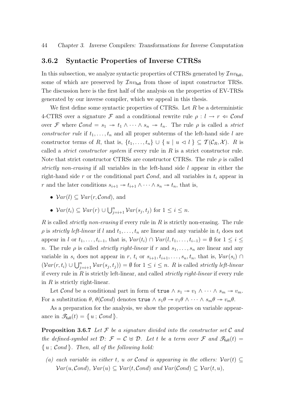## 3.6.2 Syntactic Properties of Inverse CTRSs

In this subsection, we analyze syntactic properties of CTRSs generated by  $\mathcal{I}nv_{\text{full}}$ , some of which are preserved by  $\mathcal{I}nv_{\text{full}}$  from those of input constructor TRSs. The discussion here is the first half of the analysis on the properties of EV-TRSs generated by our inverse compiler, which we appeal in this thesis.

We first define some syntactic properties of CTRSs. Let  $R$  be a deterministic 4-CTRS over a signature F and a conditional rewrite rule  $\rho: l \to r \in \mathcal{C}ond$ over F where  $Cond = s_1 \rightarrow t_1 \wedge \cdots \wedge s_n \rightarrow t_n$ . The rule  $\rho$  is called a *strict* constructor rule if  $t_1, \ldots, t_n$  and all proper subterms of the left-hand side l are constructor terms of R, that is,  $\{t_1, \ldots, t_n\} \cup \{u \mid u \leq l\} \subseteq T(C_R, \mathcal{X})$ . R is called a *strict constructor system* if every rule in  $R$  is a strict constructor rule. Note that strict constructor CTRSs are constructor CTRSs. The rule  $\rho$  is called strictly non-erasing if all variables in the left-hand side l appear in either the right-hand side r or the conditional part  $Cond$ , and all variables in  $t_i$  appear in r and the later conditions  $s_{i+1} \rightarrow t_{i+1} \wedge \cdots \wedge s_n \rightarrow t_n$ , that is,

- $Var(l) \subseteq Var(r, Cond)$ , and
- $Var(t_i) \subseteq Var(r) \cup \bigcup_{j=i+1}^n Var(s_j, t_j)$  for  $1 \leq i \leq n$ .

R is called *strictly non-erasing* if every rule in R is strictly non-erasing. The rule  $\rho$  is *strictly left-linear* if l and  $t_1, \ldots, t_n$  are linear and any variable in  $t_i$  does not appear in l or  $t_1, \ldots, t_{i-1}$ , that is,  $Var(t_i) \cap Var(l, t_1, \ldots, t_{i-1}) = \emptyset$  for  $1 \leq i \leq$ n. The rule  $\rho$  is called *strictly right-linear* if r and  $s_1, \ldots, s_n$  are linear and any variable in  $s_i$  does not appear in r,  $t_i$  or  $s_{i+1}, t_{i+1}, \ldots, s_n, t_n$ , that is,  $Var(s_i) \cap$  $(Var(r, t_i) \cup \bigcup_{j=i+1}^{n} Var(s_j, t_j)) = \emptyset$  for  $1 \leq i \leq n$ . R is called *strictly left-linear* if every rule in  $R$  is strictly left-linear, and called *strictly right-linear* if every rule in  $R$  is strictly right-linear.

Let Cond be a conditional part in form of  $true \wedge s_1 \rightarrow v_1 \wedge \cdots \wedge s_m \rightarrow v_m$ . For a substitution  $\theta$ ,  $\theta$ (*Cond*) denotes true  $\wedge s_1\theta \rightarrow v_1\theta \wedge \cdots \wedge s_m\theta \rightarrow v_m\theta$ .

As a preparation for the analysis, we show the properties on variable appearance in  $\mathscr{T}_{\text{full}}(t) = \langle u ; \mathcal{C} \text{ond} \rangle.$ 

**Proposition 3.6.7** Let  $\mathcal F$  be a signature divided into the constructor set  $\mathcal C$  and the defined-symbol set  $\mathcal{D}$ :  $\mathcal{F} = \mathcal{C} \oplus \mathcal{D}$ . Let t be a term over  $\mathcal{F}$  and  $\mathscr{T}_{\text{full}}(t) =$  $\{u ; \mathit{Cond}\}\.$  Then, all of the following hold:

(a) each variable in either t, u or Cond is appearing in the others:  $Var(t) \subseteq$  $Var(u, Cond), Var(u) \subseteq Var(t, Cond)$  and  $Var(Cond) \subseteq Var(t, u)$ ,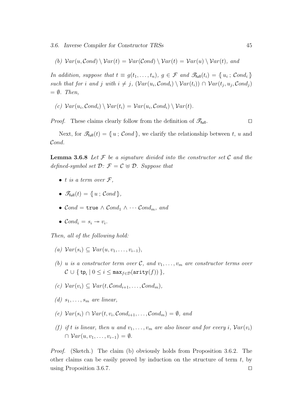3.6. Inverse Compiler for Constructor TRSs 45

(b)  $Var(u, Cond) \setminus Var(t) = Var(Cond) \setminus Var(t) = Var(u) \setminus Var(t)$ , and

In addition, suppose that  $t \equiv g(t_1, \ldots, t_n)$ ,  $g \in \mathcal{F}$  and  $\mathscr{T}_{\text{full}}(t_i) = \{u_i : \text{Cond}_i\}$ such that for i and j with  $i \neq j$ ,  $(Var(u_i, Cond_i) \setminus Var(t_i)) \cap Var(t_j, u_j, Cond_j)$  $= \emptyset$ . Then,

(c)  $Var(u_i, Cond_i) \setminus Var(t_i) = Var(u_i, Cond_i) \setminus Var(t)$ .

*Proof.* These claims clearly follow from the definition of  $\mathscr{T}_{\text{full}}$ .

Next, for  $\mathscr{F}_{\text{full}}(t) = \{u ; \mathcal{C} \text{ and } \}$ , we clarify the relationship between t, u and Cond.

**Lemma 3.6.8** Let  $\mathcal F$  be a signature divided into the constructor set  $\mathcal C$  and the defined-symbol set  $\mathcal{D}: \mathcal{F} = \mathcal{C} \oplus \mathcal{D}$ . Suppose that

- t is a term over  $\mathcal{F},$
- $\bullet \ \mathscr{T}_{\mathsf{full}}(t) = \{\!\!\{ u \, ; \, \mathcal{C}ond \,\!\!\} ,$
- $Cond = \text{true} \wedge Cond_1 \wedge \cdots Cond_m$ , and
- $\mathcal{C} \text{ond}_i = s_i \rightarrow v_i.$

Then, all of the following hold:

- (a)  $Var(s_i) \subseteq Var(u, v_1, \ldots, v_{i-1}),$
- (b) u is a constructor term over C, and  $v_1, \ldots, v_m$  are constructor terms over  $\mathcal{C} \cup \{ \, \texttt{tp}_i \mid 0 \leq i \leq \texttt{max}_{f \in \mathcal{D}}(\texttt{arity}(f)) \, \},$
- (c)  $Var(v_i) \subseteq Var(t, Cond_{i+1}, \ldots, Cond_m)$ ,
- (d)  $s_1, \ldots, s_m$  are linear,
- $(e) \ Var(s_i) \cap \ Var(t, v_i, Cond_{i+1}, \ldots, Cond_m) = \emptyset$ , and
- (f) if t is linear, then u and  $v_1, \ldots, v_m$  are also linear and for every i,  $Var(v_i)$  $\cap \; Var(u, v_1, \ldots, v_{i-1}) = \emptyset.$

Proof. (Sketch.) The claim (b) obviously holds from Proposition 3.6.2. The other claims can be easily proved by induction on the structure of term  $t$ , by using Proposition 3.6.7.  $\Box$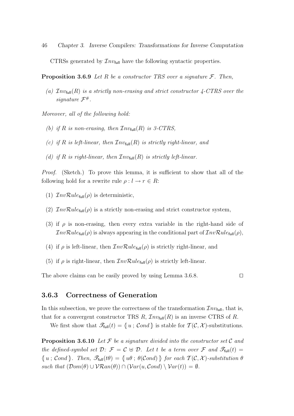46 Chapter 3. Inverse Compilers: Transformations for Inverse Computation CTRSs generated by  $\mathcal{I}nv_{\text{full}}$  have the following syntactic properties.

**Proposition 3.6.9** Let R be a constructor TRS over a signature  $\mathcal{F}$ . Then,

(a)  $\mathcal{I}nv_{\text{full}}(R)$  is a strictly non-erasing and strict constructor 4-CTRS over the signature  $\mathcal{F}^{\#}.$ 

Moreover, all of the following hold:

- (b) if R is non-erasing, then  $\mathcal{I}nv_{\text{full}}(R)$  is 3-CTRS,
- (c) if R is left-linear, then  $\mathcal{I}nv_{\text{full}}(R)$  is strictly right-linear, and
- (d) if R is right-linear, then  $\mathcal{I}nv_{\text{full}}(R)$  is strictly left-linear.

Proof. (Sketch.) To prove this lemma, it is sufficient to show that all of the following hold for a rewrite rule  $\rho: l \to r \in R$ :

- (1)  $\mathcal{I}nv\mathcal{R}ule_{\text{full}}(\rho)$  is deterministic,
- (2)  $InvRule_{full}(\rho)$  is a strictly non-erasing and strict constructor system,
- (3) if  $\rho$  is non-erasing, then every extra variable in the right-hand side of  $InvRule_{full}(\rho)$  is always appearing in the conditional part of  $InvRule_{full}(\rho)$ ,
- (4) if  $\rho$  is left-linear, then  $\mathcal{I}nv\mathcal{R}ule_{\text{full}}(\rho)$  is strictly right-linear, and
- (5) if  $\rho$  is right-linear, then  $\mathcal{I}nv\mathcal{R}ule_{\text{full}}(\rho)$  is strictly left-linear.

The above claims can be easily proved by using Lemma 3.6.8.  $\Box$ 

## 3.6.3 Correctness of Generation

In this subsection, we prove the correctness of the transformation  $\mathcal{I}nv_{\text{full}}$ , that is, that for a convergent constructor TRS R,  $\mathcal{I}nv_{\text{full}}(R)$  is an inverse CTRS of R.

We first show that  $\mathscr{T}_{\text{full}}(t) = \{u ; \text{Cond}\}\$ is stable for  $\mathcal{T}(\mathcal{C}, \mathcal{X})$ -substitutions.

**Proposition 3.6.10** Let  $\mathcal F$  be a signature divided into the constructor set  $\mathcal C$  and the defined-symbol set  $\mathcal{D}$ :  $\mathcal{F} = \mathcal{C} \oplus \mathcal{D}$ . Let t be a term over  $\mathcal{F}$  and  $\mathscr{T}_{\text{full}}(t) =$  $\{u ;\; Cond\}$ . Then,  $\mathscr{T}_{\text{full}}(t\theta) = \{u\theta ; \theta(\text{Cond})\}$  for each  $\mathcal{T}(\mathcal{C},\mathcal{X})$ -substitution  $\theta$ such that  $(\mathcal{D}om(\theta) \cup \mathcal{V}Ran(\theta)) \cap (\mathcal{V}ar(u, Cond) \setminus \mathcal{V}ar(t)) = \emptyset$ .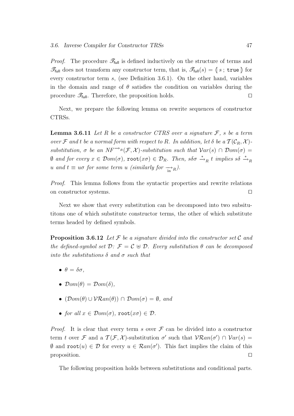*Proof.* The procedure  $\mathscr{T}_{\text{full}}$  is defined inductively on the structure of terms and  $\mathscr{T}_{\text{full}}$  does not transform any constructor term, that is,  $\mathscr{T}_{\text{full}}(s) = \{ s \, ; \, \text{true} \, \}$  for every constructor term s, (see Definition 3.6.1). On the other hand, variables in the domain and range of  $\theta$  satisfies the condition on variables during the procedure  $\mathscr{T}_{\text{full}}$ . Therefore, the proposition holds.

Next, we prepare the following lemma on rewrite sequences of constructor CTRSs.

**Lemma 3.6.11** Let R be a constructor CTRS over a signature  $\mathcal{F}$ , s be a term over F and t be a normal form with respect to R. In addition, let  $\delta$  be a  $\mathcal{T}(\mathcal{C}_R, \mathcal{X})$ substitution,  $\sigma$  be an  $NF^{-\lambda_R}(\mathcal{F}, \mathcal{X})$ -substitution such that  $Var(s) \cap Dom(\sigma) =$  $\emptyset$  and for every  $x \in \mathcal{D}om(\sigma)$ ,  $\texttt{root}(x\sigma) \in \mathcal{D}_R$ . Then,  $s\delta\sigma \xrightarrow{*}{}_{R} t$  implies  $s\delta \xrightarrow{*}{}_{R}$ u and  $t \equiv u\sigma$  for some term u (similarly for  $\frac{1}{\ln R}$ ).

Proof. This lemma follows from the syntactic properties and rewrite relations on constructor systems.  $\Box$ 

Next we show that every substitution can be decomposed into two subsitutitons one of which substitute constructor terms, the other of which substitute terms headed by defined symbols.

**Proposition 3.6.12** Let F be a signature divided into the constructor set C and the defined-symbol set  $\mathcal{D}: \mathcal{F} = \mathcal{C} \oplus \mathcal{D}$ . Every substitution  $\theta$  can be decomposed into the substitutions  $\delta$  and  $\sigma$  such that

- $\bullet$   $\theta = \delta \sigma$ ,
- $\mathcal{D}om(\theta) = \mathcal{D}om(\delta)$ .
- $(\mathcal{D}om(\theta) \cup \mathcal{V}Ran(\theta)) \cap \mathcal{D}om(\sigma) = \emptyset$ , and
- for all  $x \in \mathcal{D}om(\sigma)$ , root $(x\sigma) \in \mathcal{D}$ .

*Proof.* It is clear that every term s over  $\mathcal F$  can be divided into a constructor term t over F and a  $\mathcal{T}(\mathcal{F}, \mathcal{X})$ -substitution  $\sigma'$  such that  $\mathcal{V}\mathcal{R}an(\sigma') \cap \mathcal{V}ar(s) =$  $\emptyset$  and root $(u) \in \mathcal{D}$  for every  $u \in \mathcal{R}an(\sigma')$ . This fact implies the claim of this proposition.  $\Box$ 

The following proposition holds between substitutions and conditional parts.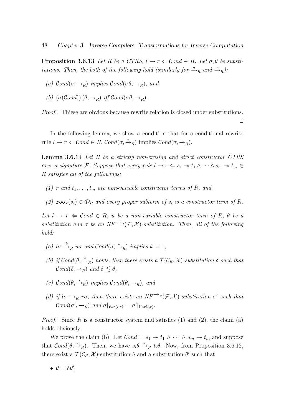**Proposition 3.6.13** Let R be a CTRS,  $l \rightarrow r \Leftarrow \mathcal{C}$  edge R. Let  $\sigma, \theta$  be substitutions. Then, the both of the following hold (similarly for  $\stackrel{n}{\longrightarrow}_R$  and  $\stackrel{*}{\longrightarrow}_R$ ):

- (a)  $\mathcal{C}$ ond( $\sigma$ ,  $\rightarrow$ <sub>R</sub>) implies  $\mathcal{C}$ ond( $\sigma$  $\theta$ ,  $\rightarrow$ <sub>R</sub>), and
- (b)  $(\sigma(Cond))(\theta, \rightarrow_R)$  iff  $Cond(\sigma\theta, \rightarrow_R)$ .

Proof. Thiese are obvious because rewrite relation is closed under substitutions.  $\Box$ 

In the following lemma, we show a condition that for a conditional rewrite rule  $l \to r \Leftarrow \mathcal{C}ond \in R$ ,  $\mathcal{C}ond(\sigma, \stackrel{*}{\to}_R)$  implies  $\mathcal{C}ond(\sigma, \to_R)$ .

Lemma 3.6.14 Let R be a strictly non-erasing and strict constructor CTRS over a signature F. Suppose that every rule  $l \to r \Leftarrow s_1 \to t_1 \wedge \cdots \wedge s_m \to t_m \in$ R satisfies all of the followings:

- (1) r and  $t_1, \ldots, t_m$  are non-variable constructor terms of R, and
- (2)  $\text{root}(s_i) \in \mathcal{D}_R$  and every proper subterm of  $s_i$  is a constructor term of R.

Let  $l \rightarrow r \Leftarrow \mathcal{C}$  on  $l \in R$ , u be a non-variable constructor term of R,  $\theta$  be a substitution and  $\sigma$  be an NF<sup> $\rightarrow$ R</sup>( $\mathcal{F}, \mathcal{X}$ )-substitution. Then, all of the following hold:

- (a)  $l\sigma \stackrel{k}{\rightarrow}_R u\sigma$  and  $Cond(\sigma, \stackrel{*}{\rightarrow}_R)$  implies  $k=1$ ,
- (b) if  $Cond(\theta, \stackrel{*}{\rightarrow}_R)$  holds, then there exists a  $\mathcal{T}(\mathcal{C}_R, \mathcal{X})$ -substitution  $\delta$  such that  $\mathcal{C}$ *ond*( $\delta$ ,  $\rightarrow$ <sub>P</sub>) and  $\delta \leq \theta$ .
- (c)  $\mathcal{C}$ ond $(\theta, \stackrel{*}{\rightharpoonup}_R)$  implies  $\mathcal{C}$ ond $(\theta, \rightarrow_R)$ , and
- (d) if  $l\sigma \rightarrow_R r\sigma$ , then there exists an  $NF^{\rightarrow_R}(\mathcal{F}, \mathcal{X})$ -substitution  $\sigma'$  such that  $\mathcal{C}ond(\sigma', \rightarrow_R)$  and  $\sigma|_{\mathcal{V}ar(l,r)} = \sigma'|_{\mathcal{V}ar(l,r)}$ .

*Proof.* Since R is a constructor system and satisfies (1) and (2), the claim (a) holds obviously.

We prove the claim (b). Let  $Cond = s_1 \rightarrow t_1 \wedge \cdots \wedge s_m \rightarrow t_m$  and suppose that  $Cond(\theta, \stackrel{*}{\rightarrow}_R)$ . Then, we have  $s_i\theta \stackrel{*}{\rightarrow}_R t_i\theta$ . Now, from Proposition 3.6.12, there exist a  $\mathcal{T}(\mathcal{C}_R, \mathcal{X})$ -substitution  $\delta$  and a substitution  $\theta'$  such that

$$
\bullet \ \theta = \delta \theta',
$$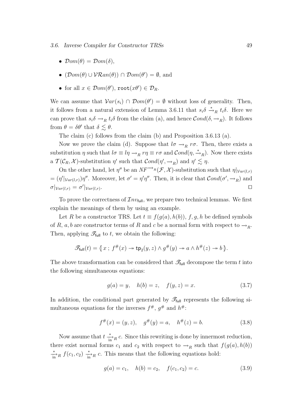3.6. Inverse Compiler for Constructor TRSs 49

- $\mathcal{D}om(\theta) = \mathcal{D}om(\delta)$ ,
- $(\mathcal{D}om(\theta) \cup \mathcal{V}\mathcal{R}an(\theta)) \cap \mathcal{D}om(\theta') = \emptyset$ , and
- for all  $x \in \mathcal{D}om(\theta')$ ,  $\text{root}(x\theta') \in \mathcal{D}_R$ .

We can assume that  $Var(s_i) \cap Dom(\theta') = \emptyset$  without loss of generality. Then, it follows from a natural extension of Lemma 3.6.11 that  $s_i \delta \stackrel{*}{\rightarrow}_R t_i \delta$ . Here we can prove that  $s_i\delta \to_R t_i\delta$  from the claim (a), and hence  $\mathcal{C}ond(\delta, \to_R)$ . It follows from  $\theta = \delta \theta'$  that  $\delta \lesssim \theta$ .

The claim (c) follows from the claim (b) and Proposition 3.6.13 (a).

Now we prove the claim (d). Suppose that  $l\sigma \rightarrow_R r\sigma$ . Then, there exists a substitution  $\eta$  such that  $l\sigma \equiv l\eta \to_R r\eta \equiv r\sigma$  and  $\mathcal{C}$ *ond* $(\eta, \stackrel{*}{\to}_R)$ . Now there exists a  $\mathcal{T}(\mathcal{C}_R, \mathcal{X})$ -substitution  $\eta'$  such that  $\mathcal{C}ond(\eta', \to_R)$  and  $\eta' \lesssim \eta$ .

On the other hand, let  $\eta''$  be an  $NF^{-\lambda_R}(\mathcal{F}, \mathcal{X})$ -substitution such that  $\eta|_{Var(l,r)}$  $=(\eta'|\text{Var}(l,r))\eta''$ . Moreover, let  $\sigma'=\eta'\eta''$ . Then, it is clear that  $Cond(\sigma',\rightarrow_R)$  and  $\sigma|_{Var(l,r)} = \sigma'|_{Var(l,r)}$ . The contract of the contract of the contract of the contract of the contract of the contract of the contract of the contract of the contract of the contract of the contract of the contract of the contract of the contract

To prove the correctness of  $\mathcal{I}nv_{\text{full}}$ , we prepare two technical lemmas. We first explain the meanings of them by using an example.

Let R be a constructor TRS. Let  $t \equiv f(g(a), h(b)), f, g, h$  be defined symbols of R, a, b are constructor terms of R and c be a normal form with respect to  $\rightarrow_R$ . Then, applying  $\mathscr{T}_{\text{full}}$  to t, we obtain the following:

$$
\mathscr{T}_{\text{full}}(t) = \langle x \, ; \, f^\#(x) \to \text{tp}_2(y, z) \land g^\#(y) \to a \land h^\#(z) \to b \, \rangle.
$$

The above transformation can be considered that  $\mathscr{T}_{\text{full}}$  decompose the term t into the following simultaneous equations:

$$
g(a) = y, \quad h(b) = z, \quad f(y, z) = x.
$$
\n(3.7)

In addition, the conditional part generated by  $\mathscr{T}_{\text{full}}$  represents the following simultaneous equations for the inverses  $f^{\#}, g^{\#}$  and  $h^{\#}$ :

$$
f^{\#}(x) = (y, z), \quad g^{\#}(y) = a, \quad h^{\#}(z) = b.
$$
 (3.8)

Now assume that  $t \frac{*}{\ln R} c$ . Since this rewriting is done by innermost reduction, there exist normal forms  $c_1$  and  $c_2$  with respect to  $\rightarrow_R$  such that  $f(g(a), h(b))$  $\frac{*}{\sin^2 R} f(c_1, c_2) \stackrel{*}{\longrightarrow}_R c$ . This means that the following equations hold:

$$
g(a) = c_1, \quad h(b) = c_2, \quad f(c_1, c_2) = c.
$$
 (3.9)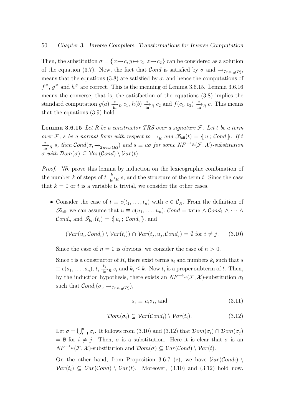Then, the substitution  $\sigma = \{x \mapsto c, y \mapsto c_1, z \mapsto c_2\}$  can be considered as a solution of the equation (3.7). Now, the fact that  $Cond$  is satisfied by  $\sigma$  and  $\rightarrow_{Inv_{full}(R)}$ , means that the equations (3.8) are satisfied by  $\sigma$ , and hence the computations of  $f^{\#}, g^{\#}$  and  $h^{\#}$  are correct. This is the meaning of Lemma 3.6.15. Lemma 3.6.16 means the converse, that is, the satisfaction of the equations (3.8) implies the standard computation  $g(a) \frac{*}{\text{in}^2}$   $c_1$ ,  $h(b) \frac{*}{\text{in}^2}$   $c_2$  and  $f(c_1, c_2) \frac{*}{\text{in}^2}$   $c$ . This means that the equations (3.9) hold.

**Lemma 3.6.15** Let R be a constructor TRS over a signature  $\mathcal{F}$ . Let t be a term over F, s be a normal form with respect to  $\rightarrow_R$  and  $\mathscr{F}_{\text{full}}(t) = \{u : \text{Cond}\}\.$  If t  $\frac{a}{\sin R}$  s, then  $Cond(\sigma, \rightarrow_{Inv_{full}(R)})$  and  $s \equiv u\sigma$  for some  $NF^{\rightarrow_R}(\mathcal{F}, \mathcal{X})$ -substitution  $\sigma$  with  $\mathcal{D}om(\sigma) \subset \mathcal{V}ar(\mathcal{C}ond) \setminus \mathcal{V}ar(t)$ .

Proof. We prove this lemma by induction on the lexicographic combination of the number k of steps of  $t \frac{k}{\ln R} s$ , and the structure of the term t. Since the case that  $k = 0$  or t is a variable is trivial, we consider the other cases.

• Consider the case of  $t \equiv c(t_1, \ldots, t_n)$  with  $c \in C_R$ . From the definition of  $\mathscr{T}_{\mathsf{full}}$ , we can assume that  $u \equiv c(u_1, \ldots, u_n)$ ,  $\mathcal{C}ond = \mathtt{true} \wedge \mathcal{C}ond_1 \wedge \cdots \wedge \mathcal{C}ond_n$  $\mathcal{C}ond_n$  and  $\mathscr{T}_{\text{full}}(t_i) = \lbrace u_i \, ; \, \mathcal{C}ond_i \rbrace$ , and

$$
(\mathcal{V}ar(u_i, \mathcal{C}ond_i) \setminus \mathcal{V}ar(t_i)) \cap \mathcal{V}ar(t_j, u_j, \mathcal{C}ond_j) = \emptyset \text{ for } i \neq j. \tag{3.10}
$$

Since the case of  $n = 0$  is obvious, we consider the case of  $n > 0$ .

Since c is a constructor of R, there exist terms  $s_i$  and numbers  $k_i$  such that s  $\equiv c(s_1,\ldots,s_n), t_i \frac{k_i}{\ln n} s_i$  and  $k_i \leq k$ . Now  $t_i$  is a proper subterm of t. Then, by the induction hypothesis, there exists an  $NF^{-\lambda_R}(\mathcal{F}, \mathcal{X})$ -substitution  $\sigma_i$ such that  $Cond_i(\sigma_i, \rightarrow_{\mathcal{I}nv_{\text{full}}(R)}),$ 

$$
s_i \equiv u_i \sigma_i, \text{ and } \tag{3.11}
$$

$$
\mathcal{D}om(\sigma_i) \subseteq \mathcal{V}ar(\mathcal{C}ond_i) \setminus \mathcal{V}ar(t_i). \tag{3.12}
$$

Let  $\sigma = \bigcup_{i=1}^n \sigma_i$ . It follows from (3.10) and (3.12) that  $\mathcal{D}om(\sigma_i) \cap \mathcal{D}om(\sigma_j)$  $= \emptyset$  for  $i \neq j$ . Then,  $\sigma$  is a substitution. Here it is clear that  $\sigma$  is an  $NF^{\rightarrow_R}(\mathcal{F}, \mathcal{X})$ -substitution and  $\mathcal{D}om(\sigma) \subseteq \mathcal{V}ar(\mathcal{C}ond) \setminus \mathcal{V}ar(t)$ .

On the other hand, from Proposition 3.6.7 (c), we have  $Var(\mathcal{C}ond_i)$  $Var(t_i) \subseteq Var(Cond) \setminus Var(t)$ . Moreover, (3.10) and (3.12) hold now.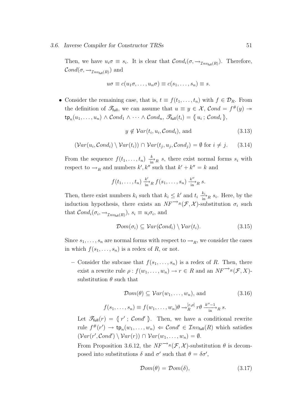#### 3.6. Inverse Compiler for Constructor TRSs 51

Then, we have  $u_i \sigma \equiv s_i$ . It is clear that  $Cond_i(\sigma, \rightarrow_{Inv_{full}(R)})$ . Therefore,  $\mathcal{C}ond(\sigma,\rightarrow_{\mathcal{I}nv_{\mathsf{full}}(R)}) \text{ and}$ 

$$
u\sigma \equiv c(u_1\sigma,\ldots,u_n\sigma) \equiv c(s_1,\ldots,s_n) \equiv s.
$$

• Consider the remaining case, that is,  $t \equiv f(t_1, \ldots, t_n)$  with  $f \in \mathcal{D}_R$ . From the definition of  $\mathscr{T}_{\text{full}}$ , we can assume that  $u \equiv y \in \mathcal{X}$ ,  $Cond = f^{\#}(y) \rightarrow$  $\tt t p_n(u_1, \ldots, u_n) \wedge Cond_1 \wedge \cdots \wedge Cond_n, \ \mathscr{T}_{\text{full}}(t_i) = \{ \{u_i\, ;\, Cond_i\, \},$ 

$$
y \notin Var(t_i, u_i, Cond_i), \text{ and } (3.13)
$$

$$
(\mathcal{V}ar(u_i, \mathcal{C}ond_i) \setminus \mathcal{V}ar(t_i)) \cap \mathcal{V}ar(t_j, u_j, \mathcal{C}ond_j) = \emptyset \text{ for } i \neq j. \tag{3.14}
$$

From the sequence  $f(t_1, \ldots, t_n) \frac{k}{\ln n} s$ , there exist normal forms  $s_i$  with respect to  $\rightarrow_R$  and numbers  $k', k''$  such that  $k' + k'' = k$  and

$$
f(t_1,\ldots,t_n)\xrightarrow{\substack{k'\\in}}f(s_1,\ldots,s_n)\xrightarrow{\substack{k''\\in}}g
$$
.

Then, there exist numbers  $k_i$  such that  $k_i \leq k'$  and  $t_i \frac{k_i}{\ln R} s_i$ . Here, by the induction hypothesis, there exists an  $NF^{-\lambda_R}(\mathcal{F}, \mathcal{X})$ -substitution  $\sigma_i$  such that  $Cond_i(\sigma_i, \rightarrow_{\mathcal{I}nv_{\text{full}}(R)})$ ,  $s_i \equiv u_i \sigma_i$ , and

$$
\mathcal{D}om(\sigma_i) \subseteq \mathcal{V}ar(\mathcal{C}ond_i) \setminus \mathcal{V}ar(t_i). \tag{3.15}
$$

Since  $s_1, \ldots, s_n$  are normal forms with respect to  $\rightarrow_R$ , we consider the cases in which  $f(s_1, \ldots, s_n)$  is a redex of R, or not.

– Consider the subcase that  $f(s_1, \ldots, s_n)$  is a redex of R. Then, there exist a rewrite rule  $\rho : f(w_1, \ldots, w_n) \to r \in R$  and an  $NF^{\rightarrow_R}(\mathcal{F}, X)$ substitution  $\theta$  such that

$$
\mathcal{D}om(\theta) \subseteq \mathcal{V}ar(w_1, \dots, w_n), \text{ and } (3.16)
$$

$$
f(s_1,\ldots,s_n)\equiv f(w_1,\ldots,w_n)\theta\rightarrow_R^{[\varepsilon,\rho]}r\theta\frac{k''-1}{\text{in}}_R s.
$$

Let  $\mathscr{T}_{\text{full}}(r) = \{r' \, ; \, \text{Cond}' \}$ . Then, we have a conditional rewrite rule  $f^{\#}(r') \to \text{tp}_n(w_1, \ldots, w_n) \Leftarrow \text{Cond'} \in \mathcal{I}nv_{\text{full}}(R)$  which satisfies  $(Var(r', Cond') \setminus Var(r)) \cap Var(w_1, \ldots, w_n) = \emptyset.$ 

From Proposition 3.6.12, the  $NF^{-\lambda_R}(\mathcal{F}, \mathcal{X})$ -substitution  $\theta$  is decomposed into substitutions  $\delta$  and  $\sigma'$  such that  $\theta = \delta \sigma'$ ,

$$
\mathcal{D}om(\theta) = \mathcal{D}om(\delta),\tag{3.17}
$$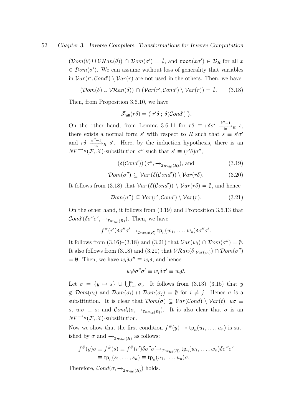$(\mathcal{D}om(\theta) \cup \mathcal{V}Ran(\theta)) \cap \mathcal{D}om(\sigma') = \emptyset$ , and  $\texttt{root}(x\sigma') \in \mathcal{D}_R$  for all x  $\in \mathcal{D}om(\sigma')$ . We can assume without loss of generality that variables in  $Var(r', Cond') \setminus Var(r)$  are not used in the others. Then, we have

$$
(\mathcal{D}om(\delta) \cup \mathcal{V}Ran(\delta)) \cap (\mathcal{V}ar(r',\mathcal{C}ond') \setminus \mathcal{V}ar(r)) = \emptyset. \tag{3.18}
$$

Then, from Proposition 3.6.10, we have

$$
\mathscr{T}_{\text{full}}(r\delta) = \{r'\delta \; ; \; \delta(\mathcal{C} \text{and}')\; \}.
$$

On the other hand, from Lemma 3.6.11 for  $r\theta \equiv r\delta\sigma' \frac{k''-1}{\text{in}}_{R} s$ , there exists a normal form s' with respect to R such that  $s \equiv s' \sigma'$ and  $r\delta \xrightarrow[\text{in}]{k''-1} R$  s'. Here, by the induction hypothesis, there is an  $NF^{-\lambda_R}(\mathcal{F}, \mathcal{X})$ -substitution  $\sigma''$  such that  $s' \equiv (r'\delta)\sigma'',$ 

$$
\left(\delta(\mathcal{C}ond')\right)(\sigma'', \to_{\mathcal{I}nv_{\text{full}}(R)}), \text{ and } \tag{3.19}
$$

$$
\mathcal{D}om(\sigma'') \subseteq \mathcal{V}ar\left(\delta(\mathcal{C}ond')\right) \setminus \mathcal{V}ar(r\delta). \tag{3.20}
$$

It follows from (3.18) that  $Var(\delta(Cond')) \setminus Var(r\delta) = \emptyset$ , and hence

$$
\mathcal{D}om(\sigma'') \subseteq \mathcal{V}ar(r',\mathcal{C}ond') \setminus \mathcal{V}ar(r). \tag{3.21}
$$

On the other hand, it follows from (3.19) and Proposition 3.6.13 that  $\mathcal{C}$ *ond'* ( $\delta \sigma'' \sigma'$ ,  $\rightarrow_{\mathcal{I}nv_{\text{full}}(R)}$ ). Then, we have

$$
f^{\#}(r')\delta\sigma''\sigma' \rightarrow_{\mathcal{I}nv_{\text{full}}(R)} \text{tp}_n(w_1,\ldots,w_n)\delta\sigma''\sigma'.
$$

It follows from  $(3.16)$ – $(3.18)$  and  $(3.21)$  that  $Var(w_i) \cap Dom(\sigma'') = \emptyset$ . It also follows from (3.18) and (3.21) that  $\mathcal{V}\mathcal{R}an(\delta|_{Var(w_i)}) \cap \mathcal{D}om(\sigma'')$  $=\emptyset$ . Then, we have  $w_i \delta \sigma'' \equiv w_i \delta$ , and hence

$$
w_i \delta \sigma'' \sigma' \equiv w_i \delta \sigma' \equiv w_i \theta.
$$

Let  $\sigma = \{y \mapsto s\} \cup \bigcup_{i=1}^n \sigma_i$ . It follows from  $(3.13)$ – $(3.15)$  that y  $\notin \mathcal{D}om(\sigma_i)$  and  $\mathcal{D}om(\sigma_i) \cap \mathcal{D}om(\sigma_j) = \emptyset$  for  $i \neq j$ . Hence  $\sigma$  is a substitution. It is clear that  $\mathcal{D}om(\sigma) \subseteq \mathcal{V}ar(\mathcal{C}ond) \setminus \mathcal{V}ar(t), u\sigma \equiv$ s,  $u_i \sigma \equiv s_i$  and  $\mathcal{C}ond_i(\sigma, \to_{\mathcal{I}nv_{\text{full}}(R)})$ . It is also clear that  $\sigma$  is an  $NF^{-\lambda_R}(\mathcal{F}, \mathcal{X})$ -substitution.

Now we show that the first condition  $f^{\#}(y) \to \text{tp}_n(u_1, \ldots, u_n)$  is satisfied by  $\sigma$  and  $\rightarrow_{\mathcal{I}nv_{\text{full}}(R)}$  as follows:

$$
f^{\#}(y)\sigma \equiv f^{\#}(s) \equiv f^{\#}(r')\delta\sigma''\sigma' \rightarrow_{\mathcal{I}nv_{\text{full}}(R)} \text{tp}_n(w_1,\ldots,w_n)\delta\sigma''\sigma'
$$
  

$$
\equiv \text{tp}_n(s_1,\ldots,s_n) \equiv \text{tp}_n(u_1,\ldots,u_n)\sigma.
$$

Therefore,  $\mathcal{C}ond(\sigma, \rightarrow_{\mathcal{I}nv_{\text{full}}(R)})$  holds.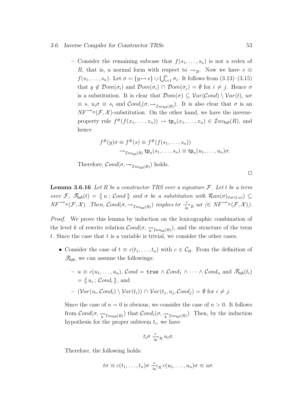#### 3.6. Inverse Compiler for Constructor TRSs 53

– Consider the remaining subcase that  $f(s_1, \ldots, s_n)$  is not a redex of R, that is, a normal form with respect to  $\rightarrow_R$ . Now we have  $s \equiv$  $f(s_1, \ldots, s_n)$ . Let  $\sigma = \{y \mapsto s\} \cup \bigcup_{i=1}^n \sigma_i$ . It follows from  $(3.13)$ – $(3.15)$ that  $y \notin \mathcal{D}om(\sigma_i)$  and  $\mathcal{D}om(\sigma_i) \cap \mathcal{D}om(\sigma_j) = \emptyset$  for  $i \neq j$ . Hence  $\sigma$ is a substitution. It is clear that  $\mathcal{D}om(\sigma) \subseteq \mathcal{V}ar(\mathcal{C}ond) \setminus \mathcal{V}ar(t), u\sigma$  $\equiv s, u_i \sigma \equiv s_i$  and  $\mathcal{C}ond_i(\sigma, \rightarrow_{\mathcal{I}nv_{\text{full}}(R)})$ . It is also clear that  $\sigma$  is an  $NF^{-\lambda_R}(\mathcal{F}, \mathcal{X})$ -substitution. On the other hand, we have the inverseproperty rule  $f^{\#}(f(x_1,...,x_n)) \to \text{tp}_n(x_1,...,x_n) \in \mathcal{I}nv_{\text{full}}(R)$ , and hence

$$
f^{\#}(y)\sigma \equiv f^{\#}(s) \equiv f^{\#}(f(s_1, \ldots, s_n))
$$

$$
\rightarrow_{\mathcal{I}nv_{\text{full}}(R)} \text{tp}_n(s_1, \ldots, s_n) \equiv \text{tp}_n(u_1, \ldots, u_n)\sigma.
$$

Therefore,  $\mathcal{C}ond(\sigma, \rightarrow_{\mathcal{I}nv_{\text{full}}(R)})$  holds.

**Lemma 3.6.16** Let R be a constructor TRS over a signature  $\mathcal{F}$ . Let t be a term over F,  $\mathscr{F}_{\text{full}}(t) = \{u ; \text{Cond}\}\$  and  $\sigma$  be a substitution with  $\text{Ran}(\sigma|_{\text{Var}(t,u)}) \subseteq$  $NF^{\rightarrow_R}(\mathcal{F}, \mathcal{X})$ . Then,  $\mathcal{C}ond(\sigma, \rightarrow_{\mathcal{I}nv_{\text{full}}(R)})$  implies  $t\sigma \stackrel{*}{\longrightarrow}_R u\sigma \in NF^{\rightarrow_R}(\mathcal{F}, \mathcal{X})$ ).

Proof. We prove this lemma by induction on the lexicographic combination of the level k of rewrite relation  $Cond(\sigma, \frac{1}{k} \tau_{nv_{\text{full}}(R)})$ , and the structure of the term t. Since the case that  $t$  is a variable is trivial, we consider the other cases.

- Consider the case of  $t \equiv c(t_1, \ldots, t_n)$  with  $c \in C_R$ . From the definition of  $\mathscr{T}_{\text{full}}$ , we can assume the followings:
	- $-u\equiv c(u_1,\ldots,u_n),\, \mathcal{C}ond=\mathtt{true}\,\land\,\mathcal{C}ond_1\,\land\,\cdots\,\land\,\mathcal{C}ond_n\,\,\text{and}\,\ \mathscr{T}_\mathsf{full}(t_i)$  $=\{\{u_i\,;\,\mathcal{C}ond_i\,\}\text{, and}$  $- \left( Var(u_i, Cond_i) \setminus Var(t_i) \right) \cap Var(t_j, u_j, Cond_j) = \emptyset$  for  $i \neq j$ .

Since the case of  $n = 0$  is obvious, we consider the case of  $n > 0$ . It follows from  $Cond(\sigma, \frac{1}{k'}\tau_{nv_{\text{full}}(R)})$  that  $Cond_i(\sigma, \frac{1}{k}\tau_{nv_{\text{full}}(R)})$ . Then, by the induction hypothesis for the proper subterm  $t_i$ , we have

$$
t_i \sigma \xrightarrow[\text{in}]{*} R u_i \sigma.
$$

Therefore, the following holds:

$$
t\sigma \equiv c(t_1,\ldots,t_n)\sigma \frac{*}{\ln n}c(u_1,\ldots,u_n)\sigma \equiv u\sigma.
$$

 $\Box$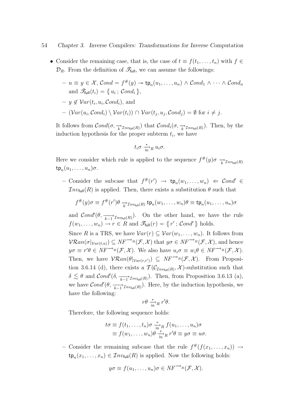- Consider the remaining case, that is, the case of  $t \equiv f(t_1, \ldots, t_n)$  with  $f \in$  $\mathcal{D}_R$ . From the definition of  $\mathscr{T}_{\text{full}}$ , we can assume the followings:
	- $-u \equiv y \in \mathcal{X}, Cond = f^{\#}(y) \twoheadrightarrow \text{tp}_n(u_1, \ldots, u_n) \wedge Cond_1 \wedge \cdots \wedge Cond_n$ and  $\mathscr{T}_{\text{full}}(t_i) = \langle u_i ; \text{Cond}_i \rangle,$
	- $y \notin Var(t_i, u_i, Cond_i),$  and
	- $\left( Var(u_i, Cond_i) \setminus Var(t_i) \right) \cap Var(t_j, u_j, Cond_j) = \emptyset$  for  $i \neq j$ .

It follows from  $Cond(\sigma, \frac{1}{k} \tau_{nv_{\text{full}}(R)})$  that  $Cond_i(\sigma, \frac{1}{k} \tau_{nv_{\text{full}}(R)})$ . Then, by the induction hypothesis for the proper subterm  $t_i$ , we have

$$
t_i \sigma \xrightarrow[\text{in}]{*} R u_i \sigma.
$$

Here we consider which rule is applied to the sequence  $f^{\#}(y)\sigma \rightarrow_{k} \tau_{nv_{\text{full}}(R)}$  $\tt t p_n(u_1,\ldots,u_n)\sigma.$ 

- Consider the subcase that  $f^{\#}(r') \rightarrow \text{tp}_n(w_1, \ldots, w_n) \Leftarrow \text{Cond}' \in$  $Inv_{full}(R)$  is applied. Then, there exists a substitution  $\theta$  such that

$$
f^{\#}(y)\sigma \equiv f^{\#}(r')\theta \xrightarrow[k \to \mathcal{I}_{\mathit{nv}_{\text{full}}(R)} \text{tp}_n(w_1,\ldots,w_n)\theta \equiv \text{tp}_n(u_1,\ldots,u_n)\sigma
$$

and  $\mathcal{C}$ *ond*'( $\theta$ ,  $\overrightarrow{k-1}$  Inv<sub>full</sub>(R)). On the other hand, we have the rule  $f(w_1, \ldots, w_n) \to r \in R$  and  $\mathscr{T}_{\text{full}}(r) = \{r' ; \text{Cond'}\}$  holds.

Since R is a TRS, we have  $Var(r) \subseteq Var(w_1, \ldots, w_n)$ . It follows from  $\mathcal{V}\mathcal{R}an(\sigma|_{\mathcal{V}ar(t,u)}) \subseteq NF^{-\rightarrow_R}(\mathcal{F},\mathcal{X})$  that  $y\sigma \in NF^{-\rightarrow_R}(\mathcal{F},\mathcal{X})$ , and hence  $y\sigma \equiv r'\theta \in NF^{\rightarrow_R}(\mathcal{F},\mathcal{X})$ . We also have  $u_i\sigma \equiv w_i\theta \in NF^{\rightarrow_R}(\mathcal{F},\mathcal{X})$ . Then, we have  $\mathcal{V}\mathcal{R}an(\theta|_{\mathcal{V}ar(r,r')}) \subseteq NF^{\longrightarrow_R}(\mathcal{F},\mathcal{X})$ . From Proposition 3.6.14 (d), there exists a  $\mathcal{T}(\mathcal{C}_{\mathcal{I}nv_{\text{full}}(R)},\mathcal{X})$ -substitution such that  $\delta \lesssim \theta$  and  $\mathcal{C}ond'(\delta, \frac{1}{k-1} \tau_{nv_{\text{full}}(R)})$ . Then, from Proposition 3.6.13 (a), we have  $\mathcal{C}$ *ond'* $(\theta, \frac{1}{k-1} \tau_{nv_{\text{full}}(R)})$ . Here, by the induction hypothesis, we have the following:

$$
r\theta \xrightarrow[\text{in}]{*} R r'\theta.
$$

Therefore, the following sequence holds:

$$
t\sigma \equiv f(t_1,\ldots,t_n)\sigma \xrightarrow[\text{in}]{*} f(u_1,\ldots,u_n)\sigma
$$
  
\n
$$
\equiv f(w_1,\ldots,w_n)\theta \xrightarrow[\text{in}]{*} R \ r'\theta \equiv y\sigma \equiv u\sigma.
$$

- Consider the remaining subcase that the rule  $f^{\#}(f(x_1, \ldots, x_n)) \to$  $\tt{tp}_n(x_1,...,x_n) \in \mathcal{I}nv_{\text{full}}(R)$  is applied. Now the following holds:

$$
y\sigma \equiv f(u_1,\ldots,u_n)\sigma \in NF^{\longrightarrow_R}(\mathcal{F},\mathcal{X}).
$$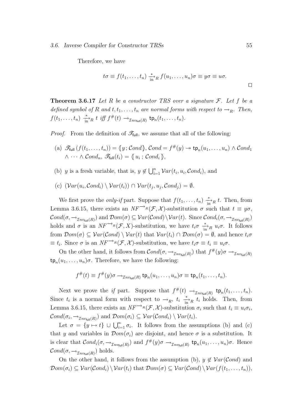Therefore, we have

$$
t\sigma \equiv f(t_1,\ldots,t_n) \xrightarrow[\text{in}]{*} f(u_1,\ldots,u_n)\sigma \equiv y\sigma \equiv u\sigma.
$$

**Theorem 3.6.17** Let R be a constructor TRS over a signature  $F$ . Let f be a defined symbol of R and  $t, t_1, \ldots, t_n$  are normal forms with respect to  $\rightarrow_R$ . Then,  $f(t_1,\ldots,t_n) \stackrel{*}{\longrightarrow}_R t \text{ iff } f^{\#}(t) \rightarrow_{\mathcal{I}nv_{\text{full}}(R)} \text{tp}_n(t_1,\ldots,t_n).$ 

*Proof.* From the definition of  $\mathscr{T}_{\text{full}}$ , we assume that all of the following:

- (a)  $\mathscr{T}_{\text{full}}(f(t_1,\ldots,t_n)) = \langle y; \text{Cond}\rangle, \text{Cond} = f^{\#}(y) \rightarrow \text{tp}_n(u_1,\ldots,u_n) \wedge \text{Cond}_1$  $\wedge \cdots \wedge Cond_n, \ \mathscr{T}_{\text{full}}(t_i) = \{ \ u_i \ ; \ \mathcal{C}ond_i \ \},$
- (b) y is a fresh variable, that is,  $y \notin \bigcup_{i=1}^n Var(t_i, u_i, Cond_i)$ , and
- (c)  $(Var(u_i, Cond_i) \setminus Var(t_i)) \cap Var(t_j, u_j, Cond_j) = \emptyset.$

We first prove the *only-if* part. Suppose that  $f(t_1, \ldots, t_n) \stackrel{*}{\longrightarrow}_R t$ . Then, from Lemma 3.6.15, there exists an  $NF^{-\lambda_R}(\mathcal{F}, \mathcal{X})$ -substitution  $\sigma$  such that  $t \equiv y\sigma$ ,  $\mathcal{C}ond(\sigma,\to_{\mathcal{I}nv_{\mathsf{full}}(R)})$  and  $\mathcal{D}om(\sigma) \subseteq \mathcal{V}ar(\mathcal{C}ond) \setminus \mathcal{V}ar(t)$ . Since  $\mathcal{C}ond_i(\sigma,\to_{\mathcal{I}nv_{\mathsf{full}}(R)})$ holds and  $\sigma$  is an  $NF^{-\lambda_R}(\mathcal{F}, X)$ -substitution, we have  $t_i\sigma \stackrel{*}{\longrightarrow}_R u_i\sigma$ . It follows from  $\mathcal{D}om(\sigma) \subseteq \mathcal{V}ar(\mathcal{C}ond) \setminus \mathcal{V}ar(t)$  that  $\mathcal{V}ar(t_i) \cap \mathcal{D}om(\sigma) = \emptyset$ , and hence  $t_i\sigma$  $\equiv t_i$ . Since  $\sigma$  is an  $NF^{-\lambda_R}(\mathcal{F}, \mathcal{X})$ -substitution, we have  $t_i\sigma \equiv t_i \equiv u_i\sigma$ .

On the other hand, it follows from  $Cond(\sigma, \to_{\mathcal{I}nv_{\text{full}}(R)})$  that  $f^*(y)\sigma \to_{\mathcal{I}nv_{\text{full}}(R)}$  $\tt t p_n(u_1, \ldots, u_n) \sigma$ . Therefore, we have the following:

$$
f^{\#}(t) \equiv f^{\#}(y)\sigma \rightarrow_{\mathcal{I}nv_{\text{full}}(R)} \text{tp}_n(u_1,\ldots,u_n)\sigma \equiv \text{tp}_n(t_1,\ldots,t_n).
$$

Next we prove the *if* part. Suppose that  $f^{\#}(t) \to_{\mathcal{I}nv_{\text{full}}(R)} \text{tp}_n(t_1,\ldots,t_n)$ . Since  $t_i$  is a normal form with respect to  $\rightarrow_R$ ,  $t_i \stackrel{*}{\rightarrow_R} t_i$  holds. Then, from Lemma 3.6.15, there exists an  $NF^{-\lambda_R}(\mathcal{F}, \mathcal{X})$ -substitution  $\sigma_i$  such that  $t_i \equiv u_i \sigma_i$ ,  $\mathcal{C}ond(\sigma_i, \rightarrow_{\mathcal{I}nv_{\text{full}}(R)})$  and  $\mathcal{D}om(\sigma_i) \subseteq \mathcal{V}ar(\mathcal{C}ond_i) \setminus \mathcal{V}ar(t_i)$ .

Let  $\sigma = \{y \mapsto t\} \cup \bigcup_{i=1}^n \sigma_i$ . It follows from the assumptions (b) and (c) that y and variables in  $\mathcal{D}om(\sigma_i)$  are disjoint, and hence  $\sigma$  is a substitution. It is clear that  $Cond_i(\sigma,\to_{\mathcal{I}nv_{\text{full}}(R)})$  and  $f^{\#}(y)\sigma \to_{\mathcal{I}nv_{\text{full}}(R)}$   $tp_n(u_1,\ldots,u_n)\sigma$ . Hence  $\mathcal{C}ond(\sigma,\rightarrow_{\mathcal{I}nv_{\text{full}}(R)})$  holds.

On the other hand, it follows from the assumption (b),  $y \notin \mathcal{V}ar(\mathcal{C}ond)$  and  $\mathcal{D}om(\sigma_i) \subseteq \mathcal{V}ar(\mathcal{C}ond_i) \setminus \mathcal{V}ar(t_i)$  that  $\mathcal{D}om(\sigma) \subseteq \mathcal{V}ar(\mathcal{C}ond) \setminus \mathcal{V}ar(f(t_1, \ldots, t_n)),$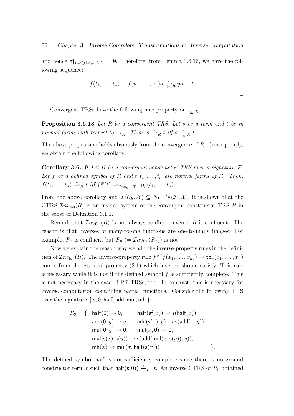and hence  $\sigma|_{Var(f(t_1,...,t_n))} = \emptyset$ . Therefore, from Lemma 3.6.16, we have the following sequence:

$$
f(t_1,\ldots,t_n) \equiv f(u_1,\ldots,u_n)\sigma \xrightarrow[\text{in}]{*} R y\sigma \equiv t.
$$

Convergent TRSs have the following nice property on  $\frac{1}{\ln R}$ .

Proposition 3.6.18 Let R be a convergent TRS. Let s be a term and t be in normal forms with respect to  $\rightarrow_R$ . Then,  $s \stackrel{*}{\rightarrow}_R t$  iff  $s \stackrel{*}{\rightarrow_R} t$ .

The above proposition holds obviously from the convergence of R. Consequently, we obtain the following corollary.

**Corollary 3.6.19** Let R be a convergent constructor TRS over a signature  $\mathcal{F}$ . Let f be a defined symbol of R and  $t, t_1, \ldots, t_n$  are normal forms of R. Then,  $f(t_1,\ldots,t_n) \stackrel{*}{\rightarrow}_R t \text{ iff } f^{\#}(t) \rightarrow_{\mathcal{I}nv_{\text{full}}(R)} \text{tp}_n(t_1,\ldots,t_n).$ 

From the above corollary and  $\mathcal{T}(\mathcal{C}_R, \mathcal{X}) \subseteq NF^{\longrightarrow_R}(\mathcal{F}, \mathcal{X})$ , it is shown that the CTRS  $Inv_{full}(R)$  is an inverse system of the convergent constructor TRS R in the sense of Definition 3.1.1.

Remark that  $\mathcal{I}nv_{\text{full}}(R)$  is not always confluent even if R is confluent. The reason is that inverses of many-to-one functions are one-to-many images. For example,  $R_7$  is confluent but  $R_8$  (=  $\mathcal{I}nv_{\text{full}}(R_7)$ ) is not.

Now we explain the reason why we add the inverse-property rules in the definition of  $\mathcal{I}nv_{\text{full}}(R)$ . The inverse-property rule  $f^{\#}(f(x_1,\ldots,x_n)) \to \text{tp}_n(x_1,\ldots,x_n)$ comes from the essential property (3.1) which inverses should satisfy. This rule is necessary while it is not if the defined symbol  $f$  is sufficiently complete. This is not necessary in the case of PT-TRSs, too. In contrast, this is necessary for inverse computation containing partial functions. Consider the following TRS over the signature  $\{s, 0, \text{half}, \text{add}, \text{mul}, \text{mh}\}$ :

$$
R_9 = \{ \quad \text{half}(0) \rightarrow 0, \qquad \text{half}(s^2(x)) \rightarrow s(\text{half}(x)),
$$
\n
$$
\text{add}(0, y) \rightarrow y, \qquad \text{add}(s(x), y) \rightarrow s(\text{add}(x, y)),
$$
\n
$$
\text{mul}(0, y) \rightarrow 0, \qquad \text{mul}(x, 0) \rightarrow 0,
$$
\n
$$
\text{mul}(s(x), s(y)) \rightarrow s(\text{add}(\text{mul}(x, s(y)), y)),
$$
\n
$$
\text{mh}(x) \rightarrow \text{mul}(x, \text{half}(s(x)))
$$
\n
$$
\}.
$$

The defined symbol half is not sufficiently complete since there is no ground constructor term t such that  $\text{half}(s(0)) \stackrel{*}{\rightarrow}_{R_9} t$ . An inverse CTRS of  $R_9$  obtained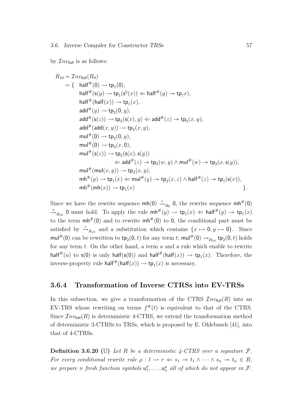by  $\mathcal{I}nv_{\text{full}}$  is as follows:

$$
R_{10} = \text{Inv}_{\text{full}}(R_9)
$$
\n
$$
= \{ \quad \text{half}^{\#}(0) \rightarrow \text{tp}_1(0),
$$
\n
$$
\text{half}^{\#}(\text{sq}(y) \rightarrow \text{tp}_1(\text{s}^2(x)) \Leftarrow \text{half}^{\#}(y) \rightarrow \text{tp}(x),
$$
\n
$$
\text{half}^{\#}(\text{half}(x)) \rightarrow \text{tp}_1(x),
$$
\n
$$
\text{add}^{\#}(y) \rightarrow \text{tp}_2(0, y),
$$
\n
$$
\text{add}^{\#}(\text{sq}(z)) \rightarrow \text{tp}_2(\text{s}(x), y) \Leftarrow \text{add}^{\#}(z) \rightarrow \text{tp}_2(x, y),
$$
\n
$$
\text{add}^{\#}(\text{add}(x, y)) \rightarrow \text{tp}_2(x, y),
$$
\n
$$
\text{mul}^{\#}(0) \rightarrow \text{tp}_2(0, y),
$$
\n
$$
\text{mul}^{\#}(0) \rightarrow \text{tp}_2(x, 0),
$$
\n
$$
\text{mul}^{\#}(\text{s}(z)) \rightarrow \text{tp}_2(\text{s}(x), \text{s}(y))
$$
\n
$$
\Leftarrow \text{add}^{\#}(z) \rightarrow \text{tp}_2(w, y) \land \text{mul}^{\#}(w) \rightarrow \text{tp}_2(x, \text{s}(y)),
$$
\n
$$
\text{mul}^{\#}(\text{mul}(x, y)) \rightarrow \text{tp}_2(x, y),
$$
\n
$$
\text{ml}^{\#}(\text{mul}(x, y)) \rightarrow \text{tp}_2(x, y),
$$
\n
$$
\text{ml}^{\#}(\text{ml}(x)) \rightarrow \text{tp}_1(x) \Leftarrow \text{mul}^{\#}(y) \rightarrow \text{tp}_2(x, z) \land \text{half}^{\#}(z) \rightarrow \text{tp}_1(\text{s}(x)),
$$
\n
$$
\text{ml}^{\#}(\text{mh}(x)) \rightarrow \text{tp}_1(x)
$$

Since we have the rewrite sequence  $mh(0) \stackrel{*}{\rightarrow}_{R_9} 0$ , the rewrite sequence  $mh^{\#}(0)$  $\rightarrow R_{10}$  0 must hold. To apply the rule  $mh^{\#}(y) \rightarrow tp_1(x) \Leftarrow half^{\#}(y) \rightarrow tp_1(x)$ to the term  $mh^{\#}(0)$  and to rewrite  $mh^{\#}(0)$  to 0, the conditional part must be satisfied by  $\stackrel{*}{\to}_{R_{10}}$  and a substitution which contains  $\{x \mapsto 0, y \mapsto 0\}$ . Since mul<sup>#</sup>(0) can be rewritten to  $\text{tp}_2(0, t)$  for any term t, mul<sup>#</sup>(0)  $\rightarrow_{R_{10}} \text{tp}_2(0, t)$  holds for any term  $t$ . On the other hand, a term  $u$  and a rule which enable to rewrite half<sup>#</sup>(u) to  $\mathsf{s}(0)$  is only half( $\mathsf{s}(0)$ ) and half<sup>#</sup>(half(x))  $\to \mathsf{tp}_1(x)$ . Therefore, the inverse-property rule  $\mathsf{half}^{\#}(\mathsf{half}(x)) \to \mathsf{tp}_1(x)$  is necessary.

## 3.6.4 Transformation of Inverse CTRSs into EV-TRSs

In this subsection, we give a transformation of the CTRS  $\mathcal{I}nv_{\text{full}}(R)$  into an EV-TRS whose rewriting on terms  $f^{\#}(t)$  is equivalent to that of the CTRS. Since  $\mathcal{I}nv_{\text{full}}(R)$  is deterministic 4-CTRS, we extend the transformation method of deterministic 3-CTRSs to TRSs, which is proposed by E. Ohlebusch [41], into that of 4-CTRSs.

**Definition 3.6.20** (U) Let R be a deterministic 4-CTRS over a signature  $\mathcal{F}$ . For every conditional rewrite rule  $\rho: l \to r \Leftrightarrow s_1 \to t_1 \wedge \cdots \wedge s_n \to t_n \in R$ , we prepare n fresh function symbols  $u_1^{\rho}$  $\mathbf{u}_1^{\rho}, \ldots, \mathbf{u}_n^{\rho}$  all of which do not appear in  $\mathcal{F}.$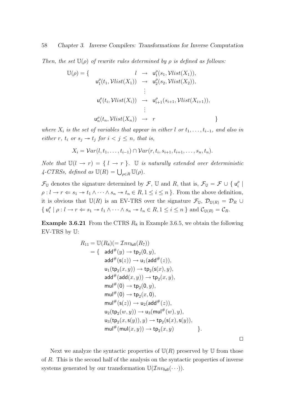#### 58 Chapter 3. Inverse Compilers: Transformations for Inverse Computation

Then, the set  $\mathbb{U}(\rho)$  of rewrite rules determined by  $\rho$  is defined as follows:

$$
\mathbb{U}(\rho) = \{ \quad l \rightarrow u_1^{\rho}(s_1, Vlist(X_1)),
$$
  
\n
$$
u_1^{\rho}(t_1, Vlist(X_1)) \rightarrow u_2^{\rho}(s_2, Vlist(X_2)),
$$
  
\n
$$
\vdots
$$
  
\n
$$
u_i^{\rho}(t_i, Vlist(X_i)) \rightarrow u_{i+1}^{\rho}(s_{i+1}, Vlist(X_{i+1})),
$$
  
\n
$$
\vdots
$$
  
\n
$$
u_n^{\rho}(t_n, Vlist(X_n)) \rightarrow r \}
$$

where  $X_i$  is the set of variables that appear in either l or  $t_1, \ldots, t_{i-1}$ , and also in either r,  $t_i$  or  $s_j \rightarrow t_j$  for  $i < j \leq n$ , that is,

$$
X_i = Var(l, t_1, \ldots, t_{i-1}) \cap Var(r, t_i, s_{i+1}, t_{i+1}, \ldots, s_n, t_n).
$$

Note that  $\mathbb{U}(l \to r) = \{l \to r\}$ .  $\mathbb U$  is naturally extended over deterministic 4-CTRSs, defined as  $\mathbb{U}(R) = \bigcup_{\rho \in R} \mathbb{U}(\rho)$ .

 $\mathcal{F}_{\mathbb{U}}$  denotes the signature determined by  $\mathcal{F}$ ,  $\mathbb{U}$  and R, that is,  $\mathcal{F}_{\mathbb{U}} = \mathcal{F} \cup \{ \mathsf{u}_i^{\rho} \}$  $\frac{\rho}{i}$  $\rho: l \to r \Leftrightarrow s_1 \to t_1 \wedge \cdots \wedge s_n \to t_n \in R, 1 \leq i \leq n$ . From the above definition, it is obvious that  $\mathbb{U}(R)$  is an EV-TRS over the signature  $\mathcal{F}_{\mathbb{U}}, \mathcal{D}_{\mathbb{U}(R)} = \mathcal{D}_R \cup$  $\{u_i^{\rho}$  $\mathcal{E}_i^{\rho} \mid \rho : l \to r \Leftarrow s_1 \to t_1 \land \cdots \land s_n \to t_n \in R, 1 \leq i \leq n \}$  and  $\mathcal{C}_{\mathbb{U}(R)} = \mathcal{C}_R$ .

**Example 3.6.21** From the CTRS  $R_8$  in Example 3.6.5, we obtain the following EV-TRS by U:

$$
R_{11} = U(R_8)(= \mathcal{I}nv_{\text{full}}(R_7))
$$
  
\n
$$
= \{ \text{ add}^{\#}(y) \rightarrow \text{tp}_2(0, y),
$$
  
\n
$$
\text{add}^{\#}(\text{s}(z)) \rightarrow \text{u}_1(\text{add}^{\#}(z)),
$$
  
\n
$$
\text{u}_1(\text{tp}_2(x, y)) \rightarrow \text{tp}_2(\text{s}(x), y),
$$
  
\n
$$
\text{add}^{\#}(\text{add}(x, y)) \rightarrow \text{tp}_2(x, y),
$$
  
\n
$$
\text{mul}^{\#}(0) \rightarrow \text{tp}_2(0, y),
$$
  
\n
$$
\text{mul}^{\#}(0) \rightarrow \text{tp}_2(x, 0),
$$
  
\n
$$
\text{mul}^{\#}(\text{s}(z)) \rightarrow \text{u}_2(\text{add}^{\#}(z)),
$$
  
\n
$$
\text{u}_2(\text{tp}_2(w, y)) \rightarrow \text{u}_3(\text{mul}^{\#}(w), y),
$$
  
\n
$$
\text{u}_3(\text{tp}_2(x, \text{s}(y)), y) \rightarrow \text{tp}_2(\text{s}(x), \text{s}(y)),
$$
  
\n
$$
\text{mul}^{\#}(\text{mul}(x, y)) \rightarrow \text{tp}_2(x, y)
$$

 $\Box$ 

Next we analyze the syntactic properties of  $U(R)$  preserved by U from those of R. This is the second half of the analysis on the syntactic properties of inverse systems generated by our transformation  $\mathbb{U}(\mathcal{I}nv_{\text{full}}(\cdots)).$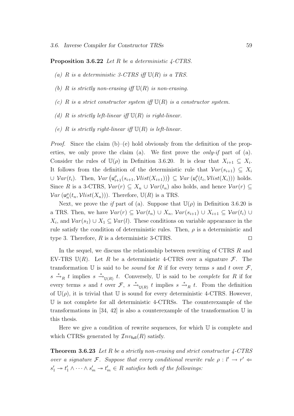**Proposition 3.6.22** Let R be a deterministic  $\angle$ -CTRS.

- (a) R is a deterministic 3-CTRS iff  $\mathbb{U}(R)$  is a TRS.
- (b) R is strictly non-erasing iff  $U(R)$  is non-erasing.
- (c) R is a strict constructor system iff  $\mathbb{U}(R)$  is a constructor system.
- (d) R is strictly left-linear iff  $\mathbb{U}(R)$  is right-linear.
- (e) R is strictly right-linear iff  $U(R)$  is left-linear.

*Proof.* Since the claim (b)–(e) hold obviously from the definition of the properties, we only prove the claim (a). We first prove the *only-if* part of (a). Consider the rules of  $\mathbb{U}(\rho)$  in Definition 3.6.20. It is clear that  $X_{i+1} \subseteq X_i$ . It follows from the definition of the deterministic rule that  $Var(s_{i+1}) \subseteq X_i$  $\cup \ Var(t_i)$ . Then,  $Var\left(u_{i+1}^{\rho}(s_{i+1}, Vlist(X_{i+1}))\right) \subseteq Var\left(u_i^{\rho}\right)$  $i(t_i, Vlist(X_i)))$  holds. Since R is a 3-CTRS,  $Var(r) \subseteq X_n \cup Var(t_n)$  also holds, and hence  $Var(r) \subseteq$  $Var(\mathsf{u}_n^{\rho}(t_n, Vlist(X_n)))$ . Therefore,  $\mathbb{U}(R)$  is a TRS.

Next, we prove the *if* part of (a). Suppose that  $\mathbb{U}(\rho)$  in Definition 3.6.20 is a TRS. Then, we have  $Var(r) \subseteq Var(t_n) \cup X_n$ ,  $Var(s_{i+1}) \cup X_{i+1} \subseteq Var(t_i) \cup$  $X_i$ , and  $Var(s_1) \cup X_1 \subseteq Var(l)$ . These conditions on variable appearance in the rule satisfy the condition of deterministic rules. Then,  $\rho$  is a deterministic and type 3. Therefore,  $R$  is a deterministic 3-CTRS.

In the sequel, we discuss the relationship between rewriting of CTRS R and EV-TRS  $U(R)$ . Let R be a deterministic 4-CTRS over a signature F. The transformation U is said to be *sound* for R if for every terms s and t over  $\mathcal{F}$ ,  $s \stackrel{*}{\to}_R t$  implies  $s \stackrel{*}{\to}_{\mathbb{U}(R)} t$ . Conversely, U is said to be *complete* for R if for every terms s and t over  $\mathcal{F}, s \stackrel{*}{\to}_{\mathbb{U}(R)} t$  implies  $s \stackrel{*}{\to}_R t$ . From the definition of  $\mathbb{U}(\rho)$ , it is trivial that U is sound for every deterministic 4-CTRS. However, U is not complete for all deterministic 4-CTRSs. The counterexample of the transformations in [34, 42] is also a counterexample of the transformation  $\mathbb U$  in this thesis.

Here we give a condition of rewrite sequences, for which U is complete and which CTRSs generated by  $\mathcal{I}nv_{\text{full}}(R)$  satisfy.

**Theorem 3.6.23** Let R be a strictly non-erasing and strict constructor  $\angle$ -CTRS over a signature F. Suppose that every conditional rewrite rule  $\rho: l' \to r' \Leftarrow$  $s'_1 \rightarrow t'_1 \wedge \cdots \wedge s'_m \rightarrow t'_m \in R$  satisfies both of the followings: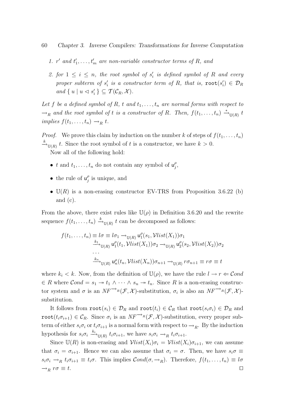#### 60 Chapter 3. Inverse Compilers: Transformations for Inverse Computation

- 1. r' and  $t'_1, \ldots, t'_m$  are non-variable constructor terms of R, and
- 2. for  $1 \leq i \leq n$ , the root symbol of  $s'_i$  is defined symbol of R and every proper subterm of  $s_i'$  is a constructor term of R, that is,  $\texttt{root}(s_i') \in \mathcal{D}_R$ and  $\{u \mid u \vartriangleleft s_i'\} \subseteq \mathcal{T}(\mathcal{C}_R, \mathcal{X}).$

Let f be a defined symbol of R, t and  $t_1, \ldots, t_n$  are normal forms with respect to  $\rightarrow_R$  and the root symbol of t is a constructor of R. Then,  $f(t_1, \ldots, t_n) \stackrel{*}{\rightarrow}_{\mathbb{U}(R)} t$ implies  $f(t_1, \ldots, t_n) \rightarrow_R t$ .

*Proof.* We prove this claim by induction on the number k of steps of  $f(t_1, \ldots, t_n)$  $x^k_{\text{U}(R)}$  t. Since the root symbol of t is a constructor, we have  $k > 0$ . Now all of the following hold:

- t and  $t_1, \ldots, t_n$  do not contain any symbol of  $\mathsf{u}_i^{\rho}$  $_{j}^{\rho},$
- the rule of  $u_i^{\rho}$  $j$ <sup> $\rho$ </sup> is unique, and
- $\mathbb{U}(R)$  is a non-erasing constructor EV-TRS from Proposition 3.6.22 (b) and (c).

From the above, there exist rules like  $\mathbb{U}(\rho)$  in Definition 3.6.20 and the rewrite sequence  $f(t_1, \ldots, t_n) \xrightarrow{k} \mathbb{U}(R)$  t can be decomposed as follows:

$$
f(t_1, ..., t_n) \equiv l\sigma \equiv l\sigma_1 \rightarrow_{\mathbb{U}(R)} \mathsf{u}_1^{\rho}(s_1, \mathcal{V}list(X_1))\sigma_1
$$
  
\n
$$
\xrightarrow{k_1} \mathsf{u}_1(\mathcal{V}1, \mathcal{V}list(X_1))\sigma_2 \rightarrow_{\mathbb{U}(R)} \mathsf{u}_2^{\rho}(s_2, \mathcal{V}list(X_2))\sigma_2
$$
  
\n...  
\n
$$
\xrightarrow{k_n} \mathsf{u}_2(\mathcal{V}1, \mathcal{V}list(X_n))\sigma_{n+1} \rightarrow_{\mathbb{U}(R)} r\sigma_{n+1} \equiv r\sigma \equiv t
$$

where  $k_i < k$ . Now, from the definition of  $\mathbb{U}(\rho)$ , we have the rule  $l \to r \Leftarrow \mathcal{C}ond$  $\in R$  where  $Cond = s_1 \rightarrow t_1 \wedge \cdots \wedge s_n \rightarrow t_n$ . Since R is a non-erasing constructor system and  $\sigma$  is an  $NF^{-\lambda_R}(\mathcal{F}, \mathcal{X})$ -substitution,  $\sigma_i$  is also an  $NF^{-\lambda_R}(\mathcal{F}, \mathcal{X})$ substitution.

It follows from  $\text{root}(s_i) \in \mathcal{D}_R$  and  $\text{root}(t_i) \in \mathcal{C}_R$  that  $\text{root}(s_i \sigma_i) \in \mathcal{D}_R$  and root $(t_i \sigma_{i+1}) \in \mathcal{C}_R$ . Since  $\sigma_i$  is an  $NF^{-\lambda_R}(\mathcal{F}, \mathcal{X})$ -substitution, every proper subterm of either  $s_i \sigma_i$  or  $t_i \sigma_{i+1}$  is a normal form with respect to  $\rightarrow_R$ . By the induction hypothesis for  $s_i \sigma_i \xrightarrow{k_i} \mathbb{U}(R)$   $t_i \sigma_{i+1}$ , we have  $s_i \sigma_i \rightarrow_R t_i \sigma_{i+1}$ .

Since  $\mathbb{U}(R)$  is non-erasing and  $\mathcal{V}list(X_i)\sigma_i = \mathcal{V}list(X_i)\sigma_{i+1}$ , we can assume that  $\sigma_i = \sigma_{i+1}$ . Hence we can also assume that  $\sigma_i = \sigma$ . Then, we have  $s_i \sigma \equiv$  $s_i\sigma_i \to_R t_i\sigma_{i+1} \equiv t_i\sigma$ . This implies  $\mathcal{C}$ *ond* $(\sigma, \to_R)$ . Therefore,  $f(t_1, \ldots, t_n) \equiv l\sigma$  $\rightarrow_R r \sigma \equiv t.$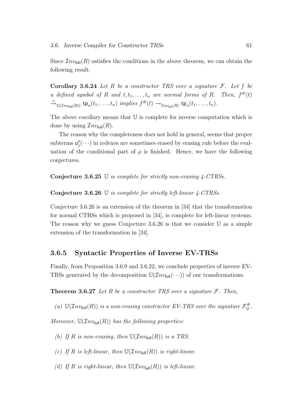Since  $\mathcal{I}nv_{\text{full}}(R)$  satisfies the conditions in the above theorem, we can obtain the following result.

Corollary 3.6.24 Let R be a constructor TRS over a signature  $\mathcal{F}$ . Let f be a defined symbol of R and  $t, t_1, \ldots, t_n$  are normal forms of R. Then,  $f^{\#}(t)$  $\stackrel{*}{\longrightarrow}_{\mathbb{U}(\mathcal{I}nv_{\text{full}}(R))} \text{tp}_n(t_1,\ldots,t_n) \implies f^{\#}(t) \rightarrow_{\mathcal{I}nv_{\text{full}}(R)} \text{tp}_n(t_1,\ldots,t_n).$ 

The above corollary means that U is complete for inverse computation which is done by using  $\mathcal{L}nv_{\text{full}}(R)$ .

The reason why the completeness does not hold in general, seems that proper subterms  $\mathsf{u}_i^{\rho}$  $_{j}^{\rho}(\cdots)$  in redexes are sometimes erased by erasing rule before the evaluation of the conditional part of  $\rho$  is finished. Hence, we have the following conjectures.

Conjecture 3.6.25 U is complete for strictly non-erasing 4-CTRSs.

Conjecture 3.6.26 U is complete for strictly left-linear 4-CTRSs.

Conjecture 3.6.26 is an extension of the theorem in [34] that the transformation for normal CTRSs which is proposed in [34], is complete for left-linear systems. The reason why we guess Conjecture 3.6.26 is that we consider  $U$  as a simple extension of the transformation in [34].

#### 3.6.5 Syntactic Properties of Inverse EV-TRSs

Finally, from Proposition 3.6.9 and 3.6.22, we conclude properties of inverse EV-TRSs generated by the decomposition  $\mathbb{U}(\mathcal{I}nv_{\text{full}}(\cdots))$  of our transformations.

**Theorem 3.6.27** Let R be a constructor TRS over a signature  $\mathcal{F}$ . Then,

(a)  $\mathbb{U}(Inv_{\text{full}}(R))$  is a non-erasing constructor EV-TRS over the signature  $\mathcal{F}_{\mathbb{U}}^{\#}$ .

Moreover,  $\mathbb{U}(\mathcal{I}nv_{\text{full}}(R))$  has the following properties:

(b) If R is non-erasing, then  $\mathbb{U}(\mathcal{I}nv_{\text{full}}(R))$  is a TRS.

(c) If R is left-linear, then  $\mathbb{U}(\mathcal{I}nv_{\text{full}}(R))$  is right-linear.

(d) If R is right-linear, then  $\mathbb{U}(\mathcal{I}nv_{\text{full}}(R))$  is left-linear.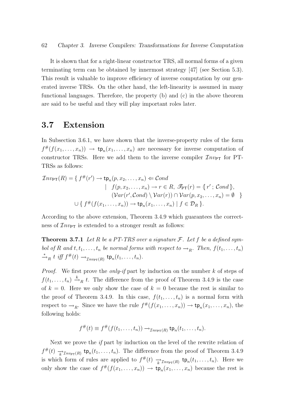It is shown that for a right-linear constructor TRS, all normal forms of a given terminating term can be obtained by innermost strategy [47] (see Section 5.3). This result is valuable to improve efficiency of inverse computation by our generated inverse TRSs. On the other hand, the left-linearity is assumed in many functional languages. Therefore, the property (b) and (c) in the above theorem are said to be useful and they will play important roles later.

### 3.7 Extension

In Subsection 3.6.1, we have shown that the inverse-property rules of the form  $f^{\#}(f(x_1,\ldots,x_n)) \to \mathsf{tp}_n(x_1,\ldots,x_n)$  are necessary for inverse computation of constructor TRSs. Here we add them to the inverse compiler  $\mathcal{I}nv_{PT}$  for PT-TRSs as follows:

$$
\mathcal{I}nv_{\mathsf{PT}}(R) = \{ f^{\#}(r') \to \mathsf{tp}_n(p, x_2, \dots, x_n) \Leftarrow \mathcal{C} \text{ond}
$$
  
 
$$
| f(p, x_2, \dots, x_n) \to r \in R, \ \mathcal{F}_{\mathsf{PT}}(r) = \{ r' ; \ \mathcal{C} \text{ond } \},
$$
  
 
$$
(\mathcal{V}ar(r', \mathcal{C} \text{ond}) \setminus \mathcal{V}ar(r)) \cap \mathcal{V}ar(p, x_2, \dots, x_n) = \emptyset \}
$$
  
 
$$
\cup \{ f^{\#}(f(x_1, \dots, x_n)) \to \mathsf{tp}_n(x_1, \dots, x_n) \mid f \in \mathcal{D}_R \}.
$$

According to the above extension, Theorem 3.4.9 which guarantees the correctness of  $\mathcal{I}nv_{\text{PT}}$  is extended to a stronger result as follows:

**Theorem 3.7.1** Let R be a PT-TRS over a signature  $\mathcal{F}$ . Let f be a defined symbol of R and  $t, t_1, \ldots, t_n$  be normal forms with respect to  $\rightarrow_R$ . Then,  $f(t_1, \ldots, t_n)$  $\stackrel{*}{\rightarrow}_R t \text{ iff } f^{\#}(t) \rightarrow_{\mathcal{I}nv_{\mathsf{PT}}(R)} \mathsf{tp}_n(t_1,\ldots,t_n).$ 

*Proof.* We first prove the *only-if* part by induction on the number  $k$  of steps of  $f(t_1,\ldots,t_n) \stackrel{k}{\rightarrow}_R t$ . The difference from the proof of Theorem 3.4.9 is the case of  $k = 0$ . Here we only show the case of  $k = 0$  because the rest is similar to the proof of Theorem 3.4.9. In this case,  $f(t_1, \ldots, t_n)$  is a normal form with respect to  $\rightarrow_R$ . Since we have the rule  $f^{\#}(f(x_1,\ldots,x_n)) \to \mathsf{tp}_n(x_1,\ldots,x_n)$ , the following holds:

$$
f^{\#}(t) \equiv f^{\#}(f(t_1,\ldots,t_n)) \rightarrow_{\mathcal{I}n v_{\mathsf{PT}}(R)} \mathsf{tp}_n(t_1,\ldots,t_n).
$$

Next we prove the  $if$  part by induction on the level of the rewrite relation of  $f^{\#}(t) \xrightarrow[k]{} \tau_{\text{hyp}}(R)}$  tp<sub>n</sub> $(t_1, \ldots, t_n)$ . The difference from the proof of Theorem 3.4.9 is which form of rules are applied to  $f^{\#}(t) \rightarrow_{k} \mathcal{I}_{n\nu_{\text{PT}}(R)}$  tp<sub>n</sub> $(t_1, \ldots, t_n)$ . Here we only show the case of  $f^{\#}(f(x_1,\ldots,x_n)) \to \mathsf{tp}_n(x_1,\ldots,x_n)$  because the rest is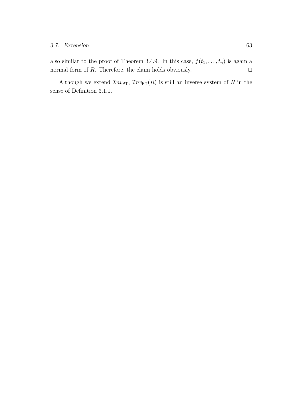also similar to the proof of Theorem 3.4.9. In this case,  $f(t_1, \ldots, t_n)$  is again a normal form of  $R$ . Therefore, the claim holds obviously.  $\square$ 

Although we extend  $\mathcal{I}nv_{\text{PT}}, \mathcal{I}nv_{\text{PT}}(R)$  is still an inverse system of R in the sense of Definition 3.1.1.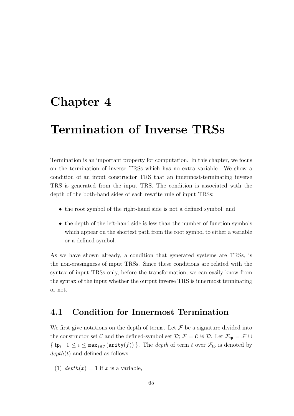# Chapter 4

# Termination of Inverse TRSs

Termination is an important property for computation. In this chapter, we focus on the termination of inverse TRSs which has no extra variable. We show a condition of an input constructor TRS that an innermost-terminating inverse TRS is generated from the input TRS. The condition is associated with the depth of the both-hand sides of each rewrite rule of input TRSs;

- the root symbol of the right-hand side is not a defined symbol, and
- the depth of the left-hand side is less than the number of function symbols which appear on the shortest path from the root symbol to either a variable or a defined symbol.

As we have shown already, a condition that generated systems are TRSs, is the non-erasingness of input TRSs. Since these conditions are related with the syntax of input TRSs only, before the transformation, we can easily know from the syntax of the input whether the output inverse TRS is innermost terminating or not.

## 4.1 Condition for Innermost Termination

We first give notations on the depth of terms. Let  $\mathcal F$  be a signature divided into the constructor set C and the defined-symbol set  $\mathcal{D}; \mathcal{F} = C \oplus \mathcal{D}$ . Let  $\mathcal{F}_{tp} = \mathcal{F} \cup \mathcal{D}$  $\{\mathsf{tp}_i \mid 0 \leq i \leq \max_{f \in \mathcal{F}}(\text{arity}(f))\}.$  The *depth* of term t over  $\mathcal{F}_{\mathsf{tp}}$  is denoted by  $depth(t)$  and defined as follows:

(1)  $depth(x) = 1$  if x is a variable,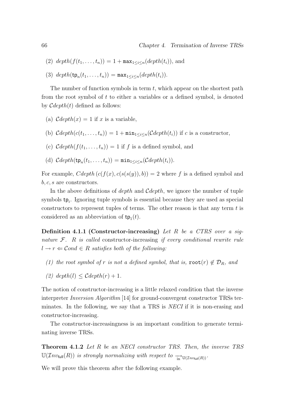- (2)  $depth(f(t_1,..., t_n)) = 1 + max_{1 \leq i \leq n} (depth(t_i)),$  and
- (3)  $depth(\mathsf{tp}_n(t_1,\ldots,t_n)) = \max_{1\leq i\leq n}(depth(t_i)).$

The number of function symbols in term  $t$ , which appear on the shortest path from the root symbol of t to either a variables or a defined symbol, is denoted by  $\mathcal{C}depth(t)$  defined as follows:

- (a)  $\mathcal{C}depth(x) = 1$  if x is a variable,
- (b)  $\mathcal{C}depth(c(t_1, \ldots, t_n)) = 1 + \min_{1 \leq i \leq n} (\mathcal{C}depth(t_i))$  if c is a constructor,
- (c)  $\mathcal{C}depth(f(t_1, \ldots, t_n)) = 1$  if f is a defined symbol, and
- (d)  $Cdepth(\mathsf{tp}_n(t_1,\ldots,t_n)) = \min_{1\leq i\leq n} (Cdepth(t_i)).$

For example,  $Cdepth (c(f(x), c(s(y)), b)) = 2$  where f is a defined symbol and  $b, c, s$  are constructors.

In the above definitions of *depth* and  $Cdepth$ , we ignore the number of tuple symbols  $tp_i$ . Ignoring tuple symbols is essential because they are used as special constructors to represent tuples of terms. The other reason is that any term  $t$  is considered as an abbreviation of  $tp_1(t)$ .

**Definition 4.1.1 (Constructor-increasing)** Let R be a CTRS over a signature  $F$ . R is called constructor-increasing if every conditional rewrite rule  $l \rightarrow r \Leftarrow \mathcal{C}ond \in R$  satisfies both of the following:

- (1) the root symbol of r is not a defined symbol, that is,  $\text{root}(r) \notin \mathcal{D}_R$ , and
- (2)  $depth(l) \leq Cdepth(r) + 1.$

The notion of constructor-increasing is a little relaxed condition that the inverse interpreter Inversion Algorithm [14] for ground-convergent constructor TRSs terminates. In the following, we say that a TRS is *NECI* if it is non-erasing and constructor-increasing.

The constructor-increasingness is an important condition to generate terminating inverse TRSs.

**Theorem 4.1.2** Let R be an NECI constructor TRS. Then, the inverse TRS  $\mathbb{U}(\mathcal{I}nv_{\text{full}}(R))$  is strongly normalizing with respect to  $\rightarrow_{\text{in}} \mathbb{U}(\mathcal{I}nv_{\text{full}}(R))$ .

We will prove this theorem after the following example.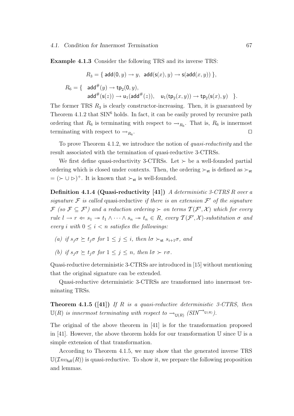Example 4.1.3 Consider the following TRS and its inverse TRS:

$$
R_3 = \{ \operatorname{add}(0, y) \to y, \ \operatorname{add}(\operatorname{s}(x), y) \to \operatorname{s}(\operatorname{add}(x, y)) \},
$$
  

$$
R_6 = \{ \operatorname{add}^{\#}(y) \to \operatorname{tp}_2(0, y),
$$
  

$$
\operatorname{add}^{\#}(\operatorname{s}(z)) \to \operatorname{u}_1(\operatorname{add}^{\#}(z)), \quad \operatorname{u}_1(\operatorname{tp}_2(x, y)) \to \operatorname{tp}_2(\operatorname{s}(x), y) \}.
$$

The former TRS  $R_3$  is clearly constructor-increasing. Then, it is guaranteed by Theorem  $4.1.2$  that  $\text{SIN}^6$  holds. In fact, it can be easily proved by recursive path ordering that  $R_6$  is terminating with respect to  $\rightarrow_{R_6}$ . That is,  $R_6$  is innermost terminating with respect to  $\rightarrow_{R_6}$ . . The contract of the contract of the contract of the contract of the contract of the contract of the contract of the contract of the contract of the contract of the contract of the contract of the contract of the contract

To prove Theorem 4.1.2, we introduce the notion of quasi-reductivity and the result associated with the termination of quasi-reductive 3-CTRSs.

We first define quasi-reductivity 3-CTRSs. Let  $\succ$  be a well-founded partial ordering which is closed under contexts. Then, the ordering  $\succ_{st}$  is defined as  $\succ_{st}$  $= (\succ \cup \succ)^+$ . It is known that  $\succ_{st}$  is well-founded.

Definition 4.1.4 (Quasi-reductivity [41]) A deterministic 3-CTRS R over a signature  $\mathcal F$  is called quasi-reductive if there is an extension  $\mathcal F'$  of the signature  $\mathcal{F}$  (so  $\mathcal{F} \subseteq \mathcal{F}'$ ) and a reduction ordering  $\succ$  on terms  $\mathcal{T}(\mathcal{F}',\mathcal{X})$  which for every rule  $l \to r \Leftarrow s_1 \to t_1 \land \cdots \land s_n \to t_n \in R$ , every  $\mathcal{T}(\mathcal{F}',\mathcal{X})$ -substitution  $\sigma$  and every i with  $0 \leq i < n$  satisfies the followings:

- (a) if  $s_i \sigma \succeq t_i \sigma$  for  $1 \leq j \leq i$ , then  $l \sigma \succ_{st} s_{i+1} \sigma$ , and
- (b) if  $s_i \sigma \succ t_i \sigma$  for  $1 \leq j \leq n$ , then  $l \sigma \succ r \sigma$ .

Quasi-reductive deterministic 3-CTRSs are introduced in [15] without mentioning that the original signature can be extended.

Quasi-reductive deterministic 3-CTRSs are transformed into innermost terminating TRSs.

**Theorem 4.1.5** ([41]) If R is a quasi-reductive deterministic 3-CTRS, then  $\mathbb{U}(R)$  is innermost terminating with respect to  $\rightarrow_{\mathbb{U}(R)} (SIN^{\rightarrow_{\mathbb{U}(R)}})$ .

The original of the above theorem in [41] is for the transformation proposed in [41]. However, the above theorem holds for our transformation  $\mathbb U$  since  $\mathbb U$  is a simple extension of that transformation.

According to Theorem 4.1.5, we may show that the generated inverse TRS  $\mathbb{U}(\mathcal{I}nv_{\text{full}}(R))$  is quasi-reductive. To show it, we prepare the following proposition and lemmas.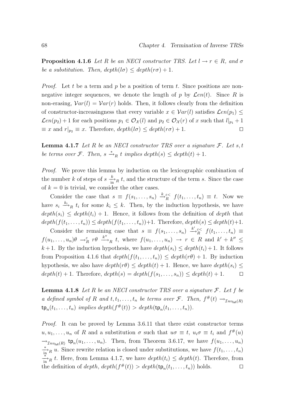**Proposition 4.1.6** Let R be an NECI constructor TRS. Let  $l \rightarrow r \in R$ , and  $\sigma$ be a substitution. Then,  $depth(l\sigma) \leq depth(r\sigma) + 1$ .

*Proof.* Let t be a term and p be a position of term t. Since positions are nonnegative integer sequences, we denote the length of p by  $\mathcal{L}en(t)$ . Since R is non-erasing,  $Var(l) = Var(r)$  holds. Then, it follows clearly from the definition of constructor-increasingness that every variable  $x \in Var(l)$  satisfies  $\mathcal{L}en(p_1)$  <  $\mathcal{L}en(p_2)+1$  for each positions  $p_1 \in \mathcal{O}_{\mathcal{X}}(l)$  and  $p_2 \in \mathcal{O}_{\mathcal{X}}(r)$  of x such that  $l|_{p_1}+1$  $\equiv x$  and  $r|_{p_2} \equiv x$ . Therefore,  $depth(l\sigma) \leq depth(r\sigma) + 1$ .

**Lemma 4.1.7** Let R be an NECI constructor TRS over a signature  $\mathcal{F}$ . Let s, t be terms over *F*. Then,  $s \stackrel{*}{\rightarrow}_R t$  implies depth(s)  $\leq$  depth(t) + 1.

Proof. We prove this lemma by induction on the lexicographic combination of the number k of steps of  $s \frac{k}{\ln n} t$ , and the structure of the term s. Since the case of  $k = 0$  is trivial, we consider the other cases.

Consider the case that  $s \equiv f(s_1, \ldots, s_n) \stackrel{k}{\rightarrow} \mathcal{E}^{\leq} f(t_1, \ldots, t_n) \equiv t$ . Now we have  $s_i \stackrel{k_i}{\longrightarrow}_R t_i$  for some  $k_i \leq k$ . Then, by the induction hypothesis, we have  $depth(s_i) \leq depth(t_i) + 1$ . Hence, it follows from the definition of depth that  $depth(f(t_1,...,t_n)) \leq depth(f(t_1,...,t_n))+1.$  Therefore,  $depth(s) \leq depth(t)+1.$ 

Consider the remaining case that  $s \equiv f(s_1, \ldots, s_n) \stackrel{k' \in \lt}{\to} f(t_1, \ldots, t_n) \equiv$  $f(u_1,\ldots,u_n)\theta \rightarrow_R^{\varepsilon} r\theta \stackrel{k''}{\longrightarrow}_R t$ , where  $f(u_1,\ldots,u_n) \rightarrow r \in R$  and  $k'+k'' \leq$ k + 1. By the induction hypothesis, we have  $depth(s_i) \leq depth(t_i) + 1$ . It follows from Proposition 4.1.6 that  $depth(f(t_1, \ldots, t_n)) \leq depth(r\theta) + 1$ . By induction hypothesis, we also have  $depth(r\theta) \leq depth(t) + 1$ . Hence, we have  $depth(s_i) \leq$  $depth(t) + 1.$  Therefore,  $depth(s) = depth(f(s_1, ..., s_n)) \leq depth(t) + 1.$   $\Box$ 

**Lemma 4.1.8** Let R be an NECI constructor TRS over a signature  $\mathcal{F}$ . Let f be a defined symbol of R and  $t, t_1, \ldots, t_n$  be terms over F. Then,  $f^{\#}(t) \rightarrow_{\mathcal{I}nv_{\text{full}}(R)}$  $\tt{tp}_n(t_1,\ldots,t_n)$  implies  $depth(f^{\#}(t)) > depth(\tt{tp}_n(t_1,\ldots,t_n)).$ 

Proof. It can be proved by Lemma 3.6.11 that there exist constructor terms  $u, u_1, \ldots, u_n$  of R and a substitution  $\sigma$  such that  $u\sigma \equiv t$ ,  $u_i\sigma \equiv t_i$  and  $f^{\#}(u)$  $\rightarrow_{\mathcal{I}nv_{\text{full}}(R)}$  tp<sub>n</sub> $(u_1, \ldots, u_n)$ . Then, from Theorem 3.6.17, we have  $f(u_1, \ldots, u_n)$  $\frac{*}{\ln n}$  u. Since rewrite relation is closed under substitutions, we have  $f(t_1, \ldots, t_n)$  $\frac{*}{\ln n}$  t. Here, from Lemma 4.1.7, we have  $depth(t_i)$  ≤  $depth(t)$ . Therefore, from the definition of  $depth, depth(f^{\#}(t)) > depth(\text{tp}_n(t_1, ..., t_n))$  holds.  $\square$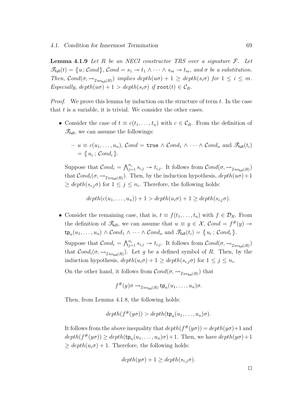**Lemma 4.1.9** Let R be an NECI constructor TRS over a signature  $\mathcal{F}$ . Let  $\mathscr{T}_{\text{full}}(t) = \{u; \mathcal{C}ond\}, \mathcal{C}ond = s_1 \rightarrow t_1 \wedge \cdots \wedge s_m \rightarrow t_m, \text{ and } \sigma \text{ be a substitution.}$ Then,  $\mathcal{C}ond(\sigma, \to_{\mathcal{I}nv_{\text{full}}(R)})$  implies  $\operatorname{depth}(u\sigma) + 1 \geq \operatorname{depth}(s_i\sigma)$  for  $1 \leq i \leq m$ . Especially,  $depth(w\sigma) + 1 > depth(s_i\sigma)$  if  $root(t) \in C_R$ .

*Proof.* We prove this lemma by induction on the structure of term  $t$ . In the case that  $t$  is a variable, it is trivial. We consider the other cases.

• Consider the case of  $t \equiv c(t_1, \ldots, t_n)$  with  $c \in C_R$ . From the definition of  $\mathscr{T}_{\text{full}}$ , we can assume the followings:

$$
- u \equiv c(u_1, \ldots, u_n), \quad \mathcal{C} \text{ and } = \text{true} \land \mathcal{C} \text{ and } \land \cdots \land \mathcal{C} \text{ and } \text{ and } \mathcal{F}_{\text{full}}(t_i) = \langle u_i; \mathcal{C} \text{ and } \rangle.
$$

Suppose that  $Cond_i = \bigwedge_{j=1}^{n_i} s_{i,j} \rightarrow t_{i,j}$ . It follows from  $Cond(\sigma, \rightarrow_{Inv_{full}(R)})$ that  $Cond_i(\sigma, \rightarrow_{\mathcal{I}nv_{\text{full}}(R)})$ . Then, by the induction hypothesis,  $depth(w\sigma) + 1$  $\geq$  depth $(s_{i,j}\sigma)$  for  $1 \leq j \leq n_i$ . Therefore, the following holds:

 $depth(c(u_1, \ldots, u_n)) + 1 > depth(u_i \sigma) + 1 > depth(s_i_i \sigma).$ 

• Consider the remaining case, that is,  $t \equiv f(t_1, \ldots, t_n)$  with  $f \in \mathcal{D}_R$ . From the definition of  $\mathscr{T}_{\text{full}}$ , we can assume that  $u \equiv y \in \mathcal{X}$ ,  $Cond = f^{\#}(y) \rightarrow$  $\tt t p_n(u_1, \ldots, u_n) \wedge Cond_1 \wedge \cdots \wedge Cond_n \text{ and } \mathscr{T}_{\text{full}}(t_i) = \{u_i \, ; \, Cond_i\}.$ 

Suppose that  $Cond_i = \bigwedge_{j=1}^{n_i} s_{i,j} \rightarrow t_{i,j}$ . It follows from  $Cond(\sigma, \rightarrow_{Inv_{full}(R)})$ that  $Cond_i(\sigma, \rightarrow_{Inv_{full}(R)})$ . Let g be a defined symbol of R. Then, by the induction hypothesis,  $depth(u_i \sigma) + 1 \geq depth(s_{i,j} \sigma)$  for  $1 \leq j \leq n_i$ .

On the other hand, it follows from  $\mathcal{C}ond(\sigma, \rightarrow_{\mathcal{I}nv_{\text{full}}(R)})$  that

$$
f^{\#}(y)\sigma \rightarrow_{\mathcal{I}nv_{\text{full}}(R)} \text{tp}_n(u_1,\ldots,u_n)\sigma.
$$

Then, from Lemma 4.1.8, the following holds:

$$
depth(f^{\#}(y\sigma)) > depth(\text{tp}_n(u_1,\ldots,u_n)\sigma).
$$

It follows from the above inequality that  $depth(f^*(y\sigma)) = depth(y\sigma) + 1$  and  $depth(f^*(y\sigma)) \geq depth(\text{tp}_n(u_1,\ldots,u_n)\sigma) + 1.$  Then, we have  $depth(y\sigma) + 1$  $\ge$  depth $(u_i \sigma) + 1$ . Therefore, the following holds:

$$
depth(y\sigma) + 1 \geq depth(s_{i,j}\sigma).
$$

 $\Box$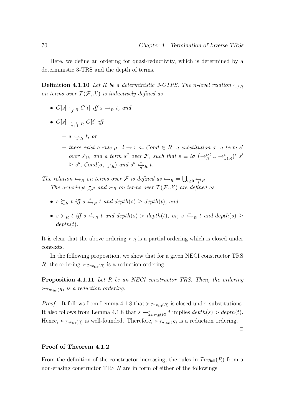Here, we define an ordering for quasi-reductivity, which is determined by a deterministic 3-TRS and the depth of terms.

**Definition 4.1.10** Let R be a deterministic 3-CTRS. The n-level relation  $\rightarrow_R$ on terms over  $\mathcal{T}(\mathcal{F}, \mathcal{X})$  is inductively defined as

- $C[s] \hookrightarrow_R C[t]$  iff  $s \to_R t$ , and
- $\bullet$   $C[s] \leftrightarrow R \atop n+1 R \atop n+1 R \atop n+1 R \atop n+1 R \atop n+1 R \atop n+1 R \atop n+1 R \atop n+1 R \atop n+1 R \atop n+1 R \atop n+1 R \atop n+1 R \atop n+1 R \atop n+1 R \atop n+1 R \atop n+1 R \atop n+1 R \atop n+1 R \atop n+1 R \atop n+1 R \atop n+1 R \atop n+1 R \atop n+1 R \atop n+1 R \atop n+1 R \atop n+1 R \atop n+1 R \atop n+1 R \atop n+1 R \atop n+1$ 
	- $s \Leftrightarrow_R t, or$
	- there exist a rule  $\rho: l \to r \Leftrightarrow \mathcal{C}$  ond  $\in R$ , a substitution  $\sigma$ , a term s' over  $\mathcal{F}_{\mathbb{U}}$ , and a term s'' over  $\mathcal{F}$ , such that  $s \equiv l\sigma \; (\rightarrow_R^{\varepsilon<} \cup \rightarrow_{\mathbb{U}(\rho)}^{\varepsilon<} )^*$  s'  $\geq s'', \text{Cond}(\sigma, \frac{1}{*R})$  and  $s'' \frac{1}{nR} t$ .

The relation  $\hookrightarrow_R$  on terms over F is defined as  $\hookrightarrow_R = \bigcup_{i\geq 0} \bigoplus_{i\geq R}$ . The orderings  $\succsim_R$  and  $\succ_R$  on terms over  $\mathcal{T}(\mathcal{F}, \mathcal{X})$  are defined as

- $s \succsim_R t$  iff  $s \stackrel{*}{\hookrightarrow}_R t$  and  $depth(s) \geq depth(t)$ , and
- $s \succ_R t$  iff  $s \stackrel{*}{\hookrightarrow}_R t$  and depth(s) > depth(t), or,  $s \stackrel{+}{\hookrightarrow}_R t$  and depth(s)  $\geq$  $depth(t)$ .

It is clear that the above ordering  $\succ_R$  is a partial ordering which is closed under contexts.

In the following proposition, we show that for a given NECI constructor TRS R, the ordering  $\succ_{\mathcal{I}nv_{\text{full}}(R)}$  is a reduction ordering.

Proposition 4.1.11 Let R be an NECI constructor TRS. Then, the ordering  $\succ_{\mathcal{I}nv_{\text{full}}(R)}$  is a reduction ordering.

*Proof.* It follows from Lemma 4.1.8 that  $\succ_{\mathcal{I}nv_{\text{full}}(R)}$  is closed under substitutions. It also follows from Lemma 4.1.8 that  $s \to_{\mathcal{I}nv_{\text{full}}(R)}^{\varepsilon} t$  implies  $depth(s) > depth(t)$ . Hence,  $\succ_{\mathcal{I}nv_{\text{full}}(R)}$  is well-founded. Therefore,  $\succ_{\mathcal{I}nv_{\text{full}}(R)}$  is a reduction ordering.

 $\Box$ 

#### Proof of Theorem 4.1.2

From the definition of the constructor-increasing, the rules in  $\mathcal{I}nv_{\text{full}}(R)$  from a non-erasing constructor TRS  $R$  are in form of either of the followings: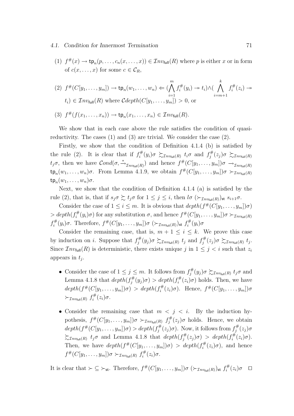#### 4.1. Condition for Innermost Termination 71

(1)  $f^{\#}(x) \to \text{tp}_n(p, \ldots, c_n(x, \ldots, x)) \in \mathcal{I}nv_{\text{full}}(R)$  where p is either x or in form of  $c(x, \ldots, x)$  for some  $c \in \mathcal{C}_R$ ,

$$
(2) \ f^{\#}(C[y_1,\ldots,y_m]) \to \operatorname{tp}_n(w_1,\ldots,w_n) \Leftarrow (\bigwedge_{i=1}^m f_i^{\#}(y_i) \to t_i) \wedge (\bigwedge_{i=m+1}^k f_i^{\#}(z_i) \to t_i) \in \mathcal{I}nv_{\text{full}}(R) \text{ where } \mathcal{C}depth(C[y_1,\ldots,y_m]) > 0, \text{ or}
$$

(3) 
$$
f^{\#}(f(x_1,\ldots,x_n)) \to \operatorname{tp}_n(x_1,\ldots,x_n) \in \mathcal{I}nv_{\text{full}}(R)
$$
.

We show that in each case above the rule satisfies the condition of quasireductivity. The cases (1) and (3) are trivial. We consider the case (2).

Firstly, we show that the condition of Definition 4.1.4 (b) is satisfied by the rule (2). It is clear that if  $f_i^{\#}$  $f_i^\#(y_i)\sigma \, \succsim_{\mathcal{I}nv_{\mathsf{full}}(R)} \, t_i\sigma \, \text{ and } \, f_j^\#$  $f_j^\#(z_j)\sigma \, \succsim_{\mathcal{I}nv_{\mathsf{full}}(R)}$  $t_j\sigma$ , then we have  $Cond(\sigma, \frac{*}{2n v_{\text{full}}(R)})$  and hence  $f^{\#}(C[y_1,\ldots,y_m])\sigma \to_{\mathcal{I}nv_{\text{full}}(R)}$  $\tt t p_n(w_1,\ldots,w_n)\sigma$ . From Lemma 4.1.9, we obtain  $f^{\#}(C[y_1,\ldots,y_m])\sigma \succ_{\mathcal{I}nv_{\text{full}}(R)}$  $\tt t p_n(w_1,\ldots,w_n)\sigma.$ 

Next, we show that the condition of Definition 4.1.4 (a) is satisfied by the rule (2), that is, that if  $s_j \sigma \succsim t_j \sigma$  for  $1 \leq j \leq i$ , then  $l \sigma \left( \succ_{\mathcal{I}nv_{\text{full}}(R)} \right)$ st  $s_{i+1} \sigma$ .

Consider the case of  $1 \leq i \leq m$ . It is obvious that  $depth(f^{\#}(C[y_1, \ldots, y_m])\sigma)$  $> depth(f_i^{\#})$  $g_i^{\#}(y_i)\sigma)$  for any substitution  $\sigma$ , and hence  $f^{\#}(C[y_1,\ldots,y_m])\sigma \succ_{\mathcal{I}nv_{\text{full}}(R)}$  $f_i^\#$  $\int_t^{\#}(y_i)\sigma$ . Therefore,  $f^{\#}(C[y_1,\ldots,y_m])\sigma\ (\succ_{\mathcal{I}nv_{\mathsf{full}}(R)})$ st  $f_i^{\#}$  $\widetilde{f}_i^\#(y_i) \sigma$ 

Consider the remaining case, that is,  $m + 1 \leq i \leq k$ . We prove this case by induction on i. Suppose that  $f_i^{\#}$  $f_j^{\#}(y_j)\sigma \succsim_{\mathcal{I}nv_{\text{full}}(R)} t_j \text{ and } f_j^{\#}$  $f_j^{\#}(z_j)\sigma \succsim_{\mathcal{I}nv_{\mathsf{full}}(R)} t_j.$ Since  $\mathcal{I}nv_{\text{full}}(R)$  is deterministic, there exists unique j in  $1 \leq j \leq i$  such that  $z_i$ appears in  $t_j$ .

- Consider the case of  $1 \leq j \leq m$ . It follows from  $f_i^{\#}$  $\zeta_j^{\#}(y_j)\sigma \succsim_{\mathcal{I}nv_{\text{full}}(R)} t_j\sigma \text{ and }$ Lemma 4.1.8 that  $depth(f_i^{\#})$  $g_j^{\#}(y_j)\sigma$  > depth $(f_i^{\#})$  $\int_i^{\#}(z_i)\sigma$  holds. Then, we have  $depth(f^{\#}(C[y_1, \ldots, y_m])\sigma) > depth(f_i^{\#})$  $f_i^{\#}(z_i)\sigma$ ). Hence,  $f^{\#}(C[y_1,\ldots,y_m])\sigma$  $\succ_{\mathcal{I}nv_{\mathsf{full}}(R)}f^{\#}_{i}$  $\ddot{t}^{\#}(z_i)\sigma.$
- Consider the remaining case that  $m < j < i$ . By the induction hypothesis,  $f^{\#}(C[y_1,\ldots,y_m])\sigma \succ_{\mathcal{I}nv_{\text{full}}(R)} f^{\#}_{j}$  $j_j^{\#}(z_j)$ σ holds. Hence, we obtain  $depth(f^{\#}(C[y_1, \ldots, y_m])\sigma) > depth(f^{\#}_j)$  $j_j^{\#}(z_j)\sigma$ ). Now, it follows from  $f_j^{\#}$  $j^\#(z_j) \sigma$  $\sum_{\text{Inv}_{\text{full}}(R)} t_j \sigma$  and Lemma 4.1.8 that  $depth(f_j^{\#})$  $\partial_j^{\#}(z_j)\sigma$  > depth $(f_i^{\#})$  $\ddot{t}^{\#}(z_i)\sigma$ ). Then, we have  $depth(f^{\#}(C[y_1,\ldots,y_m])\sigma) > depth(f_i^{\#})$  $i^{\#}(z_i)\sigma$ , and hence  $f^\#(C[y_1,\ldots,y_m])\sigma \succ_{\mathcal{I}nv_{\mathsf{full}}(R)} f^\#_i$  $\ddot{t}^{\#}(z_i)\sigma.$

It is clear that  $\succ \subseteq \succ_{st}$ . Therefore,  $f^{\#}(C[y_1,\ldots,y_m])\sigma\ (\succ_{\mathcal{I}nv_{\text{full}}(R)})_{st} f^{\#}_{i}$  $\zeta_i^\#(z_i)\sigma$   $\Box$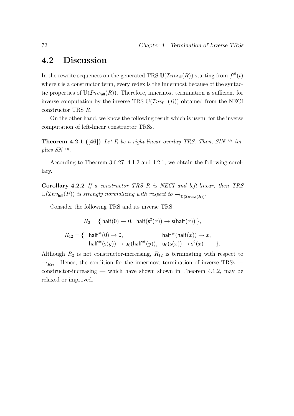## 4.2 Discussion

In the rewrite sequences on the generated TRS  $\mathbb{U}(\mathcal{I}nv_{\text{full}}(R))$  starting from  $f^{\#}(t)$ where  $t$  is a constructor term, every redex is the innermost because of the syntactic properties of  $U(\mathcal{I}nv_{\text{full}}(R))$ . Therefore, innermost termination is sufficient for inverse computation by the inverse TRS  $U(\mathcal{I}nv_{\text{full}}(R))$  obtained from the NECI constructor TRS R.

On the other hand, we know the following result which is useful for the inverse computation of left-linear constructor TRSs.

**Theorem 4.2.1** ([46]) Let R be a right-linear overlay TRS. Then,  $SIN^{\rightharpoonup_R}$  implies  $SN^{\rightarrow R}$ .

According to Theorem 3.6.27, 4.1.2 and 4.2.1, we obtain the following corollary.

Corollary 4.2.2 If a constructor TRS R is NECI and left-linear, then TRS  $\mathbb{U}(\mathcal{I}nv_{\text{full}}(R))$  is strongly normalizing with respect to  $\rightarrow_{\mathbb{U}(\mathcal{I}nv_{\text{full}}(R))}$ .

Consider the following TRS and its inverse TRS:

$$
R_2 = \{ \text{ half}(0) \to 0, \text{ half}(s^2(x)) \to s(\text{half}(x)) \},
$$

$$
R_{12} = \{ \quad \mathsf{half}^{\#}(0) \to 0, \qquad \qquad \mathsf{half}^{\#}(\mathsf{half}(x)) \to x, \\ \mathsf{half}^{\#}(\mathsf{s}(y)) \to \mathsf{u}_6(\mathsf{half}^{\#}(y)), \quad \mathsf{u}_6(\mathsf{s}(x)) \to \mathsf{s}^2(x) \qquad \}.
$$

Although  $R_2$  is not constructor-increasing,  $R_{12}$  is terminating with respect to  $\rightarrow_{R_{12}}$ . Hence, the condition for the innermost termination of inverse TRSs constructor-increasing — which have shown shown in Theorem 4.1.2, may be relaxed or improved.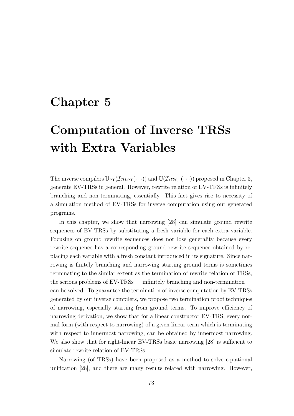# Chapter 5

# Computation of Inverse TRSs with Extra Variables

The inverse compilers  $\mathbb{U}_{\text{PT}}(\mathcal{I}_{n\nu_{\text{PT}}}(\cdots))$  and  $\mathbb{U}(\mathcal{I}_{n\nu_{\text{full}}}(\cdots))$  proposed in Chapter 3, generate EV-TRSs in general. However, rewrite relation of EV-TRSs is infinitely branching and non-terminating, essentially. This fact gives rise to necessity of a simulation method of EV-TRSs for inverse computation using our generated programs.

In this chapter, we show that narrowing [28] can simulate ground rewrite sequences of EV-TRSs by substituting a fresh variable for each extra variable. Focusing on ground rewrite sequences does not lose generality because every rewrite sequence has a corresponding ground rewrite sequence obtained by replacing each variable with a fresh constant introduced in its signature. Since narrowing is finitely branching and narrowing starting ground terms is sometimes terminating to the similar extent as the termination of rewrite relation of TRSs, the serious problems of EV-TRSs — infinitely branching and non-termination can be solved. To guarantee the termination of inverse computation by EV-TRSs generated by our inverse compilers, we propose two termination proof techniques of narrowing, especially starting from ground terms. To improve efficiency of narrowing derivation, we show that for a linear constructor EV-TRS, every normal form (with respect to narrowing) of a given linear term which is terminating with respect to innermost narrowing, can be obtained by innermost narrowing. We also show that for right-linear EV-TRSs basic narrowing [28] is sufficient to simulate rewrite relation of EV-TRSs.

Narrowing (of TRSs) have been proposed as a method to solve equational unification [28], and there are many results related with narrowing. However,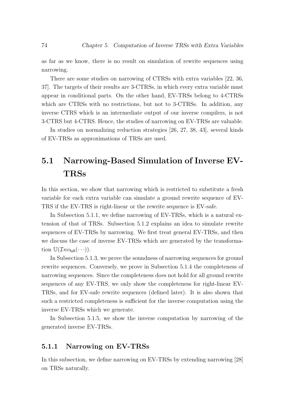as far as we know, there is no result on simulation of rewrite sequences using narrowing.

There are some studies on narrowing of CTRSs with extra variables [22, 36, 37]. The targets of their results are 3-CTRSs, in which every extra variable must appear in conditional parts. On the other hand, EV-TRSs belong to 4-CTRSs which are CTRSs with no restrictions, but not to 3-CTRSs. In addition, any inverse CTRS which is an intermediate output of our inverse compilers, is not 3-CTRS but 4-CTRS. Hence, the studies of narrowing on EV-TRSs are valuable.

In studies on normalizing reduction strategies [26, 27, 38, 43], several kinds of EV-TRSs as approximations of TRSs are used.

## 5.1 Narrowing-Based Simulation of Inverse EV-TRSs

In this section, we show that narrowing which is restricted to substitute a fresh variable for each extra variable can simulate a ground rewrite sequence of EV-TRS if the EV-TRS is right-linear or the rewrite sequence is EV-safe.

In Subsection 5.1.1, we define narrowing of EV-TRSs, which is a natural extension of that of TRSs. Subsection 5.1.2 explains an idea to simulate rewrite sequences of EV-TRSs by narrowing. We first treat general EV-TRSs, and then we discuss the case of inverse EV-TRSs which are generated by the transformation  $\mathbb{U}(\mathcal{I}nv_{\text{full}}(\cdots)).$ 

In Subsection 5.1.3, we prove the soundness of narrowing sequences for ground rewrite sequences. Conversely, we prove in Subsection 5.1.4 the completeness of narrowing sequences. Since the completeness does not hold for all ground rewrite sequences of any EV-TRS, we only show the completeness for right-linear EV-TRSs, and for EV-safe rewrite sequences (defined later). It is also shown that such a restricted completeness is sufficient for the inverse computation using the inverse EV-TRSs which we generate.

In Subsection 5.1.5, we show the inverse computation by narrowing of the generated inverse EV-TRSs.

#### 5.1.1 Narrowing on EV-TRSs

In this subsection, we define narrowing on EV-TRSs by extending narrowing [28] on TRSs naturally.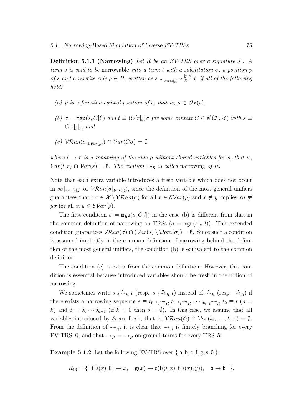**Definition 5.1.1 (Narrowing)** Let R be an EV-TRS over a signature  $\mathcal{F}$ . A term s is said to be narrowable into a term t with a substitution  $\sigma$ , a position p of s and a rewrite rule  $\rho \in R$ , written as s  $\sigma|_{Var(s|_p)} \sim_R^{[p,\rho]}$  $R_R^{[p,\rho]}$  t, if all of the following hold:

- (a) p is a function-symbol position of s, that is,  $p \in \mathcal{O}_{\mathcal{F}}(s)$ ,
- (b)  $\sigma = \text{mgu}(s, C[l])$  and  $t \equiv (C[r]_p) \sigma$  for some context  $C \in \mathscr{C}(\mathcal{F}, \mathcal{X})$  with  $s \equiv$  $C[s]_p]_p$ , and
- (c)  $\mathcal{V}\mathcal{R}an(\sigma|_{\mathcal{EVar}(o)}) \cap \mathcal{V}ar(C\sigma) = \emptyset$

where  $l \rightarrow r$  is a renaming of the rule  $\rho$  without shared variables for s, that is,  $Var(l, r) \cap Var(s) = \emptyset$ . The relation  $\rightsquigarrow_R$  is called narrowing of R.

Note that each extra variable introduces a fresh variable which does not occur in  $s\sigma|_{Var(s|_p)}$  or  $V\mathcal{R}an(\sigma|_{Var(l)})$ , since the definition of the most general unifiers guarantees that  $x\sigma \in \mathcal{X} \setminus \mathcal{V}\mathcal{R}an(\sigma)$  for all  $x \in \mathcal{E}Var(\rho)$  and  $x \not\equiv y$  implies  $x\sigma \not\equiv$  $y\sigma$  for all  $x, y \in \mathcal{E}Var(\rho)$ .

The first condition  $\sigma = \text{mgu}(s, C[l])$  in the case (b) is different from that in the common definition of narrowing on TRSs  $(\sigma = \text{mgu}(s|p, l))$ . This extended condition guarantees  $\mathcal{V}\mathcal{R}an(\sigma) \cap (\mathcal{V}ar(s) \setminus \mathcal{D}om(\sigma)) = \emptyset$ . Since such a condition is assumed implicitly in the common definition of narrowing behind the definition of the most general unifiers, the condition (b) is equivalent to the common definition.

The condition (c) is extra from the common definition. However, this condition is essential because introduced variables should be fresh in the notion of narrowing.

We sometimes write  $s \stackrel{*}{\leadsto}_R t$  (resp.  $s \stackrel{n}{\leadsto}_R t$ ) instead of  $\stackrel{*}{\leadsto}_R$  (resp.  $\stackrel{n}{\leadsto}_R$ ) if there exists a narrowing sequence  $s \equiv t_0 \delta_0 \sim R_ R t_1 \delta_1 \sim R_ R \cdots \delta_{k-1} \sim R_ R t_k \equiv t (n =$ k) and  $\delta = \delta_0 \cdots \delta_{k-1}$  (if  $k = 0$  then  $\delta = \emptyset$ ). In this case, we assume that all variables introduced by  $\delta_i$  are fresh, that is,  $\mathcal{V}\mathcal{R}an(\delta_i) \cap \mathcal{V}ar(t_0,\ldots,t_{i-1}) = \emptyset$ . From the definition of  $\leadsto_R$ , it is clear that  $\leadsto_R$  is finitely branching for every EV-TRS R, and that  $\rightarrow_R \ = \ \rightarrow_R$  on ground terms for every TRS R.

**Example 5.1.2** Let the following EV-TRS over  $\{a, b, c, f, g, s, 0\}$ :

$$
R_{13} = \{ \text{ } f(\textbf{s}(x),0) \rightarrow x, \text{ } \text{ } g(x) \rightarrow \textbf{c}(f(y,x),f(\textbf{s}(x),y)), \text{ } a \rightarrow b \text{ } \}.
$$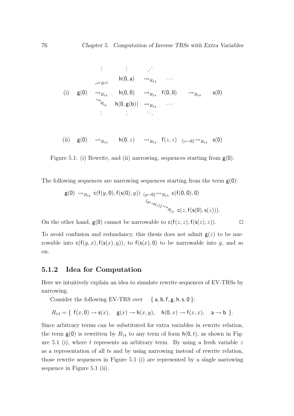$$
\vdots \qquad \vdots \qquad \vdots
$$
\n
$$
\rightarrow R_{14} \qquad \mathsf{h}(0, a) \qquad \rightarrow_{R_{14}} \qquad \cdots
$$
\n(i)  $g(0) \qquad \rightarrow_{R_{14}} \qquad \mathsf{h}(0, 0) \qquad \rightarrow_{R_{14}} \qquad \mathsf{f}(0, 0) \qquad \rightarrow_{R_{14}} \qquad \mathsf{s}(0)$ \n
$$
\rightarrow_{R_{14}} \qquad \mathsf{h}(0, g(b)) \qquad \rightarrow_{R_{14}} \qquad \cdots
$$
\n
$$
\vdots \qquad \vdots \qquad \vdots
$$

(ii) 
$$
g(0) \longrightarrow_{R_{14}}
$$
  $h(0, z) \longrightarrow_{R_{14}}$   $f(z, z) \xrightarrow{\{z \mapsto 0\}} \sim_{R_{14}}$   $s(0)$ 

Figure 5.1: (i) Rewrite, and (ii) narrowing, sequences starting from 
$$
g(0)
$$
.

The following sequences are narrowing sequences starting from the term  $g(0)$ :

$$
\begin{array}{cc} \mathsf{g}(0) \rightsquigarrow_{R_{13}} \mathsf{c}(f(y,0),f(\mathsf{s}(0),y)) \xrightarrow{\{y \mapsto 0\}} \sim \mathsf{h}_{R_{13}} \mathsf{c}(f(0,0),0) \\ & \xrightarrow{\{y \mapsto \mathsf{s}_{(z)\}} \sim_{\mathsf{h}_{R_{23}}} \mathsf{c}(z,f(\mathsf{s}(0),\mathsf{s}(z))). \end{array}
$$

On the other hand,  $g(0)$  cannot be narrowable to  $c(f(z, z), f(s(z), z))$ .

To avoid confusion and redundancy, this thesis does not admit  $g(z)$  to be narrowable into  $c(f(y, x), f(s(x), y))$ , to  $f(s(x), 0)$  to be narrowable into y, and so on.

#### 5.1.2 Idea for Computation

Here we intuitively explain an idea to simulate rewrite sequences of EV-TRSs by narrowing.

Consider the following EV-TRS over  $\{a, b, f, g, h, s, 0\}$ :

$$
R_{14} = \{ f(x,0) \rightarrow s(x), g(x) \rightarrow h(x,y), h(0,x) \rightarrow f(x,x), a \rightarrow b \}.
$$

Since arbitrary terms can be substituted for extra variables in rewrite relation, the term  $g(0)$  is rewritten by  $R_{14}$  to any term of form  $h(0, t)$ , as shown in Figure 5.1 (i), where  $t$  represents an arbitrary term. By using a fresh variable  $z$ as a representation of all ts and by using narrowing instead of rewrite relation, those rewrite sequences in Figure 5.1 (i) are represented by a single narrowing sequence in Figure 5.1 (ii).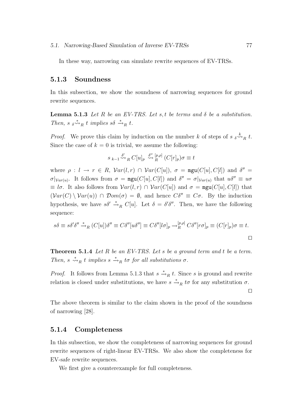In these way, narrowing can simulate rewrite sequences of EV-TRSs.

#### 5.1.3 Soundness

In this subsection, we show the soundness of narrowing sequences for ground rewrite sequences.

**Lemma 5.1.3** Let R be an EV-TRS. Let s, t be terms and  $\delta$  be a substitution. Then, s  $\delta \stackrel{*}{\leadsto}_R t$  implies  $s\delta \stackrel{*}{\leadsto}_R t$ .

*Proof.* We prove this claim by induction on the number k of steps of  $s \underset{\delta \sim R}{\circ} t$ . Since the case of  $k = 0$  is trivial, we assume the following:

$$
s_{k-1} \stackrel{\delta'}{\leadsto}_R C[u]_p \stackrel{\delta''}{\leadsto}_R^{[p,\rho]} (C[r]_p)\sigma \equiv t
$$

where  $\rho: l \to r \in R$ ,  $Var(l,r) \cap Var(C[u])$ ,  $\sigma = \text{mgu}(C[u], C[l])$  and  $\delta'' =$  $\sigma|_{Var(u)}$ . It follows from  $\sigma = \text{mgu}(C[u], C[l])$  and  $\delta'' = \sigma|_{Var(u)}$  that  $u\delta'' \equiv u\sigma$  $\equiv l\sigma$ . It also follows from  $Var(l, r) \cap Var(C[u])$  and  $\sigma = \text{mgu}(C[u], C[l])$  that  $(\mathcal{V}ar(C) \setminus \mathcal{V}ar(u)) \cap \mathcal{D}om(\sigma) = \emptyset$ , and hence  $C\delta'' \equiv C\sigma$ . By the induction hypothesis, we have  $s\delta' \stackrel{*}{\to}_R C[u]$ . Let  $\delta = \delta'\delta''$ . Then, we have the following sequence:

$$
s\delta \equiv s\delta'\delta'' \stackrel{*}{\rightarrow}_R (C[u])\delta'' \equiv C\delta''[u\delta''] \equiv C\delta''[l\sigma]_p \stackrel{[p,\rho]}{\rightarrow}_R C\delta''[r\sigma]_p \equiv (C[r]_p)\sigma \equiv t.
$$

**Theorem 5.1.4** Let R be an EV-TRS. Let s be a ground term and t be a term. Then,  $s \stackrel{*}{\leadsto}_R t$  implies  $s \stackrel{*}{\leadsto}_R t\sigma$  for all substitutions  $\sigma$ .

*Proof.* It follows from Lemma 5.1.3 that  $s \stackrel{*}{\rightarrow}_R t$ . Since s is ground and rewrite relation is closed under substitutions, we have  $s \stackrel{*}{\rightarrow}_R t\sigma$  for any substitution  $\sigma$ .

The above theorem is similar to the claim shown in the proof of the soundness of narrowing [28].

#### 5.1.4 Completeness

In this subsection, we show the completeness of narrowing sequences for ground rewrite sequences of right-linear EV-TRSs. We also show the completeness for EV-safe rewrite sequences.

We first give a counterexample for full completeness.

 $\Box$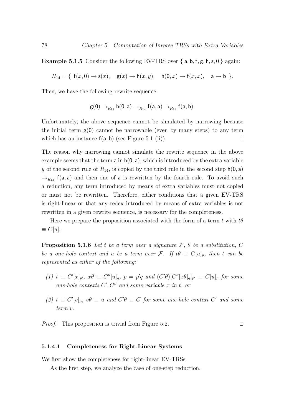**Example 5.1.5** Consider the following EV-TRS over  $\{a, b, f, g, h, s, 0\}$  again:

 $R_{14} = \{ f(x, 0) \rightarrow s(x), g(x) \rightarrow h(x, y), h(0, x) \rightarrow f(x, x), a \rightarrow b \}.$ 

Then, we have the following rewrite sequence:

$$
\mathsf{g}(0) \rightarrow_{R_{14}} \mathsf{h}(0,\mathsf{a}) \rightarrow_{R_{14}} \mathsf{f}(\mathsf{a},\mathsf{a}) \rightarrow_{R_{14}} \mathsf{f}(\mathsf{a},\mathsf{b}).
$$

Unfortunately, the above sequence cannot be simulated by narrowing because the initial term  $g(0)$  cannot be narrowable (even by many steps) to any term which has an instance  $f(a, b)$  (see Figure 5.1 (ii)).

The reason why narrowing cannot simulate the rewrite sequence in the above example seems that the term  $a$  in  $h(0, a)$ , which is introduced by the extra variable y of the second rule of  $R_{14}$ , is copied by the third rule in the second step  $h(0, a)$  $\rightarrow_{R_{14}}$  f(a, a) and then one of a is rewritten by the fourth rule. To avoid such a reduction, any term introduced by means of extra variables must not copied or must not be rewritten. Therefore, either conditions that a given EV-TRS is right-linear or that any redex introduced by means of extra variables is not rewritten in a given rewrite sequence, is necessary for the completeness.

Here we prepare the proposition associated with the form of a term t with  $t\theta$  $\equiv C[u].$ 

**Proposition 5.1.6** Let t be a term over a signature  $\mathcal{F}$ ,  $\theta$  be a substitution, C be a one-hole context and u be a term over F. If  $t\theta \equiv C[u]_p$ , then t can be represented as either of the following:

- (1)  $t \equiv C'[x]_{p'}$ ,  $x\theta \equiv C''[u]_q$ ,  $p = p'q$  and  $(C'\theta)[C''[x\theta]_q]_{p'} \equiv C[u]_p$  for some one-hole contexts  $C', C''$  and some variable x in t, or
- (2)  $t \equiv C'[v]_p, v\theta \equiv u$  and  $C'\theta \equiv C$  for some one-hole context  $C'$  and some term v.

*Proof.* This proposition is trivial from Figure 5.2.  $\Box$ 

#### 5.1.4.1 Completeness for Right-Linear Systems

We first show the completeness for right-linear EV-TRSs.

As the first step, we analyze the case of one-step reduction.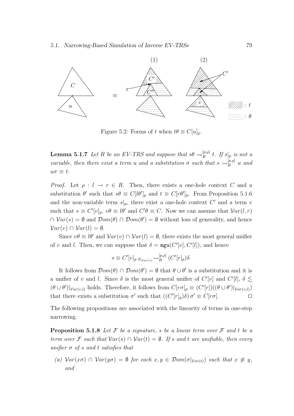

Figure 5.2: Forms of t when  $t\theta \equiv C[u]_p$ .

**Lemma 5.1.7** Let R be an EV-TRS and suppose that  $s\theta \rightarrow_R^{[p,\rho]}$  $R^{\left[p,\rho\right]}$  t. If  $s|_p$  is not a variable, then there exist a term u and a substitution  $\sigma$  such that  $s \leadsto_R^{[p,\rho]} u$  and  $u\sigma \equiv t$ .

*Proof.* Let  $\rho: l \to r \in R$ . Then, there exists a one-hole context C and a substitution  $\theta'$  such that  $s\theta \equiv C[\theta']_p$  and  $t \equiv C[r\theta']_p$ . From Proposition 5.1.6 and the non-variable term  $s|_p$ , there exist a one-hole context C' and a term v such that  $s \equiv C'[v]_p, v\theta \equiv l\theta'$  and  $C'\theta \equiv C$ . Now we can assume that  $Var(l, r)$  $\cap \ Var(s) = \emptyset$  and  $\mathcal{D}om(\theta) \cap \mathcal{D}om(\theta') = \emptyset$  without loss of generality, and hence  $Var(v) \cap Var(l) = \emptyset.$ 

Since  $v\theta \equiv l\theta'$  and  $Var(v) \cap Var(l) = \emptyset$ , there exists the most general unifier of v and l. Then, we can suppose that  $\delta = \text{mgu}(C'[v], C'[l])$ , and hence

$$
s \equiv C'[v]_{p \delta|_{Var(v)}} \leadsto_R^{[p,\rho]} (C'[r]_p)\delta.
$$

It follows from  $\mathcal{D}om(\theta) \cap \mathcal{D}om(\theta') = \emptyset$  that  $\theta \cup \theta'$  is a substitution and it is a unifier of v and l. Since  $\delta$  is the most general unifier of  $C'[v]$  and  $C'[l], \delta \lesssim$  $(\theta \cup \theta')|_{Var(v,l)}$  holds. Therefore, it follows from  $C[r\sigma]_p \equiv (C'[r])((\theta \cup \theta')|_{Var(v,l)})$ that there exists a substitution  $\sigma'$  such that  $((C'[r]_p)\delta) \sigma' \equiv C[r\sigma]$ .

The following propositions are associated with the linearity of terms in one-step narrowing.

**Proposition 5.1.8** Let F be a signature, s be a linear term over F and t be a term over F such that  $Var(s) \cap Var(t) = \emptyset$ . If s and t are unifiable, then every unifier  $\sigma$  of s and t satisfies that

(a)  $Var(x\sigma) \cap Var(y\sigma) = \emptyset$  for each  $x, y \in Dom(\sigma|_{Var(t)})$  such that  $x \not\equiv y$ , and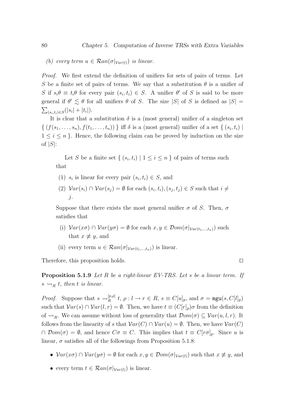(b) every term  $u \in \mathcal{R}an(\sigma|_{Var(t)})$  is linear.

Proof. We first extend the definition of unifiers for sets of pairs of terms. Let S be a finite set of pairs of terms. We say that a substitution  $\theta$  is a unifier of S if  $s_i \theta \equiv t_i \theta$  for every pair  $(s_i, t_i) \in S$ . A unifier  $\theta'$  of S is said to be more general if  $\theta' \lesssim \theta$  for all unifiers  $\theta$  of S. The size |S| of S is defined as  $|S| =$  $\sum_{(s_i,t_i)\in S} (|s_i| + |t_i|).$ 

It is clear that a substitution  $\delta$  is a (most general) unifier of a singleton set  $\{ (f(s_1, \ldots, s_n), f(t_1, \ldots, t_n)) \}$  iff  $\delta$  is a (most general) unifier of a set  $\{ (s_i, t_i) \mid$  $1 \leq i \leq n$ . Hence, the following claim can be proved by induction on the size of  $|S|$ :

Let S be a finite set  $\{(s_i,t_i) \mid 1 \leq i \leq n\}$  of pairs of terms such that

- (1)  $s_i$  is linear for every pair  $(s_i, t_i) \in S$ , and
- (2)  $Var(s_i) \cap Var(s_j) = \emptyset$  for each  $(s_i, t_i), (s_j, t_j) \in S$  such that  $i \neq j$ j.

Suppose that there exists the most general unifier  $\sigma$  of S. Then,  $\sigma$ satisfies that

- (i)  $Var(x\sigma) \cap Var(y\sigma) = \emptyset$  for each  $x, y \in Dom(\sigma|_{Var(t_1,...,t_n)})$  such that  $x \not\equiv y$ , and
- (ii) every term  $u \in \mathcal{R}an(\sigma|_{Var(t_1,...,t_n)})$  is linear.

Therefore, this proposition holds.  $\square$ 

**Proposition 5.1.9** Let R be a right-linear EV-TRS. Let s be a linear term. If  $s \rightsquigarrow_R t$ , then t is linear.

*Proof.* Suppose that  $s \leadsto_R^{[p,\rho]}$  $R_R^{[p,\rho]}$   $t, \rho: l \to r \in R$ ,  $s \equiv C[u]_p$ , and  $\sigma = \text{mgu}(s, C[l]_p)$ such that  $Var(s) \cap Var(l, r) = \emptyset$ . Then, we have  $t \equiv (C[r]_p) \sigma$  from the definition of  $\rightsquigarrow_R$ . We can assume without loss of generality that  $\mathcal{D}om(\sigma) \subseteq \mathcal{V}ar(u, l, r)$ . It follows from the linearity of s that  $Var(C) \cap Var(u) = \emptyset$ . Then, we have  $Var(C)$  $\cap$  Dom( $\sigma$ ) =  $\emptyset$ , and hence  $C\sigma \equiv C$ . This implies that  $t \equiv C[r\sigma]_p$ . Since u is linear,  $\sigma$  satisfies all of the followings from Proposition 5.1.8:

- $Var(x\sigma) \cap Var(y\sigma) = \emptyset$  for each  $x, y \in Dom(\sigma|_{Var(l)})$  such that  $x \not\equiv y$ , and
- every term  $t \in \mathcal{R}an(\sigma|_{Var(l)})$  is linear.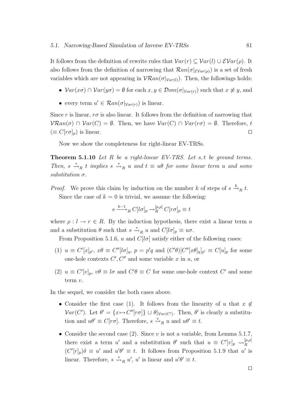It follows from the definition of rewrite rules that  $Var(r) \subseteq Var(l) \cup \mathcal{E}Var(\rho)$ . It also follows from the definition of narrowing that  $\mathcal{R}an(\sigma|_{\mathcal{E}Var(\rho)})$  is a set of fresh variables which are not appearing in  $V\mathcal{R}an(\sigma|_{Var(l)})$ . Then, the followings holds:

- $Var(x\sigma) \cap Var(y\sigma) = \emptyset$  for each  $x, y \in \mathcal{D}om(\sigma|_{Var(r)})$  such that  $x \not\equiv y$ , and
- every term  $u' \in \mathcal{R}an(\sigma|_{Var(r)})$  is linear.

Since r is linear,  $r\sigma$  is also linear. It follows from the definition of narrowing that  $V\mathcal{R}an(\sigma) \cap \mathcal{V}ar(C) = \emptyset$ . Then, we have  $\mathcal{V}ar(C) \cap \mathcal{V}ar(r\sigma) = \emptyset$ . Therefore, t  $(\equiv C[r\sigma]_p)$  is linear.

Now we show the completeness for right-linear EV-TRSs.

**Theorem 5.1.10** Let R be a right-linear EV-TRS. Let s, t be ground terms. Then,  $s \stackrel{*}{\rightarrow}_R t$  implies  $s \stackrel{*}{\rightarrow}_R u$  and  $t \equiv u\theta$  for some linear term u and some  $substitution \sigma$ .

*Proof.* We prove this claim by induction on the number k of steps of  $s \stackrel{k}{\rightarrow}_R t$ . Since the case of  $k = 0$  is trivial, we assume the following:

$$
s \xrightarrow{k-1} C[l\sigma]_p \to_R^{[p,\rho]} C[r\sigma]_p \equiv t
$$

where  $\rho: l \to r \in R$ . By the induction hypothesis, there exist a linear term u and a substitution  $\theta$  such that  $s \stackrel{*}{\leadsto}_R u$  and  $C[l\sigma]_p \equiv u\sigma$ .

From Proposition 5.1.6, u and  $C[*l*\sigma]$  satisfy either of the following cases:

- (1)  $u \equiv C'[x]_{p'}, x\theta \equiv C''[\theta]_q, p = p'q$  and  $(C'\theta)[C''[x\theta]_q]_{p'} \equiv C[u]_p$  for some one-hole contexts  $C', C''$  and some variable x in u, or
- (2)  $u \equiv C'[v]_p, v\theta \equiv l\sigma$  and  $C'\theta \equiv C$  for some one-hole context  $C'$  and some term v.

In the sequel, we consider the both cases above.

- Consider the first case (1). It follows from the linearity of u that  $x \notin$  $Var(C')$ . Let  $\theta' = \{x \mapsto C''[r\sigma]\} \cup \theta|_{Var(C')}$ . Then,  $\theta'$  is clearly a substitution and  $u\theta' \equiv C[r\sigma]$ . Therefore,  $s \stackrel{*}{\leadsto}_R u$  and  $u\theta' \equiv t$ .
- Consider the second case (2). Since  $v$  is not a variable, from Lemma 5.1.7, there exist a term u' and a substitution  $\theta'$  such that  $u \equiv C'[v]_p \leadsto_R^{[p,p]}$ R  $(C'[r]_p)\delta \equiv u'$  and  $u'\theta' \equiv t$ . It follows from Proposition 5.1.9 that u' is linear. Therefore,  $s \stackrel{*}{\leadsto}_R u'$ ,  $u'$  is linear and  $u'\theta' \equiv t$ .

 $\Box$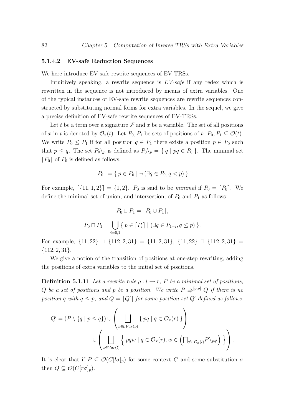#### 5.1.4.2 EV-safe Reduction Sequences

We here introduce EV-safe rewrite sequences of EV-TRSs.

Intuitively speaking, a rewrite sequence is  $EV\text{-}safe$  if any redex which is rewritten in the sequence is not introduced by means of extra variables. One of the typical instances of EV-safe rewrite sequences are rewrite sequences constructed by substituting normal forms for extra variables. In the sequel, we give a precise definition of EV-safe rewrite sequences of EV-TRSs.

Let t be a term over a signature  $\mathcal F$  and  $x$  be a variable. The set of all positions of x in t is denoted by  $\mathcal{O}_x(t)$ . Let  $P_0, P_1$  be sets of positions of t:  $P_0, P_1 \subseteq \mathcal{O}(t)$ . We write  $P_0 \leq P_1$  if for all position  $q \in P_1$  there exists a position  $p \in P_0$  such that  $p \le q$ . The set  $P_0 \setminus_p$  is defined as  $P_0 \setminus_p = \{ q \mid pq \in P_0 \}$ . The minimal set  $[P_0]$  of  $P_0$  is defined as follows:

$$
[P_0] = \{ p \in P_0 \mid \neg (\exists q \in P_0, q < p) \}.
$$

For example,  $[\{11, 1, 2\}] = \{1, 2\}$ .  $P_0$  is said to be minimal if  $P_0 = [P_0]$ . We define the minimal set of union, and intersection, of  $P_0$  and  $P_1$  as follows:

$$
P_0 \sqcup P_1 = [P_0 \cup P_1],
$$
  

$$
P_0 \sqcap P_1 = \bigcup_{i=0,1} \{ p \in [P_i] \mid (\exists q \in P_{1-i}, q \le p) \}.
$$

For example,  $\{11, 22\} \sqcup \{112, 2, 31\} = \{11, 2, 31\}, \{11, 22\} \sqcap \{112, 2, 31\} =$  $\{112, 2, 31\}.$ 

We give a notion of the transition of positions at one-step rewriting, adding the positions of extra variables to the initial set of positions.

**Definition 5.1.11** Let a rewrite rule  $\rho: l \to r$ , P be a minimal set of positions, Q be a set of positions and p be a position. We write  $P \Rightarrow^{[p,\rho]} Q$  if there is no position q with  $q \leq p$ , and  $Q = [Q']$  for some position set  $Q'$  defined as follows:

$$
Q' = (P \setminus \{q \mid p \leq q\}) \cup \left(\bigsqcup_{x \in \mathcal{EVar}(p)} \{pq \mid q \in \mathcal{O}_x(r)\}\right)
$$

$$
\cup \left(\bigsqcup_{x \in \mathcal{V}ar(l)} \{pqw \mid q \in \mathcal{O}_x(r), w \in \left(\bigcap_{q' \in \mathcal{O}_x(l)} P \setminus_{pq'}\right)\}\right).
$$

It is clear that if  $P \subseteq \mathcal{O}(C[\lceil \sigma \rceil_p))$  for some context C and some substitution  $\sigma$ then  $Q \subseteq \mathcal{O}(C[r\sigma]_p)$ .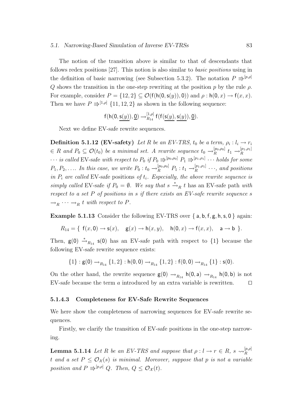#### 5.1. Narrowing-Based Simulation of Inverse EV-TRSs 83

The notion of the transition above is similar to that of descendants that follows redex positions [27]. This notion is also similar to basic positions using in the definition of basic narrowing (see Subsection 5.3.2). The notation  $P \rightrightarrows^{[p,\rho]}$  $Q$  shows the transition in the one-step rewriting at the position p by the rule  $\rho$ . For example, consider  $P = \{12, 2\} \subseteq \mathcal{O}(\mathsf{f}(\mathsf{h}(0, \mathsf{s}(y)), 0))$  and  $\rho : \mathsf{h}(0, x) \to \mathsf{f}(x, x)$ . Then we have  $P \rightrightarrows^{[1,\rho]} \{11, 12, 2\}$  as shown in the following sequence:

$$
f(h(0,\underline{s(y)}),\underline{0})\rightarrow_{R_{14}}^{[1,\rho]}f(f(\underline{s(y)},\underline{s(y)}),\underline{0}).
$$

Next we define EV-safe rewrite sequences.

**Definition 5.1.12 (EV-safety)** Let R be an EV-TRS,  $t_0$  be a term,  $\rho_i: l_i \rightarrow r_i$  $\in R$  and  $P_0 \subseteq \mathcal{O}(t_0)$  be a minimal set. A rewrite sequence  $t_0 \rightarrow_R^{[p_0,p_0]}$  $\left[ \begin{smallmatrix} [p_0,\rho_0] \ R \end{smallmatrix} \right] t_1 \rightarrow \left[ \begin{smallmatrix} [p_1,\rho_1] \ R \end{smallmatrix} \right]$ R  $\cdots$  is called EV-safe with respect to  $P_0$  if  $P_0 \Rrightarrow^{[p_0,p_0]} P_1 \Rrightarrow^{[p_1,p_1]} \cdots$  holds for some  $P_1, P_2, \ldots$  In this case, we write  $P_0: t_0 \to_R^{[p_0, \rho_0]} P_1: t_1 \to_R^{[p_1, \rho_1]}$  $\mathbb{R}^{p_1,p_{11}} \cdots$ , and positions in  $P_i$  are called EV-safe positions of  $t_i$ . Especially, the above rewrite sequence is simply called EV-safe if  $P_0 = \emptyset$ . We say that  $s \stackrel{*}{\rightarrow}_R t$  has an EV-safe path with respect to a set P of positions in s if there exists an EV-safe rewrite sequence s  $\rightarrow_R \cdots \rightarrow_R t$  with respect to P.

**Example 5.1.13** Consider the following EV-TRS over  $\{a, b, f, g, h, s, 0\}$  again:

$$
R_{14} = \{ f(x,0) \rightarrow s(x), g(x) \rightarrow h(x,y), h(0,x) \rightarrow f(x,x), a \rightarrow b \}.
$$

Then,  $g(0) \stackrel{*}{\rightarrow}_{R_{14}} s(0)$  has an EV-safe path with respect to  $\{1\}$  because the following EV-safe rewrite sequence exists:

$$
\{1\}: \mathsf{g}(0) \to_{R_{14}} \{1,2\}: \mathsf{h}(0,0) \to_{R_{14}} \{1,2\}: \mathsf{f}(0,0) \to_{R_{14}} \{1\}: \mathsf{s}(0).
$$

On the other hand, the rewrite sequence  $g(0) \rightarrow_{R_{14}} h(0, a) \rightarrow_{R_{14}} h(0, b)$  is not EV-safe because the term a introduced by an extra variable is rewritten.  $\square$ 

#### 5.1.4.3 Completeness for EV-Safe Rewrite Sequences

We here show the completeness of narrowing sequences for EV-safe rewrite sequences.

Firstly, we clarify the transition of EV-safe positions in the one-step narrowing.

**Lemma 5.1.14** Let R be an EV-TRS and suppose that  $\rho: l \to r \in R$ ,  $s \leadsto_R^{[p,\rho]}$ R t and a set  $P \leq \mathcal{O}_{\mathcal{X}}(s)$  is minimal. Moreover, suppose that p is not a variable position and  $P \rightrightarrows^{[p,\rho]} Q$ . Then,  $Q \leq \mathcal{O}_{\mathcal{X}}(t)$ .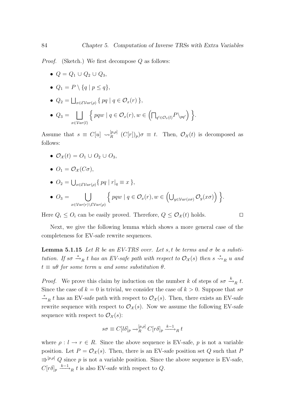*Proof.* (Sketch.) We first decompose  $Q$  as follows:

- $Q = Q_1 \cup Q_2 \cup Q_3$
- $Q_1 = P \setminus \{q \mid p \leq q\},\$
- $Q_2 = \bigsqcup_{x \in \mathcal{EVar}(\rho)} \{ pq \mid q \in \mathcal{O}_x(r) \},$

• 
$$
Q_3 = \bigsqcup_{x \in Var(l)} \left\{ pqw \mid q \in \mathcal{O}_x(r), w \in \left( \bigcap_{q' \in \mathcal{O}_x(l)} P \setminus_{pq'} \right) \right\}.
$$

Assume that  $s \equiv C[u] \leadsto_R^{[p,\rho]}$  $R_R^{[p,\rho]}$   $(C[r])_p$ ) $\sigma \equiv t$ . Then,  $\mathcal{O}_{\mathcal{X}}(t)$  is decomposed as follows:

•  $\mathcal{O}_{\mathcal{X}}(t) = O_1 \cup O_2 \cup O_3$ ,

$$
\bullet \ \ O_1=\mathcal{O}_{\mathcal{X}}(C\sigma),
$$

•  $O_2 = \bigcup_{x \in \mathcal{EVar}(\rho)} \{ pq \mid r | q \equiv x \},\$ 

• 
$$
O_3 = \bigcup_{x \in Var(r) \setminus \mathcal{EVar}(\rho)} \Big\{ pqw \mid q \in \mathcal{O}_x(r), w \in \Big(\bigcup_{y \in Var(x\sigma)} \mathcal{O}_y(x\sigma)\Big) \Big\}.
$$

Here  $Q_i \leq O_i$  can be easily proved. Therefore,  $Q \leq O_{\mathcal{X}}(t)$  holds.

Next, we give the following lemma which shows a more general case of the completeness for EV-safe rewrite sequences.

**Lemma 5.1.15** Let R be an EV-TRS over. Let s, t be terms and  $\sigma$  be a substitution. If so  $\stackrel{*}{\to}_R t$  has an EV-safe path with respect to  $\mathcal{O}_\mathcal{X}(s)$  then s  $\stackrel{*}{\leadsto}_R u$  and  $t \equiv u\theta$  for some term u and some substitution  $\theta$ .

*Proof.* We prove this claim by induction on the number k of steps of  $s\sigma \stackrel{k}{\rightarrow}_R t$ . Since the case of  $k = 0$  is trivial, we consider the case of  $k > 0$ . Suppose that so  $\stackrel{*}{\rightarrow}_R t$  has an EV-safe path with respect to  $\mathcal{O}_{\mathcal{X}}(s)$ . Then, there exists an EV-safe rewrite sequence with respect to  $\mathcal{O}_{\mathcal{X}}(s)$ . Now we assume the following EV-safe sequence with respect to  $\mathcal{O}_{\mathcal{X}}(s)$ :

$$
s\sigma \equiv C[l\delta]_p \to_R^{[p,\rho]} C[r\delta]_p \xrightarrow{k-1} R t
$$

where  $\rho: l \to r \in R$ . Since the above sequence is EV-safe, p is not a variable position. Let  $P = \mathcal{O}_{\mathcal{X}}(s)$ . Then, there is an EV-safe position set Q such that P  $\Rightarrow^{[p,\rho]} Q$  since p is not a variable position. Since the above sequence is EV-safe,  $C[r\delta]_p \xrightarrow{k-1} t$  is also EV-safe with respect to Q.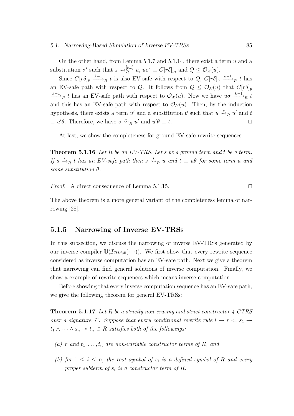On the other hand, from Lemma 5.1.7 and 5.1.14, there exist a term  $u$  and a substitution  $\sigma'$  such that  $s \leadsto_R^{[p,\rho]} u$ ,  $u\sigma' \equiv C[r\delta]_p$ , and  $Q \leq \mathcal{O}_{\mathcal{X}}(u)$ .

Since  $C[r\delta]_p \stackrel{k-1}{\longrightarrow}_R t$  is also EV-safe with respect to  $Q$ ,  $C[r\delta]_p \stackrel{k-1}{\longrightarrow}_R t$  has an EV-safe path with respect to Q. It follows from  $Q \leq \mathcal{O}_{\mathcal{X}}(u)$  that  $C[r\delta]_p$  $x \to R$  t has an EV-safe path with respect to  $\mathcal{O}_{\mathcal{X}}(u)$ . Now we have  $u\sigma \xrightarrow{k-1} R t$ and this has an EV-safe path with respect to  $\mathcal{O}_{\mathcal{X}}(u)$ . Then, by the induction hypothesis, there exists a term u' and a substitution  $\theta$  such that  $u \stackrel{*}{\leadsto}_R u'$  and t  $\equiv u'\theta$ . Therefore, we have  $s \stackrel{*}{\leadsto}_R u'$  and  $u'\theta \equiv t$ .

At last, we show the completeness for ground EV-safe rewrite sequences.

**Theorem 5.1.16** Let R be an EV-TRS. Let s be a ground term and t be a term. If  $s \stackrel{*}{\rightharpoonup}_R t$  has an EV-safe path then  $s \stackrel{*}{\rightharpoonup}_R u$  and  $t \equiv u\theta$  for some term u and some substitution  $\theta$ .

*Proof.* A direct consequence of Lemma 5.1.15.

The above theorem is a more general variant of the completeness lemma of narrowing [28].

#### 5.1.5 Narrowing of Inverse EV-TRSs

In this subsection, we discuss the narrowing of inverse EV-TRSs generated by our inverse compiler  $\mathbb{U}(\mathcal{I}nv_{\text{full}}(\cdots))$ . We first show that every rewrite sequence considered as inverse computation has an EV-safe path. Next we give a theorem that narrowing can find general solutions of inverse computation. Finally, we show a example of rewrite sequences which means inverse computation.

Before showing that every inverse computation sequence has an EV-safe path, we give the following theorem for general EV-TRSs:

**Theorem 5.1.17** Let R be a strictly non-erasing and strict constructor  $\angle$ -CTRS over a signature F. Suppose that every conditional rewrite rule  $l \to r \Leftarrow s_1 \to s_2$  $t_1 \wedge \cdots \wedge s_n \rightarrow t_n \in R$  satisfies both of the followings:

- (a) r and  $t_1, \ldots, t_n$  are non-variable constructor terms of R, and
- (b) for  $1 \leq i \leq n$ , the root symbol of  $s_i$  is a defined symbol of R and every proper subterm of  $s_i$  is a constructor term of R.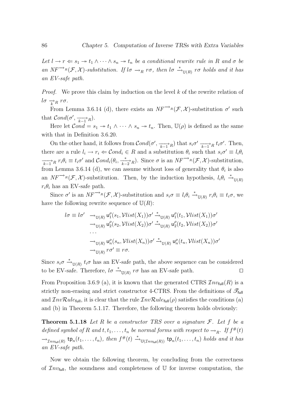Let  $l \to r \Leftarrow s_1 \to t_1 \land \cdots \land s_n \to t_n$  be a conditional rewrite rule in R and  $\sigma$  be an  $NF^{-\lambda_R}(\mathcal{F}, \mathcal{X})$ -substitution. If  $l\sigma \to_R r\sigma$ , then  $l\sigma \stackrel{*}{\to}_{\mathbb{U}(R)} r\sigma$  holds and it has an EV-safe path.

*Proof.* We prove this claim by induction on the level  $k$  of the rewrite relation of  $l\sigma \rightarrow R r\sigma$ .

From Lemma 3.6.14 (d), there exists an  $NF^{-\rightarrow_R}(\mathcal{F}, \mathcal{X})$ -substitution  $\sigma'$  such that  $Cond(\sigma', \frac{\cdots}{k-1}R)$ .

Here let  $\mathcal{C}ond = s_1 \rightarrow t_1 \wedge \cdots \wedge s_n \rightarrow t_n$ . Then,  $\mathbb{U}(\rho)$  is defined as the same with that in Definition 3.6.20.

On the other hand, it follows from  $Cond(\sigma', \frac{\cdots}{k-1}R)$  that  $s_i\sigma' \frac{\cdots}{k-1}R$   $t_i\sigma'$ . Then, there are a rule  $l_i \to r_i \Leftarrow \mathcal{C}ond_i \in R$  and a substitution  $\theta_i$  such that  $s_i \sigma' \equiv l_i \theta_i$  $\overrightarrow{k-1}$ R  $r_i \theta_i \equiv t_i \sigma'$  and  $\mathcal{C}ond_i(\theta_i, \frac{*}{k-2}$ R). Since  $\sigma$  is an  $NF^{-\lambda}$ R( $\mathcal{F}, \mathcal{X}$ )-substitution, from Lemma 3.6.14 (d), we can assume without loss of generality that  $\theta_i$  is also an  $NF^{-\lambda_R}(\mathcal{F}, \mathcal{X})$ -substitution. Then, by the induction hypothesis,  $l_i\theta_i \stackrel{*}{\rightarrow}_{\mathbb{U}(R)}$  $r_i\theta_i$  has an EV-safe path.

Since  $\sigma'$  is an  $NF^{-\lambda_R}(\mathcal{F}, \mathcal{X})$ -substitution and  $s_i\sigma \equiv l_i\theta_i \stackrel{*}{\rightarrow}_{\mathbb{U}(R)} r_i\theta_i \equiv t_i\sigma$ , we have the following rewrite sequence of  $U(R)$ :

$$
l\sigma \equiv l\sigma' \longrightarrow_{\mathbb{U}(R)} \mathsf{u}_1^{\rho}(s_1, \mathcal{V}list(X_1))\sigma' \stackrel{*}{\rightarrow}_{\mathbb{U}(R)} \mathsf{u}_1^{\rho}(t_1, \mathcal{V}list(X_1))\sigma'
$$
  
\n
$$
\longrightarrow_{\mathbb{U}(R)} \mathsf{u}_2^{\rho}(s_2, \mathcal{V}list(X_2))\sigma' \stackrel{*}{\rightarrow}_{\mathbb{U}(R)} \mathsf{u}_2^{\rho}(t_2, \mathcal{V}list(X_2))\sigma'
$$
  
\n...  
\n
$$
\longrightarrow_{\mathbb{U}(R)} \mathsf{u}_n^{\rho}(s_n, \mathcal{V}list(X_n))\sigma' \stackrel{*}{\rightarrow}_{\mathbb{U}(R)} \mathsf{u}_n^{\rho}(t_n, \mathcal{V}list(X_n))\sigma'
$$
  
\n
$$
\longrightarrow_{\mathbb{U}(R)} r\sigma' \equiv r\sigma.
$$

Since  $s_i \sigma \stackrel{*}{\rightarrow}_{\mathbb{U}(R)} t_i \sigma$  has an EV-safe path, the above sequence can be considered to be EV-safe. Therefore,  $l\sigma \stackrel{*}{\rightarrow}_{\mathbb{U}(R)} r\sigma$  has an EV-safe path.  $\square$ 

From Proposition 3.6.9 (a), it is known that the generated CTRS  $\mathcal{I}nv_{\text{full}}(R)$  is a strictly non-erasing and strict constructor 4-CTRS. From the definitions of  $\mathscr{F}_{\text{full}}$ and  $InvRule_{full}$ , it is clear that the rule  $InvRule_{full}(\rho)$  satisfies the conditions (a) and (b) in Theorem 5.1.17. Therefore, the following theorem holds obviously:

**Theorem 5.1.18** Let R be a constructor TRS over a signature  $\mathcal{F}$ . Let f be a defined symbol of R and  $t, t_1, \ldots, t_n$  be normal forms with respect to  $\rightarrow_R$ . If  $f^{\#}(t)$  $\rightarrow_{\mathcal{I}nv_{\text{full}}(R)}$  tp<sub>n</sub> $(t_1,\ldots,t_n)$ , then  $f^{\#}(t) \stackrel{*}{\rightarrow}_{\mathbb{U}(\mathcal{I}nv_{\text{full}}(R))}$  tp<sub>n</sub> $(t_1,\ldots,t_n)$  holds and it has an EV-safe path.

Now we obtain the following theorem, by concluding from the correctness of  $\mathcal{I}nv_{\text{full}}$ , the soundness and completeness of U for inverse computation, the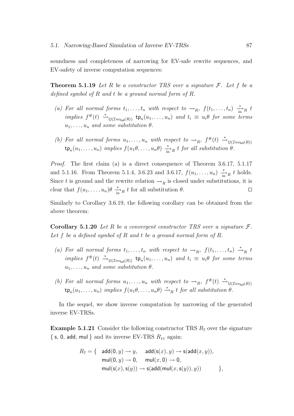soundness and completeness of narrowing for EV-safe rewrite sequences, and EV-safety of inverse computation sequences:

**Theorem 5.1.19** Let R be a constructor TRS over a signature  $\mathcal{F}$ . Let f be a defined symbol of  $R$  and  $t$  be a ground normal form of  $R$ .

- (a) For all normal forms  $t_1, \ldots, t_n$  with respect to  $\rightarrow_R$ ,  $f(t_1, \ldots, t_n) \stackrel{*}{\rightarrow_R} t$ implies  $f^{\#}(t) \stackrel{*}{\leadsto}_{\mathbb{U}(\mathcal{I}nv_{\text{full}}(R))}$  tp<sub>n</sub> $(u_1, \ldots, u_n)$  and  $t_i \equiv u_i \theta$  for some terms  $u_1, \ldots, u_n$  and some substitution  $\theta$ .
- (b) For all normal forms  $u_1, \ldots, u_n$  with respect to  $\rightarrow_R$ ,  $f^{\#}(t) \stackrel{*}{\rightsquigarrow}_{\mathbb{U}(\mathcal{I}nv_{\text{full}}(R))}$  $\tt t p_n(u_1, \ldots, u_n)$  implies  $f(u_1\theta, \ldots, u_n\theta) \stackrel{*}{\underset{\text{in}}{\longrightarrow}} R$  t for all substitution  $\theta$ .

Proof. The first claim (a) is a direct consequence of Theorem 3.6.17, 5.1.17 and 5.1.16. From Theorem 5.1.4, 3.6.23 and 3.6.17,  $f(u_1, ..., u_n) \frac{*}{\ln n} t$  holds. Since t is ground and the rewrite relation  $\rightarrow_R$  is closed under substitutions, it is clear that  $f(u_1, \ldots, u_n) \theta \stackrel{*}{\longrightarrow}_R t$  for all substitution  $\theta$ .

Similarly to Corollary 3.6.19, the following corollary can be obtained from the above theorem:

**Corollary 5.1.20** Let R be a convergent constructor TRS over a signature  $\mathcal{F}$ . Let f be a defined symbol of R and t be a ground normal form of R.

- (a) For all normal forms  $t_1, \ldots, t_n$  with respect to  $\rightarrow_R$ ,  $f(t_1, \ldots, t_n) \stackrel{*}{\rightarrow}_R t$ implies  $f^{\#}(t) \stackrel{*}{\longrightarrow}_{\mathbb{U}(\mathcal{I}nv_{\text{full}}(R))}$  tp<sub>n</sub> $(u_1, \ldots, u_n)$  and  $t_i \equiv u_i \theta$  for some terms  $u_1, \ldots, u_n$  and some substitution  $\theta$ .
- (b) For all normal forms  $u_1, \ldots, u_n$  with respect to  $\rightarrow_R$ ,  $f^{\#}(t) \stackrel{*}{\rightarrow}_{\mathbb{U}(\mathcal{I}nv_{\text{full}}(R))}$  $\tan \mathfrak{sp}_n(u_1,\ldots,u_n)$  implies  $f(u_1\theta,\ldots,u_n\theta) \stackrel{*}{\rightarrow}_R t$  for all substitution  $\theta$ .

In the sequel, we show inverse computation by narrowing of the generated inverse EV-TRSs.

**Example 5.1.21** Consider the following constructor TRS  $R_7$  over the signature  $\{s, 0, \text{add}, \text{mul}\}\$  and its inverse EV-TRS  $R_{11}$  again:

$$
R_7 = \{ \begin{array}{cl} \mathsf{add}(0,y) \to y, & \mathsf{add}(\mathsf{s}(x),y) \to \mathsf{s}(\mathsf{add}(x,y)), \\ \mathsf{mul}(0,y) \to 0, & \mathsf{mul}(x,0) \to 0, \\ \mathsf{mul}(\mathsf{s}(x),\mathsf{s}(y)) \to \mathsf{s}(\mathsf{add}(\mathsf{mul}(x,\mathsf{s}(y)),y)) \end{array} \},
$$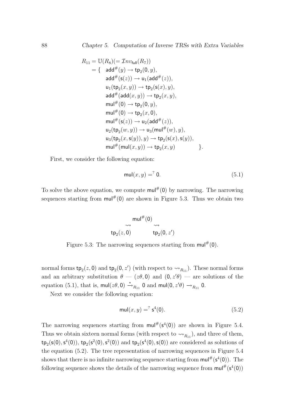$$
R_{11} = \mathbb{U}(R_8)(= \mathcal{I}nv_{\text{full}}(R_7))
$$
  
\n
$$
= \{ \text{ add}^{\#}(y) \rightarrow \text{tp}_2(0, y),
$$
  
\n
$$
\text{add}^{\#}(\text{s}(z)) \rightarrow \text{u}_1(\text{add}^{\#}(z)),
$$
  
\n
$$
\text{u}_1(\text{tp}_2(x, y)) \rightarrow \text{tp}_2(\text{s}(x), y),
$$
  
\n
$$
\text{add}^{\#}(\text{add}(x, y)) \rightarrow \text{tp}_2(x, y),
$$
  
\n
$$
\text{mul}^{\#}(0) \rightarrow \text{tp}_2(0, y),
$$
  
\n
$$
\text{mul}^{\#}(0) \rightarrow \text{tp}_2(x, 0),
$$
  
\n
$$
\text{mul}^{\#}(\text{s}(z)) \rightarrow \text{u}_2(\text{add}^{\#}(z)),
$$
  
\n
$$
\text{u}_2(\text{tp}_2(w, y)) \rightarrow \text{u}_3(\text{mul}^{\#}(w), y),
$$
  
\n
$$
\text{u}_3(\text{tp}_2(x, \text{s}(y)), y) \rightarrow \text{tp}_2(\text{s}(x), \text{s}(y)),
$$
  
\n
$$
\text{mul}^{\#}(\text{mul}(x, y)) \rightarrow \text{tp}_2(x, y)
$$

First, we consider the following equation:

$$
\mathsf{mul}(x, y) = \n\begin{cases}\n0. & \text{(5.1)}\n\end{cases}
$$

To solve the above equation, we compute  $\text{mul}^{\#}(0)$  by narrowing. The narrowing sequences starting from  $\text{mul}^{\#}(0)$  are shown in Figure 5.3. Thus we obtain two

$$
\mathsf{mul}^{\#}(0)
$$
\n
$$
\begin{array}{ccc}\n& \mathsf{mul}^{\#}(0) \\
\hline\n\mathsf{tp}_2(z,0) & \mathsf{tp}_2(0,z')\n\end{array}
$$

Figure 5.3: The narrowing sequences starting from  $\text{mul}^{\#}(0)$ .

normal forms  $\text{tp}_2(z, 0)$  and  $\text{tp}_2(0, z')$  (with respect to  $\leadsto_{R_{11}}$ ). These normal forms and an arbitrary substitution  $\theta - (z\theta, 0)$  and  $(0, z'\theta)$  — are solutions of the equation (5.1), that is,  $\text{mul}(z\theta, 0) \stackrel{*}{\rightarrow}_{R_{11}} 0$  and  $\text{mul}(0, z'\theta) \rightarrow_{R_{11}} 0$ .

Next we consider the following equation:

$$
\text{mul}(x, y) = \int_0^2 s^4(0). \tag{5.2}
$$

The narrowing sequences starting from  $\text{mul}^{\#}(s^4(0))$  are shown in Figure 5.4. Thus we obtain sixteen normal forms (with respect to  $\leadsto_{R_{11}}$ ), and three of them,  $\text{tp}_2(\textsf{s}(0), \textsf{s}^4(0)), \text{tp}_2(\textsf{s}^2(0), \textsf{s}^2(0)) \text{ and } \text{tp}_2(\textsf{s}^4(0), \textsf{s}(0)) \text{ are considered as solutions of }$ the equation (5.2). The tree representation of narrowing sequences in Figure 5.4 shows that there is no infinite narrowing sequence starting from  $\mathsf{mul}^{\#}(\mathsf{s}^4(0))$ . The following sequence shows the details of the narrowing sequence from  $\text{mul}^{\#}(\mathsf{s}^4(0))$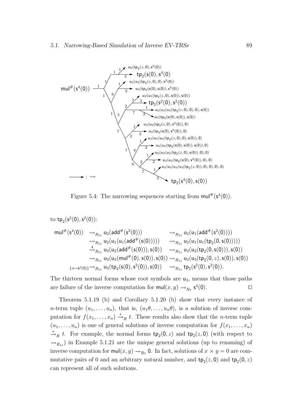

Figure 5.4: The narrowing sequences starting from  $\text{mul}^{\#}(s^4(0)).$ 

to tp<sub>2</sub>(s<sup>2</sup>(0), s<sup>2</sup>(0)):   
\nmul<sup>#</sup>(s<sup>4</sup>(0)) 
$$
\leadsto_{R_{11}} u_2(\text{add}^{\#}(s^3(0)))
$$
  
\n $\leadsto_{R_{11}} u_2(u_1(\text{add}^{\#}(s(0))))$   
\n $\leadsto_{R_{11}} u_2(u_1(u_1(\text{add}^{\#}(s(0))))$   
\n $\leadsto_{R_{11}} u_2(u_1(u_1(\text{add}^{\#}(s(0))))$   
\n $\leadsto_{R_{11}} u_3(u_2(\text{add}^{\#}(s(0))), s(0))$   
\n $\leadsto_{R_{11}} u_3(u_3(\text{mul}^{\#}(0), s(0)), s(0))$   
\n $\leadsto_{R_{11}} u_3(u_3(\text{mul}^{\#}(0), s(0)), s(0))$   
\n $\leadsto_{R_{11}} u_3(u_3(\text{mul}^{\#}(0), s(0)), s(0))$   
\n $\leadsto_{R_{11}} u_2(s^2(0), s^2(0)), s(0))$   
\n $\leadsto_{R_{11}} u_2(s^2(0), s^2(0)).$ 

The thirteen normal forms whose root symbols are  $u_3$ , means that those paths are failure of the inverse computation for  $\text{mul}(x, y) \rightarrow_{R_7} s^4(0)$ .

Theorem 5.1.19 (b) and Corollary 5.1.20 (b) show that every instance of *n*-term tuple  $(u_1, \ldots, u_n)$ , that is,  $(u_1\theta, \ldots, u_n\theta)$ , is a solution of inverse computation for  $f(x_1, \ldots, x_n) \stackrel{*}{\rightarrow}_R t$ . These results also show that the *n*-term tuple  $(u_1, \ldots, u_n)$  is one of general solutions of inverse computation for  $f(x_1, \ldots, x_n)$  $\stackrel{*}{\rightarrow}_R t$ . For example, the normal forms  $tp_2(0, z)$  and  $tp_2(z, 0)$  (with respect to  $\rightsquigarrow_{R_{11}}$  in Example 5.1.21 are the unique general solutions (up to renaming) of inverse computation for  $\text{mul}(x, y) \rightarrow_{R_7} 0$ . In fact, solutions of  $x \times y = 0$  are commutative pairs of 0 and an arbitrary natural number, and  $\text{tp}_2(z, 0)$  and  $\text{tp}_2(0, z)$ can represent all of such solutions.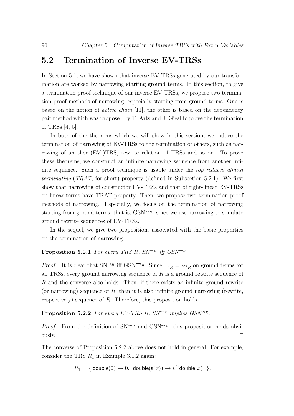## 5.2 Termination of Inverse EV-TRSs

In Section 5.1, we have shown that inverse EV-TRSs generated by our transformation are worked by narrowing starting ground terms. In this section, to give a termination proof technique of our inverse EV-TRSs, we propose two termination proof methods of narrowing, especially starting from ground terms. One is based on the notion of active chain [11], the other is based on the dependency pair method which was proposed by T. Arts and J. Giesl to prove the termination of TRSs [4, 5].

In both of the theorems which we will show in this section, we induce the termination of narrowing of EV-TRSs to the termination of others, such as narrowing of another (EV-)TRS, rewrite relation of TRSs and so on. To prove these theorems, we construct an infinite narrowing sequence from another infinite sequence. Such a proof technique is usable under the top reduced almost terminating (TRAT, for short) property (defined in Subsection 5.2.1). We first show that narrowing of constructor EV-TRSs and that of right-linear EV-TRSs on linear terms have TRAT property. Then, we propose two termination proof methods of narrowing. Especially, we focus on the termination of narrowing starting from ground terms, that is,  $GSN^{\leadsto R}$ , since we use narrowing to simulate ground rewrite sequences of EV-TRSs.

In the sequel, we give two propositions associated with the basic properties on the termination of narrowing.

#### **Proposition 5.2.1** For every TRS R,  $SN \rightarrow R$  iff  $GSN \rightarrow R$ .

*Proof.* It is clear that SN<sup>→R</sup> iff GSN<sup>→R</sup>. Since  $\rightarrow_R = \rightarrow_R$  on ground terms for all TRSs, every ground narrowing sequence of  $R$  is a ground rewrite sequence of R and the converse also holds. Then, if there exists an infinite ground rewrite (or narrowing) sequence of  $R$ , then it is also infinite ground narrowing (rewrite, respectively) sequence of R. Therefore, this proposition holds.  $\square$ 

#### **Proposition 5.2.2** For every EV-TRS R,  $SN^{\sim_R}$  implies  $GSN^{\sim_R}$ .

*Proof.* From the definition of  $SN^{\sim_R}$  and  $GSN^{\sim_R}$ , this proposition holds obviously.  $\Box$ 

The converse of Proposition 5.2.2 above does not hold in general. For example, consider the TRS  $R_1$  in Example 3.1.2 again:

$$
R_1 = \{ \text{ double}(0) \rightarrow 0, \text{ double}(s(x)) \rightarrow s^2(\text{double}(x)) \}.
$$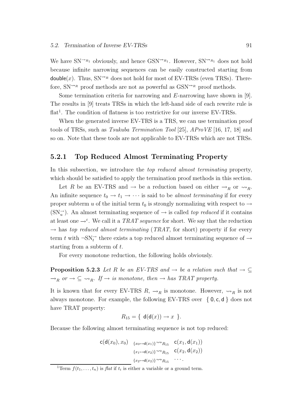We have  $SN^{\rightarrow_{R_1}}$  obviously, and hence  $GSN^{\rightarrow_{R_1}}$ . However,  $SN^{\rightarrow_{R_1}}$  does not hold because infinite narrowing sequences can be easily constructed starting from double(x). Thus,  $SN^{\sim_R}$  does not hold for most of EV-TRSs (even TRSs). Therefore,  $SN^{\leadsto_R}$  proof methods are not as powerful as  $GSN^{\leadsto_R}$  proof methods.

Some termination criteria for narrowing and E-narrowing have shown in [9]. The results in [9] treats TRSs in which the left-hand side of each rewrite rule is flat<sup>1</sup>. The condition of flatness is too restrictive for our inverse EV-TRSs.

When the generated inverse EV-TRS is a TRS, we can use termination proof tools of TRSs, such as Tsukuba Termination Tool [25], AProVE [16, 17, 18] and so on. Note that these tools are not applicable to EV-TRSs which are not TRSs.

#### 5.2.1 Top Reduced Almost Terminating Property

In this subsection, we introduce the *top reduced almost terminating* property, which should be satisfied to apply the termination proof methods in this section.

Let R be an EV-TRS and  $\rightarrow$  be a reduction based on either  $\rightarrow_R$  or  $\rightarrow_R$ . An infinite sequence  $t_0 \rightarrow t_1 \rightarrow \cdots$  is said to be almost terminating if for every proper subterm u of the initial term  $t_0$  is strongly normalizing with respect to  $\rightarrow$  $(SN_u^-)$ . An almost terminating sequence of  $\rightarrow$  is called *top reduced* if it contains at least one  $\rightarrow^{\varepsilon}$ . We call it a TRAT sequence for short. We say that the reduction  $\rightarrow$  has top reduced almost terminating (TRAT, for short) property if for every term t with  $\neg\text{SN}^{\rightarrow}_t$  there exists a top reduced almost terminating sequence of  $\rightarrow$ starting from a subterm of t.

For every monotone reduction, the following holds obviously.

**Proposition 5.2.3** Let R be an EV-TRS and  $\rightarrow$  be a relation such that  $\rightarrow \subseteq$  $\rightarrow_R$  or  $\rightarrow \subseteq \rightarrow_R$ . If  $\rightarrow$  is monotone, then  $\rightarrow$  has TRAT property.

It is known that for every EV-TRS  $R, \rightarrow_R$  is monotone. However,  $\rightsquigarrow_R$  is not always monotone. For example, the following EV-TRS over  $\{0, c, d\}$  does not have TRAT property:

$$
R_{15} = \{ d(d(x)) \rightarrow x \}.
$$

Because the following almost terminating sequence is not top reduced:

$$
c(d(x_0), x_0) \xrightarrow{\{x_0 \mapsto d(x_1)\}} \sim_{R_{15}} c(x_1, d(x_1))
$$

$$
\{x_1 \mapsto d(x_2)\} \sim_{R_{15}} c(x_2, d(x_2))
$$

$$
\{x_2 \mapsto d(x_2)\} \sim_{R_{15}} \cdots
$$

<sup>&</sup>lt;sup>1</sup>Term  $f(t_1,...,t_n)$  is *flat* if  $t_i$  is either a variable or a ground term.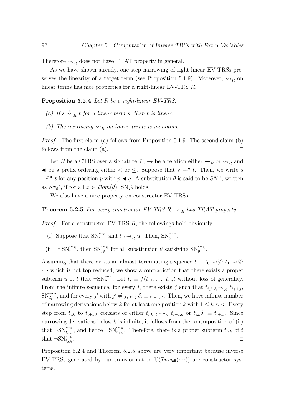Therefore  $\leadsto_R$  does not have TRAT property in general.

As we have shown already, one-step narrowing of right-linear EV-TRSs preserves the linearity of a target term (see Proposition 5.1.9). Moreover,  $\rightsquigarrow_R$  on linear terms has nice properties for a right-linear EV-TRS R.

Proposition 5.2.4 Let R be a right-linear EV-TRS.

- (a) If  $s \stackrel{*}{\leadsto}_R t$  for a linear term s, then t is linear.
- (b) The narrowing  $\leadsto_R$  on linear terms is monotone.

Proof. The first claim (a) follows from Proposition 5.1.9. The second claim (b) follows from the claim (a).  $\Box$ 

Let R be a CTRS over a signature  $\mathcal{F}, \rightarrow$  be a relation either  $\rightarrow_R$  or  $\rightarrow_R$  and  $\blacktriangleleft$  be a prefix ordering either  $\lt$  or  $\leq$ . Suppose that  $s \rightarrow q$  t. Then, we write s  $\rightarrow^{p\blacktriangleleft} t$  for any position p with p  $\blacktriangleleft q$ . A substitution  $\theta$  is said to be  $SN^{\rightarrow}$ , written as  $SN_{\theta}^{\rightarrow}$ , if for all  $x \in \mathcal{D}om(\theta)$ ,  $SN_{x\theta}^{\rightarrow}$  holds.

We also have a nice property on constructor EV-TRSs.

**Theorem 5.2.5** For every constructor EV-TRS R,  $\rightsquigarrow_R$  has TRAT property.

*Proof.* For a constructor EV-TRS  $R$ , the followings hold obviously:

- (i) Suppose that  $\text{SN}_{t}^{\rightsquigarrow_R}$  and  $t \underset{\delta \rightsquigarrow_R}{\rightsquigarrow_R} u$ . Then,  $\text{SN}_{\delta}^{\rightsquigarrow_R}$ .
- (ii) If  $\text{SN}_{t}^{\leftrightarrow R}$ , then  $\text{SN}_{t\theta}^{\leftrightarrow R}$  for all substitution  $\theta$  satisfying  $\text{SN}_{\theta}^{\leftrightarrow R}$ .

Assuming that there exists an almost terminating sequence  $t \equiv t_0 \leadsto_R^{\varepsilon <} t_1 \leadsto_R^{\varepsilon <} t$ · · · which is not top reduced, we show a contradiction that there exists a proper subterm u of t that  $\neg SN_u^{\rightsquigarrow R}$ . Let  $t_i \equiv f(t_{i,1}, \ldots, t_{i,n})$  without loss of generality. From the infinite sequence, for every i, there exists j such that  $t_{i,j}$   $_{\delta_i} \rightarrow R$   $t_{i+1,j}$ ,  $\text{SN}_{\delta_i}^{\leftrightarrow R}$ , and for every j' with  $j' \neq j$ ,  $t_{i,j'}\delta_i \equiv t_{i+1,j'}$ . Then, we have infinite number of narrowing derivations below k for at least one position k with  $1 \leq k \leq n$ . Every step from  $t_{i,k}$  to  $t_{i+1,k}$  consists of either  $t_{i,k}$   $_{\delta_i} \sim_{R} t_{i+1,k}$  or  $t_{i,k} \delta_i \equiv t_{i+1,k}$ . Since narrowing derivations below  $k$  is infinite, it follows from the contraposition of (ii) that  $\neg \text{SN}_{t_{i,k}}^{\nightharpoonup R}$ , and hence  $\neg \text{SN}_{t_{0,k}}^{\nightharpoonup R}$ . Therefore, there is a proper subterm  $t_{0,k}$  of t that  $\neg\text{SN}^{\leftrightarrow R}_{t_{0,k}}$ .  $\bigcup_{t_{0,k}}$ .

Proposition 5.2.4 and Theorem 5.2.5 above are very important because inverse EV-TRSs generated by our transformation  $\mathbb{U}(\mathcal{I}nv_{\text{full}}(\cdots))$  are constructor systems.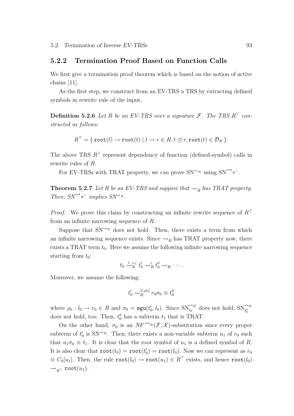#### 5.2.2 Termination Proof Based on Function Calls

We first give a termination proof theorem which is based on the notion of active chains [11].

As the first step, we construct from an EV-TRS a TRS by extracting defined symbols in rewrite rule of the input.

**Definition 5.2.6** Let R be an EV-TRS over a signature  $\mathcal{F}$ . The TRS  $R^{\top}$  constructed as follows:

$$
R^{\top} = \{ \text{root}(l) \rightarrow \text{root}(t) \mid l \rightarrow r \in R, t \leq r, \text{root}(t) \in \mathcal{D}_R \}.
$$

The above TRS  $R^{\dagger}$  represent dependency of function (defined-symbol) calls in rewrite rules of R.

For EV-TRSs with TRAT property, we can prove  $SN^{\rightsquigarrow_R}$  using  $SN^{\rightsquigarrow_R}$ .

**Theorem 5.2.7** Let R be an EV-TRS and suppose that  $\rightsquigarrow_R$  has TRAT property. Then,  $SN^{\rightarrow} R^{\top}$  implies  $SN^{\rightarrow} R$ .

*Proof.* We prove this claim by constructing an infinite rewrite sequence of  $R^{\top}$ from an infinite narrowing sequence of R.

Suppose that  $SN^{\sim_R}$  does not hold. Then, there exists a term from which an infinite narrowing sequence exists. Since  $\rightsquigarrow_R$  has TRAT property now, there exists a TRAT term  $t_0$ . Here we assume the following infinite narrowing sequence starting from  $t_0$ :

$$
t_0 \stackrel{*}{\leadsto}^{\varepsilon <}_{R} t'_0 \leadsto^{\varepsilon}_{R} t''_0 \leadsto_{R} \cdots.
$$

Moreover, we assume the following:

$$
t'_0 \leadsto_R^{[\varepsilon,\rho_0]} r_0 \sigma_0 \equiv t''_0
$$

where  $\rho_0: l_0 \to r_0 \in R$  and  $\sigma_0 = \text{mgu}(t'_0, l_0)$ . Since  $\text{SN}_{t_0}^{\sim n}$  does not hold,  $\text{SN}_{t_0'}^{\sim n}$ does not hold, too. Then,  $t''_0$  has a subterm  $t_1$  that is TRAT.

On the other hand,  $\sigma_0$  is an  $NF^{\rightsquigarrow_R}(\mathcal{F}, \mathcal{X})$ -substitution since every proper subterm of  $t'_0$  is  $SN^{\leadsto R}$ . Then, there exists a non-variable subterm  $u_1$  of  $r_0$  such that  $u_1\sigma_0 \equiv t_1$ . It is clear that the root symbol of  $u_1$  is a defined symbol of R. It is also clear that  $\texttt{root}(t_0) = \texttt{root}(t_0') = \texttt{root}(l_0)$ . Now we can represent as  $r_0$  $\equiv C_0[u_1]$ . Then, the rule  $\text{root}(l_0) \to \text{root}(u_1) \in R^{\top}$  exists, and hence  $\text{root}(l_0)$  $\rightarrow_{R^{\top}}$  root $(u_1)$ .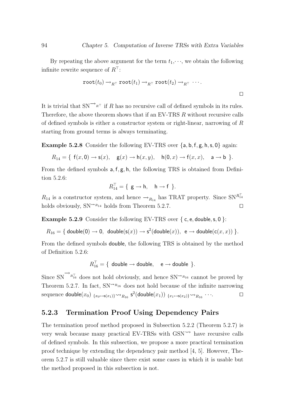By repeating the above argument for the term  $t_1, \dots,$  we obtain the following infinite rewrite sequence of  $R^{\top}$ :

$$
\mathtt{root}(t_0) \to_{R^{\top}} \mathtt{root}(t_1) \to_{R^{\top}} \mathtt{root}(t_2) \to_{R^{\top}} \cdots
$$

It is trivial that  $SN^{\rightarrow} R^{\top}$  if R has no recursive call of defined symbols in its rules. Therefore, the above theorem shows that if an EV-TRS R without recursive calls of defined symbols is either a constructor system or right-linear, narrowing of  $R$ starting from ground terms is always terminating.

**Example 5.2.8** Consider the following EV-TRS over  $\{a, b, f, g, h, s, 0\}$  again:

$$
R_{14} = \{ f(x,0) \rightarrow s(x), g(x) \rightarrow h(x,y), h(0,x) \rightarrow f(x,x), a \rightarrow b \}.
$$

From the defined symbols a, f, g, h, the following TRS is obtained from Definition 5.2.6:

$$
R_{14}^{\top} = \{ \mathbf{g} \to \mathbf{h}, \mathbf{h} \to \mathbf{f} \}.
$$

 $R_{14}$  is a constructor system, and hence  $\rightarrow_{R_{14}}$  has TRAT property. Since  $SN^{R_{14}^+}$ holds obviously,  $SN^{\leadsto R_{14}}$  holds from Theorem 5.2.7.

**Example 5.2.9** Consider the following EV-TRS over  $\{c, e, double, s, 0\}$ :

$$
R_{16} = \{ \text{ double}(0) \rightarrow 0, \text{ double}(s(x)) \rightarrow s^2(\text{double}(x)), \text{ } e \rightarrow \text{double}(c(x,x)) \}.
$$

From the defined symbols double, the following TRS is obtained by the method of Definition 5.2.6:

$$
R_{16}^{\top} = \{ \text{ double } \rightarrow \text{ double}, \quad \text{e} \rightarrow \text{ double } \}.
$$

Since  $SN \rightarrow R_{16}^{\dagger}$  does not hold obviously, and hence  $SN \rightarrow R_{16}$  cannot be proved by Theorem 5.2.7. In fact,  $SN^{\sim R_{16}}$  does not hold because of the infinite narrowing sequence double $(x_0)$   $_{\{x_0 \mapsto s(x_1)\}} \leadsto_{R_{16}} s^2$ (double $(x_1)$ )  $_{\{x_1 \mapsto s(x_2)\}} \leadsto_{R_{16}} \cdots$ .

#### 5.2.3 Termination Proof Using Dependency Pairs

The termination proof method proposed in Subsection 5.2.2 (Theorem 5.2.7) is very weak because many practical EV-TRSs with  $\text{GSN}^{\sim}$  have recursive calls of defined symbols. In this subsection, we propose a more practical termination proof technique by extending the dependency pair method [4, 5]. However, Theorem 5.2.7 is still valuable since there exist some cases in which it is usable but the method proposed in this subsection is not.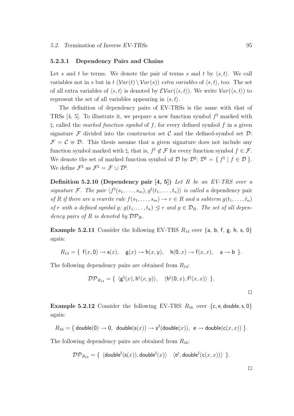#### 5.2.3.1 Dependency Pairs and Chains

Let s and t be terms. We denote the pair of terms s and t by  $\langle s,t \rangle$ . We call variables not in s but in  $t$   $(Var(t) \setminus Var(s))$  extra variables of  $\langle s,t \rangle$ , too. The set of all extra variables of  $\langle s,t \rangle$  is denoted by  $\mathcal{E}Var(\langle s,t \rangle)$ . We write  $Var(\langle s,t \rangle)$  to represent the set of all variables appearing in  $\langle s,t \rangle$ .

The definition of dependency pairs of EV-TRSs is the same with that of TRSs [4, 5]. To illustrate it, we prepare a new function symbol  $f^{\dagger}$  marked with  $\natural$ , called the marked function symbol of f, for every defined symbol f in a given signature  $\mathcal F$  divided into the constructor set  $\mathcal C$  and the defined-symbol set  $\mathcal D$ :  $\mathcal{F} = \mathcal{C} \oplus \mathcal{D}$ . This thesis assume that a given signature does not include any function symbol marked with  $\natural$ , that is,  $f^{\natural} \notin \mathcal{F}$  for every function symbol  $f \in \mathcal{F}$ . We denote the set of marked function symbol of  $\mathcal D$  by  $\mathcal D^{\natural}$ ;  $\mathcal D^{\natural} = \{ f^{\natural} \mid f \in \mathcal D \}$ . We define  $\mathcal{F}^{\natural}$  as  $\mathcal{F}^{\natural} = \mathcal{F} \cup \mathcal{D}^{\natural}$ .

Definition 5.2.10 (Dependency pair  $[4, 5]$ ) Let R be an EV-TRS over a signature F. The pair  $\langle f^{\natural}(s_1, \ldots, s_m), g^{\natural}(t_1, \ldots, t_n) \rangle$  is called a dependency pair of R if there are a rewrite rule  $f(s_1, \ldots, s_m) \to r \in R$  and a subterm  $g(t_1, \ldots, t_n)$ of r with a defined symbol g;  $g(t_1, \ldots, t_n) \leq r$  and  $g \in \mathcal{D}_R$ . The set of all dependency pairs of R is denoted by  $\mathcal{DP}_R$ .

**Example 5.2.11** Consider the following EV-TRS  $R_{14}$  over  $\{a, b, f, g, h, s, 0\}$ again:

$$
R_{14} = \{ f(x,0) \rightarrow s(x), g(x) \rightarrow h(x,y), h(0,x) \rightarrow f(x,x), a \rightarrow b \}.
$$

The following dependency pairs are obtained from  $R_{14}$ :

$$
\mathcal{DP}_{R_{14}} = \{ \langle \mathsf{g}^{\natural}(x), \mathsf{h}^{\natural}(x,y) \rangle, \langle \mathsf{h}^{\natural}(0,x), \mathsf{f}^{\natural}(x,x) \rangle \}.
$$

**Example 5.2.12** Consider the following EV-TRS  $R_{16}$  over {c, e, double, s, 0} again:

$$
R_{16} = \{ \text{ double}(0) \rightarrow 0, \text{ double}(s(x)) \rightarrow s^2(\text{double}(x)), \text{ } e \rightarrow \text{double}(c(x,x)) \}.
$$

The following dependency pairs are obtained from  $R_{16}$ :

$$
\mathcal{DP}_{R_{16}} = \{ \text{ \langle double}^{\natural}(\mathsf{s}(x)), \mathsf{double}^{\natural}(x) \rangle \text{ \langle } \mathsf{e}^{\natural}, \mathsf{double}^{\natural}(\mathsf{c}(x,x)) \rangle \}.
$$

 $\Box$ 

 $\Box$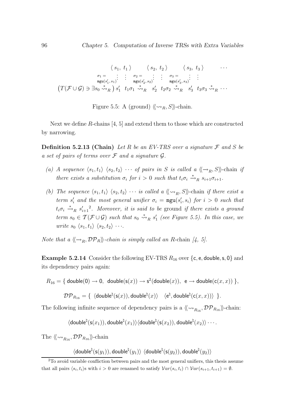$$
\langle s_1, t_1 \rangle \qquad \langle s_2, t_2 \rangle \qquad \langle s_3, t_3 \rangle \qquad \cdots
$$

$$
\sigma_1 = \begin{array}{c} \vdots & \vdots & \sigma_2 = \vdots & \vdots & \sigma_3 = \vdots & \vdots \\ \text{mgu}(s'_1, s_1) & \text{mgu}(s'_2, s_2) & \text{mgu}(s'_3, s_3) \end{array}
$$

$$
(T(\mathcal{F} \cup \mathcal{G}) \ni \exists s_0 \stackrel{*}{\leadsto}_R) s'_1 \quad t_1 \sigma_1 \stackrel{*}{\leadsto}_R s'_2 \quad t_2 \sigma_2 \stackrel{*}{\leadsto}_R s'_3 \quad t_3 \sigma_3 \stackrel{*}{\leadsto}_R \cdots
$$

Figure 5.5: A (ground)  $\langle \langle \leadsto_R , S \rangle \rangle$ -chain.

Next we define R-chains [4, 5] and extend them to those which are constructed by narrowing.

**Definition 5.2.13 (Chain)** Let R be an EV-TRS over a signature  $\mathcal F$  and S be a set of pairs of terms over  $\mathcal F$  and a signature  $\mathcal G$ .

- (a) A sequence  $\langle s_1,t_1\rangle$   $\langle s_2,t_2\rangle$  · · · of pairs in S is called a  $\langle {\rightarrow}_R, S\rangle$ -chain if there exists a substitution  $\sigma_i$  for  $i > 0$  such that  $t_i \sigma_i \stackrel{*}{\rightarrow}_R s_{i+1} \sigma_{i+1}$ .
- (b) The sequence  $\langle s_1,t_1\rangle$   $\langle s_2,t_2\rangle$   $\cdots$  is called a  $\langle \langle \leadsto_R , S \rangle \rangle$ -chain if there exist a term  $s_i'$  and the most general unifier  $\sigma_i = \text{mgu}(s_i', s_i)$  for  $i > 0$  such that  $t_i\sigma_i \stackrel{*}{\rightarrow}_R s'_{i+1}$ <sup>2</sup>. Moreover, it is said to be ground if there exists a ground term  $s_0 \in \mathcal{T}(\mathcal{F} \cup \mathcal{G})$  such that  $s_0 \stackrel{*}{\leadsto}_R s'_1$  (see Figure 5.5). In this case, we write  $s_0 \langle s_1,t_1 \rangle \langle s_2,t_2 \rangle \cdots$

Note that a  $\langle \langle \rightarrow_R, \mathcal{DP}_R \rangle \rangle$ -chain is simply called an R-chain [4, 5].

**Example 5.2.14** Consider the following EV-TRS  $R_{16}$  over {c, e, double, s, 0} and its dependency pairs again:

 $R_{16} = \{ \text{ double}(0) \rightarrow 0, \text{ double}(s(x)) \rightarrow s^2(\text{double}(x)), \text{ } \text{e} \rightarrow \text{double}(c(x,x)) \},$ 

 $\mathcal{DP}_{R_{16}} = \{ \; \langle \mathsf{double}^{\natural}(\mathsf{s}(x)),\mathsf{double}^{\natural}(x) \rangle \quad \langle \mathsf{e}^{\natural},\mathsf{double}^{\natural}(\mathsf{c}(x,x)) \rangle \; \} .$ 

The following infinite sequence of dependency pairs is a  $\langle \langle \leadsto_{R_{16}}, {\cal DP}_{R_{16}} \rangle$ -chain:

 $\langle \mathsf{double}^\natural(\mathsf{s}(x_1)),\mathsf{double}^\natural(x_1)\rangle \langle \mathsf{double}^\natural(\mathsf{s}(x_2)),\mathsf{double}^\natural(x_2)\rangle \cdots.$ 

The  $\langle\!\langle \leadsto_{R_{16}}, {\cal DP}_{R_{16}} \rangle\!\rangle$ -chain

 $\langle \mathsf{double}^\natural(\mathsf{s}(y_1)),\mathsf{double}^\natural(y_1)\rangle~ \langle \mathsf{double}^\natural(\mathsf{s}(y_2)),\mathsf{double}^\natural(y_2)\rangle$ 

<sup>&</sup>lt;sup>2</sup>To avoid variable confliction between pairs and the most general unifiers, this thesis assume that all pairs  $\langle s_i, t_i \rangle$ s with  $i > 0$  are renamed to satisfy  $Var(s_i, t_i) \cap Var(s_{i+1}, t_{i+1}) = \emptyset$ .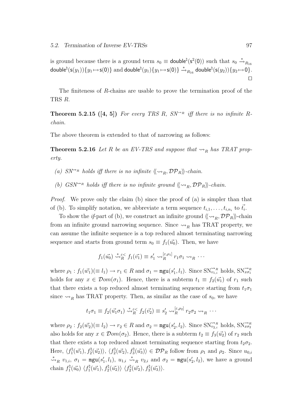is ground because there is a ground term  $s_0 \equiv$  **double**<sup> $\sharp$ </sup>(**s**<sup>2</sup>(0)) such that  $s_0 \stackrel{*}{\to}_{R_{16}}$  $\mathsf{double}^\natural(\mathsf{s}(y_1))\{y_1 \mapsto \mathsf{s}(\mathsf{0})\} \text{ and double}^\natural(y_1)\{y_1 \mapsto \mathsf{s}(\mathsf{0})\} \xrightarrow{\ast}_{R_{16}} \mathsf{double}^\natural(\mathsf{s}(y_2))\{y_2 \mapsto \mathsf{0}\}.$  $\Box$ 

The finiteness of R-chains are usable to prove the termination proof of the TRS R.

**Theorem 5.2.15** ([4, 5]) For every TRS R,  $SN^{\rightarrow R}$  iff there is no infinite Rchain.

The above theorem is extended to that of narrowing as follows:

**Theorem 5.2.16** Let R be an EV-TRS and suppose that  $\rightsquigarrow_R$  has TRAT property.

- (a)  $SN^{\sim_R}$  holds iff there is no infinite  $\langle \langle \sim_R, \mathcal{DP}_R \rangle \rangle$ -chain.
- (b) GSN<sup> $\sim$ R</sup> holds iff there is no infinite ground  $\langle \langle \sim_R, \mathcal{DP}_R \rangle \rangle$ -chain.

Proof. We prove only the claim (b) since the proof of (a) is simpler than that of (b). To simplify notation, we abbreviate a term sequence  $t_{i,1}, \ldots, t_{i,n_i}$  to  $\vec{t}_i$ .

To show the *if*-part of (b), we construct an infinite ground  $\langle \langle \sim_R, \mathcal{DP}_R \rangle \rangle$ -chain from an infinite ground narrowing sequence. Since  $\rightsquigarrow_R$  has TRAT property, we can assume the infinite sequence is a top reduced almost terminating narrowing sequence and starts from ground term  $s_0 \equiv f_1(\vec{u_0})$ . Then, we have

$$
f_1(\vec{u_0}) \stackrel{*}{\leadsto_R^{\epsilon}} f_1(\vec{v_1}) \equiv s_1' \leadsto_R^{[\epsilon,\rho_1]} r_1 \sigma_1 \leadsto_R \cdots
$$

where  $\rho_1: f_1(\vec{w_1}) (\equiv l_1) \to r_1 \in R$  and  $\sigma_1 = \text{mgu}(s'_1, l_1)$ . Since  $\text{SN}_{v_1,i}^{\leftrightarrow R}$  holds,  $\text{SN}_{x\sigma_1}^{\leftrightarrow R}$ holds for any  $x \in \mathcal{D}om(\sigma_1)$ . Hence, there is a subterm  $t_1 \equiv f_2(\vec{u_1})$  of  $r_1$  such that there exists a top reduced almost terminating sequence starting from  $t_1\sigma_1$ since  $\rightsquigarrow_R$  has TRAT property. Then, as similar as the case of  $s_0$ , we have

$$
t_1\sigma_1 \equiv f_2(\vec{u_1}\sigma_1) \stackrel{*}{\leadsto}{}^{\varepsilon}R f_2(\vec{v_2}) \equiv s'_2 \leadsto^{\left[\varepsilon,\rho_2\right]}_{R} r_2\sigma_2 \leadsto^{\varepsilon}{}_{R} \cdots
$$

where  $\rho_2: f_2(\vec{w_2}) (\equiv l_2) \to r_2 \in R$  and  $\sigma_2 = \text{mgu}(s'_2, l_2)$ . Since  $\text{SN}_{v_{2,i}}^{\leftrightarrow R}$  holds,  $\text{SN}_{x\sigma_2}^{\leftrightarrow R}$ also holds for any  $x \in \mathcal{D}om(\sigma_2)$ . Hence, there is a subterm  $t_2 \equiv f_3(\vec{u_2})$  of  $r_2$  such that there exists a top reduced almost terminating sequence starting from  $t_2\sigma_2$ . Here,  $\langle f_1^{\natural}$  $f_1^\natural(\vec{w_1}), f_2^\natural$  $\langle \vec{u_2} | \vec{u_2} \rangle \rangle, \ \langle f_2^\natural$  $f_2^\natural(\vec{w_2}), f_3^\natural$  $\langle u_3^{\mathfrak{q}}(u_3^{\mathfrak{q}}) \rangle \in \mathcal{DP}_R$  follow from  $\rho_1$  and  $\rho_2$ . Since  $u_{0,i}$  $\stackrel{*}{\leadsto}_R v_{1,i}, \sigma_1 = \text{mgu}(s'_1, l_1), u_{1,i} \stackrel{*}{\leadsto}_R v_{2,i}$  and  $\sigma_2 = \text{mgu}(s'_2, l_2)$ , we have a ground chain  $f_1^{\natural}$  $f_1^\natural(\vec{u_0}) \langle f_1^\natural$  $f_1^\natural(\vec{w_1}), f_2^\natural$  $\langle g_2^\natural(\vec{u_2})\rangle$   $\langle f_2^\natural$  $f_2^\natural(\vec{w_2}), f_3^\natural$  $\langle \vec{u_3} \rangle$ .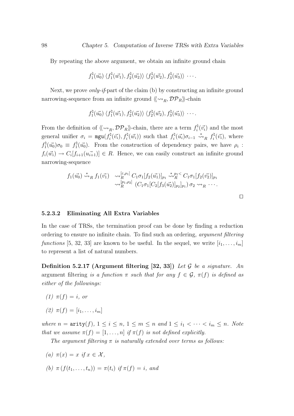By repeating the above argument, we obtain an infinite ground chain

$$
f_1^{\natural}(\vec{u_0})\langle f_1^{\natural}(\vec{w_1}), f_2^{\natural}(\vec{u_2})\rangle \langle f_2^{\natural}(\vec{w_2}), f_3^{\natural}(\vec{u_3})\rangle \cdots
$$

Next, we prove *only-if-part* of the claim (b) by constructing an infinite ground narrowing-sequence from an infinite ground  $\langle \langle \sim_R, \mathcal{DP}_R \rangle \rangle$ -chain

$$
f_1^{\natural}(\vec{u_0}) \langle f_1^{\natural}(\vec{w_1}), f_2^{\natural}(\vec{u_2}) \rangle \langle f_2^{\natural}(\vec{w_2}), f_3^{\natural}(\vec{u_3}) \rangle \cdots
$$

From the definition of  $\langle\langle \leadsto_R, \mathcal{DP}_R\rangle\rangle$ -chain, there are a term  $f_i^{\natural}$  $i^{\mathfrak{q}}(\vec{v_i})$  and the most general unifier  $\sigma_i = \text{mgu}(f_i^{\natural})$  $f_i^\natural(\vec{v_i}), f_i^\natural$  $f_i^{\natural}(\vec{w_i})$  such that  $f_i^{\natural}$  $f_i^\natural(\vec{u_i})\sigma_{i-1} \stackrel{*}{\leadsto}_R f_i^\natural$  $\tilde{v}_i^{\mathfrak{q}}(\vec{v}_i)$ , where  $f_1^\natural$  $f_1^\natural(\vec{u_0})\sigma_0 \, \equiv \, f_1^\natural$  $\mathbb{I}^{\mathfrak{q}}(\vec{u_0})$ . From the construction of dependency pairs, we have  $\rho_i$ :  $f_i(\vec{w_i}) \to C_i[f_{i+1}(\vec{u_{i+1}})] \in R$ . Hence, we can easily construct an infinite ground narrowing-sequence

$$
f_1(\vec{u_0}) \stackrel{*}{\leadsto}_R f_1(\vec{v_1}) \sim_{R}^{[\varepsilon,\rho_1]} C_1 \sigma_1 [f_2(\vec{u_1})]_{p_1} \stackrel{*}{\leadsto}_R^{p_1 <} C_1 \sigma_1 [f_2(\vec{v_2})]_{p_1} \sim_{R}^{[p_1,\rho_2]} (C_1 \sigma_1 [C_2[f_3(\vec{u_2})]_{p_2}]_{p_1}) \sigma_2 \leadsto_R \cdots
$$

 $\Box$ 

#### 5.2.3.2 Eliminating All Extra Variables

In the case of TRSs, the termination proof can be done by finding a reduction ordering to ensure no infinite chain. To find such an ordering, argument filtering functions [5, 32, 33] are known to be useful. In the sequel, we write  $[i_1, \ldots, i_m]$ to represent a list of natural numbers.

Definition 5.2.17 (Argument filtering [32, 33]) Let  $G$  be a signature. An argument filtering is a function  $\pi$  such that for any  $f \in \mathcal{G}$ ,  $\pi(f)$  is defined as either of the followings:

- (1)  $\pi(f) = i$ , or
- (2)  $\pi(f) = [i_1, \ldots, i_m]$

where  $n = \text{arity}(f), 1 \le i \le n, 1 \le m \le n$  and  $1 \le i_1 < \cdots < i_m \le n$ . Note that we assume  $\pi(f) = [1, \ldots, n]$  if  $\pi(f)$  is not defined explicitly.

The argument filtering  $\pi$  is naturally extended over terms as follows:

(a) 
$$
\pi(x) = x
$$
 if  $x \in \mathcal{X}$ ,

(b) 
$$
\pi(f(t_1,..., t_n)) = \pi(t_i)
$$
 if  $\pi(f) = i$ , and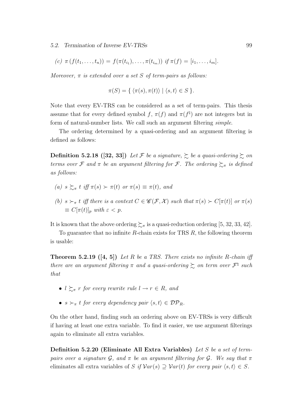(c) 
$$
\pi
$$
  $(f(t_1,..., t_n)) = f(\pi(t_{i_1}),..., \pi(t_{i_m}))$  if  $\pi(f) = [i_1,..., i_m]$ .

Moreover,  $\pi$  is extended over a set S of term-pairs as follows:

$$
\pi(S) = \{ \langle \pi(s), \pi(t) \rangle \mid \langle s, t \rangle \in S \}.
$$

Note that every EV-TRS can be considered as a set of term-pairs. This thesis assume that for every defined symbol f,  $\pi(f)$  and  $\pi(f^{\sharp})$  are not integers but in form of natural-number lists. We call such an argument filtering simple.

The ordering determined by a quasi-ordering and an argument filtering is defined as follows:

**Definition 5.2.18** ([32, 33]) Let F be a signature,  $\geq$  be a quasi-ordering  $\geq$  on terms over F and  $\pi$  be an argument filtering for F. The ordering  $\succsim_{\pi}$  is defined as follows:

- (a)  $s \succsim_{\pi} t$  iff  $\pi(s) \succ \pi(t)$  or  $\pi(s) \equiv \pi(t)$ , and
- (b)  $s \succ_{\pi} t$  iff there is a context  $C \in \mathscr{C}(\mathcal{F}, \mathcal{X})$  such that  $\pi(s) \succ C[\pi(t)]$  or  $\pi(s)$  $\equiv C[\pi(t)]_p$  with  $\varepsilon < p$ .

It is known that the above ordering  $\succsim_{\pi}$  is a quasi-reduction ordering [5, 32, 33, 42].

To guarantee that no infinite  $R$ -chain exists for TRS  $R$ , the following theorem is usable:

**Theorem 5.2.19** ([4, 5]) Let R be a TRS. There exists no infinite R-chain iff there are an argument filtering  $\pi$  and a quasi-ordering  $\succsim$  on term over  $\mathcal{F}^{\natural}$  such that

- $l \geq \pi r$  for every rewrite rule  $l \to r \in R$ , and
- $s \succ_{\pi} t$  for every dependency pair  $\langle s,t \rangle \in \mathcal{DP}_R$ .

On the other hand, finding such an ordering above on EV-TRSs is very difficult if having at least one extra variable. To find it easier, we use argument filterings again to eliminate all extra variables.

Definition 5.2.20 (Eliminate All Extra Variables) Let S be a set of termpairs over a signature G, and  $\pi$  be an argument filtering for G. We say that  $\pi$ eliminates all extra variables of S if  $Var(s) \supseteq Var(t)$  for every pair  $\langle s,t \rangle \in S$ .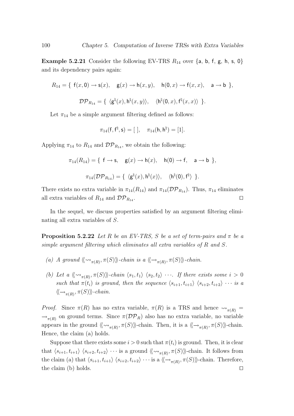**Example 5.2.21** Consider the following EV-TRS  $R_{14}$  over  $\{a, b, f, g, h, s, 0\}$ and its dependency pairs again:

$$
R_{14} = \{ f(x,0) \rightarrow s(x), g(x) \rightarrow h(x,y), h(0,x) \rightarrow f(x,x), a \rightarrow b \},
$$
  

$$
\mathcal{DP}_{R_{14}} = \{ \langle g^{\natural}(x), h^{\natural}(x,y) \rangle, \langle h^{\natural}(0,x), f^{\natural}(x,x) \rangle \}.
$$

Let  $\pi_{14}$  be a simple argument filtering defined as follows:

$$
\pi_{14}({\sf f},{\sf f}^\natural,{\sf s}) = [\;],\quad \pi_{14}({\sf h},{\sf h}^\natural) = [1].
$$

Applying  $\pi_{14}$  to  $R_{14}$  and  $\mathcal{DP}_{R_{14}}$ , we obtain the following:

$$
\pi_{14}(R_{14}) = \{ \mathbf{f} \to \mathbf{s}, \quad \mathbf{g}(x) \to \mathbf{h}(x), \quad \mathbf{h}(0) \to \mathbf{f}, \quad \mathbf{a} \to \mathbf{b} \},
$$

$$
\pi_{14}(\mathcal{DP}_{R_{14}}) = \{ \langle \mathbf{g}^{\natural}(x), \mathbf{h}^{\natural}(x) \rangle, \quad \langle \mathbf{h}^{\natural}(0), \mathbf{f}^{\natural} \rangle \}.
$$

There exists no extra variable in  $\pi_{14}(R_{14})$  and  $\pi_{14}(\mathcal{DP}_{R_{14}})$ . Thus,  $\pi_{14}$  eliminates all extra variables of  $R_{14}$  and  $\mathcal{DP}_{R_{14}}$ .

In the sequel, we discuss properties satisfied by an argument filtering eliminating all extra variables of S.

**Proposition 5.2.22** Let R be an EV-TRS, S be a set of term-pairs and  $\pi$  be a simple argument filtering which eliminates all extra variables of R and S.

- (a) A ground  $\langle \langle \leadsto_{\pi(R)}, \pi(S) \rangle \rangle$ -chain is a  $\langle \langle \leadsto_{\pi(R)}, \pi(S) \rangle \rangle$ -chain.
- (b) Let a  $\langle \langle \omega_{\pi(R)}, \pi(S) \rangle \rangle$ -chain  $\langle s_1, t_1 \rangle$   $\langle s_2, t_2 \rangle$  · · ·. If there exists some  $i > 0$ such that  $\pi(t_i)$  is ground, then the sequence  $\langle s_{i+1}, t_{i+1} \rangle$   $\langle s_{i+2}, t_{i+2} \rangle \cdots$  is a  $\langle \langle \rightarrow_{\pi(R)}, \pi(S) \rangle \rangle$ -chain.

*Proof.* Since  $\pi(R)$  has no extra variable,  $\pi(R)$  is a TRS and hence  $\rightarrow_{\pi(R)}$  =  $\rightarrow_{\pi(R)}$  on ground terms. Since  $\pi(\mathcal{DP}_R)$  also has no extra variable, no variable appears in the ground  $\langle \langle \leadsto_{\pi(R)}, \pi(S) \rangle \rangle$ -chain. Then, it is a  $\langle \langle \leadsto_{\pi(R)}, \pi(S) \rangle \rangle$ -chain. Hence, the claim (a) holds.

Suppose that there exists some  $i > 0$  such that  $\pi(t_i)$  is ground. Then, it is clear that  $\langle s_{i+1}, t_{i+1} \rangle$   $\langle s_{i+2}, t_{i+2} \rangle$  · · · is a ground  $\langle \langle \leadsto_{\pi(R)}, \pi(S) \rangle \rangle$ -chain. It follows from the claim (a) that  $\langle s_{i+1},t_{i+1}\rangle$   $\langle s_{i+2},t_{i+2}\rangle \cdots$  is a  $\langle \langle \rightarrow_{\pi(R)}, \pi(S) \rangle \rangle$ -chain. Therefore, the claim (b) holds.  $\square$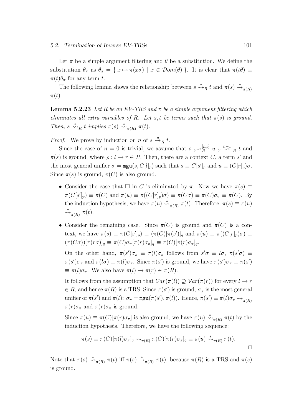Let  $\pi$  be a simple argument filtering and  $\theta$  be a substitution. We define the substitution  $\theta_{\pi}$  as  $\theta_{\pi} = \{ x \mapsto \pi(x\sigma) \mid x \in \mathcal{D}om(\theta) \}$ . It is clear that  $\pi(t\theta) \equiv$  $\pi(t)\theta_{\pi}$  for any term t.

The following lemma shows the relationship between  $s \stackrel{*}{\leadsto}_R t$  and  $\pi(s) \stackrel{*}{\leadsto}_{\pi(R)}$  $\pi(t)$ .

**Lemma 5.2.23** Let R be an EV-TRS and  $\pi$  be a simple argument filtering which eliminates all extra variables of R. Let s, t be terms such that  $\pi(s)$  is ground. Then,  $s \stackrel{*}{\leadsto}_R t$  implies  $\pi(s) \stackrel{*}{\leadsto}_{\pi(R)} \pi(t)$ .

*Proof.* We prove by induction on *n* of  $s \stackrel{n}{\leadsto}_R t$ .

Since the case of  $n = 0$  is trivial, we assume that  $s \sim_R^{[p,\rho]} u s' \stackrel{n-1}{\leadsto} u t$  and  $\pi(s)$  is ground, where  $\rho: l \to r \in R$ . Then, there are a context C, a term s' and the most general unifier  $\sigma = \text{mgu}(s, C[l]_p)$  such that  $s \equiv C[s']_p$  and  $u \equiv (C[r]_p)\sigma$ . Since  $\pi(s)$  is ground,  $\pi(C)$  is also ground.

- Consider the case that  $\Box$  in C is eliminated by  $\pi$ . Now we have  $\pi(s) \equiv$  $\pi(C[s']_p) \equiv \pi(C)$  and  $\pi(u) \equiv \pi((C[r]_p)\sigma) \equiv \pi(C\sigma) \equiv \pi(C)\sigma_\pi \equiv \pi(C)$ . By the induction hypothesis, we have  $\pi(u) \stackrel{*}{\leadsto}_{\pi(R)} \pi(t)$ . Therefore,  $\pi(s) \equiv \pi(u)$  $\stackrel{*}{\leadsto}_{\pi(R)} \pi(t).$
- Consider the remaining case. Since  $\pi(C)$  is ground and  $\pi(C)$  is a context, we have  $\pi(s) \equiv \pi(C[s']_p) \equiv (\pi(C)[\pi(s')]_q$  and  $\pi(u) \equiv \pi((C[r]_p)\sigma) \equiv$  $(\pi(C\sigma))[\pi(r\sigma)]_q \equiv \pi(C)\sigma_\pi[\pi(r)\sigma_\pi]_q \equiv \pi(C)[\pi(r)\sigma_\pi]_q.$

On the other hand,  $\pi(s')\sigma_{\pi} \equiv \pi(l)\sigma_{\pi}$  follows from  $s'\sigma \equiv l\sigma$ ,  $\pi(s'\sigma) \equiv$  $\pi(s')\sigma_{\pi}$  and  $\pi(l\sigma) \equiv \pi(l)\sigma_{\pi}$ . Since  $\pi(s')$  is ground, we have  $\pi(s')\sigma_{\pi} \equiv \pi(s')$  $\equiv \pi(l)\sigma_{\pi}$ . We also have  $\pi(l) \to \pi(r) \in \pi(R)$ .

It follows from the assumption that  $Var(\pi(l)) \supseteq Var(\pi(r))$  for every  $l \to r$  $\in R$ , and hence  $\pi(R)$  is a TRS. Since  $\pi(s')$  is ground,  $\sigma_{\pi}$  is the most general unifier of  $\pi(s')$  and  $\pi(l)$ :  $\sigma_{\pi} = \text{mgu}(\pi(s'), \pi(l))$ . Hence,  $\pi(s') \equiv \pi(l)\sigma_{\pi} \leadsto_{\pi(R)}$  $\pi(r)\sigma_{\pi}$  and  $\pi(r)\sigma_{\pi}$  is ground.

Since  $\pi(u) \equiv \pi(C)[\pi(r)\sigma_{\pi}]$  is also ground, we have  $\pi(u) \stackrel{*}{\leadsto}_{\pi(R)} \pi(t)$  by the induction hypothesis. Therefore, we have the following sequence:

$$
\pi(s) \equiv \pi(C)[\pi(l)\sigma_{\pi}]_q \rightsquigarrow_{\pi(R)} \pi(C)[\pi(r)\sigma_{\pi}]_q \equiv \pi(u) \stackrel{*}{\rightsquigarrow}_{\pi(R)} \pi(t).
$$

Note that  $\pi(s) \stackrel{*}{\leadsto}_{\pi(R)} \pi(t)$  iff  $\pi(s) \stackrel{*}{\leadsto}_{\pi(R)} \pi(t)$ , because  $\pi(R)$  is a TRS and  $\pi(s)$ is ground.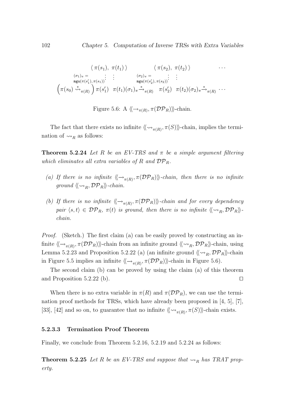$$
\langle \pi(s_1), \pi(t_1) \rangle \qquad \langle \pi(s_2), \pi(t_2) \rangle \qquad \cdots
$$
  
\n
$$
\begin{array}{ccc}\n(\sigma_1)_{\pi} = & \vdots & \vdots & (\sigma_2)_{\pi} = & \vdots & \vdots \\
\max(\pi(s'_1), \pi(s_1)) & \max(\pi(s'_2), \pi(s_2)) & \vdots \\
(\pi(s_0) \stackrel{*}{\leadsto}_{\pi(R)} \pi(s'_1) & \pi(t_1)(\sigma_1)_{\pi} \stackrel{*}{\leadsto}_{\pi(R)} \pi(s'_2) & \pi(t_2)(\sigma_2)_{\pi} \stackrel{*}{\leadsto}_{\pi(R)} \cdots\n\end{array}
$$

Figure 5.6: A  $\langle \langle \rightarrow_{\pi(R)}, \pi(\mathcal{DP}_R) \rangle \rangle$ -chain.

The fact that there exists no infinite  $\langle \langle \sim_{\pi(R)}, \pi(S) \rangle \rangle$ -chain, implies the termination of  $\leadsto_R$  as follows:

**Theorem 5.2.24** Let R be an EV-TRS and  $\pi$  be a simple argument filtering which eliminates all extra variables of R and  $\mathcal{DP}_R$ .

- (a) If there is no infinite  $\langle \rightarrow_{\pi(R)}, \pi(\mathcal{DP}_R) \rangle$ -chain, then there is no infinite ground  $\langle \langle \leadsto_{B}, \mathcal{DP}_R \rangle \rangle$ -chain.
- (b) If there is no infinite  $\langle \langle \rightarrow_{\pi(R)}, \pi(\mathcal{DP}_R) \rangle \rangle$ -chain and for every dependency pair  $\langle s,t \rangle \in \mathcal{DP}_R$ ,  $\pi(t)$  is ground, then there is no infinite  $\langle \langle \leadsto_R, \mathcal{DP}_R \rangle \rangle$ . chain.

Proof. (Sketch.) The first claim (a) can be easily proved by constructing an infinite  $\langle\!\langle \to_{\pi(R)}, \pi(\mathcal{DP}_R) \rangle\!\rangle$ -chain from an infinite ground  $\langle\!\langle \leadsto_R, \mathcal{DP}_R \rangle\!\rangle$ -chain, using Lemma 5.2.23 and Proposition 5.2.22 (a) (an infinite ground  $\langle \langle \sim_R, \mathcal{DP}_R \rangle \rangle$ -chain in Figure 5.5 implies an infinite  $\langle \langle \rightarrow_{\pi(R)}, \pi(\mathcal{DP}_R) \rangle \rangle$ -chain in Figure 5.6).

The second claim (b) can be proved by using the claim (a) of this theorem and Proposition 5.2.22 (b).  $\Box$ 

When there is no extra variable in  $\pi(R)$  and  $\pi(\mathcal{DP}_R)$ , we can use the termination proof methods for TRSs, which have already been proposed in [4, 5], [7], [33], [42] and so on, to guarantee that no infinite  $\langle \langle \leadsto_{\pi(R)}, \pi(S) \rangle \rangle$ -chain exists.

#### 5.2.3.3 Termination Proof Theorem

Finally, we conclude from Theorem 5.2.16, 5.2.19 and 5.2.24 as follows:

**Theorem 5.2.25** Let R be an EV-TRS and suppose that  $\rightsquigarrow_R$  has TRAT property.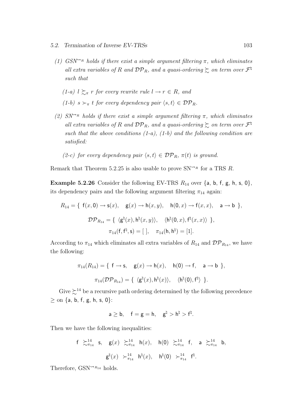- (1)  $GSN^{\rightarrow R}$  holds if there exist a simple argument filtering  $\pi$ , which eliminates all extra variables of R and  $\mathcal{DP}_R$ , and a quasi-ordering  $\succsim$  on term over  $\mathcal{F}^{\natural}$ such that
	- (1-a)  $l \succsim_{\pi} r$  for every rewrite rule  $l \to r \in R$ , and (1-b)  $s \succ_{\pi} t$  for every dependency pair  $\langle s,t \rangle \in \mathcal{DP}_R$ .
- (2)  $SN^{\sim_R}$  holds if there exist a simple argument filtering  $\pi$ , which eliminates all extra variables of R and  $\mathcal{DP}_R$ , and a quasi-ordering  $\succsim$  on term over  $\mathcal{F}^{\natural}$ such that the above conditions  $(1-a)$ ,  $(1-b)$  and the following condition are satisfied:
	- (2-c) for every dependency pair  $\langle s,t\rangle \in {\cal DP}_R, \pi(t)$  is ground.

Remark that Theorem 5.2.25 is also usable to prove  $SN^{\sim_R}$  for a TRS R.

**Example 5.2.26** Consider the following EV-TRS  $R_{14}$  over  $\{a, b, f, g, h, s, 0\}$ , its dependency pairs and the following argument filtering  $\pi_{14}$  again:

$$
R_{14} = \{ f(x,0) \rightarrow s(x), g(x) \rightarrow h(x,y), h(0,x) \rightarrow f(x,x), a \rightarrow b \},
$$
  

$$
\mathcal{DP}_{R_{14}} = \{ \langle g^{\natural}(x), h^{\natural}(x,y) \rangle, \langle h^{\natural}(0,x), f^{\natural}(x,x) \rangle \},
$$
  

$$
\pi_{14}(f, f^{\natural}, s) = [\ , \ \pi_{14}(h, h^{\natural}) = [1].
$$

According to  $\pi_{14}$  which eliminates all extra variables of  $R_{14}$  and  $\mathcal{DP}_{R_{14}}$ , we have the following:

$$
\pi_{14}(R_{14}) = \{ \mathbf{f} \to \mathbf{s}, \quad \mathbf{g}(x) \to \mathbf{h}(x), \quad \mathbf{h}(0) \to \mathbf{f}, \quad \mathbf{a} \to \mathbf{b} \},
$$

$$
\pi_{14}(\mathcal{DP}_{R_{14}}) = \{ \langle \mathbf{g}^{\natural}(x), \mathbf{h}^{\natural}(x) \rangle, \quad \langle \mathbf{h}^{\natural}(0), \mathbf{f}^{\natural} \rangle \}.
$$

Give  $\gtrsim^{14}$  be a recursive path ordering determined by the following precedence  $\geq$  on {a, b, f, g, h, s, 0}:

$$
\mathsf a\geq \mathsf b,\quad \mathsf f=\mathsf g=\mathsf h,\quad \mathsf g^\natural>\mathsf h^\natural>\mathsf f^\natural.
$$

Then we have the following inequalities:

$$
f \gtrsim_{\pi_{14}}^{14}
$$
 s,  $g(x) \gtrsim_{\pi_{14}}^{14}$  h(x), h(0)  $\gtrsim_{\pi_{14}}^{14}$  f, a  $\gtrsim_{\pi_{14}}^{14}$  b,  
 $g^{\sharp}(x) \gtrsim_{\pi_{14}}^{14}$  h <sup>$\sharp$</sup> (x), h <sup>$\sharp$</sup> (0)  $\gtrsim_{\pi_{14}}^{14}$  f <sup>$\sharp$</sup> .

Therefore,  $GSN^{\leadsto R_{14}}$  holds.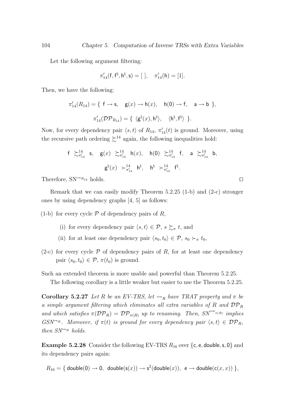Let the following argument filtering:

$$
\pi'_{14}(\mathsf{f},\mathsf{f}^\natural,\mathsf{h}^\natural,\mathsf{s}) = [\ ], \quad \pi'_{14}(\mathsf{h}) = [1].
$$

Then, we have the following:

$$
\pi'_{14}(R_{14}) = \{ \begin{array}{l} \mathsf{f} \rightarrow \mathsf{s}, \quad \mathsf{g}(x) \rightarrow \mathsf{h}(x), \quad \mathsf{h}(\mathsf{0}) \rightarrow \mathsf{f}, \quad \mathsf{a} \rightarrow \mathsf{b} \end{array} \},
$$

$$
\pi'_{14}(\mathcal{DP}_{R_{14}}) = \{ \begin{array}{l} \langle \mathsf{g}^{\natural}(x), \mathsf{h}^{\natural} \rangle, \quad \langle \mathsf{h}^{\natural}, \mathsf{f}^{\natural} \rangle \end{array} \}.
$$

Now, for every dependency pair  $\langle s, t \rangle$  of  $R_{14}$ ,  $\pi'_{14}(t)$  is ground. Moreover, using the recursive path ordering  $\succsim^{14}$  again, the following inequalities hold:

$$
f \gtrsim_{\pi_{14}}^{14}
$$
 s,  $g(x) \gtrsim_{\pi_{14}}^{14}$  h(x), h(0)  $\gtrsim_{\pi_{14}}^{14}$  f, a  $\gtrsim_{\pi_{14}}^{14}$  b,  
 $g^{\sharp}(x) \gtrsim_{\pi_{14}}^{14}$  h<sup>†</sup>, h<sup>†</sup>  $\gtrsim_{\pi_{14}}^{14}$  f<sup>‡</sup>.

Therefore,  $SN^{\leadsto R_{14}}$  holds.

Remark that we can easily modify Theorem 5.2.25 (1-b) and (2-c) stronger ones by using dependency graphs [4, 5] as follows:

(1-b) for every cycle  $P$  of dependency pairs of R,

- (i) for every dependency pair  $\langle s,t\rangle \in \mathcal{P}, s \succsim_{\pi} t$ , and
- (ii) for at least one dependency pair  $\langle s_0,t_0 \rangle \in \mathcal{P}, s_0 \succ_{\pi} t_0$ ,
- (2-c) for every cycle  $\mathcal P$  of dependency pairs of R, for at least one dependency pair  $\langle s_0,t_0 \rangle \in \mathcal{P}, \pi(t_0)$  is ground.

Such an extended theorem is more usable and powerful than Theorem 5.2.25.

The following corollary is a little weaker but easier to use the Theorem 5.2.25.

**Corollary 5.2.27** Let R be an EV-TRS, let  $\rightsquigarrow_R$  have TRAT property and  $\pi$  be a simple argument filtering which eliminates all extra variables of R and  $DP_R$ and which satisfies  $\pi(\mathcal{DP}_R) = \mathcal{DP}_{\pi(R)}$  up to renaming. Then,  $SN^{\rightarrow_{\pi(R)}}$  implies GSN<sup>\*\*</sup>R. Moreover, if  $\pi(t)$  is ground for every dependency pair  $\langle s,t \rangle \in \mathcal{DP}_R$ , then  $SN^{\leadsto_R}$  holds.

**Example 5.2.28** Consider the following EV-TRS  $R_{16}$  over {c, e, double, s, 0} and its dependency pairs again:

 $R_{16} = \{ \text{ double}(0) \rightarrow 0, \text{ double}(s(x)) \rightarrow s^2(\text{double}(x)), \text{ } \text{e} \rightarrow \text{double}(c(x,x)) \},$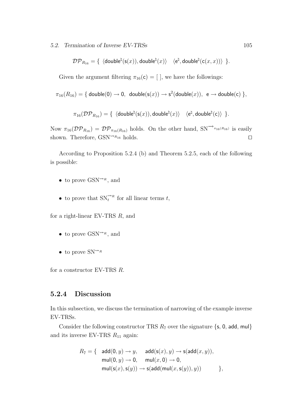5.2. Termination of Inverse EV-TRSs 105

 $\mathcal{DP}_{R_{16}} = \{ \; \langle \mathsf{double}^{\natural}(\mathsf{s}(x)),\mathsf{double}^{\natural}(x) \rangle \quad \langle \mathsf{e}^{\natural},\mathsf{double}^{\natural}(\mathsf{c}(x,x)) \rangle \; \} .$ 

Given the argument filtering  $\pi_{16}(c) = [$ ], we have the followings:

$$
\pi_{16}(R_{16}) = \{ \text{ double}(0) \rightarrow 0, \text{ double}(s(x)) \rightarrow s^2(\text{double}(x)), \text{ } e \rightarrow \text{double}(c) \},
$$

$$
\pi_{16}(\mathcal{DP}_{R_{16}}) = \{ \text{ \langle double}^{\natural}(\mathsf{s}(x)), \mathsf{double}^{\natural}(x) \rangle \text{ \langle e^{\natural}, \mathsf{double}^{\natural}(c) \rangle } \}.
$$

Now  $\pi_{16}(\mathcal{DP}_{R_{16}}) = \mathcal{DP}_{\pi_{16}(R_{16})}$  holds. On the other hand,  $\text{SN}^{\longrightarrow_{\pi_{16}(R_{16})}}$  is easily shown. Therefore,  $GSN^{\leadsto_{R_{16}}}$  holds.

According to Proposition 5.2.4 (b) and Theorem 5.2.5, each of the following is possible:

- to prove  $\text{GSN}^{\rightsquigarrow_R}$ , and
- to prove that  $SN_t^{\rightsquigarrow_R}$  for all linear terms t,

for a right-linear EV-TRS R, and

- to prove  $\text{GSN}^{\rightsquigarrow_R}$ , and
- to prove  $SN^{\leadsto_R}$

for a constructor EV-TRS R.

#### 5.2.4 Discussion

In this subsection, we discuss the termination of narrowing of the example inverse EV-TRSs.

Consider the following constructor TRS  $R_7$  over the signature {s, 0, add, mul} and its inverse EV-TRS  $R_{11}$  again:

$$
R_7 = \{ \begin{array}{cl} \mathsf{add}(0,y) \to y, & \mathsf{add}(\mathsf{s}(x),y) \to \mathsf{s}(\mathsf{add}(x,y)), \\ \mathsf{mul}(0,y) \to 0, & \mathsf{mul}(x,0) \to 0, \\ \mathsf{mul}(\mathsf{s}(x),\mathsf{s}(y)) \to \mathsf{s}(\mathsf{add}(\mathsf{mul}(x,\mathsf{s}(y)),y)) \end{array} \},
$$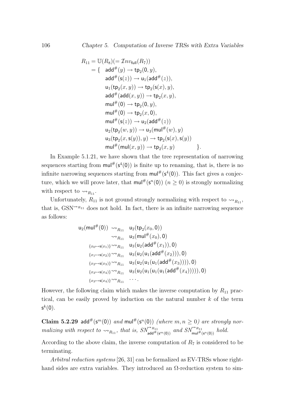$$
R_{11} = U(R_8)(= \mathcal{I}nv_{\text{full}}(R_7))
$$
  
= {  $\text{add}^{\#}(y) \rightarrow \text{tp}_2(0, y),$   
 $\text{add}^{\#}(\text{s}(z)) \rightarrow \text{u}_1(\text{add}^{\#}(z)),$   
 $\text{u}_1(\text{tp}_2(x, y)) \rightarrow \text{tp}_2(\text{s}(x), y),$   
 $\text{add}^{\#}(\text{add}(x, y)) \rightarrow \text{tp}_2(x, y),$   
 $\text{mul}^{\#}(0) \rightarrow \text{tp}_2(0, y),$   
 $\text{mul}^{\#}(0) \rightarrow \text{tp}_2(x, 0),$   
 $\text{mul}^{\#}(\text{s}(z)) \rightarrow \text{u}_2(\text{add}^{\#}(z))$   
 $\text{u}_2(\text{tp}_2(w, y)) \rightarrow \text{u}_3(\text{mul}^{\#}(w), y)$   
 $\text{u}_3(\text{tp}_2(x, \text{s}(y)), y) \rightarrow \text{tp}_2(\text{s}(x), \text{s}(y))$   
 $\text{mul}^{\#}(\text{mul}(x, y)) \rightarrow \text{tp}_2(x, y)$  }.

In Example 5.1.21, we have shown that the tree representation of narrowing sequences starting from  $\text{mul}^{\#}(s^4(0))$  is finite up to renaming, that is, there is no infinite narrowing sequences starting from  $\text{mul}^{\#}(\mathsf{s}^4(0))$ . This fact gives a conjecture, which we will prove later, that  $\text{mul}^{\#}(\mathsf{s}^n(0))$   $(n \geq 0)$  is strongly normalizing with respect to  $\leadsto_{R_{11}}$ .

Unfortunately,  $R_{11}$  is not ground strongly normalizing with respect to  $\rightsquigarrow_{R_{11}}$ , that is,  $GSN^{\sim R_{11}}$  does not hold. In fact, there is an infinite narrowing sequence as follows:

$$
u_2(mul^{\#}(0)) \rightsquigarrow_{R_{11}} u_2(tp_2(x_0, 0))
$$
  
\n
$$
\rightsquigarrow_{R_{11}} u_3(mul^{\#}(x_0), 0)
$$
  
\n
$$
\{x_0 \mapsto s(x_1)\} \rightsquigarrow_{R_{11}} u_3(u_2(\text{add}^{\#}(x_1)), 0)
$$
  
\n
$$
\{x_1 \mapsto s(x_2)\} \rightsquigarrow_{R_{11}} u_3(u_2(u_1(\text{add}^{\#}(x_2))), 0)
$$
  
\n
$$
\{x_2 \mapsto s(x_3)\} \rightsquigarrow_{R_{11}} u_3(u_2(u_1(u_1(\text{add}^{\#}(x_3))))), 0)
$$
  
\n
$$
\{x_3 \mapsto s(x_4)\} \rightsquigarrow_{R_{11}} u_3(u_2(u_1(u_1(\text{add}^{\#}(x_4))))), 0)
$$
  
\n
$$
\{x_3 \mapsto s(x_4)\} \rightsquigarrow_{R_{11}} \cdots
$$

However, the following claim which makes the inverse computation by  $R_{11}$  practical, can be easily proved by induction on the natural number  $k$  of the term  $\mathsf{s}^{k}(0).$ 

Claim 5.2.29 add<sup>#</sup>(s<sup>m</sup>(0)) and mul<sup>#</sup>(s<sup>n</sup>(0)) (where  $m, n \ge 0$ ) are strongly normalizing with respect to  $\rightsquigarrow_{R_{11}}$ , that is,  $SN^{\rightsquigarrow R_{11}}_{add^{\#}(s^m(0))}$  and  $SN^{\rightsquigarrow R_{11}}_{mult(s^n(0))}$  hold.

According to the above claim, the inverse computation of  $R_7$  is considered to be terminating.

Arbitral reduction systems [26, 31] can be formalized as EV-TRSs whose righthand sides are extra variables. They introduced an  $\Omega$ -reduction system to sim-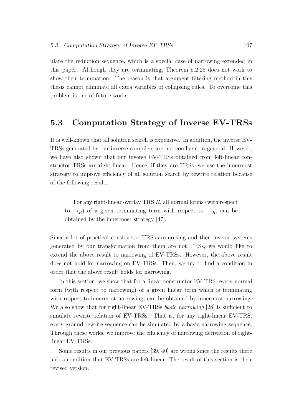ulate the reduction sequence, which is a special case of narrowing extended in this paper. Although they are terminating, Theorem 5.2.25 does not work to show their termination. The reason is that argument filtering method in this thesis cannot eliminate all extra variables of collapsing rules. To overcome this problem is one of future works.

## 5.3 Computation Strategy of Inverse EV-TRSs

It is well-known that all solution search is expensive. In addition, the inverse EV-TRSs generated by our inverse compilers are not confluent in general. However, we have also shown that our inverse EV-TRSs obtained from left-linear constructor TRSs are right-linear. Hence, if they are TRSs, we use the innermost strategy to improve efficiency of all solution search by rewrite relation because of the following result;

For any right-linear overlay TRS R, all normal forms (with respect to  $\rightarrow_R$ ) of a given terminating term with respect to  $\rightarrow_R$ , can be obtained by the innermost strategy [47].

Since a lot of practical constructor TRSs are erasing and then inverse systems generated by our transformation from them are not TRSs, we would like to extend the above result to narrowing of EV-TRSs. However, the above result does not hold for narrowing on EV-TRSs. Then, we try to find a condition in order that the above result holds for narrowing.

In this section, we show that for a linear constructor EV-TRS, every normal form (with respect to narrowing) of a given linear term which is terminating with respect to innermost narrowing, can be obtained by innermost narrowing. We also show that for right-linear EV-TRSs basic narrowing [28] is sufficient to simulate rewrite relation of EV-TRSs. That is, for any right-linear EV-TRS, every ground rewrite sequence can be simulated by a basic narrowing sequence. Through these works, we improve the efficiency of narrowing derivation of rightlinear EV-TRSs.

Some results in our previous papers [39, 40] are wrong since the results there lack a condition that EV-TRSs are left-linear. The result of this section is their revised version.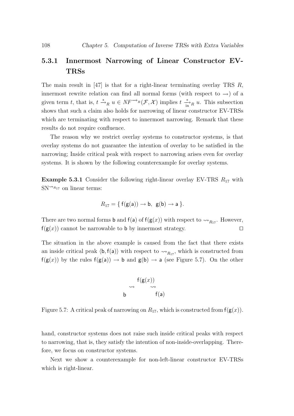# 5.3.1 Innermost Narrowing of Linear Constructor EV-TRSs

The main result in  $[47]$  is that for a right-linear terminating overlay TRS R, innermost rewrite relation can find all normal forms (with respect to  $\rightarrow$ ) of a given term t, that is,  $t \stackrel{*}{\to}_R u \in NF^{-\to_R}(\mathcal{F},\mathcal{X})$  implies  $t \stackrel{*}{\to_R} u$ . This subsection shows that such a claim also holds for narrowing of linear constructor EV-TRSs which are terminating with respect to innermost narrowing. Remark that these results do not require confluence.

The reason why we restrict overlay systems to constructor systems, is that overlay systems do not guarantee the intention of overlay to be satisfied in the narrowing; Inside critical peak with respect to narrowing arises even for overlay systems. It is shown by the following counterexample for overlay systems.

**Example 5.3.1** Consider the following right-linear overlay EV-TRS  $R_{17}$  with  $SN^{\sim R_{17}}$  on linear terms:

$$
R_{17} = \{ f(g(a)) \rightarrow b, g(b) \rightarrow a \}.
$$

There are two normal forms **b** and **f**(a) of **f**( $g(x)$ ) with respect to  $\rightsquigarrow_{R_{17}}$ . However,  $f(g(x))$  cannot be narrowable to b by innermost strategy.

The situation in the above example is caused from the fact that there exists an inside critical peak  $\langle \mathbf{b}, \mathbf{f}(\mathbf{a}) \rangle$  with respect to  $\leadsto_{R_{17}}$ , which is constructed from  $f(g(x))$  by the rules  $f(g(a)) \to b$  and  $g(b) \to a$  (see Figure 5.7). On the other



Figure 5.7: A critical peak of narrowing on  $R_{17}$ , which is constructed from  $f(g(x))$ .

hand, constructor systems does not raise such inside critical peaks with respect to narrowing, that is, they satisfy the intention of non-inside-overlapping. Therefore, we focus on constructor systems.

Next we show a counterexample for non-left-linear constructor EV-TRSs which is right-linear.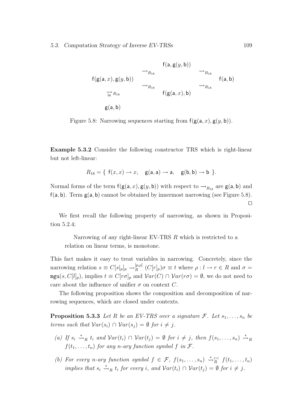$$
f(a, g(y, b))
$$
  
\n $f(g(a, x), g(y, b))$   
\n $\rightarrow R_{18}$   
\n $\rightarrow R_{18}$   
\n $f(g(a, x), b)$   
\n $\rightarrow R_{18}$   
\n $f(g(a, x), b)$   
\n $f(g(a, x), b)$   
\n $f(g(a, b))$ 

Figure 5.8: Narrowing sequences starting from  $f(g(a, x), g(y, b))$ .

Example 5.3.2 Consider the following constructor TRS which is right-linear but not left-linear:

$$
R_{18} = \{ f(x,x) \rightarrow x, \quad g(a,a) \rightarrow a, \quad g(b,b) \rightarrow b \}.
$$

Normal forms of the term  $f(g(a, x), g(y, b))$  with respect to  $\rightarrow_{R_{18}}$  are  $g(a, b)$  and  $f(a, b)$ . Term  $g(a, b)$  cannot be obtained by innermost narrowing (see Figure 5.8).  $\Box$ 

We first recall the following property of narrowing, as shown in Proposition 5.2.4;

Narrowing of any right-linear EV-TRS R which is restricted to a relation on linear terms, is monotone.

This fact makes it easy to treat variables in narrowing. Concretely, since the narrowing relation  $s \equiv C[s|_p]_p \leadsto_R^{[p,\rho]}$  $R^{[p,\rho]}$   $(C[r]_p)\sigma \equiv t$  where  $\rho: l \to r \in R$  and  $\sigma =$  $\text{mgu}(s, C[l]_p)$ , implies  $t \equiv C[r\sigma]_p$  and  $Var(C) \cap Var(r\sigma) = \emptyset$ , we do not need to care about the influence of unifier  $\sigma$  on context C.

The following proposition shows the composition and decomposition of narrowing sequences, which are closed under contexts.

**Proposition 5.3.3** Let R be an EV-TRS over a signature F. Let  $s_1, \ldots, s_n$  be terms such that  $Var(s_i) \cap Var(s_j) = \emptyset$  for  $i \neq j$ .

- (a) If  $s_i \stackrel{*}{\leadsto}_R t_i$  and  $Var(t_i) \cap Var(t_j) = \emptyset$  for  $i \neq j$ , then  $f(s_1, \ldots, s_n) \stackrel{*}{\leadsto}_R$  $f(t_1, \ldots, t_n)$  for any n-ary function symbol f in  $\mathcal{F}$ .
- (b) For every n-ary function symbol  $f \in \mathcal{F}$ ,  $f(s_1, \ldots, s_n) \stackrel{*}{\leadsto}^{\varepsilon <} f(t_1, \ldots, t_n)$ implies that  $s_i \stackrel{*}{\leadsto}_R t_i$  for every i, and  $Var(t_i) \cap Var(t_j) = \emptyset$  for  $i \neq j$ .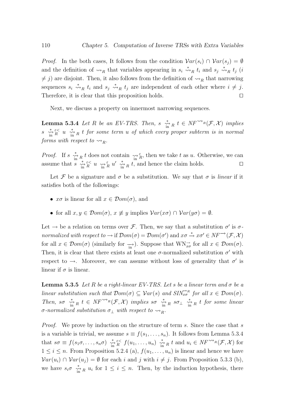*Proof.* In the both cases, It follows from the condition  $Var(s_i) \cap Var(s_j) = \emptyset$ and the definition of  $\leadsto_R$  that variables appearing in  $s_i \stackrel{*}{\leadsto}_R t_i$  and  $s_j \stackrel{*}{\leadsto_R} t_j$  (*i*  $\neq j$ ) are disjoint. Then, it also follows from the definition of  $\leadsto_R$  that narrowing sequences  $s_i \stackrel{*}{\leadsto}_R t_i$  and  $s_j \stackrel{*}{\leadsto}_R t_j$  are independent of each other where  $i \neq j$ . Therefore, it is clear that this proposition holds.

Next, we discuss a property on innermost narrowing sequences.

**Lemma 5.3.4** Let R be an EV-TRS. Then,  $s \stackrel{*}{\underset{\text{in}}{\sim}} t \in NF^{\sim}R(\mathcal{F},\mathcal{X})$  implies  $s \stackrel{*}{\to} \stackrel{\epsilon}{\infty} u \stackrel{*}{\to} R$  t for some term u of which every proper subterm is in normal forms with respect to  $\rightsquigarrow_R$ .

*Proof.* If  $s \xrightarrow[\text{in}]{*} R t$  does not contain  $\underset{\text{in} \ n}{\leadsto} \frac{\varepsilon}{R}$ , then we take t as u. Otherwise, we can assume that  $s \xrightarrow[\text{in}]{*} \mathcal{E} \leq u \xrightarrow[\text{in}]{*} u' \xrightarrow[\text{in}]{*} u' \mathcal{E}$  and hence the claim holds.

Let F be a signature and  $\sigma$  be a substitution. We say that  $\sigma$  is *linear* if it satisfies both of the followings:

- $x\sigma$  is linear for all  $x \in \mathcal{D}om(\sigma)$ , and
- for all  $x, y \in \mathcal{D}om(\sigma)$ ,  $x \not\equiv y$  implies  $\mathcal{V}ar(x\sigma) \cap \mathcal{V}ar(y\sigma) = \emptyset$ .

Let  $\rightarrow$  be a relation on terms over *F*. Then, we say that a substitution  $\sigma'$  is  $\sigma$ normalized with respect to  $\to$  if  $\mathcal{D}om(\sigma) = \mathcal{D}om(\sigma')$  and  $x\sigma \stackrel{*}{\to} x\sigma' \in NF^{-\to}(\mathcal{F},\mathcal{X})$ for all  $x \in \mathcal{D}om(\sigma)$  (similarly for  $\rightarrow \infty$ ). Suppose that  $\text{WN}_{x\sigma}^{\rightarrow}$  for all  $x \in \mathcal{D}om(\sigma)$ . Then, it is clear that there exists at least one  $\sigma$ -normalized substitution  $\sigma'$  with respect to  $\rightarrow$ . Moreover, we can assume without loss of generality that  $\sigma'$  is linear if  $\sigma$  is linear.

**Lemma 5.3.5** Let R be a right-linear EV-TRS. Let s be a linear term and  $\sigma$  be a linear substitution such that  $Dom(\sigma) \subseteq Var(s)$  and  $SIN_{x\sigma}^{\gamma R}$  for all  $x \in Dom(\sigma)$ . Then, so  $\stackrel{*}{\underset{\text{in}}{\text{min}}}$   $k \in NF^{\sim_h}(\mathcal{F}, \mathcal{X})$  implies so  $\stackrel{*}{\underset{\text{in}}{\text{min}}}$   $R$  so  $\perp$   $\stackrel{*}{\underset{\text{in}}{\text{min}}}$  t for some linear σ-normalized substitution  $\sigma_{\perp}$  with respect to  $\rightsquigarrow_R$ .

*Proof.* We prove by induction on the structure of term s. Since the case that s is a variable is trivial, we assume  $s \equiv f(s_1, \ldots, s_n)$ . It follows from Lemma 5.3.4 that  $s\sigma \equiv f(s_1\sigma,\ldots,s_n\sigma) \stackrel{*}{\underset{\text{in } R}{\sim}} f(u_1,\ldots,u_n) \stackrel{*}{\underset{\text{in } R}{\sim}} t$  and  $u_i \in NF^{\sim}(F,\mathcal{X})$  for  $1 \leq i \leq n$ . From Proposition 5.2.4 (a),  $f(u_1, \ldots, u_n)$  is linear and hence we have  $Var(u_i) \cap Var(u_j) = \emptyset$  for each i and j with  $i \neq j$ . From Proposition 5.3.3 (b), we have  $s_i \sigma \stackrel{*}{\longrightarrow}_R u_i$  for  $1 \leq i \leq n$ . Then, by the induction hypothesis, there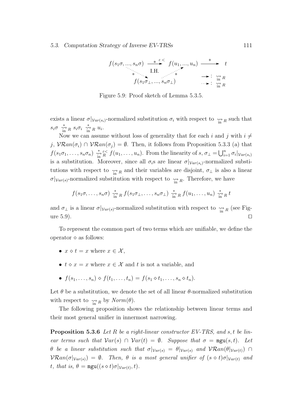$$
f(s_1\sigma, ..., s_n\sigma) \xrightarrow{\ast \varepsilon} f(u_1, ..., u_n) \xrightarrow{\ast} t
$$
  
\n
$$
\ast \qquad \qquad \text{I.H.}
$$
  
\n
$$
f(s_1\sigma_1, ..., s_n\sigma_1) \xrightarrow{\ast} \qquad \qquad \text{if } n
$$
  
\n
$$
\Rightarrow : \underset{\text{in } R}{\text{in } R}
$$

Figure 5.9: Proof sketch of Lemma 5.3.5.

exists a linear  $\sigma|_{Var(s_i)}$ -normalized substitution  $\sigma_i$  with respect to  $\gamma$  as such that  $s_i \sigma \stackrel{*}{\underset{\text{in}}{\sim}} R \ s_i \sigma_i \stackrel{*}{\underset{\text{in}}{\sim}} R \ u_i.$ 

Now we can assume without loss of generality that for each i and j with  $i \neq$ j,  $VRan(\sigma_i) \cap VRan(\sigma_j) = \emptyset$ . Then, it follows from Proposition 5.3.3 (a) that  $f(s_1\sigma_1,\ldots,s_n\sigma_n) \stackrel{*}{\underset{\text{in } R}{\times}} f(u_1,\ldots,u_n)$ . From the linearity of  $s, \sigma_{\perp} = \bigcup_{i=1}^n \sigma_i|_{Var(s_i)}$ is a substitution. Moreover, since all  $\sigma_i$ s are linear  $\sigma|_{Var(s_i)}$ -normalized substitutions with respect to  $\underset{\text{in } R}{\leadsto}$  and their variables are disjoint,  $\sigma_{\perp}$  is also a linear  $\sigma|_{Var(s)}$ -normalized substitution with respect to  $\leadsto_{\text{in }R}$ . Therefore, we have

$$
f(s_1\sigma,\ldots,s_n\sigma) \stackrel{*}{\underset{\text{in}}{\sim}} {}_R f(s_1\sigma_1,\ldots,s_n\sigma_1) \stackrel{*}{\underset{\text{in}}{\sim}} {}_R f(u_1,\ldots,u_n) \stackrel{*}{\underset{\text{in}}{\sim}} {}_R t
$$

and  $\sigma_{\perp}$  is a linear  $\sigma|_{Var(s)}$ -normalized substitution with respect to  $\gamma_{\text{in }R}$  (see Figure 5.9).  $\square$ 

To represent the common part of two terms which are unifiable, we define the operator  $\diamond$  as follows:

- $x \diamond t = x$  where  $x \in \mathcal{X}$ ,
- $t \diamond x = x$  where  $x \in \mathcal{X}$  and t is not a variable, and
- $f(s_1, \ldots, s_n) \diamond f(t_1, \ldots, t_n) = f(s_1 \diamond t_1, \ldots, s_n \diamond t_n).$

Let  $\theta$  be a substitution, we denote the set of all linear  $\theta$ -normalized substitution with respect to  $\underset{\text{in } R}{\rightsquigarrow}$  by  $Norm(\theta)$ .

The following proposition shows the relationship between linear terms and their most general unifier in innermost narrowing.

**Proposition 5.3.6** Let R be a right-linear constructor EV-TRS, and s, t be linear terms such that  $Var(s) \cap Var(t) = \emptyset$ . Suppose that  $\sigma = \text{mgu}(s,t)$ . Let θ be a linear substitution such that  $\sigma|_{Var(s)} = \theta|_{Var(s)}$  and  $V\mathcal{R}an(\theta|_{Var(t)}) \cap$  $\mathcal{V}\mathcal{R}an(\sigma|\mathcal{V}_{ar(s)}) = \emptyset$ . Then,  $\theta$  is a most general unifier of  $(s \diamond t)\sigma|\mathcal{V}_{ar(t)}$  and t, that is,  $\theta = \text{mgu}((s \diamond t) \sigma |_{Var(t)}, t)$ .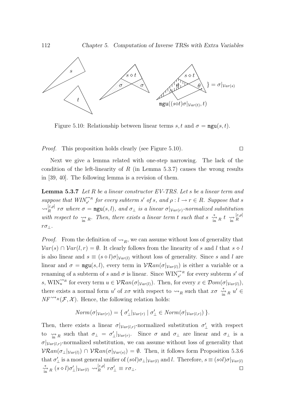

Figure 5.10: Relationship between linear terms s, t and  $\sigma = \text{mgu}(s,t)$ .

*Proof.* This proposition holds clearly (see Figure 5.10).  $\Box$ 

Next we give a lemma related with one-step narrowing. The lack of the condition of the left-linearity of  $R$  (in Lemma 5.3.7) causes the wrong results in [39, 40]. The following lemma is a revision of them.

**Lemma 5.3.7** Let  $R$  be a linear constructor  $EV$ -TRS. Let  $s$  be a linear term and suppose that  $WIN_{s'}^{\Leftrightarrow R}$  for every subterm s' of s, and  $\rho: l \to r \in R$ . Suppose that s  $\rightsquigarrow_R^{[\varepsilon,\rho]}$  $R_R^{\varepsilon,\rho_1}$  ro where  $\sigma = \text{mgu}(s,l)$ , and  $\sigma_{\perp}$  is a linear  $\sigma|_{Var(r)}$ -normalized substitution with respect to  $\frac{1}{\sin R}$ . Then, there exists a linear term t such that  $s \frac{1}{\sin R} t \frac{1}{\sin R}$ R  $r\sigma_{\perp}$ .

*Proof.* From the definition of  $\leadsto_R$ , we can assume without loss of generality that  $Var(s) \cap Var(l, r) = \emptyset$ . It clearly follows from the linearity of s and l that  $s \diamond l$ is also linear and  $s \equiv (s \diamond l)\sigma|_{Var(l)}$  without loss of generality. Since s and l are linear and  $\sigma = \text{mgu}(s, l)$ , every term in  $\mathcal{V}\mathcal{R}an(\sigma|_{\mathcal{V}ar(l)})$  is either a variable or a renaming of a subterm of s and  $\sigma$  is linear. Since  $\text{WIN}_{s'}^{\leftrightarrow R}$  for every subterm s' of s, WIN<sup>"'*R*</sup> for every term  $u \in \mathcal{V}\mathcal{R}an(\sigma|_{Var(l)})$ . Then, for every  $x \in \mathcal{D}om(\sigma|_{Var(l)})$ , there exists a normal form u' of  $x\sigma$  with respect to  $\leadsto_R$  such that  $x\sigma \stackrel{*}{\underset{\text{in}}{\sim}} R$  u'  $\in$  $NF^{\rightsquigarrow_R}(\mathcal{F}, \mathcal{X})$ . Hence, the following relation holds:

$$
Norm(\sigma|_{Var(r)}) = \{ \sigma'_{\perp}|_{Var(r)} \mid \sigma'_{\perp} \in Norm(\sigma|_{Var(l,r)}) \}.
$$

Then, there exists a linear  $\sigma|_{Var(l,r)}$ -normalized substitution  $\sigma'_{\perp}$  with respect to  $\hat{m}_R$  such that  $\sigma_{\perp} = \sigma'_{\perp}|_{Var(r)}$ . Since  $\sigma$  and  $\sigma_{\perp}$  are linear and  $\sigma_{\perp}$  is a  $\sigma|_{Var(l,r)}$ -normalized substitution, we can assume without loss of generality that  $VRan(\sigma_{\perp}|\nu_{ar(l)}) \cap \text{VR}an(\sigma|\nu_{ar(s)}) = \emptyset$ . Then, it follows form Proposition 5.3.6 that  $\sigma'_{\perp}$  is a most general unifier of  $(s \otimes l)\sigma_{\perp}|_{Var(l)}$  and l. Therefore,  $s \equiv (s \otimes l)\sigma|_{Var(l)}$  $\sum_{\text{in} \atop \text{in} }^* R \left( s \diamond l \right) \sigma'_{\perp} |_{Var(l)} \rightsquigarrow_R^{[\varepsilon, \rho]}$  $\int_R^{\left[\varepsilon,\rho\right]} r \sigma'_{\perp} \equiv r \sigma_{\perp}.$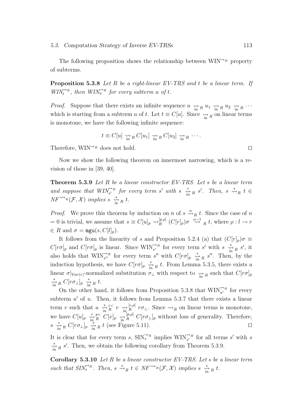The following proposition shows the relationship between  $\text{WIN}^{\rightarrow R}$  property of subterms.

**Proposition 5.3.8** Let R be a right-linear EV-TRS and t be a linear term. If  $WIN_t^{\alpha R}$ , then  $WIN_u^{\alpha R}$  for every subterm u of t.

*Proof.* Suppose that there exists an infinite sequence  $u \leftrightarrow_R u_1 \leftrightarrow_R u_2 \leftrightarrow_R \cdots$ which is starting from a subterm u of t. Let  $t \equiv C[u]$ . Since  $\underset{\text{in } R}{\leadsto} R$  on linear terms is monotone, we have the following infinite sequence:

$$
t \equiv C[u] \underset{\text{in} R}{\leadsto} C[u_1] \underset{\text{in} R}{\leadsto} C[u_2] \underset{\text{in} R}{\leadsto} \ldots
$$

Therefore,  $\text{WIN}^{\rightarrow R}$  does not hold.

Now we show the following theorem on innermost narrowing, which is a revision of those in [39, 40].

Theorem 5.3.9 Let R be a linear constructor EV-TRS. Let s be a linear term and suppose that  $WIN_{s'}^{\alpha R}$  for every term s' with s  $\sum_{i=1}^{*} R s'.$  Then, s  $\stackrel{*}{\leadsto} R t \in$  $\textit{NF}^{\sim_{R}}(\mathcal{F}, \mathcal{X})$  implies  $s \stackrel{*}{\underset{\text{in}}{\sim}} R t$ .

*Proof.* We prove this theorem by induction on n of  $s \stackrel{n}{\leadsto}_R t$ . Since the case of n = 0 is trivial, we assume that  $s \equiv C[u]_p \leadsto_R^{[p,p]}$  $R^{[p,\rho]}$   $(C[r]_p)$  $\sigma \stackrel{n-1}{\leadsto} R t$ , where  $\rho: l \to r$  $\in R$  and  $\sigma = \text{mgu}(s, C[l]_p).$ 

It follows from the linearity of s and Proposition 5.2.4 (a) that  $(C[r]_p)\sigma \equiv$  $C[r\sigma]_p$  and  $C[r\sigma]_p$  is linear. Since  $\text{WIN}_{s'}^{\sim_R}$  for every term s' with s  $\frac{N}{\text{in}}$   $_R$  s', it also holds that  $\text{WIN}_{s''}^{\leftrightarrow R}$  for every term s'' with  $C[r\sigma]_p \stackrel{*}{\underset{\text{in } R}{\times}} s''$ . Then, by the induction hypothesis, we have  $C[r\sigma]_p \stackrel{*}{\longrightarrow}_R t$ . From Lemma 5.3.5, there exists a linear  $\sigma|_{Var(r)}$ -normalized substitution  $\sigma_{\perp}$  with respect to  $\gamma_{\text{in }R}$  such that  $C[r\sigma]_p$  $\stackrel{*}{\leftrightarrow}_{\text{in}}$   $R$   $C[r\sigma_{\perp}]_p$   $\stackrel{*}{\leftrightarrow}_{\text{in}}$   $R$   $t$ .

On the other hand, it follows from Proposition 5.3.8 that  $\text{WIN}_{u'}^{\leftrightarrow R}$  for every subterm  $u'$  of  $u$ . Then, it follows from Lemma 5.3.7 that there exists a linear term v such that  $u \stackrel{*}{\underset{\text{in}}{\rightsquigarrow}} \tilde{\varepsilon} \stackrel{\varepsilon}{\underset{\text{in}}{\sim}} v \stackrel{[\varepsilon,\rho]}{\underset{\text{in}}{\rightsquigarrow}}$  $R^{[\epsilon,\rho]}$   $r\sigma_{\perp}$ . Since  $\leadsto_R$  on linear terms is monotone, we have  $C[u]_p \stackrel{*}{\underset{\text{in } R}{\sim}}^p C[v]_p \stackrel{[p,p]}{\underset{\text{in } R}{\sim}} C[r\sigma_{\perp}]_p$  without loss of generality. Therefore,  $s \stackrel{*}{\longrightarrow}_R C[r\sigma_\perp]_p \stackrel{\sim}{\underset{\text{in}}{\longrightarrow}} R t$  (see Figure 5.11).

It is clear that for every term s,  $\text{SIN}_{s}^{\leftrightarrow R}$  implies  $\text{WIN}_{s'}^{\leftrightarrow R}$  for all terms s' with s  $\sum_{\text{in} R}^*$  s'. Then, we obtain the following corollary from Theorem 5.3.9.

Corollary 5.3.10 Let R be a linear constructor EV-TRS. Let s be a linear term such that  $SIN_{s}^{\Leftrightarrow_R}$ . Then,  $s \stackrel{*}{\leadsto}_R t \in NF^{\leadsto_R}(\mathcal{F},\mathcal{X})$  implies  $s \stackrel{*}{\leadsto_R} t$ .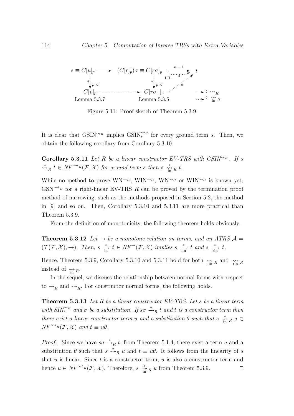

Figure 5.11: Proof sketch of Theorem 5.3.9.

It is clear that  $GSIN^{\rightsquigarrow_R}$  implies  $GSIN^{\rightsquigarrow_R}_s$  for every ground term s. Then, we obtain the following corollary from Corollary 5.3.10.

**Corollary 5.3.11** Let R be a linear constructor EV-TRS with  $GSIN^{\sim_R}$ . If s  $\stackrel{*}{\rightsquigarrow}_R t \in NF^{\rightsquigarrow_R}(\mathcal{F},\mathcal{X})$  for ground term s then s  $\stackrel{*}{\rightsquigarrow}_R t$ .

While no method to prove  $WN^{\rightarrow R}$ ,  $WIN^{\rightarrow R}$ ,  $WN^{\rightarrow R}$  or  $WIN^{\rightarrow R}$  is known yet,  $GSN^{\sim}\text{R}$  for a right-linear EV-TRS R can be proved by the termination proof method of narrowing, such as the methods proposed in Section 5.2, the method in [9] and so on. Then, Corollary 5.3.10 and 5.3.11 are more practical than Theorem 5.3.9.

From the definition of monotonicity, the following theorem holds obviously.

**Theorem 5.3.12** Let  $\rightarrow$  be a monotone relation on terms, and an ATRS  $\mathcal{A} =$  $(\mathcal{T}(\mathcal{F}, \mathcal{X}), \rightarrow)$ . Then,  $s \xrightarrow[\text{in}]{*} t \in NF^{\rightarrow}(\mathcal{F}, \mathcal{X})$  implies  $s \xrightarrow[\text{in}]{*} t$  and  $s \xrightarrow[\text{in}]{*} t$ .

Hence, Theorem 5.3.9, Corollary 5.3.10 and 5.3.11 hold for both  $\lim_{\substack{\longrightarrow \\ \text{lin } R}}$  and  $\lim_{\substack{\longrightarrow \\ \text{min } R}}$ instead of  $\underset{\text{in}}{\rightsquigarrow} R$ .

In the sequel, we discuss the relationship between normal forms with respect to  $\rightarrow_R$  and  $\rightarrow_R$ . For constructor normal forms, the following holds.

**Theorem 5.3.13** Let R be a linear constructor EV-TRS. Let s be a linear term with  $SIN_{s}^{\gamma_{R}}$  and  $\sigma$  be a substitution. If  $s\sigma \stackrel{*}{\rightarrow}_{R} t$  and t is a constructor term then there exist a linear constructor term u and a substitution  $\theta$  such that  $s \stackrel{*}{\underset{\text{in} }{h}} u \in$  $NF^{\rightsquigarrow_R}(\mathcal{F}, \mathcal{X})$  and  $t \equiv u\theta$ .

*Proof.* Since we have  $s\sigma \stackrel{*}{\rightarrow}_R t$ , from Theorem 5.1.4, there exist a term u and a substitution  $\theta$  such that  $s \stackrel{*}{\leadsto}_R u$  and  $t \equiv u\theta$ . It follows from the linearity of s that  $u$  is linear. Since  $t$  is a constructor term,  $u$  is also a constructor term and hence  $u \in NF^{\sim_{R}}(\mathcal{F},\mathcal{X})$ . Therefore,  $s \stackrel{*}{\underset{\text{in} R}{\sim}} u$  from Theorem 5.3.9.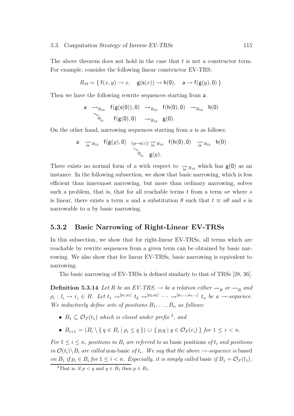The above theorem does not hold in the case that  $t$  is not a constructor term. For example, consider the following linear constructor EV-TRS:

$$
R_{19} = \{ f(x,y) \rightarrow x, \quad \mathsf{g}(\mathsf{s}(x)) \rightarrow \mathsf{h}(0), \quad \mathsf{a} \rightarrow f(\mathsf{g}(y),0) \}.
$$

Then we have the following rewrite sequences starting from a:

a 
$$
\rightarrow_{R_{19}}
$$
 f(g(s(0)), 0)  $\rightarrow_{R_{19}}$  f(h(0), 0)  $\rightarrow_{R_{19}}$  h(0)  
 $\searrow_{R_{19}}$  f(g(0), 0)  $\rightarrow_{R_{19}}$  g(0).

On the other hand, narrowing sequences starting from  $\alpha$  is as follows:

a 
$$
\underset{\underset{\gamma}{\sim}}{\sim} F(g(y), 0)
$$
 { $y \mapsto s(z)$ }  $\underset{\underset{\gamma}{\sim}}{\sim} F(g(y), 0)$   $\underset{\underset{\gamma}{\sim}}{\sim} F(y)$ 

There exists no normal form of a with respect to  $\underset{\text{in }R_{19}}{\rightsquigarrow}$  which has  $g(0)$  as an instance. In the following subsection, we show that basic narrowing, which is less efficient than innermost narrowing, but more than ordinary narrowing, solves such a problem, that is, that for all reachable terms t from a term  $s\sigma$  where s is linear, there exists a term u and a substitution  $\theta$  such that  $t \equiv u\theta$  and s is narrowable to u by basic narrowing.

#### 5.3.2 Basic Narrowing of Right-Linear EV-TRSs

In this subsection, we show that for right-linear EV-TRSs, all terms which are reachable by rewrite sequences from a given term can be obtained by basic narrowing. We also show that for linear EV-TRSs, basic narrowing is equivalent to narrowing.

The basic narrowing of EV-TRSs is defined similarly to that of TRSs [28, 36].

**Definition 5.3.14** Let R be an EV-TRS,  $\rightarrow$  be a relation either  $\rightarrow_R$  or  $\rightarrow_R$  and  $\rho_i: l_i \to r_i \in R$ . Let  $t_1 \to^{[p_1,p_1]} t_2 \to^{[p_2,p_2]} \cdots \to^{[p_{n-1},p_{n-1}]} t_n$  be  $a \to \text{sequence}.$ We inductively define sets of positions  $B_1, \ldots, B_n$  as follows:

- $B_1 \subseteq \mathcal{O}_{\mathcal{F}}(t_1)$  which is closed under prefix <sup>3</sup>, and
- $B_{i+1} = (B_i \setminus \{ q \in B_i \mid p_i \leq q \}) \cup \{ p_i q \mid q \in \mathcal{O}_{\mathcal{F}}(r_i) \}$  for  $1 \leq i < n$ .

For  $1 \leq i \leq n$ , positions in  $B_i$  are referred to as basic positions of  $t_i$  and positions in  $\mathcal{O}(t_i) \backslash B_i$  are called non-basic of  $t_i$ . We say that the above  $\rightarrow$ -sequence is based on  $B_1$  if  $p_i \in B_i$  for  $1 \leq i < n$ . Especially, it is simply called basic if  $B_1 = \mathcal{O}_{\mathcal{F}}(t_1)$ .

<sup>&</sup>lt;sup>3</sup>That is, if  $p < q$  and  $q \in B_1$  then  $p \in B_1$ .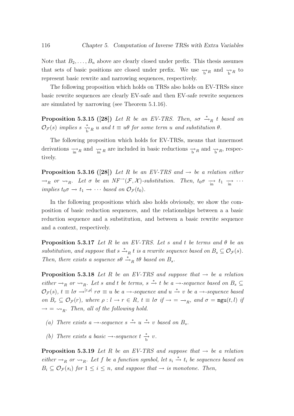Note that  $B_2, \ldots, B_n$  above are clearly closed under prefix. This thesis assumes that sets of basic positions are closed under prefix. We use  $\rightarrow R$  and  $\gamma_R$  to represent basic rewrite and narrowing sequences, respectively.

The following proposition which holds on TRSs also holds on EV-TRSs since basic rewrite sequences are clearly EV-safe and then EV-safe rewrite sequences are simulated by narrowing (see Theorem 5.1.16).

**Proposition 5.3.15 ([28])** Let R be an EV-TRS. Then, so  $\stackrel{*}{\rightarrow}_R$  t based on  $\mathcal{O}_{\mathcal{F}}(s)$  implies  $s \stackrel{*}{\underset{\sim}{\rightarrow}} R$  u and  $t \equiv u\theta$  for some term u and substitution  $\theta$ .

The following proposition which holds for EV-TRSs, means that innermost derivations  $\rightarrow_R$  and  $\rightarrow_R$  are included in basic reductions  $\rightarrow_R$  and  $\rightarrow_R$ , respectively.

**Proposition 5.3.16 ([28])** Let R be an EV-TRS and  $\rightarrow$  be a relation either  $\rightarrow_R$  or  $\rightsquigarrow_R$ . Let  $\sigma$  be an  $NF^{\rightarrow}(\mathcal{F}, \mathcal{X})$ -substitution. Then,  $t_0\sigma \rightarrow t_1 \rightarrow \cdots$ implies  $t_0 \sigma \to t_1 \to \cdots$  based on  $\mathcal{O}_{\mathcal{F}}(t_0)$ .

In the following propositions which also holds obviously, we show the composition of basic reduction sequences, and the relationships between a a basic reduction sequence and a substitution, and between a basic rewrite sequence and a context, respectively.

**Proposition 5.3.17** Let R be an EV-TRS. Let s and t be terms and  $\theta$  be an substitution, and suppose that  $s \stackrel{*}{\to}_R t$  is a rewrite sequence based on  $B_s \subseteq \mathcal{O}_{\mathcal{F}}(s)$ . Then, there exists a sequence  $s\theta \stackrel{*}{\rightarrow}_R t\theta$  based on  $B_s$ .

**Proposition 5.3.18** Let R be an EV-TRS and suppose that  $\rightarrow$  be a relation either  $\rightarrow_R$  or  $\rightarrow_R$ . Let s and t be terms, s  $\stackrel{*}{\rightarrow}$  t be a  $\rightarrow$ -sequence based on  $B_s \subseteq$  $\mathcal{O}_{\mathcal{F}}(s), t \equiv l\sigma \rightarrow^{[\varepsilon,\rho]} r\sigma \equiv u$  be a  $\rightarrow$ -sequence and  $u \stackrel{*}{\rightarrow} v$  be a  $\rightarrow$ -sequence based on  $B_r \subseteq \mathcal{O}_{\mathcal{F}}(r)$ , where  $\rho: l \to r \in R$ ,  $t \equiv l\sigma$  if  $\to \infty$ , and  $\sigma = \text{mgu}(t, l)$  if  $\rightarrow$  =  $\rightsquigarrow_R$ . Then, all of the following hold.

- (a) There exists a  $\rightarrow$ -sequence  $s \stackrel{*}{\rightarrow} u \stackrel{*}{\rightarrow} v$  based on  $B_s$ .
- (b) There exists a basic  $\rightarrow$ -sequence  $t \frac{*}{b} v$ .

**Proposition 5.3.19** Let R be an EV-TRS and suppose that  $\rightarrow$  be a relation either  $\rightarrow_R$  or  $\rightarrow_R$ . Let f be a function symbol, let  $s_i \stackrel{*}{\rightarrow} t_i$  be sequences based on  $B_i \subseteq \mathcal{O}_{\mathcal{F}}(s_i)$  for  $1 \leq i \leq n$ , and suppose that  $\rightarrow$  is monotone. Then,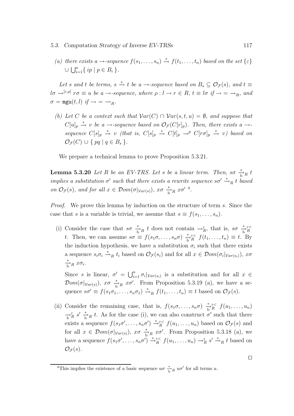(a) there exists a  $\rightarrow$ -sequence  $f(s_1, \ldots, s_n) \stackrel{*}{\rightarrow} f(t_1, \ldots, t_n)$  based on the set  $\{\varepsilon\}$  $\cup \bigcup_{i=1}^{n} \{ ip \mid p \in B_i \}$ .

Let s and t be terms, s  $\stackrel{*}{\to}$  t be a →-sequence based on  $B_s \subseteq \mathcal{O}_{\mathcal{F}}(s)$ , and  $t \equiv$  $l\sigma \rightarrow^{[\varepsilon,\rho]} r\sigma \equiv u$  be a  $\rightarrow$ -sequence, where  $\rho: l \rightarrow r \in R$ ,  $t \equiv l\sigma$  if  $\rightarrow = \rightarrow_R$ , and  $\sigma = \text{mgu}(t, l) \text{ if } \rightarrow \infty \rightarrow R.$ 

(b) Let C be a context such that  $Var(C) \cap Var(s,t,u) = \emptyset$ , and suppose that  $C[u]_p \stackrel{*}{\to} v$  be a  $\to$ -sequence based on  $\mathcal{O}_{\mathcal{F}}(C[r]_p)$ . Then, there exists a  $\to$ sequence  $C[s]_p \stackrel{*}{\rightarrow} v$  (that is,  $C[s]_p \stackrel{*}{\rightarrow} C[t]_p \rightarrow^p C[r\sigma]_p \stackrel{*}{\rightarrow} v$ ) based on  $\mathcal{O}_{\mathcal{F}}(C) \cup \{pq \mid q \in B_s \}.$ 

We prepare a technical lemma to prove Proposition 5.3.21.

**Lemma 5.3.20** Let R be an EV-TRS. Let s be a linear term. Then, so  $\frac{*}{b}$  t implies a substitution  $\sigma'$  such that there exists a rewrite sequence  $s\sigma' \stackrel{*}{\rightarrow}_R t$  based on  $\mathcal{O}_{\mathcal{F}}(s)$ , and for all  $x \in \mathcal{D}om(\sigma|_{Var(s)})$ ,  $x\sigma \stackrel{*}{\to}_R x\sigma'^{-4}$ .

*Proof.* We prove this lemma by induction on the structure of term s. Since the case that s is a variable is trivial, we assume that  $s \equiv f(s_1, \ldots, s_n)$ .

(i) Consider the case that  $s\sigma \stackrel{*}{\to}_R t$  does not contain  $\to_R^{\varepsilon}$ , that is,  $s\sigma \stackrel{*}{\to_R^{\varepsilon}<}$ t. Then, we can assume  $s\sigma \equiv f(s_1\sigma, \ldots, s_n\sigma) \stackrel{*}{\to}^{\varepsilon <}_{R} f(t_1, \ldots, t_n) \equiv t$ . By the induction hypothesis, we have a substitution  $\sigma_i$  such that there exists a sequence  $s_i \sigma_i \stackrel{*}{\to}_R t_i$  based on  $\mathcal{O}_{\mathcal{F}}(s_i)$  and for all  $x \in \mathcal{D}om(\sigma_i|_{Var(s_i)})$ ,  $x\sigma$  $\frac{*}{b}$ R  $x\sigma_i$ .

Since s is linear,  $\sigma' = \bigcup_{i=1}^n \sigma_i |_{Var(s_i)}$  is a substitution and for all  $x \in$  $\mathcal{D}om(\sigma|_{Var(s)})$ ,  $x\sigma \stackrel{*}{\to}_R x\sigma'$ . From Proposition 5.3.19 (a), we have a sequence  $s\sigma' \equiv f(s_1\sigma_1,\ldots,s_n\sigma_1) \stackrel{*}{\rightarrow}_R f(t_1,\ldots,t_n) \equiv t$  based on  $\mathcal{O}_{\mathcal{F}}(s)$ .

(ii) Consider the remaining case, that is,  $f(s_1\sigma, \ldots, s_n\sigma) \stackrel{*}{\to}^{\varepsilon <}_{R} f(u_1, \ldots, u_n)$  $-\frac{1}{b}R \ s' \frac{*}{b}R t$ . As for the case (i), we can also construct  $\sigma'$  such that there exists a sequence  $f(s_1\sigma', \ldots, s_n\sigma') \stackrel{*}{\to_R^{\varepsilon}} f(u_1, \ldots, u_n)$  based on  $\mathcal{O}_{\mathcal{F}}(s)$  and for all  $x \in \mathcal{D}om(\sigma|_{Var(s)})$ ,  $x\sigma \stackrel{*}{\to}_R x\sigma'$ . From Proposition 5.3.18 (a), we have a sequence  $f(s_1\sigma', \ldots, s_n\sigma') \stackrel{*}{\to}{}^{\varepsilon}_{R} f(u_1, \ldots, u_n) \to^{\varepsilon}_{R} s' \stackrel{*}{\to}_{R} t$  based on  $\mathcal{O}_{\mathcal{F}}(s)$ .

 $\Box$ 

<sup>&</sup>lt;sup>4</sup>This implies the existence of a basic sequence  $u\sigma \frac{*}{b}R u\sigma'$  for all terms u.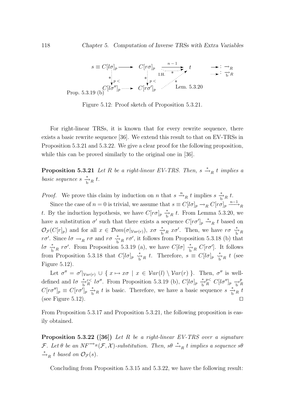

Figure 5.12: Proof sketch of Proposition 5.3.21.

For right-linear TRSs, it is known that for every rewrite sequence, there exists a basic rewrite sequence [36]. We extend this result to that on EV-TRSs in Proposition 5.3.21 and 5.3.22. We give a clear proof for the following proposition, while this can be proved similarly to the original one in [36].

**Proposition 5.3.21** Let R be a right-linear EV-TRS. Then,  $s \stackrel{*}{\rightarrow}_R t$  implies a basic sequence  $s \xrightarrow[\text{b}]{*} R t$ .

*Proof.* We prove this claim by induction on n that  $s \xrightarrow{n} R t$  implies  $s \xrightarrow{*} R t$ .

Since the case of  $n = 0$  is trivial, we assume that  $s \equiv C[l\sigma]_p \to_R C[r\sigma]_p \stackrel{n-1}{\longrightarrow}_R$ t. By the induction hypothesis, we have  $C[r\sigma]_p \stackrel{*}{\to}_R t$ . From Lemma 5.3.20, we have a substitution  $\sigma'$  such that there exists a sequence  $C[r\sigma']_p \stackrel{*}{\rightarrow}_R t$  based on  $\mathcal{O}_{\mathcal{F}}(C[r]_p)$  and for all  $x \in \mathcal{D}om(\sigma|_{Var(r)})$ ,  $x\sigma \stackrel{*}{\to}_R x\sigma'$ . Then, we have  $r\sigma \stackrel{*}{\to}_R R$  $r\sigma'$ . Since  $l\sigma \to_R r\sigma$  and  $r\sigma \overset{*}{\to}_R r\sigma'$ , it follows from Proposition 5.3.18 (b) that  $l\sigma \stackrel{*}{\rightarrow}_R r\sigma'$ . From Proposition 5.3.19 (a), we have  $C[l\sigma] \stackrel{*}{\rightarrow}_R C[r\sigma']$ . It follows from Proposition 5.3.18 that  $C[l\sigma]_p \stackrel{*}{\underset{b}{\sim}} R t$ . Therefore,  $s \equiv C[l\sigma]_p \stackrel{*}{\underset{b}{\sim}} R t$  (see Figure 5.12).

Let  $\sigma'' = \sigma' |_{Var(r)} \cup \{ x \mapsto x\sigma \mid x \in Var(l) \setminus Var(r) \}.$  Then,  $\sigma''$  is welldefined and  $l\sigma \stackrel{*}{\to}{}^{\varepsilon\lt}{R}$   $l\sigma''$ . From Proposition 5.3.19 (b),  $C[l\sigma]_p \stackrel{*}{\to}{}^{\varepsilon\lt}{R} C[l\sigma'']_p \stackrel{*}{\to}{}^{\rho}_{H}$ R  $C[r\sigma']_p \equiv C[r\sigma']_p \stackrel{*}{\to}_R t$  is basic. Therefore, we have a basic sequence  $s \stackrel{*}{\to_R t}$ (see Figure 5.12).  $\Box$ 

From Proposition 5.3.17 and Proposition 5.3.21, the following proposition is easily obtained.

**Proposition 5.3.22** ([36]) Let R be a right-linear EV-TRS over a signature  $\mathcal{F}$ . Let  $\theta$  be an NF<sup>→R</sup>( $\mathcal{F}, \mathcal{X}$ )-substitution. Then,  $s\theta \stackrel{*}{\rightarrow}_R t$  implies a sequence  $s\theta$  $\stackrel{*}{\rightarrow}_R t$  based on  $\mathcal{O}_{\mathcal{F}}(s)$ .

Concluding from Proposition 5.3.15 and 5.3.22, we have the following result: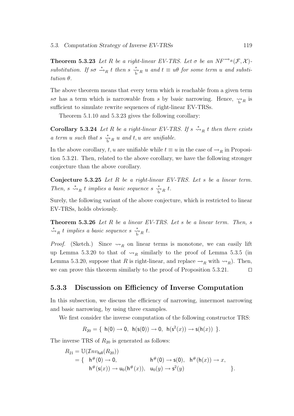**Theorem 5.3.23** Let R be a right-linear EV-TRS. Let  $\sigma$  be an NF<sup> $\rightarrow$ R</sup> $(F, \mathcal{X})$ substitution. If so  $\stackrel{*}{\rightarrow}_R t$  then s  $\stackrel{*}{\rightarrow}_R u$  and  $t \equiv u\theta$  for some term u and substitution θ.

The above theorem means that every term which is reachable from a given term so has a term which is narrowable from s by basic narrowing. Hence,  $\gamma_{hR}$  is sufficient to simulate rewrite sequences of right-linear EV-TRSs.

Theorem 5.1.10 and 5.3.23 gives the following corollary:

**Corollary 5.3.24** Let R be a right-linear EV-TRS. If  $s \stackrel{*}{\leadsto}_R t$  then there exists a term u such that  $s \stackrel{*}{\underset{\sim}{\sim}}_R u$  and  $t, u$  are unifiable.

In the above corollary, t, u are unifiable while  $t \equiv u$  in the case of  $\rightarrow_R$  in Proposition 5.3.21. Then, related to the above corollary, we have the following stronger conjecture than the above corollary.

**Conjecture 5.3.25** Let R be a right-linear EV-TRS. Let s be a linear term. Then,  $s \stackrel{*}{\leadsto}_R t$  implies a basic sequence  $s \stackrel{*}{\leadsto}_R t$ .

Surely, the following variant of the above conjecture, which is restricted to linear EV-TRSs, holds obviously.

Theorem 5.3.26 Let R be a linear EV-TRS. Let s be a linear term. Then, s  $\stackrel{*}{\leadsto}_R t$  implies a basic sequence  $s \stackrel{*}{\leadsto}_R t$ .

*Proof.* (Sketch.) Since  $\leadsto_R$  on linear terms is monotone, we can easily lift up Lemma 5.3.20 to that of  $\leadsto_R$  similarly to the proof of Lemma 5.3.5 (in Lemma 5.3.20, suppose that R is right-linear, and replace  $\rightarrow_R$  with  $\rightsquigarrow_R$ ). Then, we can prove this theorem similarly to the proof of Proposition 5.3.21.  $\Box$ 

#### 5.3.3 Discussion on Efficiency of Inverse Computation

In this subsection, we discuss the efficiency of narrowing, innermost narrowing and basic narrowing, by using three examples.

We first consider the inverse computation of the following constructor TRS:

$$
R_{20} = \{ h(0) \to 0, h(s(0)) \to 0, h(s^2(x)) \to s(h(x)) \}.
$$

The inverse TRS of  $R_{20}$  is generated as follows:

$$
R_{21} = \mathbb{U}(\mathcal{I}nv_{\text{full}}(R_{20}))
$$
  
= { h#(0) \to 0, h#(0) \to s(0), h#(h(x)) \to x,  
 h#(s(x)) \to u\_0(h^{#}(x)), u\_0(y) \to s^2(y) }.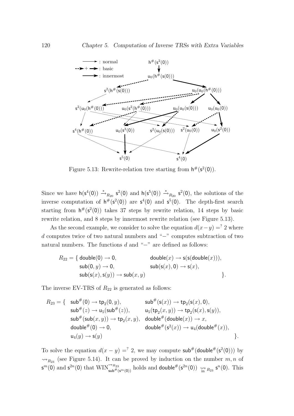

Figure 5.13: Rewrite-relation tree starting from  $h^{\#}(s^2(0))$ .

Since we have  $h(s^4(0)) \stackrel{*}{\rightarrow}_{R_{20}} s^2(0)$  and  $h(s^5(0)) \stackrel{*}{\rightarrow}_{R_{20}} s^2(0)$ , the solutions of the inverse computation of  $h^{\#}(s^2(0))$  are  $s^4(0)$  and  $s^5(0)$ . The depth-first search starting from  $h^{\#}(s^2(0))$  takes 37 steps by rewrite relation, 14 steps by basic rewrite relation, and 8 steps by innermost rewrite relation (see Figure 5.13).

As the second example, we consider to solve the equation  $d(x-y) =$ ? 2 where d computes twice of two natural numbers and "−" computes subtraction of two natural numbers. The functions  $d$  and "−" are defined as follows:

$$
R_{22} = \{ \text{ double}(0) \rightarrow 0, \qquad \text{ double}(x) \rightarrow s(s(\text{double}(x))), \\ \text{sub}(0, y) \rightarrow 0, \qquad \text{sub}(s(x), 0) \rightarrow s(x), \\ \text{sub}(s(x), s(y)) \rightarrow \text{sub}(x, y) \}.
$$

The inverse EV-TRS of  $R_{22}$  is generated as follows:

$$
R_{23}=\{\quad \mathsf{sub}^{\#}(0)\rightarrow \mathsf{tp}_2(0,y),\quad \qquad \mathsf{sub}^{\#}(\mathsf{s}(x))\rightarrow \mathsf{tp}_2(\mathsf{s}(x),0),\\\mathsf{sub}^{\#}(z)\rightarrow \mathsf{u}_5(\mathsf{sub}^{\#}(z)),\quad \qquad \mathsf{u}_5(\mathsf{tp}_2(x,y))\rightarrow \mathsf{tp}_2(\mathsf{s}(x),\mathsf{s}(y)),\\\mathsf{sub}^{\#}(\mathsf{sub}(x,y))\rightarrow \mathsf{tp}_2(x,y),\quad \mathsf{double}^{\#}(\mathsf{double}(x))\rightarrow x,\\ \mathsf{double}^{\#}(0)\rightarrow 0,\quad \qquad \mathsf{double}^{\#}(\mathsf{s}^2(x))\rightarrow \mathsf{u}_4(\mathsf{double}^{\#}(x)),\\\mathsf{u}_4(y)\rightarrow \mathsf{s}(y)\quad \qquad \Big\}.
$$

To solve the equation  $d(x - y) = 2$ , we may compute sub#(double# $(s^2(0))$ ) by  $\rightsquigarrow_{R_{23}}$  (see Figure 5.14). It can be proved by induction on the number  $m, n$  of  $\mathsf{s}^m(0)$  and  $\mathsf{s}^{2n}(0)$  that  $\text{WIN}^{\leadsto R_{23}}_{\text{sub}^{\#}(\mathsf{s}^m(0))}$  holds and double  $\#(\mathsf{s}^{2n}(0)) \underset{\text{in} \ n}{\leadsto R_{23}} \mathsf{s}^n(0)$ . This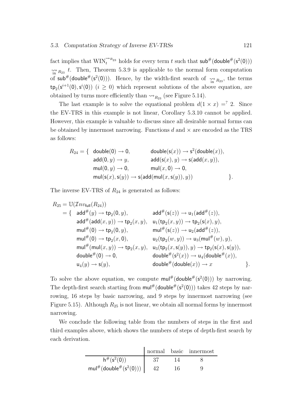fact implies that  $\text{WIN}^{\rightsquigarrow R_{23}}_t$  holds for every term t such that  $\text{sub}^{\#}(\text{double}^{\#}(s^2(0)))$  $\hat{h}_{\text{in}}$   $R_{23}$  t. Then, Theorem 5.3.9 is applicable to the normal form computation of  $sub^{\#}(double^{\#}(s^2(0)))$ . Hence, by the width-first search of  $\underset{\text{in} \ n}{\rightsquigarrow} R_{23}$ , the terms  $tp_2(s^{i+1}(0), s^{i}(0))$   $(i \geq 0)$  which represent solutions of the above equation, are obtained by turns more efficiently than  $\rightsquigarrow_{R_{23}}$  (see Figure 5.14).

The last example is to solve the equational problem  $d(1 \times x) =^? 2$ . Since the EV-TRS in this example is not linear, Corollary 5.3.10 cannot be applied. However, this example is valuable to discuss since all desirable normal forms can be obtained by innermost narrowing. Functions  $d$  and  $\times$  are encoded as the TRS as follows:

$$
R_{24} = \{ \begin{array}{l} \text{double}(0) \rightarrow 0, \\ \text{add}(0,y) \rightarrow y, \\ \text{mul}(0,y) \rightarrow 0, \\ \text{mul}(s(x),s(y)) \rightarrow \text{s}(\text{add}(x,y)), \\ \text{mul}(s(x),s(y)) \rightarrow \text{s}(\text{add}(mul(x,s(y)),y)) \end{array} \}
$$

The inverse EV-TRS of  $R_{24}$  is generated as follows:

$$
R_{25} = \mathbb{U}(\mathcal{I}nv_{\text{full}}(R_{24}))
$$
\n
$$
= \{ \quad \text{add}^{\#}(y) \to \text{tp}_{2}(0, y), \quad \text{add}^{\#}(\text{s}(z)) \to \text{u}_{1}(\text{add}^{\#}(z)),
$$
\n
$$
\text{add}^{\#}(\text{add}(x, y)) \to \text{tp}_{2}(x, y), \quad \text{u}_{1}(\text{tp}_{2}(x, y)) \to \text{tp}_{2}(\text{s}(x), y),
$$
\n
$$
\text{mul}^{\#}(0) \to \text{tp}_{2}(0, y), \quad \text{mul}^{\#}(\text{s}(z)) \to \text{u}_{2}(\text{add}^{\#}(z)),
$$
\n
$$
\text{mul}^{\#}(0) \to \text{tp}_{2}(x, 0), \quad \text{u}_{2}(\text{tp}_{2}(w, y)) \to \text{u}_{3}(\text{mul}^{\#}(w), y),
$$
\n
$$
\text{mul}^{\#}(\text{mul}(x, y)) \to \text{tp}_{2}(x, y), \quad \text{u}_{3}(\text{tp}_{2}(x, \text{s}(y)), y) \to \text{tp}_{2}(\text{s}(x), \text{s}(y)),
$$
\n
$$
\text{double}^{\#}(0) \to 0, \quad \text{double}^{\#}(\text{s}^{2}(x)) \to \text{u}_{4}(\text{double}^{\#}(x)),
$$
\n
$$
\text{double}^{\#}(\text{double}(x)) \to x \quad \text{such}^{\#}(\text{double}(x)) \to x \quad \text{and}
$$

To solve the above equation, we compute  $\text{mult}^{\#}(\text{double}^{\#}(s^2(0)))$  by narrowing. The depth-first search starting from  $\text{mul}^{\#}(\text{double}^{\#}(s^2(0)))$  takes 42 steps by narrowing, 16 steps by basic narrowing, and 9 steps by innermost narrowing (see Figure 5.15). Although  $R_{25}$  is not linear, we obtain all normal forms by innermost narrowing.

We conclude the following table from the numbers of steps in the first and third examples above, which shows the numbers of steps of depth-first search by each derivation.

|                                 |     | normal basic innermost |
|---------------------------------|-----|------------------------|
| $h^{\#}(s^2(0))$                |     |                        |
| $mul^{\#}(double^{\#}(s^2(0)))$ | 16. |                        |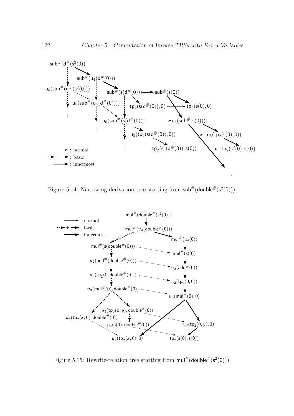

Figure 5.14: Narrowing-derivation tree starting from  $\mathsf{sub}^{\#}(\mathsf{double}^{\#}(s^2(0)))$ .



Figure 5.15: Rewrite-relation tree starting from  $\text{mul}^{\#}(\text{double}^{\#}(s^2(0)))$ .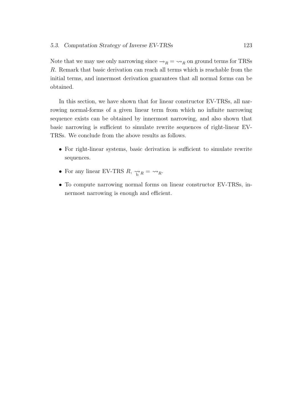Note that we may use only narrowing since  $\rightarrow_R \rightarrow \rightarrow_R$  on ground terms for TRSs R. Remark that basic derivation can reach all terms which is reachable from the initial terms, and innermost derivation guarantees that all normal forms can be obtained.

In this section, we have shown that for linear constructor EV-TRSs, all narrowing normal-forms of a given linear term from which no infinite narrowing sequence exists can be obtained by innermost narrowing, and also shown that basic narrowing is sufficient to simulate rewrite sequences of right-linear EV-TRSs. We conclude from the above results as follows.

- For right-linear systems, basic derivation is sufficient to simulate rewrite sequences.
- For any linear EV-TRS  $R$ ,  $\underset{h}{\leadsto} R = \underset{R}{\leadsto} R$ .
- To compute narrowing normal forms on linear constructor EV-TRSs, innermost narrowing is enough and efficient.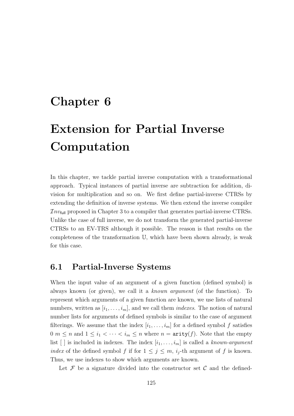# Chapter 6

# Extension for Partial Inverse Computation

In this chapter, we tackle partial inverse computation with a transformational approach. Typical instances of partial inverse are subtraction for addition, division for multiplication and so on. We first define partial-inverse CTRSs by extending the definition of inverse systems. We then extend the inverse compiler  $Inv_{full}$  proposed in Chapter 3 to a compiler that generates partial-inverse CTRSs. Unlike the case of full inverse, we do not transform the generated partial-inverse CTRSs to an EV-TRS although it possible. The reason is that results on the completeness of the transformation U, which have been shown already, is weak for this case.

# 6.1 Partial-Inverse Systems

When the input value of an argument of a given function (defined symbol) is always known (or given), we call it a known argument (of the function). To represent which arguments of a given function are known, we use lists of natural numbers, written as  $[i_1, \ldots, i_m]$ , and we call them *indexes*. The notion of natural number lists for arguments of defined symbols is similar to the case of argument filterings. We assume that the index  $[i_1, \ldots, i_m]$  for a defined symbol f satisfies  $0 \leq n \leq n$  and  $1 \leq i_1 < \cdots < i_m \leq n$  where  $n = \text{arity}(f)$ . Note that the empty list [] is included in indexes. The index  $[i_1, \ldots, i_m]$  is called a known-argument index of the defined symbol f if for  $1 \leq j \leq m$ ,  $i_j$ -th argument of f is known. Thus, we use indexes to show which arguments are known.

Let  $\mathcal F$  be a signature divided into the constructor set  $\mathcal C$  and the defined-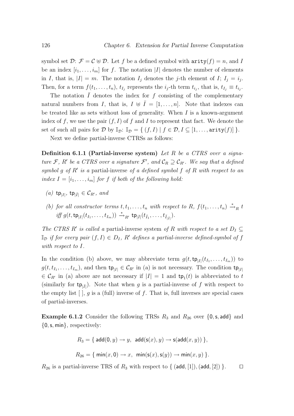symbol set  $\mathcal{D}$ :  $\mathcal{F} = \mathcal{C} \oplus \mathcal{D}$ . Let f be a defined symbol with  $\text{arity}(f) = n$ , and I be an index  $[i_1, \ldots, i_m]$  for f. The notation |I| denotes the number of elements in I, that is,  $|I| = m$ . The notation  $I_j$  denotes the j-th element of I;  $I_j = i_j$ . Then, for a term  $f(t_1, \ldots, t_n)$ ,  $t_{I_j}$  represents the  $i_j$ -th term  $t_{i_j}$ , that is,  $t_{I_j} \equiv t_{i_j}$ .

The notation  $\overline{I}$  denotes the index for f consisting of the complementary natural numbers from I, that is,  $I \oplus \overline{I} = [1, \ldots, n]$ . Note that indexes can be treated like as sets without loss of generality. When  $I$  is a known-argument index of f, we use the pair  $(f, I)$  of f and I to represent that fact. We denote the set of such all pairs for  $D$  by  $\mathbb{I}_{\mathcal{D}}$ :  $\mathbb{I}_{\mathcal{D}} = \{ (f, I) | f \in \mathcal{D}, I \subseteq [1, \ldots, \text{arity}(f)] \}.$ 

Next we define partial-inverse CTRSs as follows:

**Definition 6.1.1 (Partial-inverse system)** Let R be a CTRS over a signature F, R' be a CTRS over a signature F', and  $\mathcal{C}_R \supseteq \mathcal{C}_{R'}$ . We say that a defined symbol g of  $R'$  is a partial-inverse of a defined symbol f of  $R$  with respect to an index  $I = [i_1, \ldots, i_m]$  for f if both of the following hold:

- (a) tp<sub>|I|</sub>, tp<sub>| $\bar{I}$ |  $\in \mathcal{C}_{R'}$ , and</sub>
- (b) for all constructor terms  $t, t_1, \ldots, t_n$  with respect to R,  $f(t_1, \ldots, t_n) \stackrel{*}{\rightarrow}_R t$  $\inf f g(t, \mathsf{tp}_{|I|}(t_{I_1}, \ldots, t_{I_m})) \xrightarrow{\ast}_{R'} \mathsf{tp}_{|\bar{I}|}(t_{\bar{I}_1}, \ldots, t_{\bar{I}_{|\bar{I}|}}).$

The CTRS R' is called a partial-inverse system of R with respect to a set  $D_I \subseteq$  $\mathbb{I}_{\mathcal{D}}$  if for every pair  $(f, I) \in D_I$ , R' defines a partial-inverse defined-symbol of f with respect to I.

In the condition (b) above, we may abbreviate term  $g(t, \mathsf{tp}_{|I|}(t_{I_1}, \ldots, t_{I_m}))$  to  $g(t, t_{I_1},..., t_{I_m})$ , and then  $\tt t p<sub>|I|</sub> \in C_{R'}$  in (a) is not necessary. The condition  $\tt t p<sub>|I|</sub>$  $\in \mathcal{C}_{R'}$  in (a) above are not necessary if  $|I| = 1$  and  $\mathsf{tp}_1(t)$  is abbreviated to t (similarly for  $tp_{|\bar{I}|}$ ). Note that when g is a partial-inverse of f with respect to the empty list  $\lceil \cdot \rceil$ , g is a (full) inverse of f. That is, full inverses are special cases of partial-inverses.

**Example 6.1.2** Consider the following TRSs  $R_3$  and  $R_{26}$  over  $\{0, s, \text{add}\}\$  and  $\{0, \mathsf{s}, \mathsf{min}\},$  respectively:

$$
R_3 = \{ \operatorname{add}(0, y) \to y, \operatorname{add}(\operatorname{s}(x), y) \to \operatorname{s}(\operatorname{add}(x, y)) \},
$$
  

$$
R_{26} = \{ \min(x, 0) \to x, \min(\operatorname{s}(x), \operatorname{s}(y)) \to \min(x, y) \}.
$$

 $R_{26}$  is a partial-inverse TRS of  $R_3$  with respect to { (add, [1]), (add, [2]) }.  $\Box$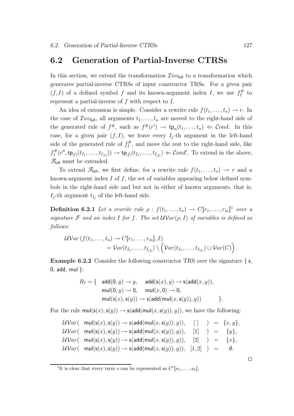## 6.2 Generation of Partial-Inverse CTRSs

In this section, we extend the transformation  $\mathcal{I}nv_{\text{full}}$  to a transformation which generates partial-inverse CTRSs of input constructor TRSs. For a given pair  $(f, I)$  of a defined symbol f and its known-argument index I, we use  $f_I^{\#}$  $I$ <sup>#</sup> to represent a partial-inverse of  $f$  with respect to  $I$ .

An idea of extension is simple. Consider a rewrite rule  $f(t_1, \ldots, t_n) \to r$ . In the case of  $\mathcal{I}nv_{\text{full}}$ , all arguments  $t_1, \ldots, t_n$  are moved to the right-hand side of the generated rule of  $f^{\#}$ , such as  $f^{\#}(r') \to \text{tp}_n(t_1,\ldots,t_n) \Leftarrow \text{Cond}$ . In this case, for a given pair  $(f, I)$ , we leave every  $I_j$ -th argument in the left-hand side of the generated rule of  $f_I^{\#}$  $\prod_{I}^{\#}$ , and move the rest to the right-hand side, like  $f_I^{\#}$  $I_I^{\#}(r'', \text{tp}_{|I|}(t_{I_1}, \ldots, t_{I_{|I|}})) \to \text{tp}_{|\bar{I}|}(t_{\bar{I}_1}, \ldots, t_{\bar{I}_{|\bar{I}|}}) \Leftarrow \text{Cond}'.$  To extend in the above,  $\mathscr{T}_{\text{full}}$  must be extended.

To extend  $\mathscr{T}_{\text{full}}$ , we first define, for a rewrite rule  $f(t_1,\ldots,t_n) \to r$  and a known-argument index  $I$  of  $f$ , the set of variables appearing below defined symbols in the right-hand side and but not in either of known arguments, that is,  $I_j$ -th argument  $t_{I_j}$  of the left-hand side.

**Definition 6.2.1** Let a rewrite rule  $\rho : f(t_1, \ldots, t_n) \to C[\![r_1, \ldots, r_m]\!]$ <sup>1</sup> over a signature F and an index I for f. The set  $\mathcal{U}Var(\rho, I)$  of variables is defined as follows:

$$
\mathcal{W}^{2}\text{ar}(f(t_1,\ldots,t_n) \to C[\![r_1,\ldots,r_m]\!], I) \n= \mathcal{V}^{2}\text{ar}(t_{\bar{I}_1},\ldots,t_{\bar{I}_{|\bar{I}|}}) \setminus (\mathcal{V}^{2}\text{ar}(t_{I_1},\ldots,t_{I_{|\bar{I}|}}) \cup \mathcal{V}^{2}\text{ar}(C)).
$$

Example 6.2.2 Consider the following constructor TRS over the signature { s, 0, add, mul }:

$$
R_7 = \{ \begin{array}{cl} \mathsf{add}(0,y) \to y, & \mathsf{add}(\mathsf{s}(x),y) \to \mathsf{s}(\mathsf{add}(x,y)), \\ \mathsf{mul}(0,y) \to 0, & \mathsf{mul}(x,0) \to 0, \\ \mathsf{mul}(\mathsf{s}(x),\mathsf{s}(y)) \to \mathsf{s}(\mathsf{add}(\mathsf{mul}(x,\mathsf{s}(y)),y)) \end{array} \}.
$$

For the rule  $\text{mul}(s(x), s(y)) \rightarrow s(\text{add}(mul(x, s(y)), y))$ , we have the following:

$$
\mathcal{W}\text{Var}(\text{mul}(\mathsf{s}(x), \mathsf{s}(y)) \to \mathsf{s}(\text{add}(\text{mul}(x, \mathsf{s}(y)), y)), \quad [\ ] \quad ) = \{x, y\},
$$
\n
$$
\mathcal{W}\text{Var}(\text{mul}(\mathsf{s}(x), \mathsf{s}(y)) \to \mathsf{s}(\text{add}(\text{mul}(x, \mathsf{s}(y)), y)), \quad [1] \quad ) = \{y\},
$$
\n
$$
\mathcal{W}\text{Var}(\text{mul}(\mathsf{s}(x), \mathsf{s}(y)) \to \mathsf{s}(\text{add}(\text{mul}(x, \mathsf{s}(y)), y)), \quad [2] \quad ) = \{x\},
$$
\n
$$
\mathcal{W}\text{Var}(\text{mul}(\mathsf{s}(x), \mathsf{s}(y)) \to \mathsf{s}(\text{add}(\text{mul}(x, \mathsf{s}(y)), y)), \quad [1, 2] \quad ) = \emptyset.
$$

 $\Box$ 

<sup>&</sup>lt;sup>1</sup>It is clear that every term s can be represented as  $C'[s_1, \ldots, s_k]$ .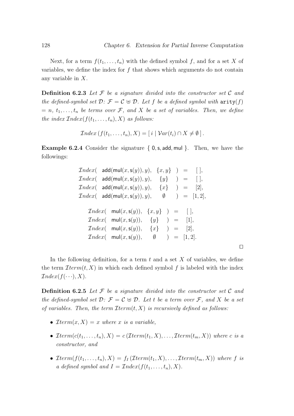Next, for a term  $f(t_1, \ldots, t_n)$  with the defined symbol f, and for a set X of variables, we define the index for  $f$  that shows which arguments do not contain any variable in X.

**Definition 6.2.3** Let  $\mathcal F$  be a signature divided into the constructor set  $\mathcal C$  and the defined-symbol set  $\mathcal{D}: \mathcal{F} = \mathcal{C} \oplus \mathcal{D}$ . Let f be a defined symbol with  $\text{arity}(f)$  $= n, t_1, \ldots, t_n$  be terms over F, and X be a set of variables. Then, we define the index  $Index(f(t_1, \ldots, t_n), X)$  as follows:

$$
Index(f(t_1,...,t_n),X) = [i \mid Var(t_i) \cap X \neq \emptyset].
$$

**Example 6.2.4** Consider the signature  $\{0, \mathsf{s}, \mathsf{add}, \mathsf{mul}\}\$ . Then, we have the followings:

| $\mathcal{I}ndex(-\mathsf{add}(\mathsf{mul}(x,\mathsf{s}(y)),y),$<br>$\{x,y\}$ ) = $  ,$                                                                                                                                                       |  |
|------------------------------------------------------------------------------------------------------------------------------------------------------------------------------------------------------------------------------------------------|--|
| $\mathcal{I}ndex$ add(mul $(x, s(y)), y),$<br>$\{y\}$<br>$) =$<br>$\vert \vert$ ,                                                                                                                                                              |  |
| $\mathcal{I}ndex(-\mathsf{add}(\mathsf{mul}(x,\mathsf{s}(y)),y),$<br>$\{x\}$ $\qquad =$ $ 2 $ ,                                                                                                                                                |  |
| $\mathcal{I}ndex(-\mathsf{add}(\mathsf{mul}(x,\mathsf{s}(y)),y),$<br>$) = [1, 2],$<br>$\emptyset$                                                                                                                                              |  |
| $Index(\text{mul}(x, \mathsf{s}(y)),$<br>$\{x,y\}$ ) = $  ,$<br>$Index(\text{mul}(x, \mathsf{s}(y)),$<br>$\{y\}$ ) = $ 1 $ ,<br>$Index(\text{mul}(x, s(y)), \{x\}) = [2],$<br>$Index(\text{mul}(x, \mathsf{s}(y)),$<br>$\emptyset$ ) = [1, 2]. |  |

 $\Box$ 

In the following definition, for a term  $t$  and a set  $X$  of variables, we define the term  $\mathcal{I}$ term $(t, X)$  in which each defined symbol f is labeled with the index  $Index(f(\cdots), X).$ 

**Definition 6.2.5** Let  $\mathcal F$  be a signature divided into the constructor set  $\mathcal C$  and the defined-symbol set  $\mathcal{D}: \mathcal{F} = \mathcal{C} \oplus \mathcal{D}$ . Let t be a term over  $\mathcal{F}$ , and X be a set of variables. Then, the term  $\mathcal{I}$ term $(t, X)$  is recursively defined as follows:

- $\mathcal{I}term(x, X) = x$  where x is a variable,
- Iterm $(c(t_1, \ldots, t_n), X) = c$  (Iterm $(t_1, X), \ldots,$  Iterm $(t_m, X)$ ) where c is a constructor, and
- Iterm $(f(t_1,...,t_n), X) = f_I(Term(t_1, X), ..., Term(t_m, X))$  where f is a defined symbol and  $I = \mathcal{I}ndex(f(t_1, \ldots, t_n), X)$ .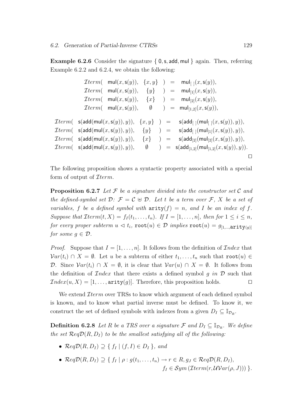**Example 6.2.6** Consider the signature  $\{0, \mathsf{s}, \mathsf{add}, \mathsf{mul}\}$  again. Then, referring Example 6.2.2 and 6.2.4, we obtain the following:

Iterm( mul(x,s(y)), {x, y} ) = mul[ ](x,s(y)), Iterm( mul(x,s(y)), {y} ) = mul[1](x,s(y)), Iterm( mul(x,s(y)), {x} ) = mul[2](x,s(y)), Iterm( mul(x,s(y)), ∅ ) = mul[1,2](x,s(y)), Iterm( s(add(mul(x,s(y)), y)), {x, y} ) = s(add[ ](mul[ ](x,s(y)), y)), Iterm( s(add(mul(x,s(y)), y)), {y} ) = s(add[ ](mul[1](x,s(y)), y)), Iterm( s(add(mul(x,s(y)), y)), {x} ) = s(add[2](mul[2](x,s(y)), y)), Iterm( s(add(mul(x,s(y)), y)), ∅ ) = s(add[1,2](mul[1,2](x,s(y)), y)). ut

The following proposition shows a syntactic property associated with a special form of output of  $\mathcal{I}$ term.

**Proposition 6.2.7** Let  $\mathcal F$  be a signature divided into the constructor set  $\mathcal C$  and the defined-symbol set  $\mathcal{D}: \mathcal{F} = \mathcal{C} \oplus \mathcal{D}$ . Let t be a term over  $\mathcal{F}, X$  be a set of variables, f be a defined symbol with  $\text{arity}(f) = n$ , and I be an index of f. Suppose that  $\mathcal{I}term(t, X) = f_I(t_1, \ldots, t_n)$ . If  $I = [1, \ldots, n]$ , then for  $1 \leq i \leq n$ ,  $\emph{for every proper subterm } u \vartriangleleft t_i, \, \texttt{root}(u) \in \mathcal{D} \, \, \emph{implies} \, \texttt{root}(u) = \emph{g}_{[1,...,\texttt{arity}(g)]}$ for some  $g \in \mathcal{D}$ .

*Proof.* Suppose that  $I = [1, \ldots, n]$ . It follows from the definition of  $\mathcal{I}nder$  that  $Var(t_i) \cap X = \emptyset$ . Let u be a subterm of either  $t_1, \ldots, t_n$  such that root $(u) \in$ D. Since  $Var(t_i) \cap X = \emptyset$ , it is clear that  $Var(u) \cap X = \emptyset$ . It follows from the definition of *Index* that there exists a defined symbol g in  $D$  such that  $Index(u, X) = [1, \ldots, \text{arity}(g)].$  Therefore, this proposition holds.

We extend *Iterm* over TRSs to know which argument of each defined symbol is known, and to know what partial inverse must be defined. To know it, we construct the set of defined symbols with indexes from a given  $D_I \subseteq \mathbb{I}_{\mathcal{D}_R}$ .

**Definition 6.2.8** Let R be a TRS over a signature  $\mathcal{F}$  and  $D_I \subseteq \mathbb{I}_{\mathcal{D}_R}$ . We define the set  $\mathcal{R}eq\mathcal{D}(R, D_I)$  to be the smallest satisfying all of the following:

- $\mathcal{R}eq\mathcal{D}(R, D_I) \supseteq \{f_I \mid (f, I) \in D_I\}$ , and
- $\mathcal{R}eq\mathcal{D}(R, D_I) \supseteq \{f_I \mid \rho : g(t_1, \ldots, t_n) \to r \in R, g_J \in \mathcal{R}eq\mathcal{D}(R, D_I),\}$  $f_I \in Sym \left( \mathcal{I}term(r, \mathcal{U}Var(\rho, J)) \right) \}.$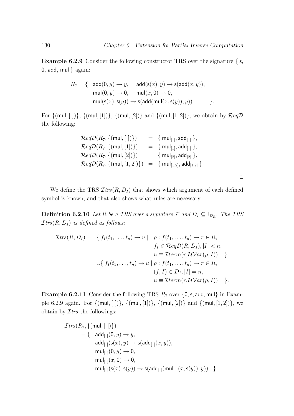Example 6.2.9 Consider the following constructor TRS over the signature { s, 0, add,  $mul$  } again:

$$
R_7 = \{ \text{ add}(0, y) \rightarrow y, \text{ add}(s(x), y) \rightarrow s(\text{add}(x, y)),
$$
  
\n
$$
\text{mul}(0, y) \rightarrow 0, \text{ mul}(x, 0) \rightarrow 0,
$$
  
\n
$$
\text{mul}(s(x), s(y)) \rightarrow s(\text{add}(\text{mul}(x, s(y)), y)) \}.
$$

For  $\{(\text{mul}, [ ])\}, \{(\text{mul}, [1])\}, \{(\text{mul}, [2])\}$  and  $\{(\text{mul}, [1, 2])\},$  we obtain by  $\mathcal{R}eq\mathcal{D}$ the following:

| $\mathcal{R}eq\mathcal{D}(R_7,\{(\mathsf{mul},[~])\})$   | $= \{ \text{mul}_{[1]}, \text{add}_{[1]}\},$       |
|----------------------------------------------------------|----------------------------------------------------|
| $\mathcal{R}eq\mathcal{D}(R_7,\{(\mathsf{mul},[1])\})$   | $= \{ \text{mul}_{[1]}, \text{add}_{[1]}\},$       |
| $\mathcal{R}eq\mathcal{D}(R_7,\{(\mathsf{mul},[2])\})$   | $=$ { mul <sub>[2]</sub> , add <sub>[2]</sub> },   |
| $\mathcal{R}eq\mathcal{D}(R_7,\{(\mathsf{mul},[1,2])\})$ | $= \{ \text{ mul}_{[1,2]}, \text{add}_{[1,2]} \}.$ |
|                                                          |                                                    |

 $\Box$ 

We define the TRS  $\mathcal{I}$ trs $(R, D)$  that shows which argument of each defined symbol is known, and that also shows what rules are necessary.

**Definition 6.2.10** Let R be a TRS over a signature  $\mathcal{F}$  and  $D_I \subseteq \mathbb{I}_{\mathcal{D}_R}$ . The TRS  $Itr(s(R, D_I)$  is defined as follows:

$$
\mathcal{I}trs(R, D_I) = \{ f_I(t_1, \dots, t_n) \to u \mid \rho : f(t_1, \dots, t_n) \to r \in R, \nf_I \in \mathcal{R}eqD(R, D_I), |I| < n, \nu \equiv \mathcal{I}term(r, \mathcal{U}Var(\rho, I)) \}
$$
  

$$
\cup \{ f_I(t_1, \dots, t_n) \to u \mid \rho : f(t_1, \dots, t_n) \to r \in R, \n(f, I) \in D_I, |I| = n, \nu \equiv \mathcal{I}term(r, \mathcal{U}Var(\rho, I)) \}.
$$

**Example 6.2.11** Consider the following TRS  $R_7$  over  $\{0, s, \text{add}, \text{mul}\}\$  in Example 6.2.9 again. For {(mul, [ ])}, {(mul, [1])}, {(mul, [2])} and {(mul, [1, 2])}, we obtain by  $\mathcal{I}$ trs the followings:

Itrs(R7, {(mul, [ ])}) = { add[ ](0, y) → y, add[ ](s(x), y) → s(add[ ](x, y)), mul[ ](0, y) → 0, mul[ ](x, 0) → 0, mul[ ](s(x),s(y)) → s(add[ ](mul[ ](x,s(y)), y)) },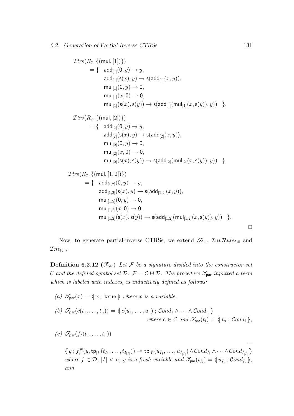Itrs(R7, {(mul, [1])}) = { add[ ](0, y) → y, add[ ](s(x), y) → s(add[ ](x, y)), mul[1](0, y) → 0, mul[1](x, 0) → 0, mul[1](s(x),s(y)) → s(add[ ](mul[1](x,s(y)), y)) }, Itrs(R7, {(mul, [2])}) = { add[2](0, y) → y, add[2](s(x), y) → s(add[2](x, y)), mul[2](0, y) → 0, mul[2](x, 0) → 0, mul[2](s(x),s(y)) → s(add[2](mul[2](x,s(y)), y)) }, Itrs(R7, {(mul, [1, 2])}) = { add[1,2](0, y) → y, add[1,2](s(x), y) → s(add[1,2](x, y)), mul[1,2](0, y) → 0, mul[1,2](x, 0) → 0, mul[1,2](s(x),s(y)) → s(add[1,2](mul[1,2](x,s(y)), y)) }. ut

Now, to generate partial-inverse CTRSs, we extend  $\mathscr{T}_{\text{full}}$ ,  $\mathscr{I}_{nv} \mathcal{R} u le_{\text{full}}$  and  $\mathcal{I}nv_{\mathsf{full}}.$ 

**Definition 6.2.12**  $(\mathscr{T}_{par})$  Let F be a signature divided into the constructor set C and the defined-symbol set  $\mathcal{D}: \mathcal{F} = \mathcal{C} \oplus \mathcal{D}$ . The procedure  $\mathcal{I}_{\text{par}}$  inputted a term which is labeled with indexes, is inductively defined as follows:

(a) 
$$
\mathcal{F}_{\text{par}}(x) = \langle x, \text{true} \rangle
$$
 where x is a variable,

(b) 
$$
\mathscr{T}_{\text{par}}(c(t_1,\ldots,t_n)) = \{c(u_1,\ldots,u_n) ; \text{Cond}_1 \wedge \cdots \wedge \text{Cond}_n\}
$$
  
where  $c \in \mathcal{C}$  and  $\mathscr{T}_{\text{par}}(t_i) = \{u_i ; \text{Cond}_i\},$ 

\n- (c) 
$$
\mathcal{F}_{\text{par}}(f_I(t_1,\ldots,t_n))
$$
 =
\n- $\langle y \,;\, f_I^{\#}(y,\operatorname{tp}_{|I|}(t_{I_1},\ldots,t_{I_{|I|}})) \rightarrow \operatorname{tp}_{|\bar{I}|}(u_{\bar{I}_1},\ldots,u_{\bar{I}_{|\bar{I}|}}) \wedge \operatorname{Cond}_{\bar{I}_1} \wedge \cdots \wedge \operatorname{Cond}_{\bar{I}_{|\bar{I}|}} \rangle$  where  $f \in \mathcal{D}$ ,  $|I| < n$ ,  $y$  is a fresh variable and  $\mathcal{F}_{\text{par}}(t_{\bar{I}_i}) = \langle u_{\bar{I}_i} \,;\, \operatorname{Cond}_{\bar{I}_i} \rangle$ , and
\n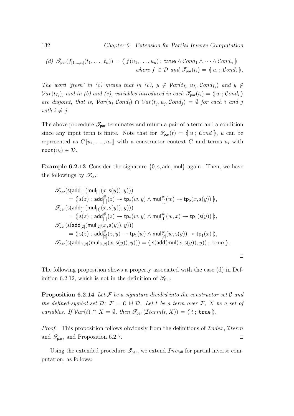(d) 
$$
\mathcal{F}_{\text{par}}(f_{[1,...,n]}(t_1,...,t_n)) = \{ f(u_1,...,u_n) \,;\, \text{true} \land \text{Cond}_1 \land \cdots \land \text{Cond}_n \}
$$
  
where  $f \in \mathcal{D}$  and  $\mathcal{F}_{\text{par}}(t_i) = \{ u_i \,;\, \text{Cond}_i \}.$ 

The word 'fresh' in (c) means that in (c),  $y \notin Var(t_{\bar{I}_j}, u_{\bar{I}_j}, Cond_{\bar{I}_j})$  and  $y \notin$  $Var(t_{I_j})$ , and in (b) and (c), variables introduced in each  $\mathscr{T}_{\text{par}}(t_i) = \{u_i; Cond_i\}$ are disjoint, that is,  $Var(u_i, Cond_i) \cap Var(t_j, u_j, Cond_j) = \emptyset$  for each i and j with  $i \neq j$ .

The above procedure  $\mathscr{T}_{\text{par}}$  terminates and return a pair of a term and a condition since any input term is finite. Note that for  $\mathscr{T}_{\text{par}}(t) = \{u ; \text{Cond}\}\,$ , u can be represented as  $C[\![u_1,\ldots,u_n]\!]$  with a constructor context C and terms  $u_i$  with root $(u_i) \in \mathcal{D}$ .

**Example 6.2.13** Consider the signature  $\{0, \mathsf{s}, \mathsf{add}, \mathsf{mul}\}\$  again. Then, we have the followings by  $\mathscr{T}_{\text{par}}$ :

$$
\mathscr{T}_{\mathsf{par}}(\mathsf{s}(\mathsf{add}_{[\hspace{0.1cm}]}(\mathsf{mul}_{[\hspace{0.1cm}]}(x,\mathsf{s}(y)),y)))\\=\{\!\!\{s(z)\,;\,\mathsf{add}_{[\hspace{0.1cm}]}^{\#}(z)\rightarrow \mathsf{tp}_2(w,y)\wedge \mathsf{mul}_{[\hspace{0.1cm}]}^{\#}(w)\rightarrow \mathsf{tp}_2(x,\mathsf{s}(y))\,\!\!\}\,,\\\mathscr{T}_{\mathsf{par}}(\mathsf{s}(\mathsf{add}_{[\hspace{0.1cm}]}(\mathsf{mul}_{[\hspace{0.1cm}]}(x,\mathsf{s}(y)),y)))\\=\{\!\!\{s(z)\,;\,\mathsf{add}_{[\hspace{0.1cm}]}^{\#}(z)\rightarrow \mathsf{tp}_2(w,y)\wedge \mathsf{mul}_{[\hspace{0.1cm}]}^{\#}(w,x)\rightarrow \mathsf{tp}_1(\mathsf{s}(y))\,\!\!\}\,,\\\mathscr{T}_{\mathsf{par}}(\mathsf{s}(\mathsf{add}_{[\hspace{0.1cm}]}(\mathsf{mul}_{[\hspace{0.1cm}]}(x,\mathsf{s}(y)),y)))\\=\{\!\!\{s(z)\,;\,\mathsf{add}_{[\hspace{0.1cm}]}^{\#}(z,y)\rightarrow \mathsf{tp}_1(w)\wedge \mathsf{mul}_{[\hspace{0.1cm}]}^{\#}(w,\mathsf{s}(y))\rightarrow \mathsf{tp}_1(x)\,\!\!\}\,,\\\mathscr{T}_{\mathsf{par}}(\mathsf{s}(\mathsf{add}_{[\hspace{0.1cm}1,2]}(\mathsf{mul}_{[\hspace{0.1cm}1,2]}(x,\mathsf{s}(y)),y)))=\{\!\!\{s(\mathsf{add}(\mathsf{mul}(x,\mathsf{s}(y)),y))\,;\,\mathrm{true}\,\!\!\}\,.
$$

The following proposition shows a property associated with the case (d) in Definition 6.2.12, which is not in the definition of  $\mathscr{T}_{\text{full}}$ .

**Proposition 6.2.14** Let  $\mathcal F$  be a signature divided into the constructor set  $\mathcal C$  and the defined-symbol set  $\mathcal{D}: \mathcal{F} = \mathcal{C} \oplus \mathcal{D}$ . Let t be a term over  $\mathcal{F}, X$  be a set of *variables.* If  $Var(t) \cap X = \emptyset$ , then  $\mathscr{T}_{\text{par}}(\mathcal{I}term(t, X)) = \{t : \text{true}\}.$ 

*Proof.* This proposition follows obviously from the definitions of  $Index, \mathcal{I} term$ and  $\mathscr{T}_{\text{par}}$ , and Proposition 6.2.7.

Using the extended procedure  $\mathcal{I}_{\text{par}}$ , we extend  $\mathcal{I}_{nv_{\text{full}}}$  for partial inverse computation, as follows: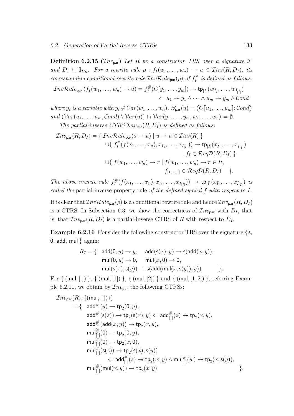**Definition 6.2.15** ( $\mathcal{I}nv_{\text{par}}$ ) Let R be a constructor TRS over a signature F and  $D_I \subseteq \mathbb{I}_{\mathcal{D}_R}$ . For a rewrite rule  $\rho : f_I(w_1, \ldots, w_n) \to u \in \mathcal{I}$ trs $(R, D_I)$ , its corresponding conditional rewrite rule  $\mathcal{I}nv\mathcal{R}ul_{\mathsf{par}}(\rho)$  of  $f_I^{\#}$  $\int_I^{\#}$  is defined as follows:

$$
\mathcal{I}nvRule_{\mathsf{par}}(f_I(w_1,\ldots,w_n)\to u)=f_I^{\#}(C[y_1,\ldots,y_m])\to \mathsf{tp}_{|\bar{I}|}(w_{\bar{I}_1},\ldots,w_{\bar{I}_{|\bar{I}|}})
$$
  

$$
\Leftarrow u_1 \twoheadrightarrow y_1 \wedge \cdots \wedge u_m \twoheadrightarrow y_m \wedge Cond
$$

where  $y_i$  is a variable with  $y_i \notin Var(w_1, \ldots, w_n)$ ,  $\mathscr{T}_{\text{par}}(u) = \{C[\![u_1, \ldots, u_m]\!]; \text{Cond}\}$ and  $(Var(u_1, \ldots, u_m, Cond) \setminus Var(u)) \cap Var(y_1, \ldots, y_m, w_1, \ldots, w_n) = \emptyset.$ 

The partial-inverse CTRS  $\mathcal{I}nv_{\text{par}}(R, D_I)$  is defined as follows:

$$
\mathcal{I}nv_{\text{par}}(R, D_I) = \{ \mathcal{I}nv\mathcal{R}ule_{\text{par}}(s \to u) \mid u \to u \in \mathcal{I}trs(R) \}
$$
  

$$
\cup \{ f_I^{\#}(f(x_1, \ldots, x_n), x_{I_1}, \ldots, x_{I_{|I|}})) \to \text{tp}_{|\bar{I}|}(x_{\bar{I}_1}, \ldots, x_{\bar{I}_{|\bar{I}|}})
$$

$$
\mid f_I \in \mathcal{R}eq\mathcal{D}(R, D_I) \}
$$

$$
\cup \{ f(w_1, \ldots, w_n) \to r \mid f(w_1, \ldots, w_n) \to r \in R,
$$

$$
f_{[1, \ldots, n]} \in \mathcal{R}eq\mathcal{D}(R, D_I) \}.
$$

The above rewrite rule  $f_I^{\#}$  $\mathcal{I}_I^\#(f(x_1,\ldots,x_n),x_{I_1},\ldots,x_{I_{|I|}})) \,\to\, {\sf tp}_{|\bar{I}|}(x_{\bar{I}_1},\ldots,x_{\bar{I}_{|\bar{I}|}})$  is called the partial-inverse-property rule of the defined symbol f with respect to I.

It is clear that  $InvRule_{par}(\rho)$  is a conditional rewrite rule and hence  $Inv_{par}(R, D_I)$ is a CTRS. In Subsection 6.3, we show the correctness of  $\mathcal{I}nv_{\text{par}}$  with  $D_I$ , that is, that  $\mathcal{I}nv_{\text{par}}(R, D_I)$  is a partial-inverse CTRS of R with respect to  $D_I$ .

**Example 6.2.16** Consider the following constructor TRS over the signature  $\{s,$ 0, add, mul  $\}$  again:

$$
R_7 = \{ \begin{array}{cl} \mathsf{add}(0,y) \rightarrow y, \quad \mathsf{add}(\mathsf{s}(x),y) \rightarrow \mathsf{s}(\mathsf{add}(x,y)), \\ \mathsf{mul}(0,y) \rightarrow 0, \quad \mathsf{mul}(x,0) \rightarrow 0, \\ \mathsf{mul}(\mathsf{s}(x),\mathsf{s}(y)) \rightarrow \mathsf{s}(\mathsf{add}(\mathsf{mul}(x,\mathsf{s}(y)),y)) \end{array} \}.
$$

For  $\{$  (mul,  $[ ] )$ },  $\{$  (mul,  $[1]$ )},  $\{$  (mul,  $[2]$ )} and  $\{$  (mul,  $[1, 2]$ )}, referring Example 6.2.11, we obtain by  $\mathcal{I}nv_{\text{par}}$  the following CTRSs:

$$
\begin{array}{lll} \mathcal{I}nv_{\mathsf{par}}(R_7, \{(\mathsf{mul},[~])\}) \\& = \{ \begin{array}{l} \mathsf{add}_{[~]}^\#(y) \rightarrow \mathsf{tp}_2(0,y), \\ \mathsf{add}_{[~]}^\#(\mathsf{s}(z)) \rightarrow \mathsf{tp}_2(\mathsf{s}(x),y) \Leftarrow \mathsf{add}_{[~]}^\#(z) \rightarrow \mathsf{tp}_2(x,y), \\ \mathsf{add}_{[~]}^\#(\mathsf{add}(x,y)) \rightarrow \mathsf{tp}_2(x,y), \\ \mathsf{mul}_{[~]}^\#(0) \rightarrow \mathsf{tp}_2(0,y), \\ \mathsf{mul}_{[~]}^\#(0) \rightarrow \mathsf{tp}_2(x,0), \\ \mathsf{mul}_{[~]}^\#(\mathsf{s}(z)) \rightarrow \mathsf{tp}_2(\mathsf{s}(x),\mathsf{s}(y)) \\ & \Leftarrow \mathsf{add}_{[~]}^\#(z) \rightarrow \mathsf{tp}_2(w,y) \wedge \mathsf{mul}_{[~]}^\#(w) \rightarrow \mathsf{tp}_2(x,\mathsf{s}(y)), \\ \mathsf{mul}_{[~]}^\#(\mathsf{mul}(x,y)) \rightarrow \mathsf{tp}_2(x,y) \end{array} \} , \end{array}
$$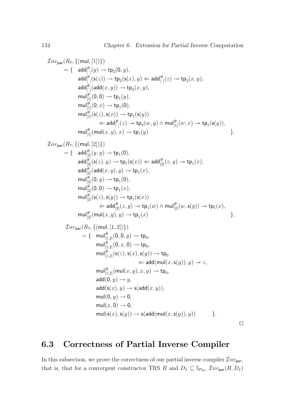$$
\begin{array}{l} \mathcal{I}nv_{\text{par}}(R_{7},\{(\text{mul},[1])\}) \\ =\{ \quad \text{add}_{[+]}^{#}(y) \rightarrow \text{tp}_{2}(0,y), \\ \quad \text{add}_{[+]}^{#}(s(z)) \rightarrow \text{tp}_{2}(s(x),y) \Leftarrow \text{add}_{[+]}^{#}(z) \rightarrow \text{tp}_{2}(x,y), \\ \quad \text{add}_{[+]}^{#}(0,0) \rightarrow \text{tp}_{2}(y,y), \\ \quad \text{mul}_{[1]}^{#}(0,0) \rightarrow \text{tp}_{1}(y), \\ \quad \text{mul}_{[1]}^{#}(0,0) \rightarrow \text{tp}_{1}(y), \\ \quad \text{mul}_{[1]}^{#}(s(z),s(x)) \rightarrow \text{tp}_{1}(s(y)) \\ \quad \text{mul}_{[1]}^{#}(s(z) \rightarrow \text{tp}_{2}(w,y) \wedge \text{mul}_{[1]}^{#}(w,x) \rightarrow \text{tp}_{1}(s(y)), \\ \quad \text{mul}_{[1]}^{#}( \text{mul}(x,y),x) \rightarrow \text{tp}_{1}(y) \qquad \qquad \}, \\ \mathcal{I}nv_{\text{par}}(R_{7},\{(\text{mul},[2])\}) \\ =\{ \quad \text{add}_{[2]}^{#}(s(y,y) \rightarrow \text{tp}_{1}(0), \\ \quad \text{add}_{[2]}^{#}(s(z),y) \rightarrow \text{tp}_{1}(x), \\ \quad \text{add}_{[2]}^{#}(s(z),y) \rightarrow \text{tp}_{1}(x), \\ \quad \text{und}_{[2]}^{#}(0,0) \rightarrow \text{tp}_{1}(x), \\ \quad \text{mul}_{[2]}^{#}(s(z),s(y)) \rightarrow \text{tp}_{1}(s(x)) \\ \quad \text{mul}_{[2]}^{#}(s(y) \rightarrow \text{tp}_{1}(w) \wedge \text{mul}_{[2]}^{#}(w,s(y)) \rightarrow \text{tp}_{1}(x), \\ \quad \text{mul}_{[2]}^{#}(s(x),s(y)) \rightarrow \text{tp}_{1}(x) \qquad \} , \\ \quad \text{J}nv_{\text{par}}(R_{7},\{(\text{mul},[1,2])\}) \\ =\{ \quad \text{mul}_{[1,2]}^{#}(0,0,y) \rightarrow \text{tp}_{0}, \\ \quad \text{mul}_{[1,2]}^{#}(0,z,0) \rightarrow \text{tp}_{0}, \\ \quad \text{mul}_{[1,2]}^{#}(s(z),s(x),s(y)) \rightarrow \text{tp}_{0}, \\ \quad
$$

#### 6.3 Correctness of Partial Inverse Compiler

In this subsection, we prove the correctness of our partial inverse compiler  $\mathcal{I}nv_{\text{par}}$ , that is, that for a convergent constructor TRS R and  $D_I \subseteq \mathbb{I}_{\mathcal{D}_R}$ ,  $\mathcal{I}nv_{\text{par}}(R, D_I)$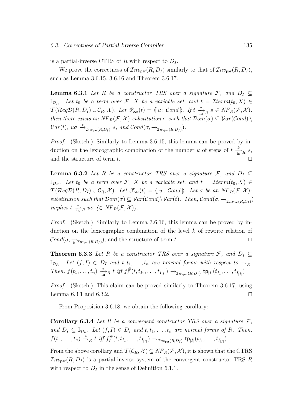is a partial-inverse CTRS of R with respect to  $D_I$ .

We prove the correctness of  $\mathcal{I}nv_{\text{par}}(R, D_I)$  similarly to that of  $\mathcal{I}nv_{\text{par}}(R, D_I)$ , such as Lemma 3.6.15, 3.6.16 and Theorem 3.6.17.

**Lemma 6.3.1** Let R be a constructor TRS over a signature F, and  $D_I \subseteq$  $\mathbb{I}_{\mathcal{D}_R}$ . Let  $t_0$  be a term over  $\mathcal{F}, X$  be a variable set, and  $t = \mathcal{I}$ term $(t_0, X) \in$  $\mathcal{T}(\mathcal{R}eq\mathcal{D}(R, D_I) \cup \mathcal{C}_R, \mathcal{X})$ . Let  $\mathcal{F}_{\text{par}}(t) = \{u ; \mathcal{C}ond\}$ . If  $t \stackrel{*}{\longrightarrow}_R s \in NF_R(\mathcal{F}, \mathcal{X})$ , then there exists an  $NF_R(\mathcal{F}, \mathcal{X})$ -substitution  $\sigma$  such that  $Dom(\sigma) \subseteq Var(\mathcal{C}ond) \setminus$  $Var(t)$ ,  $u\sigma \xrightarrow{\ast} \tau_{nv_{\text{par}}(R,D_I)} s$ , and  $Cond(\sigma, \rightarrow_{\mathcal{I}nv_{\text{par}}(R,D_I)})$ .

Proof. (Sketch.) Similarly to Lemma 3.6.15, this lemma can be proved by induction on the lexicographic combination of the number k of steps of  $t \frac{k}{\ln R} s$ , and the structure of term  $t$ .

**Lemma 6.3.2** Let R be a constructor TRS over a signature F, and  $D_I \subseteq$  $\mathbb{I}_{\mathcal{D}_R}$ . Let  $t_0$  be a term over  $\mathcal{F}, X$  be a variable set, and  $t = \mathcal{I}$ term $(t_0, X) \in$  $\mathcal{T}(\mathcal{R}eq\mathcal{D}(R,D_I)\cup \mathcal{C}_R,\mathcal{X})$ . Let  $\mathcal{T}_{\text{par}}(t) = \{u ; \mathcal{C}ond\}$ . Let  $\sigma$  be an  $NF_R(\mathcal{F},\mathcal{X})$ substitution such that  $Dom(\sigma) \subseteq Var(Cond) \setminus Var(t)$ . Then,  $Cond(\sigma, \rightarrow_{Inv_{par}(R, D_I)})$ implies  $t \frac{*}{\text{in}^2 R} u\sigma \in NF_R(\mathcal{F},\mathcal{X})$ .

Proof. (Sketch.) Similarly to Lemma 3.6.16, this lemma can be proved by induction on the lexicographic combination of the level  $k$  of rewrite relation of  $\mathcal{C}ond(\sigma, \frac{\rightarrow}{k} \mathcal{I}_{n v_{\text{par}}(R, D_I)})$ , and the structure of term t.

**Theorem 6.3.3** Let R be a constructor TRS over a signature F, and  $D_I \subseteq$  $\mathbb{I}_{\mathcal{D}_R}$ . Let  $(f, I) \in D_I$  and  $t, t_1, \ldots, t_n$  are normal forms with respect to  $\rightarrow_R$ . Then,  $f(t_1,\ldots,t_n) \xrightarrow[\text{in}]{*} R t$  iff  $f_I^{\#}$  $\mathcal{I}_I^{\#}(t,t_{I_1},\ldots,t_{I_{|I|}}) \rightarrow_{\mathcal{I}nv_{\mathsf{par}}(R,D_I)} \mathsf{tp}_{|\bar{I}|}(t_{\bar{I}_1},\ldots,t_{\bar{I}_{|\bar{I}|}}).$ 

Proof. (Sketch.) This claim can be proved similarly to Theorem 3.6.17, using Lemma 6.3.1 and 6.3.2.  $\Box$ 

From Proposition 3.6.18, we obtain the following corollary:

**Corollary 6.3.4** Let R be a convergent constructor TRS over a signature  $\mathcal{F}$ , and  $D_I \subseteq \mathbb{I}_{\mathcal{D}_R}$ . Let  $(f, I) \in D_I$  and  $t, t_1, \ldots, t_n$  are normal forms of R. Then,  $f(t_1,\ldots,t_n) \stackrel{*}{\rightarrow}_R t \text{ iff } f_I^{\#}$  $\mathcal{I}_I^\#(t,t_{I_1},\ldots,t_{I_{|I|}}) \rightarrow_{\mathcal{I}nv_{\mathsf{par}}(R,D_I)} \mathsf{tp}_{|\bar{I}|}(t_{\bar{I}_1},\ldots,t_{\bar{I}_{|\bar{I}|}}).$ 

From the above corollary and  $\mathcal{T}(\mathcal{C}_R, \mathcal{X}) \subseteq NF_R(\mathcal{F}, \mathcal{X})$ , it is shown that the CTRS  $Inv<sub>par</sub>(R, D<sub>I</sub>)$  is a partial-inverse system of the convergent constructor TRS R with respect to  $D_I$  in the sense of Definition 6.1.1.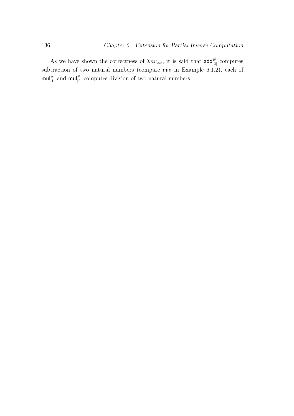As we have shown the correctness of  $\mathcal{I}nv_{\text{par}}$ , it is said that  $\text{add}_{[2]}^{\#}$  computes subtraction of two natural numbers (compare min in Example 6.1.2), each of  $\text{mul}_{[1]}^{\#}$  and  $\text{mul}_{[2]}^{\#}$  computes division of two natural numbers.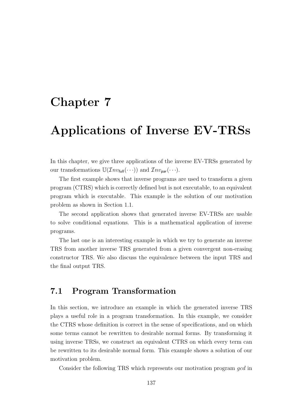### Chapter 7

## Applications of Inverse EV-TRSs

In this chapter, we give three applications of the inverse EV-TRSs generated by our transformations  $\mathbb{U}(\mathcal{I}nv_{\text{full}}(\cdots))$  and  $\mathcal{I}nv_{\text{par}}(\cdots)$ .

The first example shows that inverse programs are used to transform a given program (CTRS) which is correctly defined but is not executable, to an equivalent program which is executable. This example is the solution of our motivation problem as shown in Section 1.1.

The second application shows that generated inverse EV-TRSs are usable to solve conditional equations. This is a mathematical application of inverse programs.

The last one is an interesting example in which we try to generate an inverse TRS from another inverse TRS generated from a given convergent non-erasing constructor TRS. We also discuss the equivalence between the input TRS and the final output TRS.

#### 7.1 Program Transformation

In this section, we introduce an example in which the generated inverse TRS plays a useful role in a program transformation. In this example, we consider the CTRS whose definition is correct in the sense of specifications, and on which some terms cannot be rewritten to desirable normal forms. By transforming it using inverse TRSs, we construct an equivalent CTRS on which every term can be rewritten to its desirable normal form. This example shows a solution of our motivation problem.

Consider the following TRS which represents our motivation program gcd in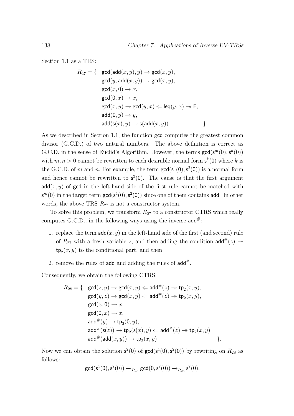Section 1.1 as a TRS:

$$
R_{27} = \{ \gcd(\text{add}(x, y), y) \rightarrow \gcd(x, y),
$$
  
\n
$$
\gcd(y, \text{add}(x, y)) \rightarrow \gcd(x, y),
$$
  
\n
$$
\gcd(x, 0) \rightarrow x,
$$
  
\n
$$
\gcd(0, x) \rightarrow x,
$$
  
\n
$$
\gcd(0, y) \rightarrow \gcd(y, x) \Leftarrow \text{leq}(y, x) \rightarrow \text{F},
$$
  
\n
$$
\text{add}(0, y) \rightarrow y,
$$
  
\n
$$
\text{add}(s(x), y) \rightarrow s(\text{add}(x, y)) \}
$$
.

As we described in Section 1.1, the function gcd computes the greatest common divisor (G.C.D.) of two natural numbers. The above definition is correct as G.C.D. in the sense of Euclid's Algorithm. However, the terms  $gcd(s^m(0), s^n(0))$ with  $m, n > 0$  cannot be rewritten to each desirable normal form  $s^k(0)$  where k is the G.C.D. of m and n. For example, the term  $gcd(s^4(0), s^2(0))$  is a normal form and hence cannot be rewritten to  $s^2(0)$ . The cause is that the first argument  $add(x, y)$  of gcd in the left-hand side of the first rule cannot be matched with  $\mathsf{s}^m(0)$  in the target term  $\mathsf{gcd}(\mathsf{s}^4(0),\mathsf{s}^2(0))$  since one of them contains add. In other words, the above TRS  $R_{27}$  is not a constructor system.

To solve this problem, we transform  $R_{27}$  to a constructor CTRS which really computes G.C.D., in the following ways using the inverse  $add^{\#}$ :

- 1. replace the term  $\mathsf{add}(x, y)$  in the left-hand side of the first (and second) rule of  $R_{27}$  with a fresh variable z, and then adding the condition  $\mathsf{add}^{\#}(z) \rightarrow$  $\mathsf{tp}_2(x, y)$  to the conditional part, and then
- 2. remove the rules of add and adding the rules of  $add^{\#}$ .

Consequently, we obtain the following CTRS:

$$
R_{28} = \{ \operatorname{gcd}(z, y) \rightarrow \operatorname{gcd}(x, y) \Leftarrow \operatorname{add}^{\#}(z) \twoheadrightarrow \operatorname{tp}_{2}(x, y),
$$
  
\n
$$
\operatorname{gcd}(y, z) \rightarrow \operatorname{gcd}(x, y) \Leftarrow \operatorname{add}^{\#}(z) \twoheadrightarrow \operatorname{tp}_{2}(x, y),
$$
  
\n
$$
\operatorname{gcd}(x, 0) \rightarrow x,
$$
  
\n
$$
\operatorname{gcd}(0, x) \rightarrow x,
$$
  
\n
$$
\operatorname{add}^{\#}(y) \rightarrow \operatorname{tp}_{2}(0, y),
$$
  
\n
$$
\operatorname{add}^{\#}(s(z)) \rightarrow \operatorname{tp}_{2}(s(x), y) \Leftarrow \operatorname{add}^{\#}(z) \rightarrow \operatorname{tp}_{2}(x, y),
$$
  
\n
$$
\operatorname{add}^{\#}(\operatorname{add}(x, y)) \rightarrow \operatorname{tp}_{2}(x, y) \qquad \{.
$$

Now we can obtain the solution  $s^2(0)$  of  $gcd(s^4(0), s^2(0))$  by rewriting on  $R_{28}$  as follows:

$$
\textrm{gcd}(\mathsf{s}^4(0),\mathsf{s}^2(0))\rightarrow_{R_{28}}\textrm{gcd}(0,\mathsf{s}^2(0))\rightarrow_{R_{28}}\mathsf{s}^2(0).
$$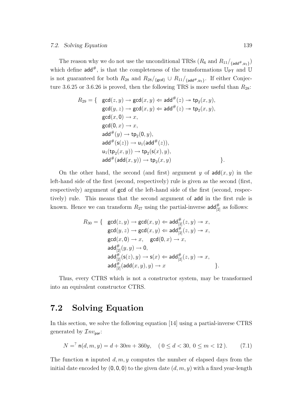The reason why we do not use the unconditional TRSs  $(R_6 \text{ and } R_{11}/_{\text{[add#}, \mathsf{u}_1})$ which define  $\mathsf{add}^{\#}$ , is that the completeness of the transformations  $\mathbb{U}_{\mathsf{PT}}$  and  $\mathbb{U}$ is not guaranteed for both  $R_{28}$  and  $R_{28}/\{\text{gcd}\}\cup R_{11}/\{\text{add}^*,\text{u}_1\}$ . If either Conjecture 3.6.25 or 3.6.26 is proved, then the following TRS is more useful than  $R_{28}$ :

$$
R_{29} = \{ \gcd(z, y) \rightarrow \gcd(x, y) \Leftarrow \mathrm{add}^{\#}(z) \rightarrow \mathrm{tp}_{2}(x, y),
$$
  
\n
$$
\gcd(y, z) \rightarrow \gcd(x, y) \Leftarrow \mathrm{add}^{\#}(z) \rightarrow \mathrm{tp}_{2}(x, y),
$$
  
\n
$$
\gcd(x, 0) \rightarrow x,
$$
  
\n
$$
\gcd(0, x) \rightarrow x,
$$
  
\n
$$
\mathrm{add}^{\#}(y) \rightarrow \mathrm{tp}_{2}(0, y),
$$
  
\n
$$
\mathrm{add}^{\#}(\mathrm{s}(z)) \rightarrow \mathrm{u}_{1}(\mathrm{add}^{\#}(z)),
$$
  
\n
$$
\mathrm{u}_{1}(\mathrm{tp}_{2}(x, y)) \rightarrow \mathrm{tp}_{2}(\mathrm{s}(x), y),
$$
  
\n
$$
\mathrm{add}^{\#}(\mathrm{add}(x, y)) \rightarrow \mathrm{tp}_{2}(x, y)
$$

On the other hand, the second (and first) argument y of  $\text{add}(x, y)$  in the left-hand side of the first (second, respectively) rule is given as the second (first, respectively) argument of gcd of the left-hand side of the first (second, respectively) rule. This means that the second argument of add in the first rule is known. Hence we can transform  $R_{27}$  using the partial-inverse  $\mathsf{add}_{[2]}^{\#}$  as follows:

$$
R_{30} = \{ \operatorname{gcd}(z,y) \rightarrow \operatorname{gcd}(x,y) \Leftarrow \operatorname{add}_{[2]}^{\#}(z,y) \twoheadrightarrow x, \\ \operatorname{gcd}(y,z) \rightarrow \operatorname{gcd}(x,y) \Leftarrow \operatorname{add}_{[2]}^{\#}(z,y) \twoheadrightarrow x, \\ \operatorname{gcd}(x,0) \rightarrow x, \operatorname{gcd}(0,x) \rightarrow x, \\ \operatorname{add}_{[2]}^{\#}(y,y) \rightarrow 0, \\ \operatorname{add}_{[2]}^{\#}(\operatorname{s}(z),y) \rightarrow \operatorname{s}(x) \Leftarrow \operatorname{add}_{[2]}^{\#}(z,y) \twoheadrightarrow x, \\ \operatorname{add}_{[2]}^{\#}(\operatorname{add}(x,y),y) \rightarrow x \}.
$$

Thus, every CTRS which is not a constructor system, may be transformed into an equivalent constructor CTRS.

#### 7.2 Solving Equation

In this section, we solve the following equation [14] using a partial-inverse CTRS generated by  $\mathcal{I}nv_{\text{par}}$ :

$$
N = n(d, m, y) = d + 30m + 360y, \quad (0 \le d < 30, 0 \le m < 12).
$$
 (7.1)

The function n inputed  $d, m, y$  computes the number of elapsed days from the initial date encoded by  $(0, 0, 0)$  to the given date  $(d, m, y)$  with a fixed year-length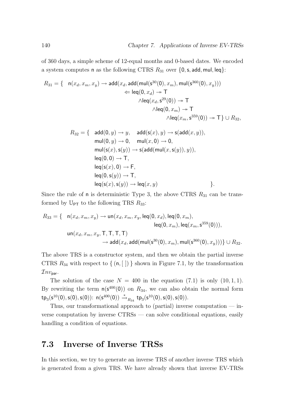of 360 days, a simple scheme of 12-equal months and 0-based dates. We encoded a system computes n as the following CTRS  $R_{31}$  over  $\{0, s, \text{add}, \text{mul}, \text{leg}\}\$ :

$$
R_{31} = \left\{ \begin{array}{cl} \mathsf{n}(x_d,x_m,x_y) \rightarrow \mathsf{add}(x_d,\mathsf{add}(\mathsf{mul}(\mathsf{s}^{30}(0),x_m),\mathsf{mul}(\mathsf{s}^{360}(0),x_y))) \\ \Leftarrow \mathsf{leq}(0,x_d) \rightarrow \mathsf{T} \\ \wedge \mathsf{leq}(x_d,\mathsf{s}^{29}(0)) \rightarrow \mathsf{T} \\ \wedge \mathsf{leq}(0,x_m) \rightarrow \mathsf{T} \\ \wedge \mathsf{leq}(x_m,\mathsf{s}^{359}(0)) \rightarrow \mathsf{T} \right\} \cup R_{32}, \end{array} \right.
$$

$$
R_{32} = \{ \begin{array}{l} \operatorname{add}(0, y) \rightarrow y, \quad \operatorname{add}(\operatorname{s}(x), y) \rightarrow \operatorname{s}(\operatorname{add}(x, y)), \\ \operatorname{mul}(0, y) \rightarrow 0, \quad \operatorname{mul}(x, 0) \rightarrow 0, \\ \operatorname{mul}(\operatorname{s}(x), \operatorname{s}(y)) \rightarrow \operatorname{s}(\operatorname{add}(\operatorname{mul}(x, \operatorname{s}(y)), y)), \\ \operatorname{leq}(\operatorname{0}, 0) \rightarrow \mathsf{T}, \\ \operatorname{leq}(\operatorname{s}(x), 0) \rightarrow \mathsf{F}, \\ \operatorname{leq}(\operatorname{s}(x), \operatorname{s}(y)) \rightarrow \mathsf{T}, \\ \operatorname{leq}(\operatorname{s}(x), \operatorname{s}(y)) \rightarrow \operatorname{leq}(\operatorname{x}, y) \end{array} \}.
$$

Since the rule of  $n$  is deterministic Type 3, the above CTRS  $R_{31}$  can be transformed by  $\mathbb{U}_{\text{PT}}$  to the following TRS  $R_{33}$ :

$$
R_{33} = \{ \begin{array}{ll} \mathsf{n}(x_d, x_m, x_y) \to \mathsf{un}(x_d, x_m, x_y, \mathsf{leq}(0, x_d), \mathsf{leq}(0, x_m), \\[1ex] \mathsf{le}(0, x_m), \mathsf{le}(x_m, \mathsf{s}^{359}(0))), \\[1ex] \mathsf{un}(x_d, x_m, x_y, \mathsf{T}, \mathsf{T}, \mathsf{T}, \mathsf{T}) \\[1ex] \to \mathsf{add}(x_d, \mathsf{add}(\mathsf{mul}(\mathsf{s}^{30}(0), x_m), \mathsf{mul}(\mathsf{s}^{360}(0), x_y))) \} \cup R_{32}.\end{array}
$$

The above TRS is a constructor system, and then we obtain the partial inverse CTRS  $R_{34}$  with respect to  $\{(\mathsf{n},[])\}$  shown in Figure 7.1, by the transformation  $\mathcal{I}nv_{\mathsf{par}}.$ 

The solution of the case  $N = 400$  in the equation (7.1) is only (10, 1, 1). By rewriting the term  $n(s^{400}(0))$  on  $R_{34}$ , we can also obtain the normal form  ${\sf tp}_3({\sf s}^{10}(0),{\sf s}(0),{\sf s}(0))\colon$   ${\sf n}({\sf s}^{400}(0)) \stackrel{*}{\longrightarrow}_{R_{34}} {\sf tp}_3({\sf s}^{10}(0),{\sf s}(0),{\sf s}(0)).$ 

Thus, our transformational approach to (partial) inverse computation  $-$  inverse computation by inverse CTRSs — can solve conditional equations, easily handling a condition of equations.

#### 7.3 Inverse of Inverse TRSs

In this section, we try to generate an inverse TRS of another inverse TRS which is generated from a given TRS. We have already shown that inverse EV-TRSs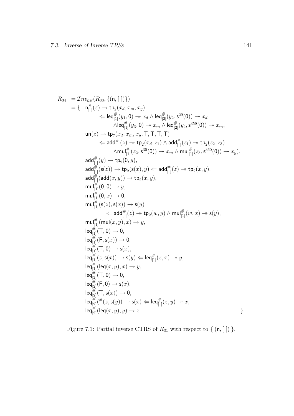$$
R_{34} = \mathcal{I} n v_{\text{par}}(R_{33}, \{(n, [\, ])\})
$$
\n
$$
= \{ n_{[\, ]}^{\#}(z) \rightarrow \text{tp}_{3}(x_{d}, x_{m}, x_{y})
$$
\n
$$
\Leftarrow \text{leaf}_{[1]}^{H}(y_{1}, 0) \rightarrow x_{d} \land \text{leaf}_{[2]}^{H}(y_{2}, \mathsf{s}^{29}(0)) \rightarrow x_{d}
$$
\n
$$
\land \text{leaf}_{[1]}^{H}(y_{3}, 0) \rightarrow x_{m} \land \text{leaf}_{[2]}^{H}(y_{4}, \mathsf{s}^{359}(0)) \rightarrow x_{m},
$$
\n
$$
\text{un}(z) \rightarrow \text{tp}_{7}(x_{d}, x_{m}, x_{y}, \text{T}, \text{T}, \text{T}, \text{T})
$$
\n
$$
\Leftarrow \text{add}_{[\, ]}^{H}(z) \rightarrow \text{tp}_{2}(x_{d}, z_{1}) \land \text{add}_{[\, ]}^{H}(z_{1}) \rightarrow \text{tp}_{2}(z_{2}, z_{3})
$$
\n
$$
\land \text{null}_{[\, ]}^{\#}(z_{2}, \mathsf{s}^{30}(0)) \rightarrow x_{m} \land \text{null}_{[\, ]}^{\#}(z_{3}, \mathsf{s}^{360}(0)) \rightarrow x_{y}),
$$
\n
$$
\text{add}_{[\, ]}^{\#}(y) \rightarrow \text{tp}_{2}(0, y),
$$
\n
$$
\text{add}_{[\, ]}^{\#}(y) \rightarrow \text{tp}_{2}(x, y),
$$
\n
$$
\text{add}_{[\, ]}^{\#}(z) \rightarrow \text{tp}_{2}(x, y),
$$
\n
$$
\text{null}_{[\, ]}^{\#}(0, 0) \rightarrow y,
$$
\n
$$
\text{null}_{[\, ]}^{\#}(0, 0) \rightarrow y,
$$
\n
$$
\text{null}_{[\, ]}^{\#}(0, 0) \rightarrow y,
$$
\n
$$
\text{null}_{[\, ]}^{\#}(z) \rightarrow \text{tp}_{2}(w, y) \land \text{null}_{[\, ]}^{\#}(w, x) \rightarrow \text{s}(y),
$$
\n
$$
\text{null}_{[\, ]}^{\#}(y) \rightarrow \text{null}_{[\, ]}^{\#}(z) \rightarrow \text{tp}_{2}(w, y) \land \text{null}_{
$$

Figure 7.1: Partial inverse CTRS of  $R_{31}$  with respect to { (n, [ ]) }.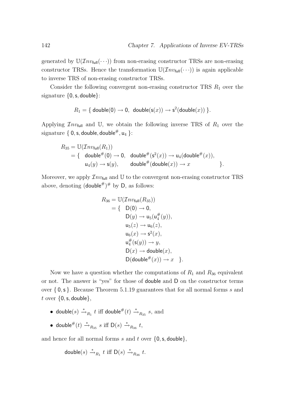generated by  $\mathbb{U}(\mathcal{I}nv_{\text{full}}(\cdots))$  from non-erasing constructor TRSs are non-erasing constructor TRSs. Hence the transformation  $\mathbb{U}(\mathcal{I}nv_{\text{full}}(\cdots))$  is again applicable to inverse TRS of non-erasing constructor TRSs.

Consider the following convergent non-erasing constructor TRS  $R_1$  over the signature  $\{0, s, double\}$ :

$$
R_1 = \{ \text{ double}(0) \rightarrow 0, \text{ double}(s(x)) \rightarrow s^2(\text{double}(x)) \}.
$$

Applying  $\mathcal{I}nv_{\text{full}}$  and U, we obtain the following inverse TRS of  $R_1$  over the signature {  $0, s,$  double, double#,  $u_4$  }:

$$
R_{35} = \mathbb{U}(\mathcal{I}nv_{\text{full}}(R_1))
$$
  
= { double<sup>#</sup>(0) → 0, double<sup>#</sup>(s<sup>2</sup>(x)) → u<sub>4</sub>(double<sup>#</sup>(x)),  
 u<sub>4</sub>(y) → s(y), double<sup>#</sup>(double(x)) → x }.

Moreover, we apply  $\mathcal{I}nv_{\text{full}}$  and U to the convergent non-erasing constructor TRS above, denoting  $(\text{double}^{\#})^{\#}$  by D, as follows:

$$
R_{36} = \mathbb{U}(\mathcal{I}nv_{\text{full}}(R_{35}))
$$
  
\n
$$
= \{ D(0) \rightarrow 0,
$$
  
\n
$$
D(y) \rightarrow u_5(u_4^{\#}(y)),
$$
  
\n
$$
u_5(z) \rightarrow u_6(z),
$$
  
\n
$$
u_6(x) \rightarrow s^2(x),
$$
  
\n
$$
u_4^{\#}(s(y)) \rightarrow y,
$$
  
\n
$$
D(x) \rightarrow \text{double}(x),
$$
  
\n
$$
D(\text{double}^{\#}(x)) \rightarrow x \}.
$$

Now we have a question whether the computations of  $R_1$  and  $R_{36}$  equivalent or not. The answer is "yes" for those of double and D on the constructor terms over { 0,s }. Because Theorem 5.1.19 guarantees that for all normal forms s and t over  $\{0, s, double\},\$ 

- double $(s) \xrightarrow{*} R_1 t$  iff double  $\#(t) \xrightarrow{*} R_{35} s$ , and
- double<sup>#</sup> $(t) \stackrel{*}{\rightarrow}_{R_{35}} s$  iff  $D(s) \stackrel{*}{\rightarrow}_{R_{36}} t$ ,

and hence for all normal forms s and t over  $\{0, s, double\}$ ,

$$
\mathsf{double}(s) \xrightarrow{*}_{R_1} t \text{ iff } \mathsf{D}(s) \xrightarrow{*}_{R_{36}} t.
$$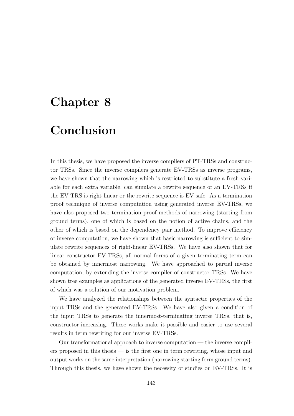### Chapter 8

# Conclusion

In this thesis, we have proposed the inverse compilers of PT-TRSs and constructor TRSs. Since the inverse compilers generate EV-TRSs as inverse programs, we have shown that the narrowing which is restricted to substitute a fresh variable for each extra variable, can simulate a rewrite sequence of an EV-TRSs if the EV-TRS is right-linear or the rewrite sequence is EV-safe. As a termination proof technique of inverse computation using generated inverse EV-TRSs, we have also proposed two termination proof methods of narrowing (starting from ground terms), one of which is based on the notion of active chains, and the other of which is based on the dependency pair method. To improve efficiency of inverse computation, we have shown that basic narrowing is sufficient to simulate rewrite sequences of right-linear EV-TRSs. We have also shown that for linear constructor EV-TRSs, all normal forms of a given terminating term can be obtained by innermost narrowing. We have approached to partial inverse computation, by extending the inverse compiler of constructor TRSs. We have shown tree examples as applications of the generated inverse EV-TRSs, the first of which was a solution of our motivation problem.

We have analyzed the relationships between the syntactic properties of the input TRSs and the generated EV-TRSs. We have also given a condition of the input TRSs to generate the innermost-terminating inverse TRSs, that is, constructor-increasing. These works make it possible and easier to use several results in term rewriting for our inverse EV-TRSs.

Our transformational approach to inverse computation — the inverse compilers proposed in this thesis — is the first one in term rewriting, whose input and output works on the same interpretation (narrowing starting form ground terms). Through this thesis, we have shown the necessity of studies on EV-TRSs. It is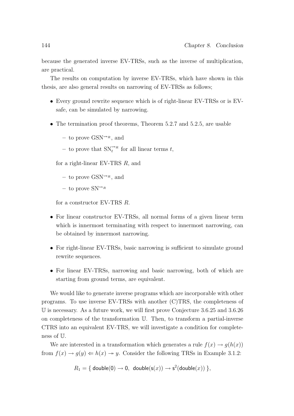because the generated inverse EV-TRSs, such as the inverse of multiplication, are practical.

The results on computation by inverse EV-TRSs, which have shown in this thesis, are also general results on narrowing of EV-TRSs as follows;

- Every ground rewrite sequence which is of right-linear EV-TRSs or is EVsafe, can be simulated by narrowing.
- The termination proof theorems, Theorem 5.2.7 and 5.2.5, are usable
	- to prove  $\text{GSN}^{\leadsto R}$ , and
	- to prove that  $\text{SN}^{\rightsquigarrow R}_{t}$  for all linear terms t,

for a right-linear EV-TRS R, and

- to prove  $\text{GSN}^{\leadsto R}$ , and
- $-$  to prove  $SN^{\leadsto_R}$

for a constructor EV-TRS R.

- For linear constructor EV-TRSs, all normal forms of a given linear term which is innermost terminating with respect to innermost narrowing, can be obtained by innermost narrowing.
- For right-linear EV-TRSs, basic narrowing is sufficient to simulate ground rewrite sequences.
- For linear EV-TRSs, narrowing and basic narrowing, both of which are starting from ground terms, are equivalent.

We would like to generate inverse programs which are incorporable with other programs. To use inverse EV-TRSs with another (C)TRS, the completeness of U is necessary. As a future work, we will first prove Conjecture 3.6.25 and 3.6.26 on completeness of the transformation U. Then, to transform a partial-inverse CTRS into an equivalent EV-TRS, we will investigate a condition for completeness of U.

We are interested in a transformation which generates a rule  $f(x) \rightarrow g(h(x))$ from  $f(x) \to g(y) \Leftarrow h(x) \to y$ . Consider the following TRSs in Example 3.1.2:

 $R_1 = \{ \text{ double}(0) \rightarrow 0, \text{ double}(\mathsf{s}(x)) \rightarrow \mathsf{s}^2(\textsf{double}(x)) \},$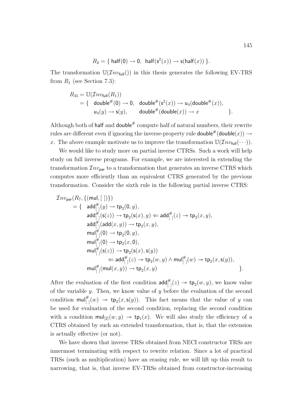$$
R_2 = \{ \text{ half}(0) \to 0, \text{ half}(s^2(x)) \to s(\text{half}(x)) \}.
$$

The transformation  $\mathbb{U}(\mathcal{I}nv_{\text{full}}))$  in this thesis generates the following EV-TRS from  $R_1$  (see Section 7.3):

$$
R_{35} = \mathbb{U}(\mathcal{I}nv_{\text{full}}(R_1))
$$
  
= { double<sup>#</sup>(0) → 0, double<sup>#</sup>(s<sup>2</sup>(x)) → u<sub>4</sub>(double<sup>#</sup>(x)),  
 u<sub>4</sub>(y) → s(y), double<sup>#</sup>(double(x)) → x }.

Although both of half and double# compute half of natural numbers, their rewrite rules are different even if ignoring the inverse-property rule **double**# $($ **double** $(x)$ )  $\rightarrow$ x. The above example motivate us to improve the transformation  $\mathbb{U}(\mathcal{I}nv_{\text{full}}(\cdots))$ .

We would like to study more on partial inverse CTRSs. Such a work will help study on full inverse programs. For example, we are interested in extending the transformation  $\mathcal{I}nv_{\text{par}}$  to a transformation that generates an inverse CTRS which computes more efficiently than an equivalent CTRS generated by the previous transformation. Consider the sixth rule in the following partial inverse CTRS:

$$
\begin{array}{ll} \mathcal{I}nv_{\mathsf{par}}(R_7, \{(\mathsf{mul},[~])\}) \\& = \{ \begin{array}{l} \mathsf{add}_{[~]}^{\#}(y) \rightarrow \mathsf{tp}_2(\mathsf{0},y), \\ \mathsf{add}_{[~]}^{\#}(\mathsf{s}(z)) \rightarrow \mathsf{tp}_2(\mathsf{s}(x),y) \Leftarrow \mathsf{add}_{[~]}^{\#}(z) \rightarrow \mathsf{tp}_2(x,y), \\ \mathsf{add}_{[~]}^{\#}(\mathsf{add}(x,y)) \rightarrow \mathsf{tp}_2(x,y), \\ \mathsf{mul}_{[~]}^{\#}(\mathsf{0}) \rightarrow \mathsf{tp}_2(\mathsf{0},y), \\ \mathsf{mul}_{[~]}^{\#}(\mathsf{0}) \rightarrow \mathsf{tp}_2(x,\mathsf{0}), \\ \mathsf{mul}_{[~]}^{\#}(\mathsf{s}(z)) \rightarrow \mathsf{tp}_2(\mathsf{s}(x),\mathsf{s}(y)) \\ & \Leftarrow \mathsf{add}_{[~]}^{\#}(z) \rightarrow \mathsf{tp}_2(w,y) \wedge \mathsf{mul}_{[~]}^{\#}(w) \rightarrow \mathsf{tp}_2(x,\mathsf{s}(y)), \\ \mathsf{mul}_{[~]}^{\#}(\mathsf{mul}(x,y)) \rightarrow \mathsf{tp}_2(x,y) \end{array} \}.\end{array}
$$

After the evaluation of the first condition  $\mathsf{add}_{[1]}^{\#}(z) \to \mathsf{tp}_2(w, y)$ , we know value of the variable  $y$ . Then, we know value of  $y$  before the evaluation of the second condition  $\text{mul}_{[]}^{\#}(w) \rightarrow \text{tp}_2(x, \textbf{s}(y))$ . This fact means that the value of y can be used for evaluation of the second condition, replacing the second condition with a condition  $\text{mul}_{[2]}(w, y) \rightarrow \text{tp}_1(x)$ . We will also study the efficiency of a CTRS obtained by such an extended transformation, that is, that the extension is actually effective (or not).

We have shown that inverse TRSs obtained from NECI constructor TRSs are innermost terminating with respect to rewrite relation. Since a lot of practical TRSs (such as multiplication) have an erasing rule, we will lift up this result to narrowing, that is, that inverse EV-TRSs obtained from constructor-increasing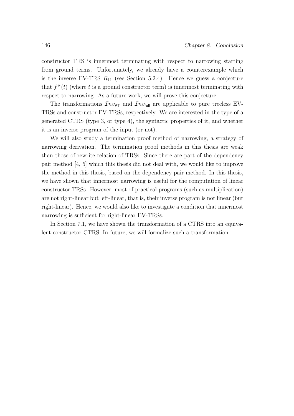constructor TRS is innermost terminating with respect to narrowing starting from ground terms. Unfortunately, we already have a counterexample which is the inverse EV-TRS  $R_{11}$  (see Section 5.2.4). Hence we guess a conjecture that  $f^{\#}(t)$  (where t is a ground constructor term) is innermost terminating with respect to narrowing. As a future work, we will prove this conjecture.

The transformations  $\mathcal{I}nv_{PT}$  and  $\mathcal{I}nv_{full}$  are applicable to pure treeless EV-TRSs and constructor EV-TRSs, respectively. We are interested in the type of a generated CTRS (type 3, or type 4), the syntactic properties of it, and whether it is an inverse program of the input (or not).

We will also study a termination proof method of narrowing, a strategy of narrowing derivation. The termination proof methods in this thesis are weak than those of rewrite relation of TRSs. Since there are part of the dependency pair method [4, 5] which this thesis did not deal with, we would like to improve the method in this thesis, based on the dependency pair method. In this thesis, we have shown that innermost narrowing is useful for the computation of linear constructor TRSs. However, most of practical programs (such as multiplication) are not right-linear but left-linear, that is, their inverse program is not linear (but right-linear). Hence, we would also like to investigate a condition that innermost narrowing is sufficient for right-linear EV-TRSs.

In Section 7.1, we have shown the transformation of a CTRS into an equivalent constructor CTRS. In future, we will formalize such a transformation.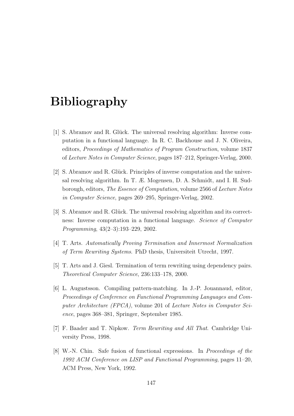## Bibliography

- [1] S. Abramov and R. Glück. The universal resolving algorithm: Inverse computation in a functional language. In R. C. Backhouse and J. N. Oliveira, editors, Proceedings of Mathematics of Program Construction, volume 1837 of Lecture Notes in Computer Science, pages 187–212, Springer-Verlag, 2000.
- [2] S. Abramov and R. Glück. Principles of inverse computation and the universal resolving algorithm. In T. Æ. Mogensen, D. A. Schmidt, and I. H. Sudborough, editors, The Essence of Computation, volume 2566 of Lecture Notes in Computer Science, pages 269–295, Springer-Verlag, 2002.
- [3] S. Abramov and R. Glück. The universal resolving algorithm and its correctness: Inverse computation in a functional language. Science of Computer Programming, 43(2–3):193–229, 2002.
- [4] T. Arts. Automatically Proving Termination and Innermost Normalization of Term Rewriting Systems. PhD thesis, Universiteit Utrecht, 1997.
- [5] T. Arts and J. Giesl. Termination of term rewriting using dependency pairs. Theoretical Computer Science, 236:133–178, 2000.
- [6] L. Augustsson. Compiling pattern-matching. In J.-P. Jouannaud, editor, Proceedings of Conference on Functional Programming Languages and Computer Architecture (FPCA), volume 201 of Lecture Notes in Computer Science, pages 368–381, Springer, September 1985.
- [7] F. Baader and T. Nipkow. Term Rewriting and All That. Cambridge University Press, 1998.
- [8] W.-N. Chin. Safe fusion of functional expressions. In Proceedings of the 1992 ACM Conference on LISP and Functional Programming, pages 11–20, ACM Press, New York, 1992.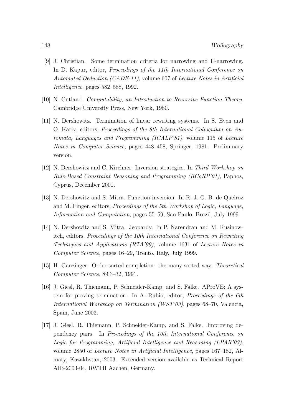- [9] J. Christian. Some termination criteria for narrowing and E-narrowing. In D. Kapur, editor, *Proceedings of the 11th International Conference on* Automated Deduction (CADE-11), volume 607 of Lecture Notes in Artificial Intelligence, pages 582–588, 1992.
- [10] N. Cutland. Computability, an Introduction to Recursive Function Theory. Cambridge University Press, New York, 1980.
- [11] N. Dershowitz. Termination of linear rewriting systems. In S. Even and O. Kariv, editors, Proceedings of the 8th International Colloquium on Automata, Languages and Programming (ICALP'81), volume 115 of Lecture Notes in Computer Science, pages 448–458, Springer, 1981. Preliminary version.
- [12] N. Dershowitz and C. Kirchner. Inversion strategies. In Third Workshop on Rule-Based Constraint Reasoning and Programming (RCoRP'01), Paphos, Cyprus, December 2001.
- [13] N. Dershowitz and S. Mitra. Function inversion. In R. J. G. B. de Queiroz and M. Finger, editors, Proceedings of the 5th Workshop of Logic, Language, Information and Computation, pages 55–59, Sao Paulo, Brazil, July 1999.
- [14] N. Dershowitz and S. Mitra. Jeopardy. In P. Narendran and M. Rusinowitch, editors, Proceedings of the 10th International Conference on Rewriting Techniques and Applications (RTA'99), volume 1631 of Lecture Notes in Computer Science, pages 16–29, Trento, Italy, July 1999.
- [15] H. Ganzinger. Order-sorted completion: the many-sorted way. Theoretical Computer Science, 89:3–32, 1991.
- [16] J. Giesl, R. Thiemann, P. Schneider-Kamp, and S. Falke. AProVE: A system for proving termination. In A. Rubio, editor, Proceedings of the 6th International Workshop on Termination (WST'03), pages 68–70, Valencia, Spain, June 2003.
- [17] J. Giesl, R. Thiemann, P. Schneider-Kamp, and S. Falke. Improving dependency pairs. In Proceedings of the 10th International Conference on Logic for Programming, Artificial Intelligence and Reasoning (LPAR'03), volume 2850 of Lecture Notes in Artificial Intelligence, pages 167–182, Almaty, Kazakhstan, 2003. Extended version available as Technical Report AIB-2003-04, RWTH Aachen, Germany.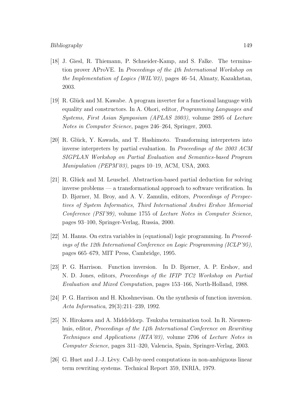#### Bibliography 149

- [18] J. Giesl, R. Thiemann, P. Schneider-Kamp, and S. Falke. The termination prover AProVE. In Proceedings of the 4th International Workshop on the Implementation of Logics (WIL'03), pages 46–54, Almaty, Kazakhstan, 2003.
- [19] R. Glück and M. Kawabe. A program inverter for a functional language with equality and constructors. In A. Ohori, editor, Programming Languages and Systems, First Asian Symposium (APLAS 2003), volume 2895 of Lecture Notes in Computer Science, pages 246–264, Springer, 2003.
- [20] R. Glück, Y. Kawada, and T. Hashimoto. Transforming interpreters into inverse interpreters by partial evaluation. In Proceedings of the 2003 ACM SIGPLAN Workshop on Partial Evaluation and Semantics-based Program *Manipulation (PEPM'03)*, pages  $10-19$ , ACM, USA, 2003.
- [21] R. Glück and M. Leuschel. Abstraction-based partial deduction for solving inverse problems — a transformational approach to software verification. In D. Bjørner, M. Broy, and A. V. Zamulin, editors, Proceedings of Perspectives of System Informatics, Third International Andrei Ershov Memorial Conference (PSI'99), volume 1755 of Lecture Notes in Computer Science, pages 93–100, Springer-Verlag, Russia, 2000.
- [22] M. Hanus. On extra variables in (equational) logic programming. In Proceedings of the 12th International Conference on Logic Programming (ICLP'95), pages 665–679, MIT Press, Cambridge, 1995.
- [23] P. G. Harrison. Function inversion. In D. Bjørner, A. P. Ershov, and N. D. Jones, editors, Proceedings of the IFIP TC2 Workshop on Partial Evaluation and Mixed Computation, pages 153–166, North-Holland, 1988.
- [24] P. G. Harrison and H. Khoshnevisan. On the synthesis of function inversion. Acta Informatica, 29(3):211–239, 1992.
- [25] N. Hirokawa and A. Middeldorp. Tsukuba termination tool. In R. Nieuwenhuis, editor, *Proceedings of the 14th International Conference on Rewriting* Techniques and Applications (RTA'03), volume 2706 of Lecture Notes in Computer Science, pages 311–320, Valencia, Spain, Springer-Verlag, 2003.
- [26] G. Huet and J.-J. Lèvy. Call-by-need computations in non-ambiguous linear term rewriting systems. Technical Report 359, INRIA, 1979.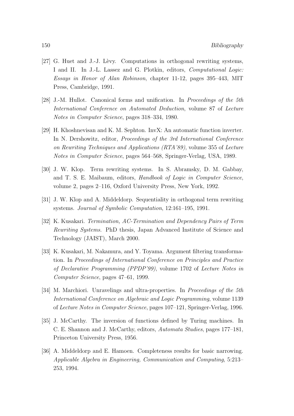- [27] G. Huet and J.-J. Lèvy. Computations in orthogonal rewriting systems, I and II. In J.-L. Lassez and G. Plotkin, editors, Computational Logic: Essays in Honor of Alan Robinson, chapter 11-12, pages 395–443, MIT Press, Cambridge, 1991.
- [28] J.-M. Hullot. Canonical forms and unification. In Proceedings of the 5th International Conference on Automated Deduction, volume 87 of Lecture Notes in Computer Science, pages 318–334, 1980.
- [29] H. Khoshnevisan and K. M. Sephton. InvX: An automatic function inverter. In N. Dershowitz, editor, Proceedings of the 3rd International Conference on Rewriting Techniques and Applications (RTA'89), volume 355 of Lecture Notes in Computer Science, pages 564–568, Springer-Verlag, USA, 1989.
- [30] J. W. Klop. Term rewriting systems. In S. Abramsky, D. M. Gabbay, and T. S. E. Maibaum, editors, Handbook of Logic in Computer Science, volume 2, pages 2–116, Oxford University Press, New York, 1992.
- [31] J. W. Klop and A. Middeldorp. Sequentiality in orthogonal term rewriting systems. Journal of Symbolic Computation, 12:161–195, 1991.
- [32] K. Kusakari. Termination, AC-Termination and Dependency Pairs of Term Rewriting Systems. PhD thesis, Japan Advanced Institute of Science and Technology (JAIST), March 2000.
- [33] K. Kusakari, M. Nakamura, and Y. Toyama. Argument filtering transformation. In Proceedings of International Conference on Principles and Practice of Declarative Programming (PPDP'99), volume 1702 of Lecture Notes in Computer Science, pages 47–61, 1999.
- [34] M. Marchiori. Unravelings and ultra-properties. In Proceedings of the 5th International Conference on Algebraic and Logic Programming, volume 1139 of Lecture Notes in Computer Science, pages 107–121, Springer-Verlag, 1996.
- [35] J. McCarthy. The inversion of functions defined by Turing machines. In C. E. Shannon and J. McCarthy, editors, Automata Studies, pages 177–181, Princeton University Press, 1956.
- [36] A. Middeldorp and E. Hamoen. Completeness results for basic narrowing. Applicable Algebra in Engineering, Communication and Computing, 5:213– 253, 1994.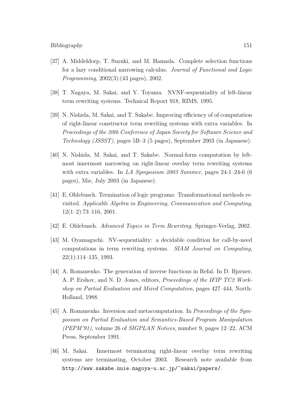- [37] A. Middeldorp, T. Suzuki, and M. Hamada. Complete selection functions for a lazy conditional narrowing calculus. Journal of Functional and Logic Programming, 2002(3):(43 pages), 2002.
- [38] T. Nagaya, M. Sakai, and Y. Toyama. NVNF-sequentiality of left-linear term rewriting systems. Technical Report 918, RIMS, 1995.
- [39] N. Nishida, M. Sakai, and T. Sakabe. Improving efficiency of of computation of right-linear constructor term rewriting systems with extra variables. In Proceedings of the 20th Conference of Japan Society for Software Science and Technology (JSSST), pages 5B–3 (5 pages), September 2003 (in Japanese).
- [40] N. Nishida, M. Sakai, and T. Sakabe. Normal-form computation by leftmost innermost narrowing on right-linear overlay term rewriting systems with extra variables. In LA Symposium 2003 Summer, pages 24-1-24-6 (6) pages), Mie, July 2003 (in Japanese).
- [41] E. Ohlebusch. Termination of logic programs: Transformational methods revisited. Applicable Algebra in Engineering, Communication and Computing,  $12(1-2):73-116$ , 2001.
- [42] E. Ohlebusch. Advanced Topics in Term Rewriting. Springer-Verlag, 2002.
- [43] M. Oyamaguchi. NV-sequentiality: a decidable condition for call-by-need computations in term rewriting systems. SIAM Journal on Computing, 22(1):114–135, 1993.
- [44] A. Romanenko. The generation of inverse functions in Refal. In D. Bjørner, A. P. Ershov, and N. D. Jones, editors, Proceedings of the IFIP TC2 Workshop on Partial Evaluation and Mixed Computation, pages 427–444, North-Holland, 1988.
- [45] A. Romanenko. Inversion and metacomputation. In Proceedings of the Symposium on Partial Evaluation and Semantics-Based Program Manipulation (PEPM'91), volume 26 of SIGPLAN Notices, number 9, pages 12–22, ACM Press, September 1991.
- [46] M. Sakai. Innermost terminating right-linear overlay term rewriting systems are terminating, October 2003. Research note available from http://www.sakabe.nuie.nagoya-u.ac.jp/~sakai/papers/.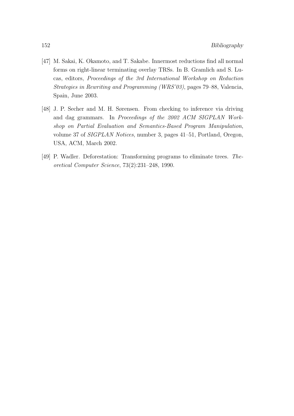- [47] M. Sakai, K. Okamoto, and T. Sakabe. Innermost reductions find all normal forms on right-linear terminating overlay TRSs. In B. Gramlich and S. Lucas, editors, Proceedings of the 3rd International Workshop on Reduction Strategies in Rewriting and Programming (WRS'03), pages 79–88, Valencia, Spain, June 2003.
- [48] J. P. Secher and M. H. Sørensen. From checking to inference via driving and dag grammars. In Proceedings of the 2002 ACM SIGPLAN Workshop on Partial Evaluation and Semantics-Based Program Manipulation, volume 37 of SIGPLAN Notices, number 3, pages 41–51, Portland, Oregon, USA, ACM, March 2002.
- [49] P. Wadler. Deforestation: Transforming programs to eliminate trees. Theoretical Computer Science, 73(2):231–248, 1990.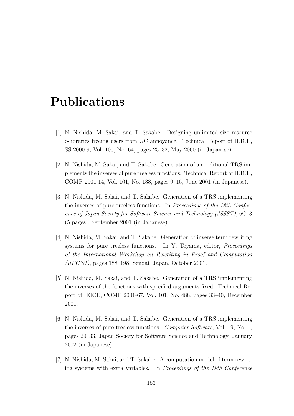### Publications

- [1] N. Nishida, M. Sakai, and T. Sakabe. Designing unlimited size resource c-libraries freeing users from GC annoyance. Technical Report of IEICE, SS 2000-9, Vol. 100, No. 64, pages 25–32, May 2000 (in Japanese).
- [2] N. Nishida, M. Sakai, and T. Sakabe. Generation of a conditional TRS implements the inverses of pure treeless functions. Technical Report of IEICE, COMP 2001-14, Vol. 101, No. 133, pages 9–16, June 2001 (in Japanese).
- [3] N. Nishida, M. Sakai, and T. Sakabe. Generation of a TRS implementing the inverses of pure treeless functions. In Proceedings of the 18th Conference of Japan Society for Software Science and Technology (JSSST), 6C–3 (5 pages), September 2001 (in Japanese).
- [4] N. Nishida, M. Sakai, and T. Sakabe. Generation of inverse term rewriting systems for pure treeless functions. In Y. Toyama, editor, *Proceedings* of the International Workshop on Rewriting in Proof and Computation (RPC'01), pages 188–198, Sendai, Japan, October 2001.
- [5] N. Nishida, M. Sakai, and T. Sakabe. Generation of a TRS implementing the inverses of the functions with specified arguments fixed. Technical Report of IEICE, COMP 2001-67, Vol. 101, No. 488, pages 33–40, December 2001.
- [6] N. Nishida, M. Sakai, and T. Sakabe. Generation of a TRS implementing the inverses of pure treeless functions. Computer Software, Vol. 19, No. 1, pages 29–33, Japan Society for Software Science and Technology, January 2002 (in Japanese).
- [7] N. Nishida, M. Sakai, and T. Sakabe. A computation model of term rewriting systems with extra variables. In Proceedings of the 19th Conference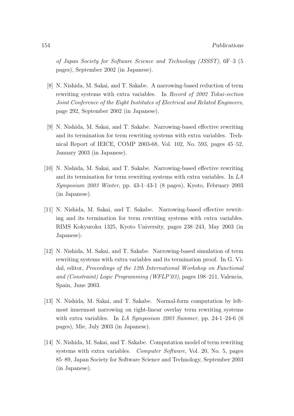of Japan Society for Software Science and Technology (JSSST), 6F–3 (5 pages), September 2002 (in Japanese).

- [8] N. Nishida, M. Sakai, and T. Sakabe. A narrowing-based reduction of term rewriting systems with extra variables. In Record of 2002 Tokai-section Joint Conference of the Eight Institutes of Electrical and Related Engineers, page 292, September 2002 (in Japanese).
- [9] N. Nishida, M. Sakai, and T. Sakabe. Narrowing-based effective rewriting and its termination for term rewriting systems with extra variables. Technical Report of IEICE, COMP 2003-68, Vol. 102, No. 593, pages 45–52, January 2003 (in Japanese).
- [10] N. Nishida, M. Sakai, and T. Sakabe. Narrowing-based effective rewriting and its termination for term rewriting systems with extra variables. In LA Symposium 2003 Winter, pp. 43-1–43-1 (8 pages), Kyoto, February 2003 (in Japanese).
- [11] N. Nishida, M. Sakai, and T. Sakabe. Narrowing-based effective rewriting and its termination for term rewriting systems with extra variables. RIMS Kokyuroku 1325, Kyoto University, pages 238–243, May 2003 (in Japanese).
- [12] N. Nishida, M. Sakai, and T. Sakabe. Narrowing-based simulation of term rewriting systems with extra variables and its termination proof. In G. Vidal, editor, Proceedings of the 12th International Workshop on Functional and (Constraint) Logic Programming (WFLP'03), pages 198–211, Valencia, Spain, June 2003.
- [13] N. Nishida, M. Sakai, and T. Sakabe. Normal-form computation by leftmost innermost narrowing on right-linear overlay term rewriting systems with extra variables. In LA Symposium 2003 Summer, pp. 24-1-24-6 (6) pages), Mie, July 2003 (in Japanese).
- [14] N. Nishida, M. Sakai, and T. Sakabe. Computation model of term rewriting systems with extra variables. *Computer Software*, Vol. 20, No. 5, pages 85–89, Japan Society for Software Science and Technology, September 2003 (in Japanese).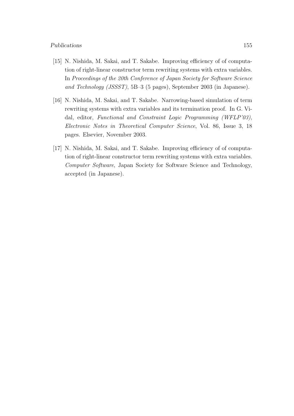#### Publications 155

- [15] N. Nishida, M. Sakai, and T. Sakabe. Improving efficiency of of computation of right-linear constructor term rewriting systems with extra variables. In Proceedings of the 20th Conference of Japan Society for Software Science and Technology (JSSST), 5B–3 (5 pages), September 2003 (in Japanese).
- [16] N. Nishida, M. Sakai, and T. Sakabe. Narrowing-based simulation of term rewriting systems with extra variables and its termination proof. In G. Vidal, editor, Functional and Constraint Logic Programming (WFLP'03), Electronic Notes in Theoretical Computer Science, Vol. 86, Issue 3, 18 pages. Elsevier, November 2003.
- [17] N. Nishida, M. Sakai, and T. Sakabe. Improving efficiency of of computation of right-linear constructor term rewriting systems with extra variables. Computer Software, Japan Society for Software Science and Technology, accepted (in Japanese).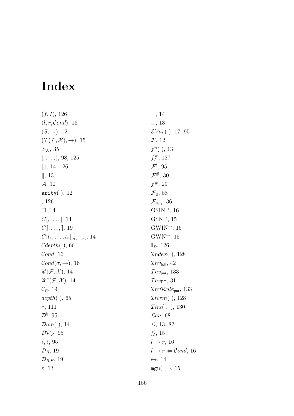# Index

 $(f, I), 126$  $(l, r, \mathcal{C}ond), 16$  $(S, \rightarrow)$ , 12  $(\mathcal{T}(\mathcal{F}, \mathcal{X}), \rightarrow), 15$  $>\chi$ , 35  $[,...,], 98, 125$ | |, 14, 126  $\|, 13$ A, 12 arity $($ ), 12 ¯, 126  $\Box$ , 14  $C[,\ldots,], 14$  $C[\![,\ldots,\lbrack\! \lbrack, 19$  $C[t_1, \ldots, t_n]_{p_1, \ldots, p_n}, 14$  $Cdepth($ , 66 Cond, 16  $Cond(\sigma, \rightarrow)$ , 16  $\mathscr{C}(\mathcal{F}, \mathcal{X}), 14$  $\mathscr{C}^n(\mathcal{F},\mathcal{X}), 14$  $\mathcal{C}_R$ , 19  $depth($ , 65 , 111  $\mathcal{D}^\natural,$   $95$ Dom( ), 14  $\mathcal{DP}_R$ , 95  $\langle,\rangle$ , 95  $\mathcal{D}_R$ , 19  $\mathcal{D}_{R,F}$ , 19 ε, 13 =, 14 ≡, 13  $\mathcal{E}Var($ ), 17, 95 F, 12  $f^{n}()$ , 13  $f_I^\#$  $T_I^{\#}, 127$  $\mathcal{F}^\natural,$   $95$  $\mathcal{F}^\#,\,30$  $f^*, 29$  $\mathcal{F}_{\mathbb{U}}, 58$  $\mathcal{F}_{\mathbb{U}_{\texttt{PT}}},\,36$  $GSIN^{\rightarrow}$ , 16  $GSN^{-}$ , 15  $GWIN^{\rightarrow}$ , 16  $GWN$ <sup> $\rightarrow$ </sup>, 15  $\mathbb{I}_{\mathcal{D}}$ , 126 Index( ), 128  $Inv_{full}$ , 42  $\mathcal{I}nv_{\mathsf{par}},\,133$  $Inv_{PT}$ , 31  $\mathcal{I}nv\mathcal{R}ule_{\mathsf{par}},$   $133$ Iterm( ), 128  $Ttrs( , )$ , 130 Len, 68 ≤, 13, 82  $\lesssim$ , 15  $l \rightarrow r, 16$  $l \rightarrow r \Leftarrow \mathcal{C}$ ond, 16  $\mapsto$ , 14 mgu( , ), 15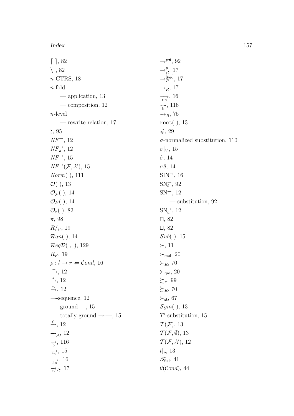Index 157

 $[ \ ]$ , 82  $\setminus$ , 82 n-CTRS, 18 n-fold — application, 13 — composition, 12 n-level — rewrite relation, 17  $\natural, 95$  $NF^{\rightarrow}$ , 12  $NF_a^{\rightarrow}$ , 12  $NF^{\rightarrow}$ , 15  $NF^{-1}(\mathcal{F}, \mathcal{X}), 15$ Norm( ), 111  $O($ ), 13  $\mathcal{O}_{\mathcal{F}}($  ), 14  $\mathcal{O}_{\mathcal{X}}($  ), 14  $\mathcal{O}_x($ ), 82 π, 98  $R/_F, 19$ Ran( ), 14  $\mathcal{R}eq\mathcal{D}(\ ,\ ), 129$  $R_F$ , 19  $\rho: l \rightarrow r \Leftarrow \mathcal{C}ond, 16$  $\stackrel{+}{\longrightarrow}$ , 12  $\stackrel{*}{\rightarrow}$ , 12  $\stackrel{n}{\longrightarrow}$ , 12  $\rightarrow$ -sequence, 12 ground  $-$ , 15 totally ground  $\rightarrow -15$  $\stackrel{0}{\rightarrow}$ , 12  $\rightarrow_A$ , 12  $\rightarrow$ , 116  $\overrightarrow{in}$ , 15  $\frac{1}{\ln n}$ , 16  $\rightarrow R$ , 17  $\rightarrow^{p}$ , 92  $\rightarrow_R^p$ , 17  $\rightarrow_R^{[p,\rho]}$  $\frac{p,\rho_{\rm j}}{R}$ , 17  $\rightarrow_R$ , 17  $\longrightarrow$ , 16  $\hat{b}$ <sup>, 116</sup>  $\rightsquigarrow_R$ , 75 root( ), 13 #, 29  $\sigma|_V$ , 15  $\hat{\sigma}$ , 14 σθ, 14  $SIN^{\rightarrow}$ , 16  $SN_{\theta}^{\rightarrow}$ , 92  $SN^{\rightarrow}$ , 12  $SNa^{\rightarrow}$ , 12  $\Box$ , 82  $\sqcup$ , 82  $Sub($ ), 15  $\succ$ , 11  $\succ_{\mathsf{mul}}$ , 20  $\succ_R$ , 70  $\succ_{\sf rpo}, 20$  $\succsim_{\pi}$ , 99  $\succeq_R$ , 70  $\succ_{\textsf{st}}, 67$  $Sym($ ), 13  $T'$ -substitution, 15  $\mathcal{T}(\mathcal{F}), 13$  $\mathcal{T}(\mathcal{F}, \emptyset)$ , 13  $\mathcal{T}(\mathcal{F}, \mathcal{X}), 12$  $t|_p$ , 13  $\mathscr{T}_{\mathsf{full}}, 41$  $\theta$ (Cond), 44

 $\sigma$ -normalized substitution, 110 — substitution, 92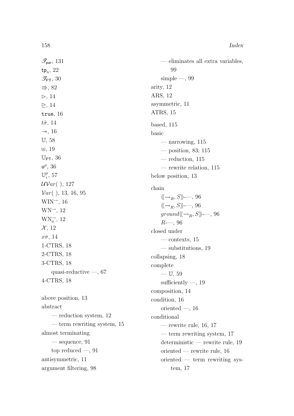$tp_n$ , 22

 $\Rightarrow$ , 82  $\triangleright$ , 14  $\triangleright$ , 14 true, 16  $t\hat{\sigma}$ , 14

 $\mathscr{T}_{\textsf{par}}, 131$ 

 $\mathscr{T}_{\mathsf{PT}}, 30$ 

— eliminates all extra variables, 99  $simple -, 99$ arity, 12 ARS, 12 asymmetric, 11 ATRS, 15 based, 115

basic — narrowing, 115

> — position, 83, 115 — reduction, 115

 $\rightarrow$ , 16 U, 58  $\uplus$ , 19  $\mathbb{U}_{\texttt{PT}}, 36$  $u^{\rho}$ , 36  $\mathbb{U}^\rho$  $_i^{\rho}$ , 57  $UVar($ ), 127  $Var( )$ , 13, 16, 95  $WIN^{\rightarrow}$ , 16  $WN<sup>\rightarrow</sup>$ , 12  $WN_a^{\rightarrow}$ , 12  $\mathcal{X}, 12$  $x\sigma$ , 14 1-CTRS, 18 2-CTRS, 18 3-CTRS, 18 quasi-reductive —, 67 4-CTRS, 18

above position, 13 abstract — reduction system, 12 — term rewriting system, 15 almost terminating — sequence, 91 top reduced —, 91 antisymmetric, 11 argument filtering, 98

— rewrite relation, 115 below position, 13 chain  $\langle \! \langle \leadsto_{\scriptscriptstyle R}, S \rangle \! \rangle$ -—, 96  $\langle \langle \rightarrow_R, S \rangle \rangle$ -—, 96  $ground \langle \langle \leadsto_R , S \rangle \rangle$ --, 96  $R$ —, 96 closed under — contexts, 15 — substitutions, 19 collapsing, 18 complete  $-$  U, 59 sufficiently  $-$ , 19 composition, 14 condition, 16 oriented  $-$ , 16 conditional — rewrite rule,  $16, 17$ — term rewriting system, 17 deterministic — rewrite rule, 19 oriented — rewrite rule, 16 oriented — term rewriting system, 17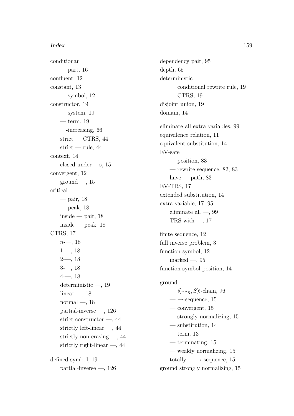conditionan  $-$  part, 16 confluent, 12 constant, 13  $-$  symbol, 12 constructor, 19  $-$  system, 19  $-$  term, 19 —-increasing, 66 strict — CTRS,  $44$ strict — rule,  $44$ context, 14 closed under —s, 15 convergent, 12  $ground$  —, 15 critical — pair, 18  $-$  peak, 18  $inside$  — pair, 18  $inside - peak$ , 18 CTRS, 17  $n = 18$  $1--, 18$  $2--, 18$ 3-—, 18  $4--, 18$ deterministic —, 19 linear  $-$ , 18 normal  $-$ , 18 partial-inverse —, 126 strict constructor —, 44 strictly left-linear —, 44 strictly non-erasing —, 44 strictly right-linear —, 44 defined symbol, 19 partial-inverse —, 126

dependency pair, 95 depth, 65 deterministic — conditional rewrite rule, 19  $-$  CTRS, 19 disjoint union, 19 domain, 14 eliminate all extra variables, 99 equivalence relation, 11 equivalent substitution, 14 EV-safe — position, 83 — rewrite sequence, 82, 83 have — path,  $83$ EV-TRS, 17 extended substitution, 14 extra variable, 17, 95 eliminate all  $-$ , 99 TRS with  $-$ , 17 finite sequence, 12 full inverse problem, 3 function symbol, 12 marked  $-$ , 95 function-symbol position, 14 ground —  $\langle \langle \leadsto_{\mathit{R}} , S \rangle \rangle$ -chain, 96  $\longrightarrow$ -sequence, 15  $-$  convergent, 15 — strongly normalizing, 15 — substitution, 14  $-$  term, 13 — terminating, 15 — weakly normalizing, 15 totally —  $\rightarrow$ -sequence, 15 ground strongly normalizing, 15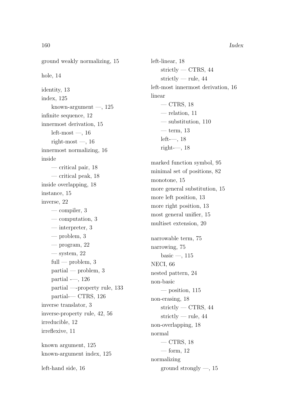ground weakly normalizing, 15 hole, 14 identity, 13 index, 125 known-argument  $-$ , 125 infinite sequence, 12 innermost derivation, 15  $left-most$  —, 16 right-most  $-$ , 16 innermost normalizing, 16 inside — critical pair, 18 — critical peak, 18 inside overlapping, 18 instance, 15 inverse, 22 — compiler, 3 — computation, 3 — interpreter, 3 — problem, 3 — program,  $22$  $-$  system, 22 full — problem,  $3$ partial — problem, 3 partial -—, 126 partial —-property rule, 133 partial-— CTRS, 126 inverse translator, 3 inverse-property rule, 42, 56 irreducible, 12 irreflexive, 11 known argument, 125 known-argument index, 125 left-hand side, 16

left-linear, 18 strictly — CTRS, 44 strictly — rule,  $44$ left-most innermost derivation, 16 linear  $-$  CTRS, 18 — relation, 11 — substitution, 110  $-$  term, 13  $left--, 18$ right-—,  $18$ marked function symbol, 95 minimal set of positions, 82 monotone, 15 more general substitution, 15 more left position, 13 more right position, 13 most general unifier, 15 multiset extension, 20 narrowable term, 75 narrowing, 75 basic  $-$ , 115 NECI, 66 nested pattern, 24 non-basic  $-$  position, 115 non-erasing, 18 strictly — CTRS,  $44$ strictly — rule, 44 non-overlapping, 18 normal  $-$  CTRS, 18 — form,  $12$ normalizing ground strongly —, 15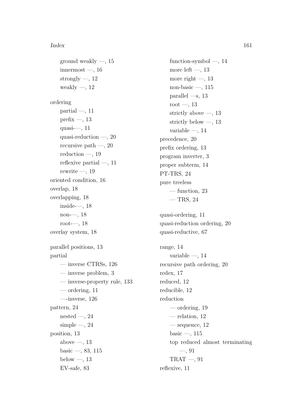ground weakly  $-$ , 15 innermost  $-$ , 16 strongly  $-$ , 12 weakly  $-$ , 12 ordering partial  $-$ , 11 prefix  $-$ , 13 quasi-—, 11 quasi-reduction —, 20 recursive path  $-$ , 20 reduction  $-$ , 19 reflexive partial  $-$ , 11 rewrite  $-$ , 19 oriented condition, 16 overlap, 18 overlapping, 18 inside-—, 18 non-—, 18 root-—, 18 overlay system, 18 parallel positions, 13 partial — inverse CTRSs, 126 — inverse problem, 3 — inverse-property rule, 133 — ordering, 11 —-inverse, 126 pattern, 24 nested  $-$ , 24 simple  $-$ , 24 position, 13 above  $-$ , 13 basic —, 83, 115 below  $-$ , 13 EV-safe, 83

function-symbol —, 14 more left  $-$ , 13 more right  $-$ , 13 non-basic  $-$ , 115 parallel  $\text{---}$ s, 13 root  $-, 13$ strictly above  $-$ , 13 strictly below —, 13 variable  $-$ , 14 precedence, 20 prefix ordering, 13 program inverter, 3 proper subterm, 14 PT-TRS, 24 pure treeless — function, 23  $-$  TRS, 24 quasi-ordering, 11 quasi-reduction ordering, 20 quasi-reductive, 67 range, 14 variable  $-$ , 14 recursive path ordering, 20 redex, 17 reduced, 12 reducible, 12 reduction — ordering, 19 — relation, 12  $-$  sequence,  $12$ basic —,  $115$ top reduced almost terminating —, 91  $TRAT -$ , 91 reflexive, 11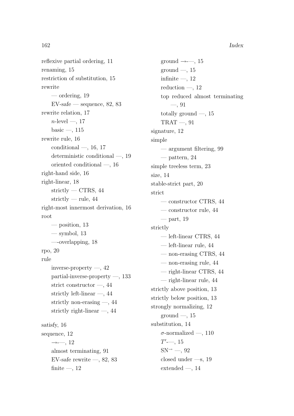162 Index

reflexive partial ordering, 11 renaming, 15 restriction of substitution, 15 rewrite — ordering, 19  $EV\text{-safe}$  — sequence, 82, 83 rewrite relation, 17  $n$ -level —, 17 basic —,  $115\,$ rewrite rule, 16 conditional  $-$ , 16, 17 deterministic conditional —, 19 oriented conditional —, 16 right-hand side, 16 right-linear, 18 strictly — CTRS,  $44$ strictly — rule,  $44$ right-most innermost derivation, 16 root — position, 13  $-$  symbol, 13 —-overlapping, 18 rpo, 20 rule inverse-property  $-$ , 42 partial-inverse-property —, 133 strict constructor —, 44 strictly left-linear —, 44 strictly non-erasing —, 44 strictly right-linear —, 44 satisfy, 16 sequence, 12  $\rightarrow$ - $\rightarrow$ , 12 almost terminating, 91 EV-safe rewrite  $-$ , 82, 83 finite  $-$ , 12

ground  $\rightarrow -15$  $ground$ —, 15 infinite  $-$ , 12 reduction  $-$ , 12 top reduced almost terminating —, 91 totally ground  $-$ , 15  $TRAT -$ , 91 signature, 12 simple — argument filtering, 99 — pattern, 24 simple treeless term, 23 size, 14 stable-strict part, 20 strict — constructor CTRS, 44 — constructor rule, 44  $\rightharpoonup$  part, 19 strictly — left-linear CTRS, 44 — left-linear rule, 44 — non-erasing CTRS, 44 — non-erasing rule, 44 — right-linear CTRS, 44 — right-linear rule, 44 strictly above position, 13 strictly below position, 13 strongly normalizing, 12 ground  $-$ , 15 substitution, 14  $\sigma$ -normalized —, 110  $T'$ —, 15  $SN \rightarrow -$ , 92 closed under —s, 19  $extended -, 14$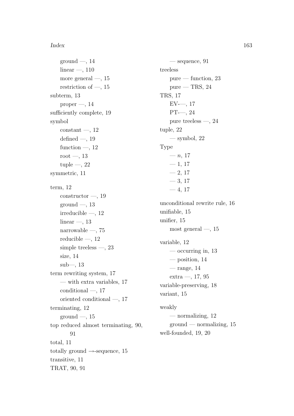#### Index 163

 $ground$  —, 14  $linear -$ , 110 more general  $-$ , 15 restriction of —,  $15\,$ subterm, 13  $proper -, 14$ sufficiently complete, 19 symbol  $constant$  —, 12 defined  $-$ , 19 function  $-$ , 12 root  $-$ , 13 tuple  $-$ , 22 symmetric, 11 term, 12  $constructor \rightarrow 19$ ground  $-$ , 13 irreducible —, 12 linear —, 13 narrowable —, 75 reducible —, 12 simple treeless  $-$ , 23 size, 14 sub—, 13 term rewriting system, 17 — with extra variables, 17 conditional —, 17 oriented conditional —, 17 terminating, 12  $ground$  —, 15 top reduced almost terminating, 90, 91 total, 11 totally ground  $\rightarrow$ -sequence, 15 transitive, 11 TRAT, 90, 91

— sequence, 91 treeless  $pure$  — function, 23  $pure - TRS, 24$ TRS, 17  $EV$ —, 17 PT-—, 24 pure treeless —, 24 tuple, 22  $-$  symbol, 22 Type  $- n, 17$  $-1, 17$  $-2, 17$  $-3, 17$  $-4, 17$ unconditional rewrite rule, 16 unifiable, 15 unifier, 15 most general  $-$ , 15 variable, 12 — occurring in,  $13$ — position, 14 — range,  $14$ extra —, 17, 95 variable-preserving, 18 variant, 15 weakly — normalizing,  $12$ ground — normalizing, 15 well-founded, 19, 20